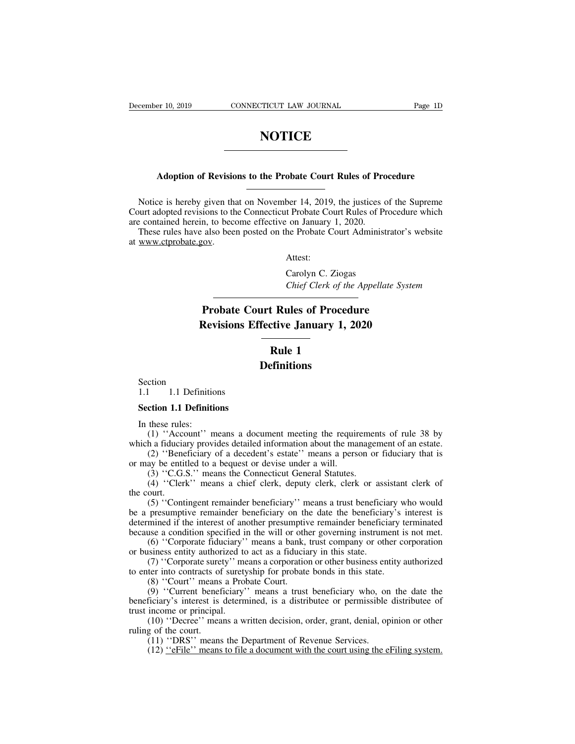### **NOTICE**

# **Adoption of Revisions to the Probate Court Rules of Procedure**

NOTICE<br>
Modern Adoption of Revisions to the Probate Court Rules of Procedure<br>
Notice is hereby given that on November 14, 2019, the justices of the Supreme<br>
ourt adopted revisions to the Connecticut Probate Court Rules of Adoption of Revisions to the Probate Court Rules of Procedure<br>Notice is hereby given that on November 14, 2019, the justices of the Supreme<br>Court adopted revisions to the Connecticut Probate Court Rules of Procedure which<br> Adoption of Revisions to the Probate Court Rules of Pro<br>
Notice is hereby given that on November 14, 2019, the justices of<br>
Court adopted revisions to the Connecticut Probate Court Rules of Pr<br>
are contained herein, to bec Adoption of Revisions to the Probate Court Rules of Procedure<br>
Notice is hereby given that on November 14, 2019, the justices of the Supreme<br>
uurt adopted revisions to the Connecticut Probate Court Rules of Procedure which **Adoption of Revisio**<br>Notice is hereby given the<br>Court adopted revisions to the<br>are contained herein, to become These rules have also bee<br>at www.ctprobate.gov.

Attest:

the Court Rules of Presence Court Rules of Presence Court Rules of Presence Court Administre Probate Court Administre Attest:<br>Attest:<br>Carolyn C. Ziogas<br>Chief Clerk of the Appellat *Chief Chief Court Administrator's* website<br>
Attest:<br>
Carolyn C. Ziogas<br>
Chief Clerk of the Appellate System

### also been posted on the Probate Court Administrator's<br>
<u>Probate</u> Carolyn C. Ziogas<br>
Chief Clerk of the Appellate Syste<br> **Probate Court Rules of Procedure**<br>
Revisions Effective January 1, 2020 Attest:<br>
Carolyn C. Ziogas<br>
Chief Clerk of the Appellate System<br> **Probate Court Rules of Procedure<br>
Revisions Effective January 1, 2020<br>
Rule 1** Carolyn C. Zioga<br> *Chief Clerk of the*<br> **Rules of Proced**<br> **Rule 1**<br> **Rule 1**<br> **Rule 1**

### **Definitions**

Section<br>1.1 1.1 Definitions Kevisions El<br>Section<br>1.1 1.1 Definitions<br>Section 1.1 Definitions Section<br>
1.1 1.1 Definitions<br> **Section 1.1 Definitions**<br>
In these rules:<br>
(1) "Account" manner a dam Section<br>1.1 1.1 Definitic<br>**Section 1.1 Definiti**<br>In these rules:<br>(1) "Account" m<br>ich a fiduciary provi

**CONTA CONTE THE EXECUTE CONTEXT**<br>
(1) 1.1 Definitions<br>
these rules:<br>
(1) "Account" means a document meeting the requirements of rule 38 by<br>
h a fiduciary provides detailed information about the management of an estate.<br>
(

Section 1.1 Definitions<br>Section 1.1 Definitions<br>In these rules:<br>(1) "Account" means a document meeting the requirements of rule 38 by<br>which a fiduciary provides detailed information about the management of an estate.<br>(2) 1.1 Definitions<br>
ction 1.1 Definitions<br>
these rules:<br>
(1) "Account" means a document meeting the requirements of rule 38 by<br>
h a fiduciary provides detailed information about the management of an estate.<br>
(2) "Beneficiary **Section 1.1 Definitions**<br>
In these rules:<br>
(1) "Account" means a document meeting the requir<br>
which a fiduciary provides detailed information about the ma<br>
(2) "Beneficiary of a decedent's estate" means a pers<br>
or may be ction 1.1 Definitions<br>these rules:<br>(1) "Account" means a document meeting the requiremer<br>h a fiduciary provides detailed information about the manage<br>(2) "Beneficiary of a decedent's estate" means a person or<br>ay be entitle these rules:<br>
(1) "Account" means a document meeting the requirements of rule 38 by<br>
h a fiduciary provides detailed information about the management of an estate.<br>
(2) "Beneficiary of a decedent's estate" means a person o

the court.<br>
(1) "Accomplement"<br>
(2) "Bene<br>
or may be entitied (3) "C.G.<br>
(4) "Cler!<br>
the court.<br>
(5) "Cont<br>
be a presumption (1) Account means a document meeting the requirements of rate 56 by<br>h a fiduciary provides detailed information about the management of an estate.<br>(2) "Beneficiary of a decedent's estate" means a person or fiduciary that which a huddiary provides detailed information about the management of an estate.<br>
(2) "Beneficiary of a decedent's estate" means a person or fiduciary that is<br>
or may be entitled to a bequest or devise under a will.<br>
(3) determined if the interest of another presumptive remains a person of indictary that is<br>dor may be entitled to a bequest or devise under a will.<br>(3) "C.G.S." means a chief clerk, deputy clerk, clerk or assistant clerk of<br> because a condition specified in the will or other governing instrument is not be a presumptive remainder beneficiary'' means a trust beneficiary who would be a presumptive remainder beneficiary'' means a trust beneficiary (4) "Clerk" means a chief clerk, deputy clerk, clerk or assistant clerk of ourt.<br>
(5) "Contingent remainder beneficiary" means a trust beneficiary who would<br>
presumptive remainder beneficiary on the date the beneficiary's ( $\rightarrow$ ) Cicik means a ciner cicik, depaty cicik, cicik or asset<br>the court.<br>(5) "Contingent remainder beneficiary" means a trust beneficial<br>be a presumptive remainder beneficiary on the date the beneficial<br>determined if the (5) "Contingent remainder beneficiary" means a trust beneficiary who would presumptive remainder beneficiary on the date the beneficiary's interest is mined if the interest of another presumptive remainder beneficiary ter (3) Contingent remainder beneficiary ineans a dust beneficiary with the a presumptive remainder beneficiary is determined if the interest of another presumptive remainder beneficiary the because a condition specified in t be a presumptive remainder beneficiary on the date the beneficiary's interest is determined if the interest of another presumptive remainder beneficiary terminated because a condition specified in the will or other governi

If the meters of another presumptive remainder beneficiary derifinated<br>use a condition specified in the will or other governing instrument is not met.<br>(6) "Corporate fiduciary" means a bank, trust company or other corporat because a condition spectrica in the win of other governing instrument is not inct.<br>
(6) "Corporate fiduciary" means a bank, trust company or other corporation<br>
or business entity authorized to act as a fiduciary in this s (b) Corporate Hutchary<br>or business entity authorized to<br>(7) "Corporate surety" me<br>to enter into contracts of surety<br>(8) "Court" means a Prol<br>(9) "Current beneficiary"<br>beneficiary's interest is determ<br>trust income or princi (7) "Corporate surety" means a corporation or other business entity authorized<br>ter into contracts of suretyship for probate bonds in this state.<br>(8) "Court" means a Probate Court.<br>(9) "Current beneficiary" means a trust be to enter into contracts of<br>
(8) "Court" means<br>
(9) "Current benef<br>
beneficiary's interest is<br>
trust income or principal<br>
(10) "Decree" mea<br>
ruling of the court.<br>
(11) "DRS" means<br>
(12) "eFile" means (8) "Court" means a Probate Court.<br>
(9) "Court" means a Probate Court.<br>
(9) "Current beneficiary" means a trust beneficiary who, on<br>
ficiary's interest is determined, is a distribute or permissible<br>
income or principal.<br> (9) "Current beneficiary" means a trust beneficiary who, on the date the ficiary's interest is determined, is a distributee or permissible distributee of income or principal.<br>(10) "Decree" means a written decision, order,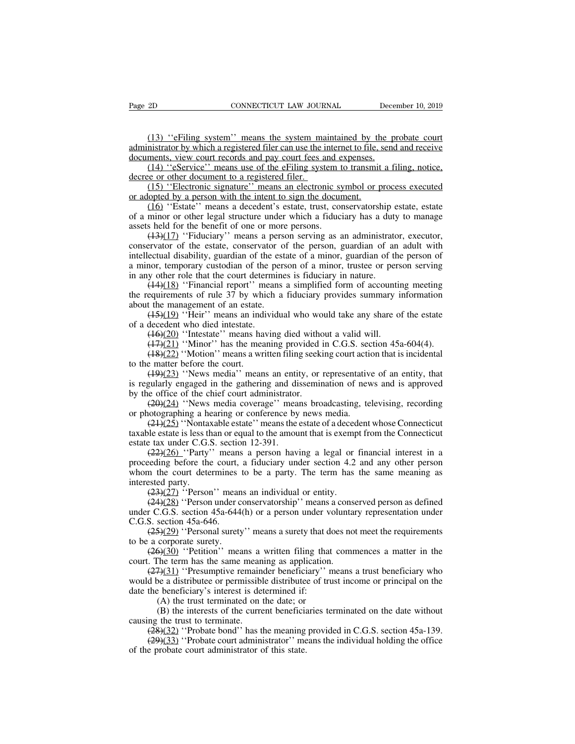(13) "eFiling system" means the system maintained by the probate court<br>nistrator by which a registered filer can use the internet to file, send and receive<br>ments, view court records and pay court fees and expenses. Page 2D CONNECTICUT LAW JOURNAL December 10, 2019<br>
(13) "eFiling system" means the system maintained by the probate court<br>
administrator by which a registered filer can use the internet to file, send and receive<br>
documents Page 2D CONNECTICUT LAW JOURNAL Dece<br>
(13) "eFiling system" means the system maintained by the p<br>
administrator by which a registered filer can use the internet to file, send<br>
documents, view court records and pay court fe (13) "eFiling system" means the system maintained by the probate court<br>
(13) "eFiling system" means the system maintained by the probate court<br>
mistrator by which a registered filer can use the internet to file, send and r (13) "eFiling system" means the system madministrator by which a registered filer can use the idocuments, view court records and pay court fees a  $(14)$  "eService" means use of the eFiling syst decree or other document to (13) "eFiling system" means the system maintained by the probate court<br>nistrator by which a registered filer can use the internet to file, send and receive<br>ments, view court records and pay court fees and expenses.<br>(14) "e (13) "eFiling system" means the system maintained by the administrator by which a registered filer can use the internet to file, solocuments, view court records and pay court fees and expenses.<br>
(14) "eService" means use

(15) Criming system means the system manufamed by the probate contributions in the internet of the end and receive ments, view court records and pay court fees and expenses.<br>(14) "eService" means use of the eFiling system documents, view court records and pay court fees and expenses.<br>
(14) "eService" means use of the eFiling system to transmit a filing, notice,<br>
decree or other document to a registered filer.<br>
(15) "Electronic signature" m (14) "eService" means use of the eFiling system t<br>decree or other document to a registered filer.<br>(15) "Electronic signature" means an electronic sy<br>or adopted by a person with the intent to sign the docur<br>(16) "Estate" m

(14) ESCIVICE means use of the Erimg system to transmit a rimig, notice,<br>e or other document to a registered filer.<br>(15) "Electronic signature" means an electronic symbol or process executed<br>lopted by a person with the in (15) "Electronic signature" means an electronic symbol or process executed<br>or adopted by a person with the intent to sign the document.<br>(16) "Estate" means a decedent's estate, trust, conservatorship estate, estate<br>of a m or adopted by a person with the intent to sign the document.<br>
(16) "Estate" means a decedent's estate, trust, conservatorship estate, estate<br>
of a minor or other legal structure under which a fiduciary has a duty to manag a minor, temporary and a minor determines is fiduciary in a minor of the person with the metal of a minor or other legal structure under which a fiduciary has a duty to manage assets held for the benefit of one or more pe of a minor or other legal structure under which a fiduciary has a duty<br>assets held for the benefit of one or more persons.<br> $(13)(17)$  "Fiduciary" means a person serving as an administrate<br>conservator of the estate, conserv find the benefit of one or more persons.<br>
(13)(17) 'Fiduciary'' means a person serving as an administrator, executor,<br>
ervator of the estate, conservator of the person, guardian of an adult with<br>
ectual disability, guardi dentify in the content of one of more persons.<br>  $(13)(17)$  "Fiduciary" means a person serving as an administrator, executor,<br>
conservator of the estate, conservator of the person, guardian of an adult with<br>
intellectual di conservator of the estate, conservator of<br>intellectual disability, guardian of the estate a minor, temporary custodian of the pers<br>in any other role that the court determine<br> $(44)(18)$  "Financial report" means<br>the requirem Example 1 and disability, guardian of the person, guardian of an adult while<br>ectual disability, guardian of the estate of a minor, guardian of the person of<br>nor, temporary custodian of the person of a minor, trustee or pe

a minor, temporary custodian of the value of a minor, temporary custodian of the p<br>in any other role that the court determ<br> $(44)(18)$  "Financial report" mean<br>the requirements of rule 37 by which<br>about the management of an a minor, temporary custodian of the person of a minor, trustee or person serving<br>in any other role that the court determines is fiduciary in nature.<br>  $(14)(18)$  "Financial report" means a simplified form of accounting meet (14)(18) "Financial report" means a simplified form of accounting meeting<br>equirements of rule 37 by which a fiduciary provides summary information<br>the management of an estate.<br>(15)(19) "Heir" means an individual who would (18)(18) Timancial report means a simple of the of accounting incerning<br>equirements of rule 37 by which a fiduciary provides summary information<br>the management of an estate.<br>(18)(19) "Heir" means an individual who would t

the requirements of full 37 by while<br>about the management of an estate.<br> $(45)(19)$  "Heir" means an ind<br>of a decedent who died intestate.<br> $(46)(20)$  "Intestate" means ha<br> $(47)(21)$  "Minor" has the mea<br> $(48)(22)$  "Motion" means (15)(19) "Heir" means an individual who would take any share of the estate decedent who died intestate.<br>
(16)(20) "Intestate" means having died without a valid will.<br>
(17)(21) "Minor" has the meaning provided in C.G.S. se (1991) Then means an individual who would take any share of the estate<br>of a decedent who died intestate.<br>(16)(20) "Intestate" means having died without a valid will.<br>(17)(21) "Minor" has the meaning provided in C.G.S. sec  $(16)(20)$  "Intestate" means having died with<br> $(17)(21)$  "Minor" has the meaning provided i<br> $(18)(22)$  "Motion" means a written filing seekito<br>to the matter before the court.<br> $(19)(23)$  "News media" means an entity, or<br>is reg (19)(22) "Minor" has the meaning dictributed a valid will.<br>
(19)(22) "Moltion" has the meaning provided in C.G.S. section 45a-604(4).<br>
(19)(22) "Motion" means a written filing seeking court action that is incidental<br>
e ma (19)(22) "Motion" has the meaning provided in e.10.13. see<br>
(18)(22) "Motion" means a written filing seeking court active<br>
to the matter before the court.<br>
(19)(23) "News media" means an entity, or representative<br>
is regu

(19)(22) 'Nonton' means a written ming seeking court action that is incidental<br>e matter before the court.<br>(19)(23) ''News media'' means an entity, or representative of an entity, that<br>gularly engaged in the gathering and that the controlled the controlled the controlled in the gathering and dissemination of news and is approved<br>by the office of the chief court administrator.<br> $(20)(24)$  "News media coverage" means broadcasting, televising, estandary in the same inclusion is regularly engaged in the gathering and di<br>by the office of the chief court administrator<br> $(20)(24)$  "News media coverage" mean<br>or photographing a hearing or conference by<br> $(21)(25)$  "Nonta

(22)(26) "Party" means a person having a legal or financial interest in a person the court administrator.<br>(29)(24) "News media coverage" means broadcasting, televising, recording otographing a hearing or conference by new by the office of the chert court administrator.<br>  $(29)(24)$  "News media coverage" means broadcasting, televising, recording<br>
or photographing a hearing or conference by news media.<br>  $(21)(25)$  "Nontaxable estate" means the or photographing a hearing or conference by news media.<br>
(21)(25) "Nontaxable estate" means the estate of a decedent whose Connecticut<br>
taxable estate is less than or equal to the amount that is exempt from the Connecticu or photographing a not<br>  $\frac{(24)(25)}{2}$ . Nonta:<br>
taxable estate is less the<br>
estate tax under C.G..<br>  $\frac{(22)(26)}{2}$ . Party'<br>
proceeding before the<br>
whom the court dete<br>
interested party.<br>  $\frac{(23)(27)}{2}$ . Person<br>  $\frac{(24)(28)}$ (23)(25) Tooldaxable estate Theats the estate of a deced<br>ble estate is less than or equal to the amount that is exemp<br>e tax under C.G.S. section 12-391.<br>(22)(26) "Party" means a person having a legal or<br>eding before the c (22)(26) ''Person'' means an individual or entity.<br>
(22)(26) ''Party'' means a person having a legal or financial interest in a leeding before the court, a fiduciary under section 4.2 and any other person in the court det  $(22)(26)$  "Party" means a person having a legal or financial interest in a<br>proceeding before the court, a fiduciary under section 4.2 and any other person<br>whom the court determines to be a party. The term has the same mea proceeding before the court,<br>proceeding before the court,<br>whom the court determines<br>interested party.<br> $\frac{(23)(27)}{Person}$  mear<br> $\frac{(24)(28)}{Person}$  mear<br>ander C.G.S. section 45a-646.<br> $\frac{(25)(29)}{Personal}$  suret;<br>to be a corporate su

(25)(27) ''Person'' means an individual or entity.<br>
(23)(27) ''Person'' means an individual or entity.<br>
(24)(28) ''Person'' means an individual or entity.<br>
(24)(28) ''Person under conservatorship'' means a conserved perso interested party.<br>  $(23)(27)$  "Person" mean<br>  $(24)(28)$  "Person under counder C.G.S. section 45a-644<br>
C.G.S. section 45a-646.<br>  $(25)(29)$  "Personal surety<br>
to be a corporate surety.<br>  $(26)(30)$  "Petition" mea<br>
court. The term (23)(27) "Person" means an individual or entity.<br>
(24)(28) "Person under conservatorship" means a conserved person as defined<br>
r C.G.S. section 45a-644(h) or a person under voluntary representation under<br>
S. section 45a-6 (24)(28) "Person under conservatorship" means a consumder C.G.S. section 45a-644(h) or a person under volunta<br>C.G.S. section 45a-644(h) or a person under volunta<br>C.G.S. section 45a-646.<br>(25)(29) "Personal surety" means a

(27)(26) Terson under conservatorship Incans a conserved person as defined<br>
c C.G.S. section 45a-644(h) or a person under voluntary representation under<br>
S. section 45a-646.<br>
(25)(29) "Personal surety" means a surety that C.G.S. section 45a-64+(ii) or a person under volumary representation under<br>C.G.S. section 45a-646.<br>( $\frac{(25)(29)}{2}$  "Personal surety" means a surety that does not meet the requirements<br>to be a corporate surety.<br>( $\frac{(2\Theta)(30$  $(25)(29)$  "Personal surety" means a surety that d<br>to be a corporate surety.<br> $(26)(30)$  "Petition" means a written filing that<br>court. The term has the same meaning as application<br> $(27)(31)$  "Presumptive remainder beneficiary  $\frac{6}{20}$  Terminal succy inclusions a succy that at corporate surety.<br>  $\frac{6}{20}$  "Petition" means a written filing that the term has the same meaning as application.<br>  $\frac{7}{21}$  "Presumptive remainder beneficiary" m<br>
be (B)  $\frac{S(30)}{S(30)}$  "Petition" means a written filing that commences a matter in the line term has the same meaning as application.<br>  $\frac{S(31)}{S(31)}$  "Presumptive remainder beneficiary" means a trust beneficiary who be a contrium in the same mean<br>
court. The term has the same mean<br>
(27)(31) "Presumptive remain<br>
would be a distribute or permissible<br>
date the beneficiary's interest is det<br>
(A) the trust terminated on t<br>
(B) the interests of (27)(31) "Presumptive remainder beneficiary" means a trust beneficiary who d be a distributee or permissible distributee of trust income or principal on the the beneficiary's interest is determined if:<br>
(A) the trust term (29)(33) 'Tresumplaye remainder beneficiary' means a dust beneficiary who d be a distributee or permissible distributee of trust income or principal on the the beneficiary's interest is determined if:<br>
(A) the trust termi

date the beneficiary's interest is determined if:<br>
(A) the trust terminated on the date; or<br>
(B) the interests of the current beneficial<br>
causing the trust to terminate.<br>  $\frac{(28)(32)}{1000}$  "Probate bond" has the meaning<br>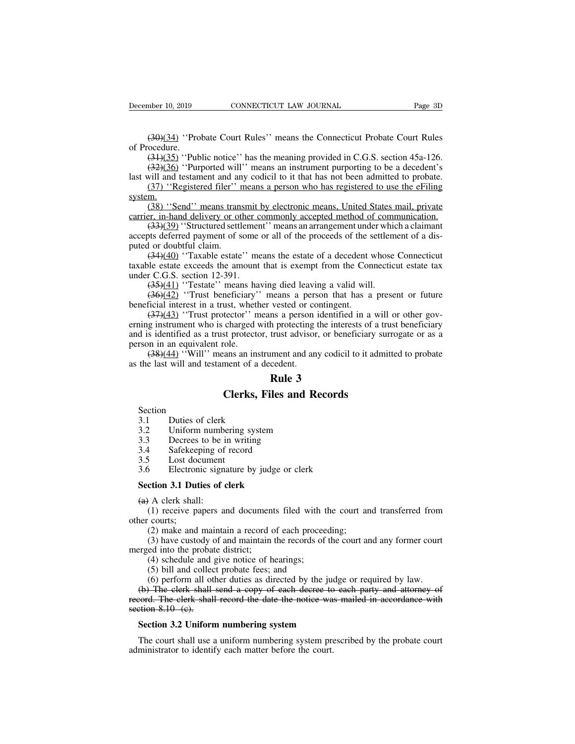mber 10, 2019 CONNECTICUT LAW JOURNAL Page 3D<br>(30)(34) "Probate Court Rules" means the Connecticut Probate Court Rules<br>(31)(35) "Public notice" has the meaning provided in C.G.S. section 45a-126. December 10, 2019<br>(30)(34) "Pro<br>of Procedure.<br>(34)(35) "Pub<br>(32)(36) "Pur mber 10, 2019 CONNECTICUT LAW JOURNAL Page 3D<br>
(30)(34) "Probate Court Rules" means the Connecticut Probate Court Rules<br>
ocedure.<br>
(31)(35) "Public notice" has the meaning provided in C.G.S. section 45a-126.<br>
(32)(36) "Pur mber 10, 2019 CONNECTICUT LAW JOURNAL Page 3D<br>
(30)(34) "Probate Court Rules" means the Connecticut Probate Court Rules<br>
ocedure.<br>
(31)(35) "Public notice" has the meaning provided in C.G.S. section 45a-126.<br>
(32)(36) "Pur (30)(34) "Probate Court Rules" means the Connecticut Probate Court Rules<br>of Procedure.<br>(31)(35) "Public notice" has the meaning provided in C.G.S. section 45a-126.<br>(32)(36) "Purported will" means an instrument purporting (30)(34) "Probate Court Rules" means the Connecticut Probate Court Rules ocedure.<br>  $(3+)(35)$  "Public notice" has the meaning provided in C.G.S. section 45a-126.<br>  $(32)(36)$  "Purported will" means an instrument purporting t

(38) "Public notice" has the meaning provided in C.G.S. section 45a-126.<br>
(34)(35) "Public notice" has the meaning provided in C.G.S. section 45a-126.<br>
(32)(36) "Purported will" means an instrument purporting to be a dece

system.<br>(38) "Send" means transmit by electronic means, United States mail, private

(31)(35) "Public notice" has the meaning provided in C.G.S. section 45a-126.<br>
(32)(36) "Purported will" means an instrument purporting to be a decedent's<br>
last will and testament and any codicil to it that has not been ad (33)(36) "Purported will" means an instrument purporting to be a decedent's will and testament and any codicil to it that has not been admitted to probate.<br>
(37) "Registered filer" means a person who has registered to use accepts deferred payment of some or all of the proceeds of the settlement of a discussion.<br>
(37) "Registered filer" means a person who has registered to use the eFiling system.<br>
(38) "Send" means transmit by electronic me ast win and testanch and an  $(37)$  "Registered filer" is system.<br>  $(38)$  "Send" means transformation (33)(39) "Structured settlend accepts deferred payment of sputed or doubtful claim.<br>  $(34)(40)$  "Taxable estate taxable e

(37) Registered met means a person who has registered to use the erring m.<br>
(38) "Send" means transmit by electronic means, United States mail, private<br>  $(33)(39)$  "Structured settlement" means an arrangement under which a (38) "Send" means transmit by electronic means, United States mail, private<br>carrier, in-hand delivery or other commonly accepted method of communication.<br>(33)(39) "Structured settlement" means an arrangement under which a carrier, in-hand delivery or other c<br>  $(33)(39)$  "Structured settlemer<br>
accepts deferred payment of some<br>
puted or doubtful claim.<br>  $(34)(40)$  "Taxable estate" me<br>
taxable estate exceeds the amount<br>
under C.G.S. section 12-(33)(39) "Structured settlement" means an arrangement under which (33)(39) "Structured settlement" means an arrangement under which to doubtful claim.<br>
(34)(40) "Taxable estate" means the estate of a decedent whose least (33)(32) Sudduct sculch that has an arangement under which a claimant<br>to deferred payment of some or all of the proceeds of the settlement of a dis-<br>(34)(40) "Taxable estate" means the estate of a decedent whose Connectic accepts deterted payment of some of an of the proceeds of the s<br>puted or doubtful claim.<br>(34)(40) "Taxable estate" means the estate of a decedent v<br>taxable estate exceeds the amount that is exempt from the Con<br>under C.G.S

(34)(40) "Taxable estate" means the estate of a decedent whose Connecticut<br>le estate exceeds the amount that is exempt from the Connecticut estate tax<br>r C.G.S. section 12-391.<br>(35)(41) "Testate" means having died leaving (37)(48) Taxaone estate means the estate of a decedent whose connection<br>taxable estate exceeds the amount that is exempt from the Connecticut estate tax<br>under C.G.S. section 12-391.<br>(35)(41) "Testate" means having died le and is identified as a trust protector, trust advisor, or beneficiary and is dentified as a trust, whether vested or contingent.<br>  $(35)(42)$  "Trust beneficiary" means a person that has a present or future beneficial intere  $(35)(41)$  "Testate" means has<br> $(36)(42)$  "Trust beneficiary"<br>beneficial interest in a trust, whet<br> $(37)(43)$  "Trust protector" n<br>erning instrument who is charged and is identified as a trust protector<br>person in an equivalen (38)(42) "Trust beneficiary" means a person that has a present or future<br>  $(37)(43)$  "Trust beneficiary" means a person that has a present or future<br>  $(37)(43)$  "Trust protector" means a person identified in a will or other beneficial interest in a trust, whether vested or co<br>  $(37)(43)$  "Trust protector" means a person is<br>
erning instrument who is charged with protecting t<br>
and is identified as a trust protector, trust advisor<br>
person in an **Rules a** person that if vested or contingent.<br>
In a person identified<br>
the protecting the interest trust advisor, or bene<br> **Rule 3**<br> **Rule 3**<br> **Rule 3** tector'' means a person identified in a will<br>charged with protecting the interests of a tr<br>st protector, trust advisor, or beneficiary su<br>cole.<br>ans an instrument and any codicil to it admi<br>ment of a decedent.<br>**Rule 3**<br>**Cle** 

 $(38)(44)$  "Will" means an instrict<br>the last will and testament of a do<br>**Clerks, F**<br>Section<br>3.1 Duties of clerk<br>3.2 Uniform numbering system<br>3.3 Decrees to be in writing the last will and testament of a decedent.<br> **Rule 3**<br> **Clerks, Files and Recor**<br>
Section<br>
3.1 Duties of clerk<br>
3.2 Uniform numbering system<br>
3.3 Decrees to be in writing<br>
3.4 Safekeeping of record

Section<br>3.1 Duties of clerk

**EXECUTE:**<br> **Section**<br>
3.1 Duties of clerk<br>
3.2 Uniform numbering system<br>
3.3 Decrees to be in writing<br>
3.4 Safekeeping of record<br>
3.5 Lost document

**Clerk**<br>
Section<br>
3.1 Duties of clerk<br>
3.2 Uniform numbering s<br>
3.3 Decrees to be in writ<br>
3.4 Safekeeping of recor<br>
3.5 Lost document<br>
3.6 Electronic signature I

**Clerks, Files and Section**<br>3.1 Duties of clerk<br>3.2 Uniform numbering system<br>3.3 Decrees to be in writing<br>3.4 Safekeeping of record<br>3.5 Lost document<br>3.6 Electronic signature by judge or Section<br>
3.1 Duties of clerk<br>
3.2 Uniform numbering system<br>
3.3 Decrees to be in writing<br>
3.4 Safekeeping of record<br>
3.5 Lost document<br>
3.6 Electronic signature by judge or clerk<br>
Section 3.1 Duties of clerk 3.1 Duties of clerk<br>
3.2 Uniform numbering system<br>
3.3 Decrees to be in writing<br>
3.4 Safekeeping of record<br>
3.5 Lost document<br>
3.6 Electronic signature by judge or<br> **Section 3.1 Duties of clerk**<br>
(a) A clerk shall:<br>
(1) re

3.3 Decrees to be i<br>3.4 Safekeeping of<br>3.5 Lost document<br>3.6 Electronic signa<br>**Section 3.1 Duties of (**a) A clerk shall:<br>(1) receive papers and the courts; (1) Final Safekeeping of record<br>
1) Safekeeping of record<br>
1) Electronic signature by judge or clerk<br>
1) A clerk shall:<br>
1) receive papers and documents filed with the court and transferred from<br>
1) courts;<br>
1) make and ma 3.5 Lost door<br>3.6 Lost door<br>3.6 Electron<br>**Section 3.1 Dut**<br>(a) A clerk shall<br>(1) receive pa<br>other courts;<br>(2) make and<br>(3) have custo Electronic signature by judge or clerk<br> **ction 3.1 Duties of clerk**<br>
A clerk shall:<br>
(1) receive papers and documents filed with the court are<br>
courts;<br>
(2) make and maintain a record of each proceeding;<br>
(3) have custody (4) for all **2)** have custody of each settem of  $\theta$  and the court and transferred from (1) receive papers and documents filed with the court and transferred from courts;<br>(2) make and maintain a record of each proceeding; A clerk shall:<br>
(1) receive papers and documents filed with t<br>
(2) make and maintain a record of each procee<br>
(3) have custody of and maintain the records of<br>
ed into the probate district;<br>
(4) schedule and give notice of (1) receive papers and documents filed with the courts;<br>(2) make and maintain a record of each proceed<br>(3) have custody of and maintain the records of the into the probate district;<br>(4) schedule and give notice of hearing

**Section 3.1 Duties of clerk**<br>
(a) A clerk shall:<br>
(1) receive papers and document<br>
other courts;<br>
(2) make and maintain a record of<br>
(3) have custody of and maintain in<br>
merged into the probate district;<br>
(4) schedule an

(1) ICCCIVE papers and documents filed with the court and transferred from<br>
(2) make and maintain a record of each proceeding;<br>
(3) have custody of and maintain the records of the court and any former court<br>
ed into the pr (2) make and maintain a record of each proceeding;<br>
(3) have custody of and maintain the records of the court and any former court<br>
rrged into the probate district;<br>
(4) schedule and give notice of hearings;<br>
(5) bill and (2) make and maintain a record of each proceeding,<br>
(3) have custody of and maintain the records of the court and any former court<br>
merged into the probate district;<br>
(4) schedule and give notice of hearings;<br>
(5) bill an section 8.10 (c) have easily come<br>merged into the probat<br>(4) schedule and  $(5)$  bill and collec<br>(6) perform all of<br>(b) The clerk shall-<br>record. The clerk shall-<br>section 8.10 (c).<br>Section 3.2 Uniform (4) schedule and give notice of hearings;<br>
(5) bill and collect probate fees; and<br>
(6) perform all other duties as directed by the judge or re<br>
(b) The clerk shall send a copy of each decree to each pa<br>
cord. The clerk sha (6) perform all other duties as directed by the judge or required by law.<br>
(b) The clerk shall send a copy of each decree to each party and attorney of cord. The clerk shall record the date the notice was mailed in accord (b) The clerk shall send a copy of each decree to<br>record. The clerk shall record the date the notice wa<br>section 8.10 (c).<br>Section 3.2 Uniform numbering system<br>The court shall use a uniform numbering system pro<br>administrato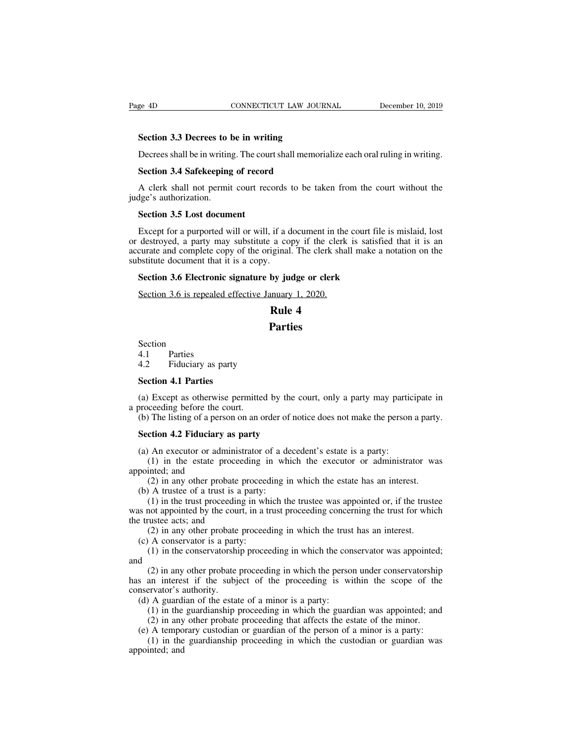**SECULE 128 CONNECTICUT LAW JOUR**<br> **Section 3.3 Decrees to be in writing**<br>
Decrees shall be in writing. The court shall memori Decrees shall be in writing.<br>
Decrees shall be in writing. The court shall memorialize each oral ruling in writing.<br>
Section 3.4 Safekeeping of record

EXEMBLE THE CONNECTICUT LAW JOU<br>
Section 3.3 Decrees to be in writing<br>
Decrees shall be in writing. The court shall memore<br>
Section 3.4 Safekeeping of record<br>
A clerk shall not permit court records to be ta Section 3.3 Decrees to be in writing<br>Decrees shall be in writing. The court shall memorialize each oral ruling in writing.<br>Section 3.4 Safekeeping of record<br>A clerk shall not permit court records to be taken from the court Section 3.3 Decrees to 1<br>Decrees shall be in writing<br>Section 3.4 Safekeeping<br>A clerk shall not permit<br>judge's authorization.<br>Section 3.5 Lost docum Decrees shall be in writing. The cour<br>**Section 3.4 Safekeeping of record**<br>A clerk shall not permit court rece<br>dge's authorization.<br>**Section 3.5 Lost document**<br>Except for a purported will or will,

Section 3.4 Safekeeping of record<br>A clerk shall not permit court records to be taken from the court without the<br>lge's authorization.<br>Section 3.5 Lost document<br>Except for a purported will or will, if a document in the court A clerk shall not permit court records to be taken from the court without the judge's authorization.<br>Section 3.5 Lost document<br>Except for a purported will or will, if a document in the court file is mislaid, lost<br>or destro A clerk shall not permit court records to be taken from the court without the<br>judge's authorization.<br>**Section 3.5 Lost document**<br>Except for a purported will or will, if a document in the court file is mislaid, lost<br>or dest judge's authorization.<br> **Section 3.5 Lost document**<br>
Except for a purported will or will, if a d<br>
or destroyed, a party may substitute a co<br>
accurate and complete copy of the original<br>
substitute document that it is a copy **Section 3.5 Lost document**<br>Except for a purported will or will, if a document in the court file<br>destroyed, a party may substitute a copy if the clerk is satisfie<br>curate and complete copy of the original. The clerk shall m Except for a purported will or will, if a document in the destroyed, a party may substitute a copy if the clerk curate and complete copy of the original. The clerk shabstitute document that it is a copy.<br>Section 3.6 Electr if a document in the carry of the clerk<br>a copy if the clerk<br>iginal. The clerk shall<br>by **judge or clerk**<br>nnuary 1, 2020.<br>**Rule 4**<br>**Parties** 

### **Parties**

Section Section 3.6 is repealed<br>Section<br>4.1 Parties<br>4.2 Fiduciary as pa Expedice of the same<br>
R<br>
R<br>
Section<br>
4.1 Parties<br>
4.2 Fiduciary as party<br>
Section 4.1 Parties Section<br>4.1 Parties<br>4.2 Fiduciary as party<br>**Section 4.1 Parties**<br>(a) Except as otherwise per Section<br>4.1 Parties<br>4.2 Fiduciary as party<br>**Section 4.1 Parties**<br>(a) Except as otherwise permitted<br>a proceeding before the court.<br>(b) The listing of a person on an o

(a) Except as otherwise permitted by the court, only a party may participate in<br>
(a) Except as otherwise permitted by the court, only a party may participate in<br>
(b) The listing of a person on an order of notice does not m 4.1 Parties<br>
4.2 Fiduciary as party<br>
Section 4.1 Parties<br>
(a) Except as otherwise permitted by the court, only a party may participate in<br>
proceeding before the court.<br>
(b) The listing of a person on an order of notice doe **Section 4.1 Parties**<br>(a) Except as otherwise permitted by the corroceeding before the court.<br>(b) The listing of a person on an order of no<br>**Section 4.2 Fiduciary as party**<br>(a) An executor or administrator of a dece (a) Except as otherwise permitted by the court, only a party may partic proceeding before the court.<br>
(b) The listing of a person on an order of notice does not make the person<br> **Section 4.2 Fiduciary as party**<br>
(a) An ex (1) Except as otherwise permitted by the court, only a party may participate in<br>ceeding before the court.<br>The listing of a person on an order of notice does not make the person a party.<br>**ction 4.2 Fiduciary as party**<br>(1) i

a proceeding before the composed to the Control of a person **4.2 Fiduciary**<br> **Section 4.2 Fiduciary**<br>
(a) An executor or adm<br>
(1) in the estate propointed; and<br>
(2) in any other prob<br>
(b) A trustee of a trust (2) The listing of a person on an order of notice does not make the person a party<br> **ction 4.2 Fiduciary as party**<br>
(4) An executor or administrator of a decedent's estate is a party:<br>
(1) in the estate proceeding in which

Section 4.2 Fiduciary as party<br>
(a) An executor or administrator of a de<br>
(1) in the estate proceeding in wh<br>
pointed; and<br>
(2) in any other probate proceeding i<br>
(b) A trustee of a trust is a party:<br>
(1) in the trust pro (1) charge and the trusteeding in which the executor or administrator was inted; and (2) in the estate proceeding in which the executor or administrator was inted; and (2) in any other probate proceeding in which the estat (a) An executor or administrator of a decedent's estate is a party:<br>
(1) in the estate proceeding in which the executor or administrator was<br>
appointed; and<br>
(2) in any other probate proceeding in which the estate has an (1) in the estate proceed<br>appointed; and<br>(2) in any other probate p<br>(b) A trustee of a trust is a p<br>(1) in the trust proceeding<br>was not appointed by the court,<br>the trustee acts; and<br>(2) in any other probate p<br>(c) A conser (1) in the estate proceeding in which the estate has an interest.<br>
(2) in any other probate proceeding in which the estate has an interest.<br>
(1) in the trust proceeding in which the trustee was appointed or, if the trust<br> (2) in any other probate proceed<br>(b) A trustee of a trust is a party:<br>(1) in the trust proceeding in wh<br>is not appointed by the court, in a trustee acts; and<br>(2) in any other probate proceed<br>(c) A conservator is a party:<br> (2) in any other probate proceeding in which the cstate has an interest.<br>
(1) in the trust proceeding in which the trustee was appointed or, if the trustee<br>
not appointed by the court, in a trust proceeding concerning the

and<br>(2) in any other probate proceeding in which the person under conservatorship

(1) in the that proceeding in which the this as appointed of, if the trastection appointed by the court, in a trust proceeding concerning the trust for which ustee acts; and (2) in any other probate proceeding in which th was not appointed by the eodit, in a trust proceeding concerning the trast for which<br>the trustee acts; and<br>(2) in any other probate proceeding in which the conservator was appointed;<br>(1) in the conservatorship proceeding i (2) in any other probate<br>
(c) A conservator is a part<br>
(1) in the conservatorshi<br>
and<br>
(2) in any other probate<br>
has an interest if the subjeconservator's authority.<br>
(d) A guardian of the estat<br>
(1) in the guardianship p (2) in any other probate proceeding in which the trust has an interest.<br>
(c) A conservator is a party:<br>
(1) in the conservatorship proceeding in which the conservator was appointed;<br>
and<br>
(2) in any other probate proceedi (1) in the conservatorship proceeding in which the conservator was appointed;<br>
(2) in any other probate proceeding in which the person under conservatorship<br>
an interest if the subject of the proceeding is within the scop (2) in any other probate proceeding in which the person under conservatorship<br>an interest if the subject of the proceeding is within the scope of the<br>ervator's authority.<br>A guardian of the estate of a minor is a party:<br>(1) (2) in any other probate proceeding in which the person under conservatorship<br>s an interest if the subject of the proceeding is within the scope of the<br>nservator's authority.<br>(d) A guardian of the estate of a minor is a p (2) in any other proceeding in which the person ander conservatoriship<br>an interest if the subject of the proceeding is within the scope of the<br>ervator's authority.<br>(1) in the guardianship proceeding in which the guardian

mas an interest<br>conservator's a<br>(d) A guardi<br>(1) in the<br>(2) in any<br>(e) A tempo<br>(1) in the<br>appointed; and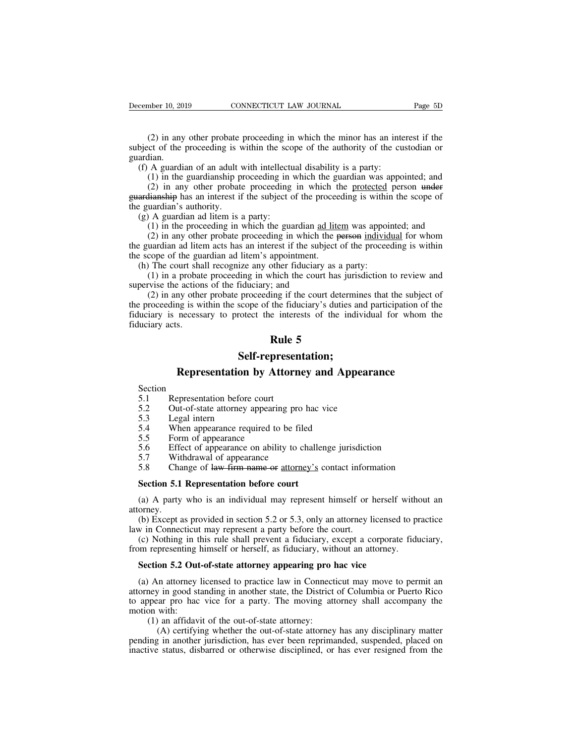(2) in any other probate proceeding in which the minor has an interest if the existence of the proceeding is within the scope of the authority of the custodian or dian. Subsember 10, 2019 CONNECTICUT LAW JOURNAL Page 5D<br>
(2) in any other probate proceeding in which the minor has an interest if the<br>
subject of the proceeding is within the scope of the authority of the custodian or<br>
(f) A g guardian. (a) A guardian of an adult with intellectual disability is a party:<br>
(b) A guardian of an adult with intellectual disability is a party:<br>
(f) A guardian of an adult with intellectual disability is a party:<br>
(d) in the guar (2) in any other probate proceeding in which the minor has an interest if the cost of the proceeding is within the scope of the authority of the custodian or dian.<br>A guardian of an adult with intellectual disability is a

(2) in any other probate proceeding in which the minor has an interest if the cot of the proceeding is within the scope of the authority of the custodian or lian.<br>A guardian of an adult with intellectual disability is a p (2) in any other probate proceeding in which the minor has an interest if the subject of the proceeding is within the scope of the authority of the custodian or guardian.<br>
(f) A guardian of an adult with intellectual disa (2) in any other probate<br>subject of the proceeding is v<br>guardian.<br>(f) A guardian of an adult y<br>(1) in the guardianship p<br>(2) in any other probate<br>guardianship has an interest if<br>the guardian's authority.<br>(g) A guardian ad (f) A guardian of an adult with intellectured (f) A guardian of an adult with intellecture (1) in the guardianship proceeding in (2) in any other probate proceeding ardianship has an interest if the subject c equardian's A guardian of an adult with intellectual disability is a party:<br>
(1) in the guardianship proceeding in which the guardian was appointed; and<br>
(2) in any other probate proceeding in which the protected person under<br>
Hianshi A guardian of an adult with interlectual disability is a party.<br>
(1) in the guardianship proceeding in which the guardian was appointed; and<br>
(2) in any other probate proceeding in which the protected person under<br>
liansh (1) in the guardianship ploceculing in which the guardian was appointed, and<br>
(2) in any other probate proceeding in which the protected person under<br>
guardianship has an interest if the subject of the proceeding is withi

(2) in any other probate proceeding in which is<br>guardianship has an interest if the subject of the procee<br>the guardian's authority.<br>(g) A guardian ad litem is a party:<br>(1) in the proceeding in which the guardian ad litem<br> example that in the subject of the proceeding is which<br>
be guardian's authority.<br>
(g) A guardian ad litem is a party:<br>
(1) in the proceeding in which the guardian ad litem was appoin<br>
(2) in any other probate proceeding in (1) in the proceeding in which the guardian <u>ad litem</u> was appointed; and (2) in any other probate proceeding in which the <del>person</del> individual for whom uardian ad litem acts has an interest if the subject of the proceedin (g) A guardian ad intent is a party.<br>
(1) in the proceeding in which the guardian <u>ad 1</u><br>
(2) in any other probate proceeding in which the<br>
the guardian ad litem acts has an interest if the subject<br>
the scope of the guard

(1) in the proceeding in which the guardian <u>ad inclu</u> was appointed, and (2) in any other probate proceeding in which the <del>person</del> individual for whom uardian ad litem acts has an interest if the subject of the proceedin (2) in any other probate proceeding in which the person marytolaal for whom<br>the guardian ad litem acts has an interest if the subject of the proceeding is within<br>the scope of the guardian ad litem's appointment.<br>(h) The c fiduciary and a method is necessary to protect the interests of the proceeding is while<br>the scope of the guardian ad litem's appointment.<br>(h) The court shall recognize any other fiduciary as a party:<br>(1) in a probate proce (h) The court shall<br>(h) The court shall<br>supervise the action<br>(2) in any othe<br>the proceeding is we<br>fiduciary is necess<br>fiduciary acts. dependence.<br>
Subseted the court has ju<br>  $\frac{1}{1}$ , and<br>  $\frac{1}{1}$  and<br>  $\frac{1}{1}$  and<br>  $\frac{1}{1}$  and<br>  $\frac{1}{1}$  and<br>  $\frac{1}{1}$  and<br>  $\frac{1}{1}$  and<br>  $\frac{1}{1}$  and<br>  $\frac{1}{1}$  and<br>  $\frac{1}{1}$  and<br>  $\frac{1}{1}$  and<br>  $\frac{1}{1}$  and<br> Interpreted the proceeding if the court determines that the subject of the six within the scope of the fiduciary's duties and participation of the necessary to protect the interests of the individual for whom the s.<br> **Rule** 

### **Self-representation;**

# Self-representation;<br>
Self-representation;<br>
Section<br>
5.1 Representation before court<br>
5.2 Out-of-state attorney appearing pro hac vice<br>
5.3 Legal intern<br>
5.4 When appearance required to be filed

Section

Self<br>
Representation b<br>
Section<br>
5.1 Representation before c<br>
5.2 Out-of-state attorney ap<br>
5.3 Legal intern<br>
5.4 When appearance required<br>
5.5 Form of appearance

- **114.1 Rule :**<br> **12.1 Representation by Attorn**<br>
Section<br>
5.1 Representation before court<br>
5.2 Out-of-state attorney appearing pr<br>
5.3 Legal intern **Example 15.3**<br>Section<br>5.1 Representation before court<br>5.2 Out-of-state attorney appearin<br>5.3 Legal intern<br>5.4 When appearance required to<br>5.5 Form of appearance<br>5.6 Effect of appearance on abilit<br>5.7 Withdrawal of appeara 5.1 Representation before court<br>5.2 Out-of-state attorney appearing pro<br>5.3 Legal intern<br>5.4 When appearance required to be file<br>5.5 Form of appearance<br>5.6 Effect of appearance on ability to cl<br>5.7 Withdrawal of appearance
- 
- 
- 
- **Example 19 When all App**<br>Section<br>5.1 Representation before court<br>5.2 Out-of-state attorney appearing pro hac vice<br>5.3 Legal intern<br>5.4 When appearance required to be filed<br>5.5 Form of appearance<br>5.6 Effect of appearance o
- 
- Section<br>
5.1 Representation before court<br>
5.2 Out-of-state attorney appearing pro hac vice<br>
5.3 Legal intern<br>
5.4 When appearance required to be filed<br>
5.5 Form of appearance<br>
5.6 Effect of appearance on ability to challen 5.2 Out-of-state attorney appearing pro hac vice<br>5.3 Legal intern<br>5.4 When appearance required to be filed<br>5.5 Form of appearance<br>5.6 Effect of appearance<br>5.6 Effect of appearance<br>5.7 Withdrawal of appearance<br>5.8 Change of

5.3 Legal intern<br>
5.4 When appearance required to be filed<br>
5.5 Form of appearance<br>
5.6 Effect of appearance on ability to challen<br>
5.7 Withdrawal of appearance<br>
5.8 Change of <del>law firm name or <u>attorney's</u></del> constants the (5.6) Effect of appearance<br>
5.6) Effect of appearance<br>
5.7) Withdrawal of appearance<br>
5.8 Change of <del>law firm name or attorney's</del> contact information<br> **Section 5.1 Representation before court**<br>
(a) A party who is an indivi attorney.

5.7 Withdrawal of appearance<br>
5.8 Change of <del>law firm name or attorney's</del> contact information<br> **Section 5.1 Representation before court**<br>
(a) A party who is an individual may represent himself or herself without an<br>
orney 5.8 Change of law firm name or attorney's contact inform<br> **Section 5.1 Representation before court**<br>
(a) A party who is an individual may represent himself or l<br>
attorney.<br>
(b) Except as provided in section 5.2 or 5.3, on Section 5.1 Representation before court<br>
(a) A party who is an individual may represent himself or herself without an<br>
orney.<br>
(b) Except as provided in section 5.2 or 5.3, only an attorney licensed to practice<br>
w in Conne **Section 5.1 Representation before court**<br>
(a) A party who is an individual may represent himself or herself without<br>
attorney.<br>
(b) Except as provided in section 5.2 or 5.3, only an attorney licensed to provide<br>
law in C (a) A party who is an individual may represent himself or herself vorney.<br>
(b) Except as provided in section 5.2 or 5.3, only an attorney licensed<br> *w* in Connecticut may represent a party before the court.<br>
(c) Nothing in

(b) Except as provided in section 5.2 or 5.3, only an attorney licensed to practice w in Connecticut may represent a party before the court.<br>
(c) Nothing in this rule shall prevent a fiduciary, except a corporate fiduciar atteriancy in Connecticut may represent a party before the court.<br>
(c) Nothing in this rule shall prevent a fiduciary, except a corporate fiduciary,<br>
from representing himself or herself, as fiduciary, without an attorney. (c) Nothing in this rule shall prevent a fiduciary, except a corporate fiduciary,<br>from representing himself or herself, as fiduciary, without an attorney.<br>**Section 5.2 Out-of-state attorney appearing pro hac vice**<br>(a) An from representing l<br> **Section 5.2 Out**<br>
(a) An attorney is<br>
attorney in good stato<br>
appear pro hac<br>
motion with:<br>
(1) an affidavi<br>
(A) certifying (1) an attorney icensed to practice law in Connection 5.2 Out-of-state attorney appearing pro l<br>An attorney licensed to practice law in Connect<br>hey in good standing in another state, the District<br>pear pro hac vice for a pa (A) certifying whether the out-of-state attorney appearing pro hac vice<br>in attorney licensed to practice law in Connecticut may move to permit an<br>y in good standing in another state, the District of Columbia or Puerto Ric (a) An attorney licensed to practice law in Connecticut may move to permit an attorney in good standing in another state, the District of Columbia or Puerto Rico to appear pro hac vice for a party. The moving attorney shal (a) An attorney incensed to practice faw in Connecticut may move to permit and attorney in good standing in another state, the District of Columbia or Puerto Rico to appear pro hac vice for a party. The moving attorney sha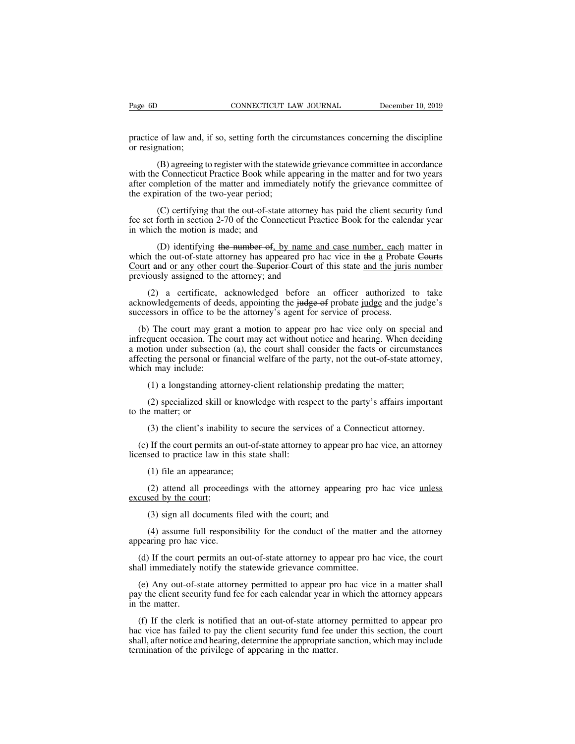Page 6D<br>
CONNECTICUT LAW JOURNAL<br>
practice of law and, if so, setting forth the circumstances concerning the discipline<br>
or resignation; Page 6D<br>practice of law and,<br>or resignation;<br>(B) agreeing t

(B) component to register with the statewide grievance concerning the discipline<br>(B) agreeing to register with the statewide grievance committee in accordance<br>(B) agreeing to register with the statewide grievance committee Prage 6D<br>practice of law and, if so, setting forth the circumstances concerning the discipline<br>or resignation;<br>(B) agreeing to register with the statewide grievance committee in accordance<br>with the Connecticut Practice Boo practice of law and, if so, setting forth the circumstances concerning the discipline<br>or resignation;<br>(B) agreeing to register with the statewide grievance committee in accordance<br>with the Connecticut Practice Book while a practice of law and, if so, setting forth the corresignation;<br>
(B) agreeing to register with the statev<br>
with the Connecticut Practice Book while ap<br>
after completion of the matter and immedia<br>
the expiration of the two-y (B) agreeing to register with the statewide grievance committee in accordance<br>
E Connecticut Practice Book while appearing in the matter and for two years<br>
impletion of the matter and immediately notify the grievance commi (B) agreeing to register with the statewide grievance committee in accordance<br>with the Connecticut Practice Book while appearing in the matter and for two years<br>after completion of the matter and immediately notify the gr (B) agreeing to register with the statew:<br>with the Connecticut Practice Book while app<br>after completion of the matter and immediate<br>the expiration of the two-year period;<br>(C) certifying that the out-of-state att<br>fee set f

mpletion of the matter and immediately notify the grievance committee of<br>iration of the two-year period;<br>(C) certifying that the out-of-state attorney has paid the client security fund<br>forth in section 2-70 of the Connecti the expiration of the two-year period;<br>
(C) certifying that the out-of-state attorney has paid the client security fund<br>
fee set forth in section 2-70 of the Connecticut Practice Book for the calendar year<br>
in which the mo (C) certifying that the out-of-state attorney has paid the client security fund<br>fee set forth in section 2-70 of the Connecticut Practice Book for the calendar year<br>in which the motion is made; and<br>(D) identifying the num (C) certifying that the out-of-state attorney I<br>fee set forth in section 2-70 of the Connecticut Prac-<br>in which the motion is made; and<br>(D) identifying the number of, by name and<br>which the out-of-state attorney has appear (D) identifying the number of, by name and case number, each matter in<br>the out-of-state attorney has appeared pro hac vice in the a Probate Courts<br>t and or any other court the Superior Court of this state and the juris nu (D) identifying the number of, by name and case number, each matter in<br>which the out-of-state attorney has appeared pro hac vice in the a Probate Courts<br>Court and or any other court the Superior Court of this state and th (D) identifying the number of, by name and case number, each m<br>which the out-of-state attorney has appeared pro hac vice in the a Probate<br>Court and or any other court the Superior Court of this state and the juris<br>previou

burt and or any other court the Superior Court of this state and the juris number<br>eviously assigned to the attorney; and<br>(2) a certificate, acknowledged before an officer authorized to take<br>knowledgements of deeds, appoint previously assigned to the attorney; and<br>
(2) a certificate, acknowledged before an officer authorized to take<br>
acknowledgements of deeds, appointing the judge of probate judge and the judge's<br>
successors in office to be t (2) a certificate, acknowledged before an officer authorized to take acknowledgements of deeds, appointing the judge of probate <u>judge</u> and the judge's successors in office to be the attorney's agent for service of process (2) a certificate, acknowledged before an officer authorized to take<br>acknowledgements of deeds, appointing the judge of probate judge and the judge's<br>successors in office to be the attorney's agent for service of process. acknowledgements of dees<br>successors in office to be<br>(b) The court may gran<br>infrequent occasion. The c<br>a motion under subsection<br>affecting the personal or fi<br>which may include:<br>(1) a longstanding at (2) a longstanding attorney-client relationship predating the matter;<br>(1) a longstanding attorney-client relation and the matter facts or circumstanting the personal or financial welfare of the party, not the out-of-state quent occasion. The court may act without notice and hearing. When deciding<br>tion under subsection (a), the court shall consider the facts or circumstances<br>ting the personal or financial welfare of the party, not the out-of a motion under subsect<br>affecting the personal or<br>which may include:<br>(1) a longstanding<br>(2) specialized skil<br>to the matter; or<br>(3) the client's inal

(1) a longstanding attorney-client relationship predating the matter;<br>
(2) specialized skill or knowledge with respect to the party's affairs important<br>
e matter; or<br>
(3) the client's inability to secure the services of a (1) a longstanding attorney-client relationship predating the matter;<br>
(2) specialized skill or knowledge with respect to the party's affairs important<br>
the matter; or<br>
(3) the client's inability to secure the services of (1) a longituality attentive left relationships (2) specialized skill or knowledge with resp to the matter; or (3) the client's inability to secure the service (c) If the court permits an out-of-state attorney licensed to

(2) specialized skill of knowled<br>
e matter; or<br>
(3) the client's inability to see<br>
If the court permits an out-of<br>
seed to practice law in this state<br>
(2) attend all proceedings word by the courty (c) If the court permits and<br>licensed to practice law in t<br>(1) file an appearance;<br>(2) attend all proceeds<br>excused by the court;<br>(3) sign all documents

(3) the client's inability to secure the services of a Connecticut attorney.<br>
If the court permits an out-of-state attorney to appear pro hac vice, an attorney<br>
sed to practice law in this state shall:<br>
(1) file an appear (1) file an appearance;<br>(2) attend all proceedings with the attorney appearing profiled with the attorney appearing profiled by the court;<br>(3) sign all documents filed with the court; and<br>(4) assume full responsibility for (1) file an appearance;<br>
(2) attend all proceedings with the attorney appearing pro hac vice <u>unless</u><br>
sed by the court;<br>
(3) sign all documents filed with the court; and<br>
(4) assume full responsibility for the conduct of

(1) The an appearance,<br>
(2) attend all proceedines<br>
excused by the court;<br>
(3) sign all documents f<br>
(4) assume full responsing<br>
appearing pro hac vice.<br>
(d) If the court permits an (2) attend an proceedings with the attorney appearing pro hac vice almess<br>cused by the court;<br>(3) sign all documents filed with the court; and<br>(4) assume full responsibility for the conduct of the matter and the attorney<br> (3) sign all documents filed with the court; and<br>
(4) assume full responsibility for the conduct of the matter<br>
appearing pro hac vice.<br>
(d) If the court permits an out-of-state attorney to appear pro has<br>
shall immediate

(a) sign an accuracies free with the coart, and<br>
(4) assume full responsibility for the conduct of the matter and the attorney<br>
pearing pro hac vice.<br>
(d) If the court permits an out-of-state attorney to appear pro hac vi (4) assume full responsibility for the conduct of the matter and the attorney appearing pro hac vice.<br>
(d) If the court permits an out-of-state attorney to appear pro hac vice, the court shall immediately notify the state appearing pro hac<br>
(d) If the court p<br>
shall immediately 1<br>
(e) Any out-of-s<br>
pay the client secure<br>
in the matter.<br>
(f) If the clerk is

(d) If the court permits an out-of-state attorney to appear pro hac vice, the court<br>all immediately notify the statewide grievance committee.<br>(e) Any out-of-state attorney permitted to appear pro hac vice in a matter shall shall immediately notify the statewide grievance committee.<br>
(e) Any out-of-state attorney permitted to appear pro hac vice in a matter shall<br>
pay the client security fund fee for each calendar year in which the attorney a (e) Any out-of-state attorney permitted to appear pro hac vice in a matter shall pay the client security fund fee for each calendar year in which the attorney appears in the matter.<br>
(f) If the clerk is notified that an ou (e) Any out-of-state attorney permitted to appear propay the client security fund fee for each calendar year in in the matter.<br>
(f) If the clerk is notified that an out-of-state attorn hac vice has failed to pay the client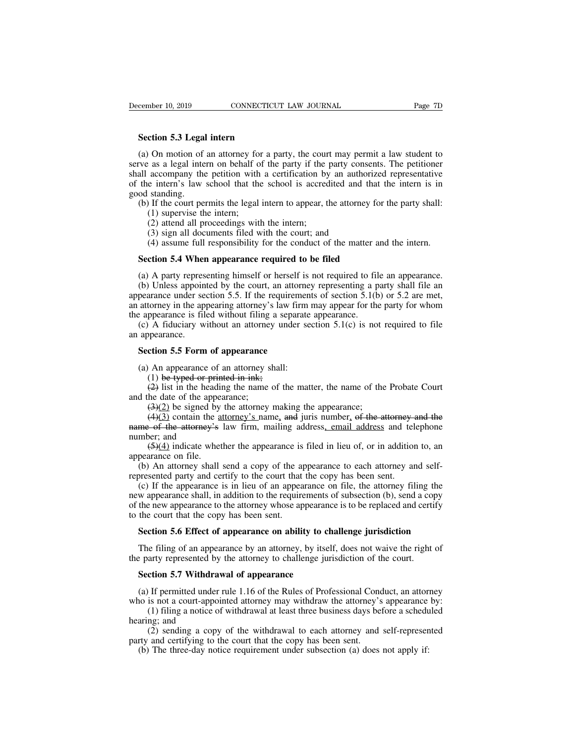**Section 5.3 Legal intern<br>
Section 5.3 Legal intern**<br>
(a) On motion of an attorney for a pa (a) On motion of an attorney for a party, the court may permit a law student to<br>
(a) On motion of an attorney for a party, the court may permit a law student to<br>
tree as a legal intern on behalf of the party if the party c Summer as a legal intern capacity and the court may permit a law student to<br>serve as a legal intern capacity, the court may permit a law student to<br>serve as a legal intern on behalf of the party if the party consents. The Section 5.3 Legal intern<br>
(a) On motion of an attorney for a party, the court may permit a law student to<br>
serve as a legal intern on behalf of the party if the party consents. The petitioner<br>
shall accompany the petition **Section 5.3 Legal intern**<br>(a) On motion of an attorney for a party, the court may permit a law student to serve as a legal intern on behalf of the party if the party consents. The petitioner shall accompany the petition w **Section 5.3 Legal**<br>(a) On motion of<br>serve as a legal inte<br>shall accompany the<br>of the intern's law<br>good standing.<br>(b) If the court pe<br>(1) supervise th Section 5.3 Legal intern<br>
(a) On motion of an attorney for a party, the court may permit a law student to<br>
ve as a legal intern on behalf of the party if the party consents. The petitioner<br>
all accompany the petition with On motion of an attorney for<br>as a legal intern on behalf of<br>accompany the petition with<br>e intern's law school that the<br>standing.<br>If the court permits the legal<br>(1) supervise the intern;<br>(2) attend all proceedings with<br>(3) (2) attend all proceedings with the conduction by<br>
(2) as a legal intern on behalf of the party if the j<br>
accompany the petition with a certification by<br>
e intern's law school that the school is accred<br>
standing.<br>
(1) sup As a legal intern on octain of the party if the party conserved<br>accompany the petition with a certification by an author<br>e intern's law school that the school is accredited and the<br>standing.<br>If the court permits the legal (4) assume full responsibility for the conduct of the matter and the intern.<br>
(4) assume full responsibility for the court; and<br>
(4) assume full responsibility for the court; and<br>
(4) assume full responsibility for the con od standing.<br>
(b) If the court permits the legal intern to appear, the attorney for<br>
(1) supervise the intern;<br>
(2) attend all proceedings with the intern;<br>
(3) sign all documents filed with the court; and<br>
(4) assume full

(1) supervise the intern;<br>
(2) attend all proceedings with the intern;<br>
(3) sign all documents filed with the court; and<br>
(4) assume full responsibility for the conduct of the matter and the intern.<br> **Section 5.4 When app** (2) attend all proceedings with the intern;<br>
(3) sign all documents filed with the court; and<br>
(4) assume full responsibility for the conduct of the matter and the intern.<br> **Section 5.4 When appearance required to be file** (3) sign all documents filed with the court; and<br>
(4) assume full responsibility for the conduct of the matter and the intern.<br> **Section 5.4 When appearance required to be filed**<br>
(a) A party representing himself or herse (4) assume full responsibility for the conduct of the matter and the intern.<br> **Section 5.4 When appearance required to be filed**<br>
(a) A party representing himself or herself is not required to file an appearance.<br>
(b) Unl **Section 5.4 When appearance required to be filed**<br>(a) A party representing himself or herself is not required to fil<br>(b) Unless appointed by the court, an attorney representing a p<br>appearance under section 5.5. If the re Section 5.4 When appearance required to be filed<br>
(a) A party representing himself or herself is not required to file an appearance.<br>
(b) Unless appointed by the court, an attorney representing a party shall file an<br>
pear (a) A party repres<br>(b) Unless appoin<br>appearance under se<br>an attorney in the ap<br>the appearance is fil<br>(c) A fiduciary w<br>an appearance.<br>**Section 5.5 Form** (b) Unless appointed by the court, an attorn<br>pearance under section 5.5. If the requireme<br>attorney in the appearing attorney's law firm<br>e appearance is filed without filing a separa<br>(c) A fiduciary without an attorney unde (attorney in the appearing attorney's law firm<br>
a appearance is filed without filing a separate<br>
(c) A fiduciary without an attorney under se<br>
appearance.<br> **Section 5.5 Form of appearance**<br>
(a) An appearance of an attorne

ppearance is filed without filing a se<br>
(A fiduciary without an attorney ur<br>
ppearance.<br> **ction 5.5 Form of appearance**<br>
(A appearance of an attorney shall<br>
(1) be typed or printed in ink;<br>
(2) list in the heading the name (2) A fiduciary without an attorney under section 5.1(c) is not required to file<br>ppearance.<br>**Comment of appearance**<br>(2) An appearance of an attorney shall:<br>(1) be typed or printed in ink;<br>(2) list in the heading the name

an appearance.<br> **Section 5.5 Form of appearance**<br>
(a) An appearance of an attorney s<br>
(1) be typed or printed in ink;<br>
(2) list in the heading the name<br>
and the date of the appearance;<br>
(3)(2) be signed by the attorney<br>
(

(3)(3) contain a sum of **appearance**<br>(4) An appearance of an attorney shall:<br>(1) be typed or printed in ink;<br>(4) list in the heading the name of the matter, the name of the<br>he date of the appearance;<br>(3)(2) be signed by t (4)(3) contain the attorney shall:<br>
(1) be typed or printed in ink;<br>
(2) list in the heading the name of the matter, the name of the Probate Court<br>
he date of the appearance;<br>
(3)(2) be signed by the attorney making the a (a) An appearance of an attorney shall:<br>
(1) be typed or printed in ink;<br>
(2) list in the heading the name of the matter, the name of the Probate Court<br>
and the date of the appearance;<br>
(3)(2) be signed by the attorney ma (a) An appearance of<br>
(1) be typed or pri<br>
(2) list in the head<br>
and the date of the appe<br>
(3)(2) be signed by<br>
(4)(3) contain the same of the attorney's<br>
number; and<br>
(5)(4) indicate whe<br>
appearance on file. (1) be typed of princed in link,<br>
(2) list in the heading the name of the matter, the name of the Probate Court<br>
he date of the appearance;<br>
(3)(2) be signed by the attorney making the appearance;<br>
(4)(3) contain the <u>att</u> and the date of the appertual<br>and the date of the appertual density  $(4)(3)$  contain the a<br>name of the attorney's<br>number; and<br> $(5)(4)$  indicate whet<br>appearance on file.<br>(b) An attorney shall<br>represented party and ce (b) An attorney shall send a copy of the appearance;<br>(b) An attorney's law firm, mailing address, email address and telephone<br>mber; and (5)(4) indicate whether the appearance is filed in lieu of, or in addition to, an<br>pea (4)(3) contain the attorney's name, and juris number, of the attorney and<br>mame of the attorney's law firm, mailing address, email address and tel<br>number; and<br>(5)(4) indicate whether the appearance is filed in lieu of, or

(e) If the attorney's law firm, mailing address, email address and telephone<br>mber; and (5)(4) indicate whether the appearance is filed in lieu of, or in addition to, an<br>pearance on file.<br>(b) An attorney shall send a copy manne of the attorney's law fifth, manning address, entail address and telephone<br>number; and  $(5)(4)$  indicate whether the appearance is filed in lieu of, or in addition to, an<br>appearance on file.<br>(b) An attorney shall sen (5)(4) indicate whether the appearance is filed in lieu of, or in addition to, an appearance on file.<br>
(b) An attorney shall send a copy of the appearance to each attorney and self-<br>
represented party and certify to the c to the court interest appearance of the appearance on file.<br>
(b) An attorney shall send a copy of the appearance on file.<br>
(c) If the appearance is in lieu of an appearance shall, in addition to the require<br>
of the new ap (b) An attorney shall send a copy of the appearance to each attorney and self-<br>presented party and certify to the court that the copy has been sent.<br>(c) If the appearance is in lieu of an appearance on file, the attorney f (c) If the appearance is in lieu of an appearance on file, the attorney filing the w appearance shall, in addition to the requirements of subsection (b), send a copy the new appearance to the attorney whose appearance is the party appearance shall, in addition to the requirements of subsection (b), send a cop of the new appearance to the attorney whose appearance is to be replaced and certice to the court that the copy has been sent.<br>Secti

the court that the copy has been sent.<br> **Section 5.6 Effect of appearance on ability to choose Section 5.6 Effect of appearance on ability to choose**<br>
The filing of an appearance by an attorney, by itseleparty represented Section 5.6 Effect of appearance on ability to challenge jurisdiction<br>The filing of an appearance by an attorney, by itself, does not waive the right of<br>e party represented by the attorney to challenge jurisdiction of the The filing of an appearance by an attorney, by itself, does not waive the right of the party represented by the attorney to challenge jurisdiction of the court.<br> **Section 5.7 Withdrawal of appearance**<br>
(a) If permitted und (1) filing a notice by an attorney, by itself, does not waive the right of arty represented by the attorney to challenge jurisdiction of the court.<br> **ction 5.7 Withdrawal of appearance**<br>
If permitted under rule 1.16 of the

(2) sending a copy of the withdrawal to each attorney and self-represented and centrality are divided attorney may withdraw the attorney's appearance by:<br>
(1) filing a notice of withdrawal at least three business days befo (a) If permitted under rule 1.16 of the Rules of Professional Conduct, an attorno is not a court-appointed attorney may withdraw the attorney's appearance (1) filing a notice of withdrawal at least three business days befo

the party represented by<br> **Section 5.7 Withdra**<br>
(a) If permitted under<br>
who is not a court-appo<br>
(1) filing a notice c<br>
hearing; and<br>
(2) sending a copy<br>
party and certifying to **Section 5.7 Withdrawal of appearance**<br>(a) If permitted under rule 1.16 of the Rules of Professional Conce<br>who is not a court-appointed attorney may withdraw the attorney's<br>(1) filing a notice of withdrawal at least three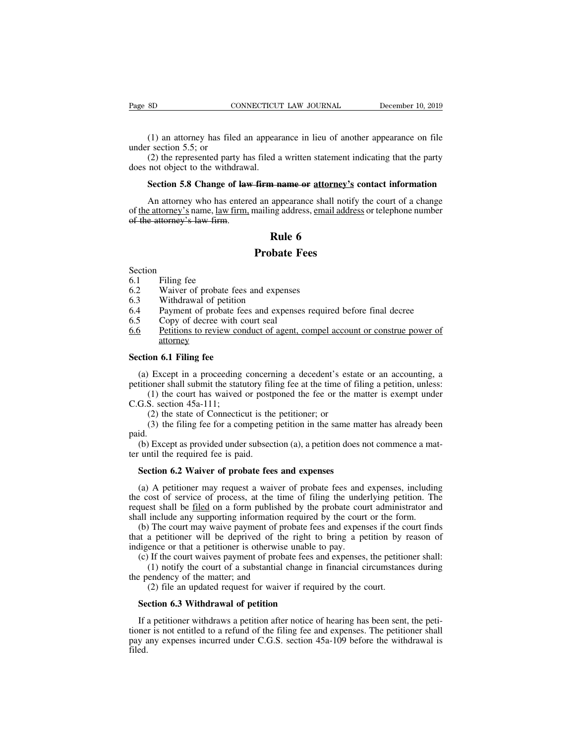(1) an attorney has filed an appearance in lieu of another appearance on file<br>(1) an attorney has filed an appearance in lieu of another appearance on file<br>(2) the represented party has filed a written statement indicating

Page 8D<br>
(1) an attorney has file<br>
under section 5.5; or<br>
(2) the represented part<br>
does not object to the withd SO CONNECTICUT LAW JOURNAL December 10, 2019<br>
(1) an attorney has filed an appearance in lieu of another appearance on file<br>
r section 5.5; or<br>
(2) the represented party has filed a written statement indicating that the pa Page 8D CONNECTICU'<br>
(1) an attorney has filed an appear<br>
under section 5.5; or<br>
(2) the represented party has filed a<br>
does not object to the withdrawal.<br> **Section 5.8 Change of law firm n** (1) an attorney has filed an appearance in lieu of another appearance on file<br>r section 5.5; or<br>(2) the represented party has filed a written statement indicating that the party<br>not object to the withdrawal.<br>**Section 5.8 C** 

(1) an attorney has filed an appearance in lieu of another appearance on file<br>r section 5.5; or<br>(2) the represented party has filed a written statement indicating that the party<br>not object to the withdrawal.<br>**Section 5.8** under section 5.5; or<br>
(2) the represented party has filed a written statement indicating that the party<br>
does not object to the withdrawal.<br> **Section 5.8 Change of <del>law firm name or attorney's</del> contact information**<br>
An a (2) the represented party had does not object to the withdraw.<br> **Section 5.8 Change of law** An attorney who has entered of the attorney's name, law firm, of the attorney's law firm. d a written statement<br> **Rule 6**<br> **Rule 6**<br> **Rule 6**<br> **Rule 6**<br> **Rule 6**<br> **Rule 6 Firm name or attorney's**<br>
d an appearance shall notify<br>
mailing address, email addre<br> **Rule 6**<br> **Probate Fees** of <u>the attorney's</u> hame, <u>tawn</u><br>of the attorney's law firm.<br>6.1 Filing fee<br>6.2 Waiver of probate 1<br>6.3 Withdrawal of petit

Section<br>6.1

- 
- 
- 
- **EXECUTE:**<br> **Rule 6**<br> **Probate Fees**<br>
Section<br>
6.1 Filing fee<br>
6.2 Waiver of probate fees and expenses<br>
6.3 Withdrawal of petition<br>
6.4 Payment of probate fees and expenses require **Probat**<br>
Section<br>
6.1 Filing fee<br>
6.2 Waiver of probate fees and expen<br>
6.3 Withdrawal of petition<br>
6.4 Payment of probate fees and expe<br>
6.5 Copy of decree with court seal
- 
- **Probate Fees**<br>
6.1 Filing fee<br>
6.2 Waiver of probate fees and expenses<br>
6.3 Withdrawal of petition<br>
6.4 Payment of probate fees and expenses required before final decree<br>
6.5 Copy of decree with court seal<br>
6.6 Petitions **Frobate F**<br>
Section<br>
6.1 Filing fee<br>
6.2 Waiver of probate fees and expenses<br>
6.3 Withdrawal of petition<br>
6.4 Payment of probate fees and expense<br>
6.5 Copy of decree with court seal<br>
6.6 Petitions to review conduct of age Section<br>6.1 Filing fee<br>6.2 Waiver of probate fees and expenses<br>6.3 Withdrawal of petition<br>6.4 Payment of probate fees and expenses required before final decree<br>6.5 Copy of decree with court seal<br>6.6 Petitions to review con attorney 6.2 Waiver of probate fees a<br>6.3 Withdrawal of petition<br>6.4 Payment of probate fees<br>6.5 Copy of decree with count<br><u>6.6</u> Petitions to review cond<br>attorney<br>**Section 6.1 Filing fee**<br>(a) Except in a proceeding count Fayment of probate fees and expenses required before final decree<br>
Copy of decree with court seal<br>
<u>Fetitions to review conduct of agent, compel account or construe power of</u><br> **attorney**<br> **ction 6.1 Filing fee**<br>
(a) Except For 6.5 Copy of decree with court seal<br>6.6 Petitions to review conduct of agent, compel account or construe power of<br>4.1 Filing fee<br>5 Section 6.1 Filing fee<br>6.1 Filing fee at the time of filing a petition, unless:<br>6.1 Sect Petitions to review conduct of agent, compel account or construe power of<br>attorney<br>on 6.1 Filing fee<br>Except in a proceeding concerning a decedent's estate or an accounting, a<br>oner shall submit the statutory filing fee at t

attorney<br>
Section 6.1 Filing fee<br>
(a) Except in a proceeding<br>
petitioner shall submit the statt<br>
(1) the court has waived<br>
C.G.S. section 45a-111;<br>
(2) the state of Connectic<br>
(3) the filing fee for a co (1) on 6.1 Filing fee<br>
(1) Except in a proceeding concerning a decedent's estate of the state of the state of Connecticut is the petitioner; or<br>
(2) the state of Connecticut is the petitioner; or<br>
(3) the filing fee for a (3) the filing fee for a proceeding concerning a decedent's estate or an accounting, a oner shall submit the statutory filing fee at the time of filing a petition, unless:<br>
(1) the court has waived or postponed the fee or

(a) Except in a proceeding concerning a decedent s estate of an accounting, a<br>titioner shall submit the statutory filing fee at the time of filing a petition, unless:<br>(1) the court has waived or postponed the fee or the m

paid.

(1) the court has waived or post<br>  $C.G.S.$  section  $45a-111$ ;<br>
(2) the state of Connecticut is the<br>
(3) the filing fee for a competing<br>
paid.<br>
(b) Except as provided under subsecter until the required fee is paid.<br> **Section** G.S. section 45a-111;<br>
(2) the state of Connecticut is the petitioner; or<br>
(3) the filing fee for a competing petition in the same mat<br>
id.<br>
(b) Except as provided under subsection (a), a petition does n<br>
until the require

(3) the filing fee for a competing petition in the same matter has already been<br>id.<br>(b) Except as provided under subsection (a), a petition does not commence a mat-<br>until the required fee is paid.<br>**Section 6.2 Waiver of p** paid.<br>
(b) Except as provided under subsection (a), a petition does not commence a mat-<br>
ter until the required fee is paid.<br> **Section 6.2 Waiver of probate fees and expenses**<br>
(a) A petitioner may request a waiver of prob (b) Except as provided under subsection (a), a petition does not commence a mat-<br>ter until the required fee is paid.<br>**Section 6.2 Waiver of probate fees and expenses**<br>(a) A petitioner may request a waiver of probate fees shall the required fee is paid.<br>Section 6.2 Waiver of probate fees and expenses<br>(a) A petitioner may request a waiver of probate fees and expenses, includin<br>the cost of service of process, at the time of filing the underly Section 6.2 Waiver of probate fees and expenses<br>(a) A petitioner may request a waiver of probate fees and expenses, including<br>e cost of service of process, at the time of filing the underlying petition. The<br>quest shall be Section 6.2 Waiver of probate fees and expenses<br>
(a) A petitioner may request a waiver of probate fees and expenses, including<br>
the cost of service of process, at the time of filing the underlying petition. The<br>
request s (a) A petitioner may request a waiver of probate fees and the cost of service of process, at the time of filing the unde request shall be <u>filed</u> on a form published by the probate coushall include any supporting informati (a) A permoner may request a warver or probate rees and expenses, mentang<br>e cost of service of process, at the time of filing the underlying petition. The<br>quest shall be <u>filed</u> on a form published by the probate court ad

(3) out of service of process, at the time of ring the analying perture. The set shall be <u>filed</u> on a form published by the probate court administrator and include any supporting information required by the court or the f the matter is the matter of the matter of the matter of the matter of the matter of the matter of the matter of the matter is of the matter; and (2) file an updated request for waiver shall include any supporting information required by the court or the form.<br>
(b) The court may waive payment of probate fees and expenses if the court finds<br>
that a petitioner will be deprived of the right to bring a petit

at a petitioner will be deprived of the right to digence or that a petitioner is otherwise unable to (c) If the court waives payment of probate fees an (1) notify the court of a substantial change in  $\epsilon$  pendency of the m

If a petitioner withdraws a petition after notice of hearing has been sent, the petitioner is not entitled to a refund of the filing fee and expenses. The petitioner shall pay any expenses incurred under C.G.S. section 45a (1) notify the court of a substantial change in financial circumstances during<br>the pendency of the matter; and<br>(2) file an updated request for waiver if required by the court.<br>**Section 6.3 Withdrawal of petition**<br>If a pet the pendency of the matter; and<br>
(2) file an updated request for waiver if required by the court.<br> **Section 6.3 Withdrawal of petition**<br>
If a petitioner withdraws a petition after notice of hearing has been sent, the peti filed.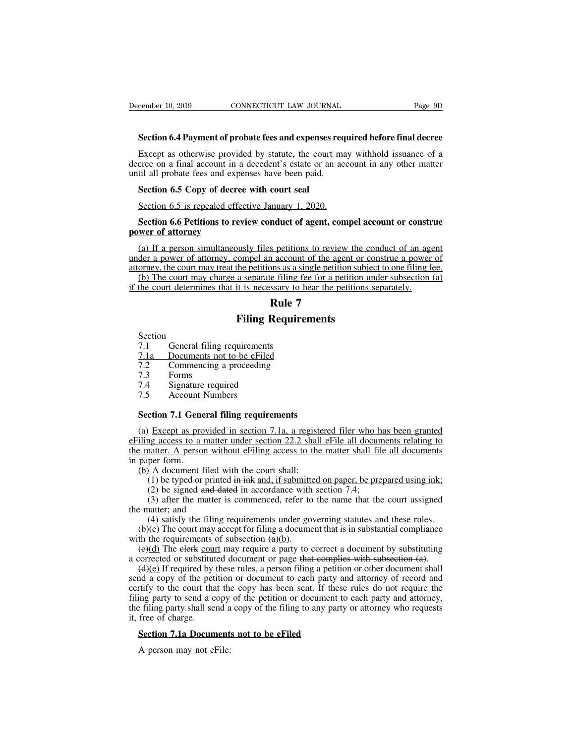Except as otherwise provided by statute, the court may withhold issuance of a Except as otherwise provided by statute, the court may withhold issuance of a<br>Except as otherwise provided by statute, the court may withhold issuance of a<br>cree on a final account in a decedent's estate or an account in an December 10, 2019 CONNECTICUT LAW JOURNAL Page 9D<br>
Section 6.4 Payment of probate fees and expenses required before final decree<br>
Except as otherwise provided by statute, the court may withhold issuance of a<br>
decree on a f December 10, 2019<br>
Section 6.4 Payment of probate fees and expenses req<br>
Except as otherwise provided by statute, the court madecree on a final account in a decedent's estate or an ac<br>
until all probate fees and expenses h **Section 6.4 Payment of probate fees and expenses**<br>Except as otherwise provided by statute, the court<br>cree on a final account in a decedent's estate or an<br>til all probate fees and expenses have been paid.<br>**Section 6.5 Copy** Section 6.4 Fayment of probate fees and expenses required Except as otherwise provided by statute, the court may cree on a final account in a decedent's estate or an account in a decedent's estate or an account in a decede Except as otherwise provided by statute, the court may withhold issuance of a<br>cree on a final account in a decedent's estate or an account in any other matter<br>til all probate fees and expenses have been paid.<br>**Section 6.5** 

# decree on a mai account in a<br>until all probate fees and experiential probate fees and experiential<br>Section 6.5 is repealed efference<br>Section 6.6 Petitions to reverence of attorney<br>(a) If a person simultaneous

Section 6.5 Copy of decree with court seal<br>Section 6.5 is repealed effective January 1, 2020.<br>Section 6.6 Petitions to review conduct of agent, compel account or construe<br>wer of attorney<br>(a) If a person simultaneously file Section 6.5 is repealed effective January 1, 2020.<br>Section 6.6 Petitions to review conduct of agent, compel account or construe<br>power of attorney<br>(a) If a person simultaneously files petitions to review the conduct of an Section 6.5 is repealed effective January 1, 2020.<br>Section 6.6 Petitions to review conduct of agent, compel account or construe<br>power of attorney<br>(a) If a person simultaneously files petitions to review the conduct of an a Section 6.6 Petitions to review conduct of agent, compel account or construe<br>wer of attorney<br>(a) If a person simultaneously files petitions to review the conduct of an agent<br>der a power of attorney, compel an account of th Section 6.6 Petitions to review conduct of agent, compel account or constration-<br>
Section 6.6 Petitions to review the conduct of an age under a power of attorney, compel an account of the agent or construe a power<br>
attorne mduct of agent, compose to the sections to review the agent account of the agent on a sample petition of the agent of the section of the petition of  $\mathbf{Rule}$   $\mathbf{7}$ <br>**Rule 7** busly files petitions to review the compel an account of the agent or compel an account of the agent or competitions as a single petition subjet a separate filing fee for a petitions s<br>it is necessary to hear the petitions

The court may change a separate filing require<br>the court determines that it is necessary to b<br>**Rule 7**<br>Section<br>7.1 General filing requirements<br>7.1 Documents not to be effiled<br>7.2 Commencing a proceeding

- Section<br>7.1 General filing requirements The court determines that it is hecessary to hear<br> **Rule 7**<br> **Rule 7**<br> **Piling Requirem**<br>
Section<br>
7.1 General filing requirements<br>
7.1 Documents not to be eFiled<br>
7.2 Commencing a proceeding<br>
7.3 Forms **Rule 7<br>
Filing Requirem**<br>
Section<br>
7.1 General filing requirements<br>
<u>7.1a Documents not to be eFiled</u><br>
7.2 Commencing a proceeding<br>
7.3 Forms<br>
7.4 Signature required Section<br>
7.1 General filing<br>
7.1 Documents not<br>
7.2 Commencing a<br>
7.3 Forms<br>
7.4 Signature requi<br>
7.5 Account Numb Filing Re<br>
Section<br>
7.1 General filing requirements<br>
7.1 Documents not to be eFiled<br>
7.2 Commencing a proceeding<br>
7.3 Forms<br>
7.4 Signature required<br>
7.5 Account Numbers Section<br>
7.1 General filing requirement<br>
7.1 Documents not to be eFile<br>
7.2 Commencing a proceeding<br>
7.3 Forms<br>
7.4 Signature required<br>
7.5 Account Numbers<br> **Section 7.1 General filing require**
- 
- 
- 
- 
- 

7.1 General filing requirements<br> **Section 7.1 General filing requirements**<br> **Section 7.1 General filing requirements**<br> **Section 7.1 General filing requirements**<br> **Section 7.1 General filing requirements**<br> **(a) Except as pr** (7.3) Forms<br>
T.3 Forms<br>
T.4 Signature required<br>
T.5 Account Numbers<br>
Section 7.1 General filing requirements<br>
(a) Except as provided in section 7.1a, a registered filer who has been granted<br>
iling access to a matter under Forms<br>
7.4 Signature required<br>
7.5 Account Numbers<br> **Section 7.1 General filing requirements**<br>
(a) Except as provided in section 7.1a, a registered filer who has been granted<br>
<u>eFiling access to a matter under section 22.2</u> 7.4 Signature required<br>
7.5 Account Numbers<br>
Section 7.1 General filing requirements<br>
(a) Except as provided in section 7.1a, a registered filer who has been granted<br>
eFiling access to a matter under section 22.2 shall eF 7.5 Account 1<br> **Section 7.1 Gene**<br>
(a) Except as pro<br>
defiling access to a 1<br>
the matter. A person<br>
in paper form.<br>
(b) A document f<br>
(1) be typed or Section 7.1 General filing requirements<br>
(a) Except as provided in section 7.1a, a registe<br>
iling access to a matter under section 22.2 shall<br>
e matter. A person without eFiling access to the<br>
paper form.<br>
(b) A document (1) except as provided in section 7.1a, a registered filer who has been granted and access to a matter under section 22.2 shall effile all documents relating to natter. A person without effiling access to the matter shall Except as provided in section 7.1a, a registered filer who hag access to a matter under section 22.2 shall effile all docum natter. A person without effiling access to the matter shall file per form.<br>
(1) be typed or print Except as provided in section 7.14, a registered lifer who has been granted<br>ag access to a matter under section 22.2 shall eFile all documents relating to<br>natter. A person without eFiling access to the matter shall file a the matter. A person with<br>the matter. A person with<br>in paper form.<br>(b) A document filed w<br>(1) be typed or printed<br>(2) be signed and dat<br>(3) after the matter is<br>the matter; and<br>(4) satisfy the filing 1<br>(b)(c) The court may

- 
- 

(4) satisfy the filing requirements under governing statutes and these rules.<br>(1) be typed or printed in ink and, if submitted on paper, be prepared using ink;<br>(2) be signed and dated in accordance with section 7.4;<br>(3) a (b) A document filed with the court shall:<br>
(l) be typed or printed in ink and, if submitted on paper, be prepared using ink;<br>
(2) be signed and dated in accordance with section 7.4;<br>
(3) after the matter is commenced, re

(a) A document filed with the court share.<br>
(1) be typed or printed in ink and, if submitted (2) be signed and dated in accordance with<br>
(3) after the matter is commenced, refer to<br>
the matter; and<br>
(4) satisfy the filing (1) oc typed of princed in ance, it substituted on paper, to prepared using find,<br>
(2) be signed and dated in accordance with section 7.4;<br>
(3) after the matter is commenced, refer to the name that the court assigned<br>  $e$ 

(2) oc signed and dated in accordance with section 7.4,<br>
(3) after the matter is commenced, refer to the name that the court assigned<br>
the matter; and<br>
(4) satisfy the filing requirements under governing statutes and thes (a) and the matter is commented, refer to the name that the court assigned<br>  $\epsilon$  matter; and<br>
(4) satisfy the filing requirements under governing statutes and these rules.<br>
(b)(c) The court may accept for filing a documen (4) satisfy the filing requirements under governing statutes and these rules.<br>
(b)(c) The court may accept for filing a document that is in substantial compliance<br>
with the requirements of subsection  $\left(\frac{a}{b}\right)$ .<br>
(e)(d (+) satisfy the filling requirements under governing staties and these rules.<br>
(b)(c) The court may accept for filling a document that is in substantial compliance<br>
with the requirements of subsection  $\left(\frac{a}{b}\right)$ .<br>
(e)( (b)(c) The court may accept for filing a document that is in substantial compinance<br>with the requirements of subsection  $\left(\frac{a}{b}\right)$ .<br>(e)(d) The elerk <u>court</u> may require a party to correct a document by substituting<br>a c with the requirements of stosection ( $\frac{df(t)}{dt}$ ).<br>
(e)(d) The elerk court may require a party to correct a document by substituting<br>
a corrected or substituted document or page that complies with subsection (a).<br>
(d)(e) a corrected or substitut  $(d)(e)$  If required by send a copy of the pet<br>certify to the court that<br>filing party to send a c<br>the filing party shall set<br>it, free of charge.<br>**Section 7.1a Docum** (d)(e) If required by these rules, a person filing a petition<br>ond a copy of the petition or document to each party an<br>rtify to the court that the copy has been sent. If these<br>ing party to send a copy of the petition or doc The person may not that the party to send a copy<br>of effiling party shall send a free of charge.<br>Section 7.1a Document:<br>A person may not eFile: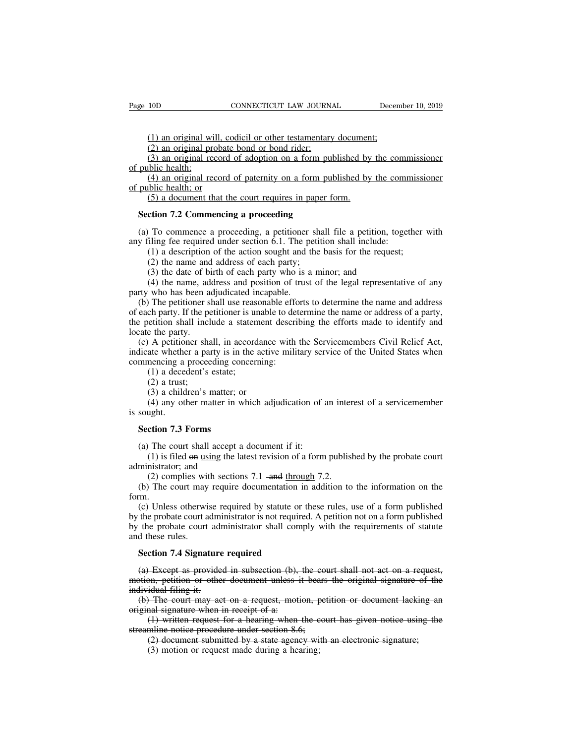(1) 10D CONNECTICUT LAW JOURNAL Decem<br>
(1) an original will, codicil or other testamentary document;<br>
(2) an original probate bond or bond rider;<br>
(3) an original record of adoption on a form published by the co (1) an original will, codicil or other testamentary<br>(2) an original will, codicil or other testamentary<br>(2) an original probate bond or bond rider;<br>(3) an original record of adoption on a form put<br>bilic health; (1) an original will, codicil or other testamentary document;<br>(2) an original record of adoption on a form published by the commissioner<br>(3) an original record of adoption on a form published by the commissioner<br>(4) an ori

Page 10D<br>
(1) an original wi<br>
(2) an original pro<br>
(3) an original re-<br>
of public health;<br>
(4) an original re-<br>
of public health; or (1) an original will, codicil or other testamentary document;<br>(2) an original probate bond or bond rider;<br>(3) an original record of adoption on a form published by the commissioner<br>blic health;<br>(4) an original record of p (1) an original will, c<br>
(2) an original probate<br>
(3) an original record<br>
of public health;<br>
(4) an original record<br>
of public health; or<br>
(5) a document that the<br>  $\frac{6}{5}$ (1) an original will, codicil or other testamentary documen<br>
(2) an original probate bond or bond rider;<br>
(3) an original record of adoption on a form published by<br>
original record of paternity on a form published by<br>
ori (2) an original probate bond or bond rider;<br>
(3) an original record of adoption on a form pub<br>
public health;<br>
(4) an original record of paternity on a form pub<br>
public health; or<br>
(5) a document that the court requires in public health;<br>(4) an original record of paternity on a form published by the commissioner<br>public health; or<br>(5) a document that the court requires in paper form.<br>**Section 7.2 Commencing a proceeding**<br>(a) To commence a pro (4) an original record of paternity on a form published by the comm<br>of public health; or<br>(5) a document that the court requires in paper form.<br>**Section 7.2 Commencing a proceeding**<br>(a) To commence a proceeding, a petition

(5) a document that the court requires in paper form.<br> **ction 7.2 Commencing a proceeding**<br>
To commence a proceeding, a petitioner shall file a petition, together<br>
iling fee required under section 6.1. The petition shall (5) a document that the court requires in pape<br>
ction 7.2 Commencing a proceeding<br>
To commence a proceeding, a petitioner sha<br>
iling fee required under section 6.1. The petit<br>
(1) a description of the action sought and th

(3) the date of the date of the date of the date of the date of the date of thing fee required under section 6.1. The petition shall include:<br>(1) a description of the action sought and the basis for the reques<br>(2) the name (4) the name and proceeding a proceeding<br>
(4) To commence a proceeding, a petitioner shall file a petition, together with<br>
iling fee required under section 6.1. The petition shall include:<br>
(1) a description of the action

(a) To commence a proceeding, a petitioner<br>any filing fee required under section 6.1. The pe<br> $(1)$  a description of the action sought and t<br> $(2)$  the name and address of each party;<br> $(3)$  the date of birth of each party w (b) The petitioner shall use reasonable efforts to determine the name and address each party, (a) the date of birth of each party; (3) the date of birth of each party who is a minor; and (4) the name, address and position (1) a description of the action sought and the basis for the request;<br>
(2) the name and address of each party;<br>
(3) the date of birth of each party who is a minor; and<br>
(4) the name, address and position of trust of the le (2) the name and address of each party;<br>
(3) the date of birth of each party who is a minor; and<br>
(4) the name, address and position of trust of the legal representative of any<br>
party who has been adjudicated incapable.<br> (3) the date of bi<br>
(4) the name, ad<br>
party who has been a<br>
(b) The petitioner s<br>
of each party. If the pe<br>
the petition shall incl<br>
locate the party.<br>
(c) A petitioner shall<br>
indicate whether a party. (a) the date of shall of deal party who is a million, and (4) the name, address and position of trust of the legal representative of any rty who has been adjudicated incapable.<br>(b) The petitioner shall use reasonable effo party who has been adjudicated incapable.<br>
(b) The petitioner shall use reasonable efforts to determine the name and address<br>
of each party. If the petitioner is unable to determine the name or address of a party,<br>
the pe party who has ocen adjudicated meapdote.<br>
(b) The petitioner shall use reasonable effort<br>
of each party. If the petitioner is unable to det<br>
the petition shall include a statement described<br>
locate the party.<br>
(c) A petiti The pentioner shall asset cases<br>
ch party. If the petitioner is un<br>
etition shall include a statem<br>
ethe party.<br>
A petitioner shall, in accord<br>
ate whether a party is in the a<br>
mencing a proceeding concerr<br>
(1) a decedent'

en pary. The per<br>etition shall incl<br>e the party.<br>A petitioner sha<br>ate whether a par<br>mencing a procee<br>(1) a decedent's<br>(2) a trust;<br>(3) a children's 1<br>(4) any other ma (3) a children's matter; a statement<br>
(3) a petitioner shall, in accordance<br>
ate whether a party is in the active<br>
nencing a proceeding concerning<br>
(1) a decedent's estate;<br>
(2) a trust;<br>
(3) a children's matter; or<br>
(4) a (4) A petitioner shall, in accordance with the Servicemembers Civil Relief Act, ate whether a party is in the active military service of the United States when mencing a proceeding concerning:<br>
(1) a decedent's estate;<br>
(2 indicate whether<br>indicate whether<br>commencing a<br>(1) a dece<br>(2) a trust<br>(3) a child<br>(4) any ot<br>is sought.<br>**Section 7.3** 

mmencing a proceeding cor<br>
(1) a decedent's estate;<br>
(2) a trust;<br>
(3) a children's matter; o<br>
(4) any other matter in w<br>
sought.<br> **Section 7.3 Forms**<br>
(a) The court shall accept a (2) a trust;<br>
(3) a children's matter; or<br>
(4) any other matter in which adjudication of a<br>
sought.<br> **Section 7.3 Forms**<br>
(a) The court shall accept a document if it:<br>
(1) is filed on using the latest revision of a form<br> (4) any other matter in v<br>is sought.<br>**Section 7.3 Forms**<br>(a) The court shall accept  $(1)$  is filed  $\Theta n$  using the l<br>administrator; and<br>(2) complies with sectio<br>(b) The court may require

(3) a children's matter; or<br>
(4) any other matter in which adjudication of an interest of a servicemember<br>
ught.<br> **ction 7.3 Forms**<br>
The court shall accept a document if it:<br>
(1) is filed <del>on</del> using the latest revision of (a) The court shall accept a document if it:<br>
(a) The court shall accept a document if it:<br>
(1) is filed  $\Theta$  using the latest revision of a form published by the probate court<br>
administrator; and<br>
(2) complies with secti Section 7.3 Forms<br>
(a) The court shall accept a document if it:<br>
(1) is filed  $\Theta$ n using the latest revision of a form published by the probate court<br>
ministrator; and<br>
(2) complies with sections 7.1 -and <u>through</u> 7.2.<br>

form.

(a) The court shall accept a document if it:<br>
(1) is filed  $\Theta$  using the latest revision of a form published by the probate court<br>
ministrator; and<br>
(2) complies with sections 7.1 - and through 7.2.<br>
(b) The court may re (1) is filed on <u>using</u> the latest revision of a form published by the probate court administrator; and<br>
(2) complies with sections 7.1 -and <u>through</u> 7.2.<br>
(b) The court may require documentation in addition to the infor administrator; and<br>
(2) complies with sections 7.1 -and through 7.2.<br>
(b) The court may require documentation in addition to the information on the<br>
form.<br>
(c) Unless otherwise required by statute or these rules, use of a daministrator, and<br>
(2) complies wit<br>
(b) The court may<br>
form.<br>
(c) Unless otherwi<br>
by the probate court a<br>
by the probate court<br>
and these rules.<br> **Section 7.4 Signat** (b) The court may require documentation in<br>fm.<br>(c) Unless otherwise required by statute or the probate court administrator is not required<br>the probate court administrator shall compl<br>d these rules.<br>**Section 7.4 Signature r** (c) Unless otherwise required by statute or these rules, use of a form published the probate court administrator is not required. A petition not on a form published the probate court administrator shall comply with the re by the probate court administrator is not required. A petition not on a form published<br>by the probate court administrator shall comply with the requirements of statute<br>and these rules.<br>**Section 7.4 Signature required**<br>(a)

by the probate court adi<br>and these rules.<br>**Section 7.4 Signature**<br>(a) Except as provide<br>motion, petition or othe<br>individual filing it.<br>(b) The court may ac<br>original signature when d these rules.<br>
Section 7.4 Signature required<br>
(a) Except as provided in subsection (b), the court shall not act on a request,<br>
stion, petition or other document unless it bears the original signature of the<br>
lividual fil Section 7.4 Signature required<br>
(a) Except as provided in subsection (b),<br>
motion, petition or other document unless individual filing it.<br>
(b) The court may act on a request, motioniginal signature when in receipt of a:<br> (1) ction 7.4 Signature required<br>  $\theta$  Except as provided in subsection (b), the court shall not act on a request,<br>  $\theta$ , petition or other document unless it bears the original signature of the<br>
idual filing it.<br>
The cou (a) Except as provided in subsection (b), the councition, petition or other document unless it bears<br>individual filing it.<br>(b) The court may act on a request, motion, pet<br>original signature when in receipt of a:<br>(1) writt Except as provided in subsection (b), the court shall not det on a reductor, on, petition or other document unless it bears the original signature of the idual filing it.<br>The court may act on a request, motion, petition o

(3) in the court allows the colling it.<br>
(4) The court may act on a request, motion, p<br>
and signature when in receipt of a:<br>
(1) written request for a hearing when the c<br>
mine notice procedure under section 8.6;<br>
(2) docu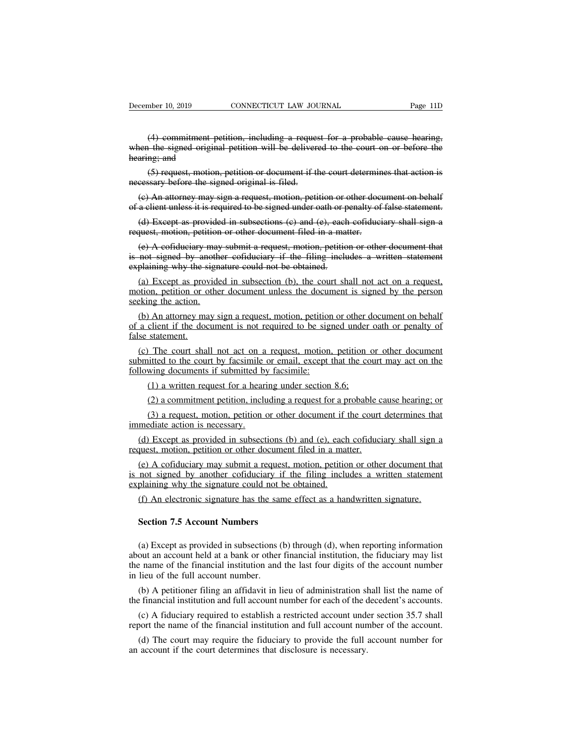mber 10, 2019 CONNECTICUT LAW JOURNAL Page 11D<br>
(4) commitment petition, including a request for a probable cause hearing,<br>
(1) the signed original petition will be delivered to the court on or before the<br>
ng; and December 10, 2019 CONNECTICUT LAW JOURNAL Page 11D<br>
(4) commitment petition, including a request for a probable cause hearing,<br>
when the signed original petition will be delivered to the court on or before the<br>
hearing; an December 10, 2019<br>
(4) commitment p<br>
when the signed origin<br>
hearing; and<br>
(5) request, motion<br>
necessary before the sign mber 10, 2019 CONNECTICUT LAW JOURNAL Page 11D<br>
(4) commitment petition, including a request for a probable cause hearing,<br>
i the signed original petition will be delivered to the court on or before the<br>
ng; and<br>
(5) reque (4) commitment petition, including a requesember of the signed original petition will be delivered.<br>
hearing: and (5) request, motion, petition or document if the recessary before the signed original is filed.<br>
(c) An att (4) commitment petition, including a request for a probable cause hearing,<br>hen the signed original petition will be delivered to the court on or before the<br>aring; and<br>(5) request, motion, petition or document if the court when the signed original petition will be delivered to the court on or before the<br>hearing; and<br>(5) request, motion, petition or document if the court determines that action is<br>necessary before the signed original is filed

aring; and<br>
(5) request, motion, petition or document if the court determines that action is<br>
cessary before the signed original is filed.<br>
(c) An attorney may sign a request, motion, petition or other document on behalf<br> (5) request, motion, petition or document if the court determin<br>necessary before the signed original is filed.<br>(e) An attorney may sign a request, motion, petition or other document<br>of a client unless it is required to be

eessary before the signed original is filed.<br>
(e) An attorney may sign a request, motion, petition or other document on behalf<br>
a client unless it is required to be signed under oath or penalty of false statement.<br>
(d) Exc (e) An attorney may sign a request, motion, petition or other document on behalf<br>of a client unless it is required to be signed under oath or penalty of false statement.<br>(d) Except as provided in subsections (e) and (e), (c) Thi attorney may sign a request, motion, periton of  $\alpha$  of a client unless it is required to be signed under oath or p<br>(d) Except as provided in subsections (c) and (e), each<br>request, motion, petition or other docume

(d) Except as provided in subsections (c) and (e), each cofiduciary shall sign a<br>quest, motion, petition or other document filed in a matter.<br>(e) A cofiduciary may submit a request, motion, petition or other document that motion, petition or other document filed in a matter.<br>
(e) A cofiduciary may submit a request, motion, petition or other document that<br>
is not signed by another cofiduciary if the filing includes a written statement<br>
expl Exercise, motion, perfired<br>
(e) A cofiduciary may<br>
is not signed by another<br>
explaining why the sign<br>
(a) Except as provide<br>
motion, petition or other<br>
seeking the action.<br>
(b) An attorney may s<br>
of a client if the docum (a) Except as provided as a provided as a provided as a client if the doctor<br>(b) An attorney may be a client if the doctor and submitted to the country<br>submitted to the country of submitted to the country

(b) An attorney may sign a request, motion, petition or other document and not signed by another cofiduciary if the filing includes a written statement plaining why the signature could not be obtained.<br>(a) Except as provid of a client if the document is not required to be obtained.<br>
(a) Except as provided in subsection (b), the court shall not act on a request, motion, petition or other document unless the document is signed by the person se (a) Except as provided in subsection (b), the court shall not act on a request,<br>tion, petition or other document unless the document is signed by the person<br>eking the action.<br>(b) An attorney may sign a request, motion, pet submitted to the court shall not act on a request, motion, petition or other document on behalf<br>of a client if the document is not required to be signed under oath or penalty of<br>false statement.<br>(c) The court shall not act (b) An attorney may sign a request, motion, petition<br>of a client if the document is not required to be sign<br>false statement.<br>(c) The court shall not act on a request, motion,<br>submitted to the court by facsimile or email, e

(2) a commitment petition, including a request for a hearing dividend the count shall not act on a request, motion, petition is interesting that the counter of a hearing under statement.<br>(1) a written request for a hearing (2) a commitment period of a request, motion, petition or other document<br>itted to the court by facsimile or email, except that the court may act on the<br>wing documents if submitted by facsimile:<br>(1) a written request for a The court shall not act on a request, motion, petition or other document<br>itted to the court by facsimile or email, except that the court may act on the<br>wing documents if submitted by facsimile:<br>(1) a written request for a submitted to the court by facsimile or email, except that the court may act on the following documents if submitted by facsimile:<br>
(1) a written request for a hearing under section 8.6;<br>
(2) a commitment petition, includin

(d) a written request for a hearing under section 8.6;<br>
(2) a commitment petition, including a request for a probable cause hearing; or<br>
(3) a request, motion, petition or other document if the court determines that<br>
medi (1) a written request for a hearing under section 8.6;<br>
(2) a commitment petition, including a request for a probable c<br>
(3) a request, motion, petition or other document if the court<br>
immediate action is necessary.<br>
(d)

(2) a commitment petition, including a request for a probable cause hearing; or<br>
(3) a request, motion, petition or other document if the court determines that<br>
mediate action is necessary.<br>
(d) Except as provided in subs (3) a request, motion, petition or other document if the court determines that<br>immediate action is necessary.<br>(d) Except as provided in subsections (b) and (e), each cofiduciary shall sign a<br>request, motion, petition or o request, motion, petition or other document filed in a matter.<br>
(e) A cofiduciary may submit a request, motion, petition or other document that<br>
is not signed by another cofiduciary if the filing includes a written stateme (d) Except as provided in subsections (b) and (e), each cofiduciary shall sign a quest, motion, petition or other document filed in a matter.<br>(e) A cofiduciary may submit a request, motion, petition or other document that (e) A cofiduciary may submit a request,<br>not signed by another cofiduciary if plaining why the signature could not be<br>(f) An electronic signature has the same<br>**Section 7.5 Account Numbers**<br>(a) Except as provided in subsecti

(f) An electronic signature could not be obtained.<br>
(f) An electronic signature has the same effect as a handwritten signature.<br> **Section 7.5 Account Numbers**<br>
(a) Except as provided in subsections (b) through (d), when re about an electronic signature has the same effect as a handwritten signature.<br> **Section 7.5 Account Numbers**<br>
(a) Except as provided in subsections (b) through (d), when reporting information<br>
about an account held at a b (1) An electronic signature has the same effect as a handwritten signature.<br>
Section 7.5 Account Numbers<br>
(a) Except as provided in subsections (b) through (d), when reporting information<br>
about an account held at a bank **Section 7.5 Account Numbers**<br>(a) Except as provided in subsections (about an account held at a bank or other<br>the name of the financial institution and<br>in lieu of the full account number.<br>(b) A petitioner filing an affidav (a) Except as provided in subsections (b) through (d), when reporting information<br>out an account held at a bank or other financial institution, the fiduciary may list<br>e name of the financial institution and the last four (a) Except as provided in subsections (b) through (d), when reporting information<br>about an account held at a bank or other financial institution, the fiduciary may list<br>the name of the financial institution and the last fo (a) Except as provided in stassections (b) already (d), when reporting information<br>out an account held at a bank or other financial institution, the fiduciary may list<br>e name of the financial institution and the last four report the name of the financial institution and the last four digits of the account number<br>in lieu of the full account number.<br>(b) A petitioner filing an affidavit in lieu of administration shall list the name of<br>the fina

lieu of the full account number.<br>
(b) A petitioner filing an affidavit in lieu of administration shall list the name of<br>
e financial institution and full account number for each of the decedent's accounts.<br>
(c) A fiduciary (b) A petitioner filing an affidavit in lieu of administration shall list the name of the financial institution and full account number for each of the decedent's accounts.<br>
(c) A fiduciary required to establish a restrict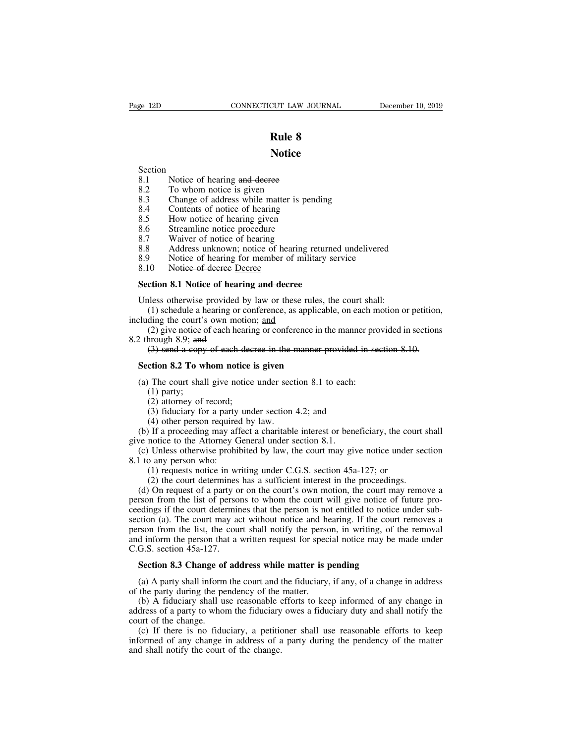### **Notice**

- Section<br>8.1 Notice of hearing and decree
- 
- **2.1 Notice**<br>8.1 Notice of hearing and decree<br>8.2 To whom notice is given<br>8.3 Change of address while matter is pene **2.3 Rule 8**<br>**Rule 8**<br>**Section**<br>**8.1** Notice of hearing and decree<br>**8.2** To whom notice is given<br>**8.3** Change of address while matter is p<br>**8.4** Contents of notice of hearing **Rule 8<br>
Section**<br>
8.1 Notice of hearing and decree<br>
8.2 To whom notice is given<br>
8.3 Change of address while matter is pending<br>
8.4 Contents of notice of hearing<br>
8.5 How notice of hearing given **Notice**<br>
Section<br>
8.1 Notice of hearing and decree<br>
8.2 To whom notice is given<br>
8.3 Change of address while matter is pendi<br>
8.4 Contents of notice of hearing<br>
8.5 How notice of hearing given<br>
8.6 Streamline notice proce **Notice**<br>
Section<br>
8.1 Notice of hearing and decree<br>
8.2 To whom notice is given<br>
8.3 Change of address while matter is pend<br>
8.4 Contents of notice of hearing<br>
8.5 How notice of hearing given<br>
8.6 Streamline notice proced Section<br>
8.1 Notice of hearing and decree<br>
8.2 To whom notice is given<br>
8.3 Change of address while matter is per<br>
8.4 Contents of notice of hearing<br>
8.5 How notice of hearing given<br>
8.6 Streamline notice procedure<br>
8.7 Wa
- 
- 
- 
- 
- 8.2 To whom notice is given<br>8.3 Change of address while matter is pending<br>8.4 Contents of notice of hearing<br>8.5 How notice of hearing given<br>8.6 Streamline notice procedure<br>8.7 Waiver of notice of hearing<br>8.8 Address unknow 8.3 Change of address while matter is pending<br>
8.3 Change of address while matter is pending<br>
8.5 How notice of hearing given<br>
8.6 Streamline notice procedure<br>
8.7 Waiver of notice of hearing<br>
8.8 Address unknown; notice o
- 8.1 Notice of hearing and decree<br>
8.2 To whom notice is given<br>
8.3 Change of address while matter is pene<br>
8.4 Contents of notice of hearing<br>
8.5 How notice of hearing given<br>
8.6 Streamline notice procedure<br>
8.7 Waiver of 8.3 Change of address with matter is<br>
8.4 Contents of notice of hearing<br>
8.5 How notice of hearing given<br>
8.6 Streamline notice procedure<br>
8.7 Waiver of notice of hearing<br>
8.8 Address unknown; notice of hearing<br>
8.9 Notice 8.5 How notice of hearing given<br>
8.6 Streamline notice procedure<br>
8.7 Waiver of notice of hearing<br>
8.8 Address unknown; notice of hearing returned<br>
8.9 Notice of hearing for member of military ser<br>
8.10 Notice of decree <u>D</u>
- 

8.7 Waiver of notice of hearing<br>
8.8 Address unknown; notice of hearing returned undelivered<br>
8.9 Notice of hearing for member of military service<br>
8.10 Notice of decree Decree<br>
Section 8.1 Notice of hearing and decree<br>
Un (1) Schedule a hearing for member of military service<br>
(1) Notice of hearing for member of military service<br>
(1) Schedule a hearing and decree<br>
(1) schedule a hearing or conference, as applicable, on each motion or petitio

8.9 Notice of hearing for member of milita<br>8.10 Notice of decree Decree<br>Section 8.1 Notice of hearing and decree<br>Unless otherwise provided by law or these rule<br>(1) schedule a hearing or conference, as appli<br>including the (2) 10 10 10 10 Notice of decree Decree<br>
(2) contom **8.1** Notice of hearing and decree<br>
iless otherwise provided by law or these rules, the court shall:<br>
(1) schedule a hearing or conference, as applicable, on each motion Section 8.1 Notice of hearin<br>Unless otherwise provided by<br>(1) schedule a hearing or co<br>including the court's own motiic<br>(2) give notice of each hear<br>8.2 through 8.9; and<br>(3) send a copy of each de ction 8.1 Notice of hearing and decree<br>less otherwise provided by law or these rules, the court shall:<br>(1) schedule a hearing or conference, as applicable, on each motion or petition<br>ding the court's own motion; <u>and</u><br>(2) Unless otherwise provided by law or these rules, t<br>
(1) schedule a hearing or conference, as applicab-<br>
Cluding the court's own motion; <u>and</u><br>
(2) give notice of each hearing or conference in the<br>
2 through 8.9; and<br>
(3) s cluding the court's own motion; <u>and</u><br>
(2) give notice of each hearing or conference in the manner pro<br>
2 through 8.9; and<br>
(3) send a copy of each decree in the manner provided in section 8.2 To whom notice is given<br>
(a) (2) give notice c<br>hrough 8.9; and<br>(3) send a copy<br>**ction 8.2 To w**<br>The court shal<br>(1) party;<br>(2) attorney of  $(3)$  fiduciary fo for the 1809; and<br>
(3) send a copy of each decretion 8.2 To whom notice if<br>
the court shall give notice<br>
(1) party;<br>
(2) attorney of record;<br>
(3) fiduciary for a party und<br>
(4) other person required by

- 
- 
- 
- 

(3) send a copy of each decree in the manner provided in<br>ction 8.2 To whom notice is given<br>The court shall give notice under section 8.1 to each:<br>(1) party;<br>(2) attorney of record;<br>(3) fiduciary for a party under section (1) other **11**<br>
(1) other person required by law.<br>
(1) party;<br>
(2) attorney of record;<br>
(3) fiduciary for a party under section<br>
(4) other person required by law.<br>
(1) If a proceeding may affect a charitable<br>
notice to the Section 8.2 To whom notice is given<br>
(a) The court shall give notice under section 8.1 to each:<br>
(1) party;<br>
(2) attorney of record;<br>
(3) fiduciary for a party under section 4.2; and<br>
(4) other person required by law.<br>
(b (a) The court shall give notice under section 8.1 to each:<br>
(1) party;<br>
(2) attorney of record;<br>
(3) fiduciary for a party under section 4.2; and<br>
(4) other person required by law.<br>
(b) If a proceeding may affect a charit (a) The court shart give notice under section 8.1 to each.<br>
(1) party;<br>
(2) attorney of record;<br>
(3) fiduciary for a party under section 4.2; and<br>
(4) other person required by law.<br>
(b) If a proceeding may affect a charit (1) party,<br>
(2) attorney of record;<br>
(3) fiduciary for a party<br>
(4) other person required<br>
(b) If a proceeding may aff<br>
give notice to the Attorney G<br>
(c) Unless otherwise prohil<br>
8.1 to any person who:<br>
(1) requests noti (2) attoring of record,<br>
(3) fiduciary for a party under section 4.2; and<br>
(4) other person required by law.<br>
If a proceeding may affect a charitable interest or beneficiary, the cound<br>
notice to the Attorney General unde

(3) Hulchary for a party under section 4.2, and<br>
(4) other person required by law.<br>
If a proceeding may affect a charitable interest or beneficiary, the court s<br>
notice to the Attorney General under section 8.1.<br>
Unless o (a) once person required by law.<br>
(b) If a proceeding may affect a charitable interest or beneficiary, the court shall<br>
ve notice to the Attorney General under section 8.1.<br>
(c) Unless otherwise prohibited by law, the cou (b) If a proceeding may article a charmon interest of beneficially, the court shall<br>give notice to the Attorney General under section 8.1.<br>(c) Unless otherwise prohibited by law, the court may give notice under section<br>8. (c) Unless otherwise prohibited by law, the court may give notice under section 8.1 (c) Unless otherwise prohibited by law, the court may give notice under section 8.1 to any person who:<br>
(1) requests notice in writing un 8.1 to any person who:<br>
(1) requests notice in writing under C.G.S. section  $45a-127$ ; or<br>
(2) the court determines has a sufficient interest in the proceedings.<br>
(d) On request of a party or on the court's own motion, th (1) requests notice in writing under C.G.S. section 45a-127; or (2) the court determines has a sufficient interest in the proceedings. (d) On request of a party or on the court's own motion, the court may remove a person (1) requests notice in writing under C.O.S. section  $43a-127$ , or<br>
(2) the court determines has a sufficient interest in the proceedings.<br>
(d) On request of a party or on the court's own motion, the court may remove a<br>
pe (2) the court determines<br>(d) On request of a party of<br>person from the list of persoceedings if the court determines<br>ceedings if the court may ac<br>person from the list, the court<br>and inform the person that a<br>C.G.S. section rson from the list of persons to whom the court will give notice of edings if the court determines that the person is not entitled to notice cition (a). The court may act without notice and hearing. If the court rson from (a). The court may act without notice and hearing. If the court removes a<br>rson from the list, the court shall notify the person, in writing, of the removal<br>d inform the person that a written request for special notice may person from the list, the court shall notify the person<br>and inform the person that a written request for spec<br>C.G.S. section 45a-127.<br>**Section 8.3 Change of address while matter is p**<br>(a) A party shall inform the court and

d inform the person that a written request for special notice may be made under<br>G.S. section 45a-127.<br>**Section 8.3 Change of address while matter is pending**<br>(a) A party shall inform the court and the fiduciary, if any, of C.G.S. section  $45a-127$ .<br> **Section 8.3 Change of address while matter is pending**<br>
(a) A party shall inform the court and the fiduciary, if any, of a change in address<br>
of the party during the pendency of the matter.<br>
(b **Section 8.3 Change of**<br>(a) A party shall inform<br>of the party during the pe<br>(b) A fiduciary shall un<br>address of a party to whoi<br>court of the change.<br>(c) If there is no fidu<br>informed of any change i (a) A party shall mornt the court and the court of the party during the pendency of the (b) A fiduciary shall use reasonable  $\epsilon$  address of a party to whom the fiduciary court of the change. (c) If there is no fiduciary,

Section 8.3 Change of address while matter is pending<br>
(a) A party shall inform the court and the fiduciary, if any, of a change in address<br>
the party during the pendency of the matter.<br>
(b) A fiduciary shall use reasonab (a) A party shall inform the court and the fiduciary, if any, of a change in address of the party during the pendency of the matter.<br>
(b) A fiduciary shall use reasonable efforts to keep informed of any change in address o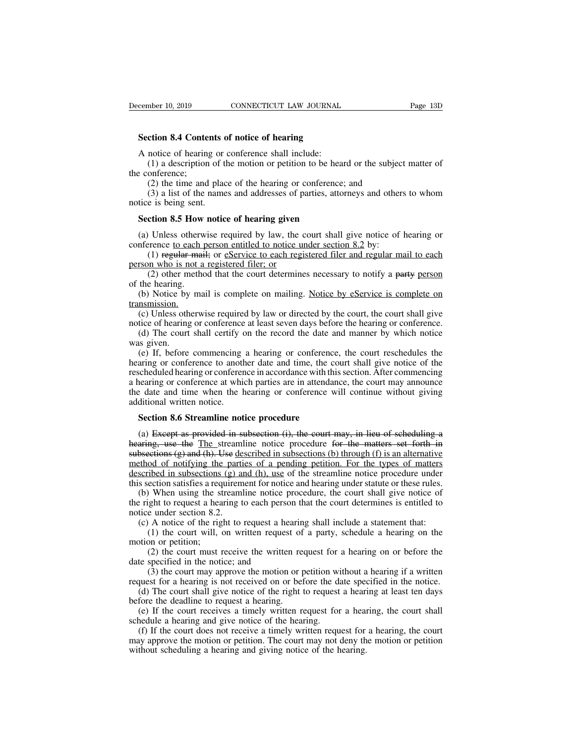**Section 8.4 Contents of notice of hearing**<br> **Section 8.4 Contents of notice of hearing**<br> **A notice of hearing or conference shall include:** 

EXTERT CONNECTICUT LAW JOURNAL<br>
Section 8.4 Contents of notice of hearing<br>
A notice of hearing or conference shall include:<br>
(1) a description of the motion or petition to be heared the conference; (1) a description of the motion of the motion of the motion of the motion of the motion of the motion or petition to be heard or the subject matter of onference;<br>(2) the time and place of the hearing or conference; and **Section 8.4 Conter**<br>A notice of hearing<br>(1) a description<br>the conference;<br>(2) the time and<br>(3) a list of the r (2) the time and place of hearing<br>
(1) a description of the motion or petition to be heard or the subject<br>
(1) a description of the motion or petition to be heard or the subject<br>
onference;<br>
(2) the time and place of the h (3) a contents of notice of hearing<br>
strategies and include:<br>
(1) a description of the motion or petition to be heard or the subject matter of<br>
onference;<br>
(2) the time and place of the hearing or conference; and<br>
(3) a li A notice of hearing or conference shall include:<br>
(1) a description of the motion or petition to be hear<br>
e conference;<br>
(2) the time and place of the hearing or conference;<br>
(3) a list of the names and addresses of partie

Section 8.4 Contents of<br>A notice of hearing or<br>(1) a description of the<br>conference;<br>(2) the time and plac<br>(3) a list of the name<br>notice is being sent.<br>Section 8.5 How notic (2) the time and place of the hearing or conference; and<br>
(3) a list of the names and addresses of parties, attorneys and others to whom<br>
tice is being sent.<br> **Section 8.5 How notice of hearing given**<br>
(a) Unless otherwise (2) the time and place of the hearing or conference; and<br>
(3) a list of the names and addresses of parties, attorneys and other<br>
notice is being sent.<br> **Section 8.5 How notice of hearing given**<br>
(a) Unless otherwise requi (3) a list of the names and addresses of parties, attorneys and others to whom<br>e is being sent.<br>**ction 8.5 How notice of hearing given**<br> $\blacksquare$  Unless otherwise required by law, the court shall give notice of hearing or<br>re

notice is being sent.<br> **Section 8.5 How notice of hearing given**<br>
(a) Unless otherwise required by law, the conference to each person entitled to notice un<br>
(1) regular mail; or <u>eService to each regi</u><br>
person who is not a (2) other method that the court shall give notice of hearing or<br>
Unless otherwise required by law, the court shall give notice of hearing or<br>
rence to each person entitled to notice under section 8.2 by:<br>
(1) regular mail

**Section 8.5 How**<br>
(a) Unless otherw<br>
conference to each  $\frac{1}{1}$ <br>
(1) regular main<br>
person who is not a<br>
(2) other method<br>
of the hearing.<br>
(b) Notice by main transmission. (a) Unless otherwise required by law, the court shall give notice of hearing or inference <u>to each person entitled to notice under section 8.2</u> by:<br>
(1) regular mail; or estruction to each registered filer and regular mai transmission. (a) The court shall exist of the court of the court of the court of the court of the court of the hearing.<br>
(b) Notice by mail is complete on mailing. Notice by eService is complete on assission.<br>
(c) Unless otherwise requ

(1) regular marr, or <u>collective to each registered ther and regular man to each</u><br>person who is not a registered filer; or<br>(2) other method that the court determines necessary to notify a party person<br>of the hearing.<br>(b) N (2) other method that the court determines necessary to notify a party person<br>the hearing.<br>(b) Notice by mail is complete on mailing. Notice by eService is complete on<br>nsmission.<br>(c) Unless otherwise required by law or di

(2) other in<br>of the hearing.<br>(b) Notice by<br>transmission.<br>(c) Unless oth<br>notice of hearing<br>(d) The court<br>was given.<br>(e) If, before<br>hearing or confe (b) Notice by mail is complete on mailing. Notice by eService is complete on nonsinission.<br>
(c) Unless otherwise required by law or directed by the court, the court shall give<br>
tice of hearing or conference at least seven (b) Notice by man is complete on maning. Notice by esserved is complete on<br>transmission.<br>(c) Unless otherwise required by law or directed by the court, the court shall give<br>notice of hearing or conference at least seven d results and give the court, the court shall give notice of hearing or conference at least seven days before the hearing or conference.<br>
(d) The court shall certify on the record the date and manner by which notice was give (c) omess omerwise required by raw or unceled by the court, the court shart give<br>notice of hearing or conference at least seven days before the hearing or conference.<br>(d) The court shall certify on the record the date and the date of meaning of conference at least seven days before the hearing of conference.<br>
(d) The court shall certify on the record the date and manner by which notice<br>
was given.<br>
(e) If, before commencing a hearing or con (a) The court shan ecrity (was given.<br>
(e) If, before commencing<br>
hearing or conference to another<br>
rescheduled hearing or conference<br>
a hearing or conference at which<br>
the date and time when the h<br>
additional written noti hearing or conference to another date and time, the court shall give notice of the rescheduled hearing or conference in accordance with this section. After commencing a hearing or conference at which parties are in attenda (a) Except as provided in subsection (i), the court may announce and time when the hearing or conference will continue without giving e date and time when the hearing or conference will continue without giving ditional wri

a hearing or conference at which parties are in attendance, the court may announce<br>the date and time when the hearing or conference will continue without giving<br>additional written notice.<br>**Section 8.6 Streamline notice pro** the date and time when the hearing or conference will continue without giving<br>additional written notice.<br>Section 8.6 Streamline notice procedure<br>(a) Except as provided in subsection (i), the court may, in lieu of scheduli method of notifying the parties of a pending perturbative matrice of a pending a<br>diditional written notice.<br>(a) Except as provided in subsection (i), the court may, in lieu of scheduling a<br>hearing, use the <u>The</u> streamlin **Section 8.6 Streamline notice procedure**<br>(a) Except as provided in subsection (i), the court may, in lieu of scheduling a<br>hearing, use the The streamline notice procedure for the matters set forth in<br>subsections (g) and Section 8.6 Streamline notice procedure<br>
(a) Except as provided in subsection (i), the court may, in lieu of scheduling a<br>
hearing, use the The streamline notice procedure for the matters set forth in<br>
subsections (g) and (a) Except as provided in subsection (i), the court may, in lieu of scheduling a aring, use the The streamline notice procedure for the matters set forth in bsections (g) and (h). Use described in subsections (b) through (a) Except as provided in subsection (i), the court may, in fiel of scheduring a hearing, use the The streamline notice procedure for the matters set forth in subsections (g) and (h). Use described in subsections (b) thro subsections (g) and (h). Use de<br>method of notifying the parti<br>described in subsections (g) and<br>this section satisfies a requirem<br>(b) When using the streaml<br>the right to request a hearing t<br>notice under section 8.2.<br>(c) A (c) A notice of the right to request a hearing shall include a statement that:<br>
(c) A notice of the streamline notice procedure under<br>
section satisfies a requirement for notice and hearing under statute or these rules.<br>

(1) the court must receive the written request for a hearing on or before the court must allow the court shall give notice of ght to request a hearing to each person that the court shall give notice of ght to request a he described in subsections<br>this section satisfies a req<br>the right to request a hear<br>notice under section 8.2.<br>(c) A notice of the rigi<br>(1) the court will, a<br>motion or petition;<br>(2) the court must r<br>date specified in the noti (2) the court must receive the written request for a hearing on or before the specified in the court will, on written request of a party, schedule a statement that:<br>(1) the court will, on written request of a party, schedu (b) when using the streamler holder provide in the right to request a hearing to each person notice under section 8.2.<br>
(c) A notice of the right to request a hear (1) the court will, on written request motion or petition

(3) the court may approve the motion or performance the date specified in the court may approve the written request for a hearing on or before the specified in the notice; and (3) the court may approve the motion or petiti

request for a hearing is not request a hearing shall include a statement that:<br>
(1) the court will, on written request of a party, schedule a hearing on the<br>
motion or petition;<br>
(2) the court must receive the written req (c) A holice of the right to request a hearing shall include a statement that.<br>
(1) the court will, on written request of a party, schedule a hearing on the<br>
totion or petition;<br>
(2) the court must receive the written req motion or petition;<br>(2) the court must receive the written reduction;<br>(2) the court must receive the written reduction of<br>(3) the court may approve the motion or p<br>request for a hearing is not received on or bet<br>(d) The c (2) the court must receive the written request for a hearing on or before the te specified in the notice; and (3) the court may approve the motion or petition without a hearing if a written quest for a hearing is not rece

(2) the court must receive the written request for<br>date specified in the notice; and<br>(3) the court may approve the motion or petition wi<br>request for a hearing is not received on or before the da<br>(d) The court shall give n (3) the court may approve the motion or petition without a hearing if a written quest for a hearing is not received on or before the date specified in the notice.<br>(d) The court shall give notice of the right to request a h request for a hearing is not received on or before the date specified in the notice.<br>
(d) The court shall give notice of the right to request a hearing at least ten days<br>
before the deadline to request a hearing.<br>
(e) If request for a hearing is not received on or before the date speed (d) The court shall give notice of the right to request a hearing.<br>
(e) If the court receives a timely written request for a hearing.<br>
(f) If the court does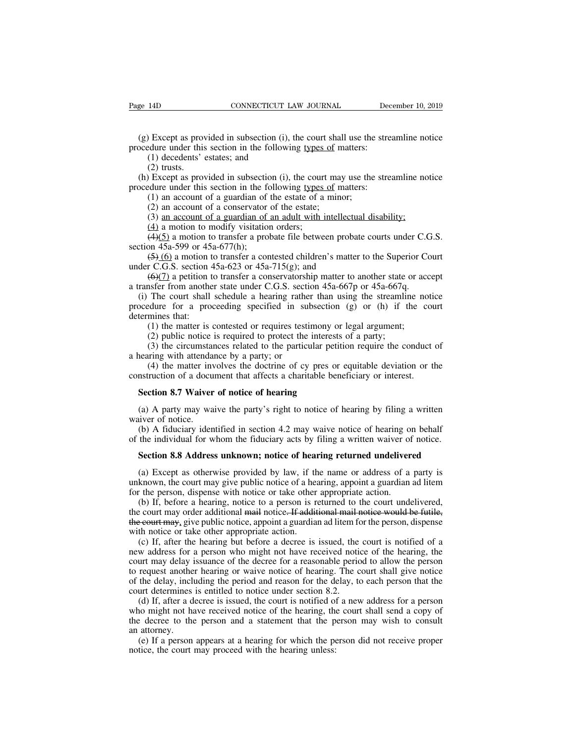(g) Except as provided in subsection (i), the court shall use the streamline notice<br>(g) Except as provided in subsection (i), the court shall use the streamline notice<br>ocedure under this section in the following types of m Page 14D CONNECTICUT LAW JOURNAL Dec<br>
(g) Except as provided in subsection (i), the court shall use the stre<br>
procedure under this section in the following <u>types of</u> matters:<br>
(1) decedents' estates; and<br>
(2) trusts. (1) decept as provided in subsection (i),<br>(1) decedents' estates; and<br>(2) trusts.<br>(2) trusts.<br>(2) trusts.

(14)<br>(2) Except as provedure under this<br>(1) decedents'<br>(2) trusts.<br>(2) Except as provedure under this (g) Except as provided in subsection (i), the court shall use the streamline notice ocedure under this section in the following types of matters:<br>
(1) decedents' estates; and<br>
(2) trusts.<br>
(h) Except as provided in subsec (g) Except as provided in subsection (i), the court shall use the stre<br>procedure under this section in the following <u>types of</u> matters:<br>(1) decedents' estates; and<br>(2) trusts.<br>(h) Except as provided in subsection (i), th (1) Except as provided in subsection (i), the court shall use the edure under this section in the following types of matters:<br>(1) decedents' estates; and (2) trusts.<br>(2) trusts.<br>Except as provided in subsection (i), the c Except as provided in subsection (*i*), the court shall<br>dure under this section in the following types of m<br>(1) decedents' estates; and<br>(2) trusts.<br>Except as provided in subsection (i), the court may<br>dure under this secti (1) decedents' estates; and<br>
(2) trusts.<br>
(2) trusts.<br>
Except as provided in subsection (i), the court may use the streamline no<br>
dure under this section in the following <u>types of</u> matters:<br>
(1) an account of a guardian (2) trusts.<br>
(2) trusts.<br>
(2) trusts.<br>
Except as provided in subsection (i), the court<br>
dure under this section in the following types<br>
(1) an account of a guardian of the estate;<br>
(3) an account of a guardian of an adult (2) dusts.<br>
(2) dusts:<br>
Except as provided in subsection (i), the court may use the streamline notice<br>
dure under this section in the following types of matters:<br>
(1) an account of a guardian of the estate;<br>
(3) <u>an accou</u>

(i) Except as provided in subsection<br>procedure under this section in the form (1) an account of a guardian of<br>(2) an account of a conservator<br>(3) <u>an account of a guardian of</u><br>(4) a motion to modify visitation<br>(4)(5) a mo (1) an account of a guardian of the estate of a minor;<br>
(2) an account of a guardian of the estate;<br>
(3) an account of a guardian of an adult with intellectual disability;<br>
(4) a motion to modify visitation orders;<br>
(4)(5 (1) an account of a guardian of the estate of a minor,<br>
(2) an account of a conservator of the estate;<br>
(3) <u>an account of a guardian of an adult with intellectu</u><br>
(4) a motion to modify visitation orders;<br>
(4)(5) a motio (2) an account of a conservator of the estate,<br>
(3) an account of a guardian of an adult with intellectual disability;<br>
(4) a motion to modify visitation orders;<br>
(4)(5) a motion to transfer a probate file between probate

(3) an account of a guaranter of an active with interlectual distance,<br>
(4) a motion to transfer a probate file between probate courts under C.C<br>
section 45a-599 or 45a-677(h);<br>
(5) (6) a motion to transfer a contested ch (4)(5) a motion to the courts visitation otders,<br>
(4)(5) a motion to transfer a probate file between probate courts under C.G.S.<br>
(5) (6) a motion to transfer a contested children's matter to the Superior Court<br>
der C.G.S procedure for a proceeding specified in subsection (g) or (h) if the court<br>determines that: (4)( $\frac{(5)(0)}{(6)}$  a motion to transfer a contested children's matter to the Superior Court<br>under C.G.S. section 45a-623 or 45a-715  $\frac{(5)(6)}{(6)}$  a motion t<br>under C.G.S. section 4<br> $\frac{(6)(7)}{(6)}$  a petition t<br>a transfer from anothe<br>(i) The court shall<br>procedure for a prode<br>determines that:<br>(1) the matter is (2) public notice (3)  $\frac{1}{100}$  a motion to datised a contested emanter s matter to the superior c <br>
(6)(7) a petition to transfer a conservatorship matter to another state or accosfer from another state under C.G.S. section 45a-667p or (3) public notice is required to protect the interests of a party;<br>(3) the court shall schedule a hearing rather than using the streamlindure for a proceeding specified in subsection (g) or (h) if the mines that:<br>(1) the (3) the circumstances related to the particular petition requires the conduct state of acceptions of the court shall schedule a hearing rather than using the streamline notice edure for a proceeding specified in subsectio a transfer from another state under C.O.S. seen<br>(i) The court shall schedule a hearing rathe<br>procedure for a proceeding specified in sul<br>determines that:<br>(1) the matter is contested or requires testi<br>(2) public notice is r The coard share setted a hearing rather dual asing the steaming holder during during the steaming of the court mines that:<br>
(1) the matter is contested or requires testimony or legal argument;<br>
(2) public notice is requir

determines that:<br>(1) the matter is contested or requires testimony or legal argument;<br>(2) public notice is required to protect the interests of a party;<br>(3) the circumstances related to the particular petition require the (1) the matter is contested or requires testimony o<br>
(2) public notice is required to protect the interest<br>
(3) the circumstances related to the particular peti<br>
nearing with attendance by a party; or<br>
(4) the matter invo (3) the circumstances related to the particular petition require the conduct of nearing with attendance by a party; or (4) the matter involves the doctrine of cy pres or equitable deviation or the nstruction of a document

a hearing with attenda<br>
(4) the matter inv<br>
construction of a docu<br> **Section 8.7 Waiver**<br>
(a) A party may wa<br>
waiver of notice.<br>
(b) A fiduciary iden<br>
of the individual for w (4) the matter involves the doctrine of cy pres or equitable deviation or the nstruction of a document that affects a charitable beneficiary or interest.<br> **Section 8.7 Waiver of notice of hearing**<br>
(a) A party may waive t construction of a document that affects a charitable beneficiary or interest.<br> **Section 8.7 Waiver of notice of hearing**<br>
(a) A party may waive the party's right to notice of hearing by filing a written<br>
waiver of notice.<br> **Section 8.7 Waiver of notice of hearing**<br>
(a) A party may waive the party's right to notice of hearing by filing a written<br>
iver of notice.<br>
(b) A fiduciary identified in section 4.2 may waive notice of hearing on behalf<br>

(a) A party may waive the party's right to notice of hearing by filing a written<br>uiver of notice.<br>(b) A fiduciary identified in section 4.2 may waive notice of hearing on behalf<br>the individual for whom the fiduciary acts waiver of notice.<br>
(b) A fiduciary identified in section 4.2 may waive notice of hearing on behalf<br>
of the individual for whom the fiduciary acts by filing a written waiver of notice.<br> **Section 8.8 Address unknown; notice** (b) A fiduciary identified in section 4.2 may waive notice of hearing of the individual for whom the fiduciary acts by filing a written waiver of **Section 8.8 Address unknown; notice of hearing returned undeliver** (a) Exc

the individual for whom the fiduciary acts by filing a written waiver of notice.<br> **Section 8.8 Address unknown; notice of hearing returned undelivered**<br>
(a) Except as otherwise provided by law, if the name or address of a Section 8.8 Address unknown; notice of hearing returned undelivered<br>
(a) Except as otherwise provided by law, if the name or address of a party is<br>
unknown, the court may give public notice of a hearing, appoint a guardian **Section 8.8 Address unknown; notice of hearing returned undelivered**<br>
(a) Except as otherwise provided by law, if the name or address of a party is<br>
unknown, the court may give public notice of a hearing, appoint a guard (a) Except as otherwise provided by law, if the unknown, the court may give public notice of a heafor the person, dispense with notice or take other (b) If, before a hearing, notice to a person is reprise the court may or (a) Except as otherwise provided by raw, it the hainte of address of a party is<br>known, the court may give public notice of a hearing, appoint a guardian ad litem<br>r the person, dispense with notice or take other appropriat

in the person, dispense with notice of a hearing, appoint a guardian ad hearing for the person, dispense with notice or take other appropriate action.<br>
(b) If, before a hearing, notice to a person is returned to the court (b) If, before a hearing, notice of take other appropriate action.<br>
(b) If, before a hearing, notice to a person is returned to the court undelivered,<br>
the court may order additional mail notice. If additional mail notice (b) If, before a hearing, notice to a person is feturited to the court underly detected, the court may order additional mail notice. If additional mail notice would be futile, the court may, give public notice, appoint a The court may offer additional man notice. The definition interference would be ruttle;<br>the court may, give public notice, appoint a guardian ad litem for the person, dispense<br>with notice or take other appropriate action.<br> the court may, give public indice, appoint a guardiant ad inclinity<br>with notice or take other appropriate action.<br>(c) If, after the hearing but before a decree is issued, the<br>new address for a person who might not have rec (c) If, after the hearing but before a decree is issued, the court is notified of a w address for a person who might not have received notice of the hearing, the urt may delay issuance of the decree for a reasonable perio (c) II, ancel the hearing out octor a decree is issued, the court is hottled of a<br>new address for a person who might not have received notice of the hearing, the<br>court may delay issuance of the decree for a reasonable per the decree to the person who might not have received notice of the hearing, the court may delay issuance of the decree for a reasonable period to allow the person to request another hearing or waive notice of hearing. The

Fraction Controllery<br>of the delay, included<br>court determines<br>(d) If, after a d<br>who might not had<br>the decree to the<br>an attorney.<br>(e) If a person<br>notice, the court is request another hearing of warve hoted of heating. The coard share give hoted the delay, including the period and reason for the delay, to each person that the urt determines is entitled to notice under section 8.2.<br>(d) If of the deray, including the period and reason for the diffeorm court determines is entitled to notice under section 8.2 (d) If, after a decree is issued, the court is notified of who might not have received notice of the h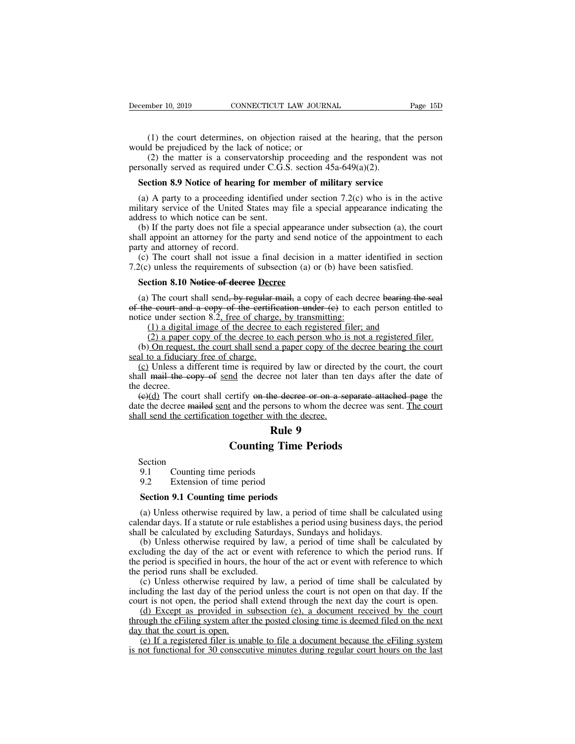(1) the court determines, on objection raised at the hearing, that the person<br>(1) the court determines, on objection raised at the hearing, that the person<br>(2) the matter is a conservatorship proceeding and the respondent December 10, 2019 CONNECTICUT LAW JOURN<br>
(1) the court determines, on objection raised at<br>
would be prejudiced by the lack of notice; or<br>
(2) the matter is a conservatorship proceeding<br>
personally served as required under mber 10, 2019 CONNECTICUT LAW JOURNAL Page 15D<br>
(1) the court determines, on objection raised at the hearing, that the person<br>
d be prejudiced by the lack of notice; or<br>
(2) the matter is a conservatorship proceeding and t December 10, 2019 CONNECTICUT LAW JOURNAL<br>
(1) the court determines, on objection raised at the hearing, that<br>
would be prejudiced by the lack of notice; or<br>
(2) the matter is a conservatorship proceeding and the responde<br> (1) the court determines, on objection raised at the hearing, that the p<br>vuld be prejudiced by the lack of notice; or<br>(2) the matter is a conservatorship proceeding and the respondent was<br>resonally served as required unde

(1) the court determines, on objection raised at the hearing, that the person<br>ould be prejudiced by the lack of notice; or<br>(2) the matter is a conservatorship proceeding and the respondent was not<br>rsonally served as requi would be prejudiced by the lack of notice; or<br>
(2) the matter is a conservatorship proceeding and the respondent was not<br>
personally served as required under C.G.S. section  $45a-649(a)(2)$ .<br> **Section 8.9 Notice of hearing f** (2) the matter is a conservatorship<br>personally served as required under C.G.S<br>**Section 8.9 Notice of hearing for mer**<br>(a) A party to a proceeding identified unilitary service of the United States may<br>address to which notic (b) If the party does not file a special appearance in  $(2)$ .<br> **Section 8.9 Notice of hearing for member of military service**<br>
(a) A party to a proceeding identified under section 7.2(c) who is in the active<br>
litary servi **Section 8.9 Notice of hearing for member of military service**<br>(a) A party to a proceeding identified under section 7.2(c) who is in the active<br>military service of the United States may file a special appearance indicatin **Section 8.9 Notice of hearing ide**<br>(a) A party to a proceeding idee<br>military service of the United Standdress to which notice can be ser<br>(b) If the party does not file a s<br>shall appoint an attorney for the p<br>party and at (a) A party to a proceeding identified under section 7.2(c) who is in the active<br>litary service of the United States may file a special appearance indicating the<br>dress to which notice can be sent.<br>(b) If the party does no

(a) A party to a proceeding definited under section  $7.2(C)$  who is in the acti-<br>military service of the United States may file a special appearance indicating t<br>address to which notice can be sent.<br>(b) If the party does n dress to which notice can be sent.<br>
(b) If the party does not file a special appearance<br>
all appoint an attorney for the party and send no<br>
rty and attorney of record.<br>
(c) The court shall not issue a final decision in<br>
2(

(a) The party according the procedure procedure in the appointment to each rive and attorney of record.<br>
(c) The court shall not issue a final decision in a matter identified in section (c) The court shall not issue a fin of the court shall not issue a final decision in a matter identified in section<br>
(c) The court shall not issue a final decision in a matter identified in section<br>
7.2(c) unless the requirements of subsection (a) or (b) ha (c) The court shall not issue a final decision in a matter i<br>7.2(c) unless the requirements of subsection (a) or (b) have be<br>**Section 8.10** Notice of decree Decree<br>(a) The court shall send<del>, by regular mail,</del> a copy of ea (1) a digital image of the decree to each person who is not a registered filer; and (2) a paper copy of the decree to each registered filer; and (2) a paper copy of the decree to each person who is not a registered filer; The court shall send, by regular mail, a copy of each decree bearing the seal<br>e court shall send, by regular mail, a copy of each decree bearing the seal<br>e court and a copy of the certification under (e) to each person en Section 8.10 Notice of decree Decree<br>
(a) The court shall send, by regular mail, a copy of each decree bearing the seal<br>
the court and a copy of the certification under (e) to each person entitled to<br>
tice under section 8 (a) The court shall send, by regular in of the court and a copy of the certificantice under section 8.2, free of charge.<br>(1) a digital image of the decree to  $(2)$  a paper copy of the decree to  $(b)$  On request, the court

(a) The court shan send, by regular marr, a copy of each decree bearing the sear-<br>the court and a copy of the certification under (e) to each person entitled to<br>tice under section 8.2, free of charge, by transmitting:<br>(1) shall mail the copy of the contribution under (c) to each person entitied to<br>notice under section 8.2, free of charge, by transmitting:<br>(1) a digital image of the decree to each registered filer; and<br>(2) a paper copy of t the decree<br>
(1) a digital<br>
(2) a paper<br>
(b) On requess<br>
seal to a fiducian<br>
(c) Unless a d<br>
shall mail the c<br>
the decree.<br>
(e)(d) The condate the decree n

(1) a digital mlage of the decree to each registered filer, and<br>
(2) a paper copy of the decree to each person who is not a registered filer.<br>
(b) On request, the court shall send a paper copy of the decree bearing the co (b) On request, the court shall send a paper copy of the decree bearing the court<br>seal to a fiduciary free of charge.<br>(c) Unless a different time is required by law or directed by the court, the court<br>shall mail the copy (b) On Equest, the court shall send a paper copy of the<br>seal to a fiduciary free of charge.<br>(c) Unless a different time is required by law or directe<br>shall mail the copy of send the decree not later than te<br>the decree.<br>(e **Rule 12** a papel copy of the set of the set of the decree or on a separation of the decree or on a separation of the decree.<br>**Rule 9 Rule 9 Rule Periods** me is required by law or directed by the<br>
<u>nd</u> the decree not later than ten days a<br>
ertify on the decree or on a separate at<br>
t and the persons to whom the decree was<br>
together with the decree.<br> **Rule 9**<br> **Counting Time P** e the decree mailed <u>sent</u> and the persons<br>
ill send the certification together with t<br> **Rule**<br> **Counting Ti**<br>
Section<br>
9.1 Counting time periods<br>
9.2 Extension of time period<br>
Section 0.1 Counting time periods Ill send the certification together with the de<br> **Rule 9**<br> **Counting Time**<br>
Section<br>
9.1 Counting time periods<br>
9.2 Extension of time period<br>
Section 9.1 Counting time periods

Section<br>9.1 Counting time periods

**Section**<br>
9.1 Counting time periods<br>
9.2 Extension of time periods<br>
Section 9.1 Counting time periods<br>
(a) Unless otherwise required by law, a period<br>
(a) Unless otherwise required by law, a period (a) Unless otherwise required by law, a period of time shall be calculated using<br>
(a) Unless otherwise required by law, a period of time shall be calculated using<br>
endar days. If a statute or rule establishes a period usin Section<br>
9.1 Counting time periods<br>
9.2 Extension of time periods<br>
(a) Unless otherwise required by law, a period of time shall be calculated using<br>
calendar days. If a statute or rule establishes a period using business d 9.1 Counting time periods<br>
9.2 Extension of time periods<br>
(a) Unless otherwise required by law, a period of time shall be calcul<br>
calendar days. If a statute or rule establishes a period using business days,<br>
shall be calc

(b) Unless otherwise required by law, a period of time shall be calculated using<br>
(a) Unless otherwise required by law, a period of time shall be calculated using<br>
endar days. If a statute or rule establishes a period usi **Example 1 Section 9.1 Counting time periods**<br>(a) Unless otherwise required by law, a period of time shall be calculated using<br>calendar days. If a statute or rule establishes a period using business days, the period<br>shall **Section 9.1 Counting time periods**<br>(a) Unless otherwise required by law, a period of time shall be calculated using<br>calendar days. If a statute or rule establishes a period using business days, the period<br>shall be calcul (a) Unless otherwise required by law<br>calendar days. If a statute or rule establis<br>shall be calculated by excluding Saturd<br>(b) Unless otherwise required by lav<br>excluding the day of the act or event v<br>the period is specified (a) Oness otherwise required by law, a period of time shall be calculated using<br>endar days. If a statute or rule establishes a period using business days, the period<br>ill be calculated by excluding Saturdays, Sundays and ho calculated by excluding Saturdays. Sundays and holidays.<br>
(b) Unless otherwise required by law, a period of time shall be calculated by<br>
excluding the day of the act or event with reference to which the period runs. If<br>
th shall be calculated by excluding saturatys, suntays and nondays.<br>
(b) Unless otherwise required by law, a period of time shall be calculated by<br>
excluding the day of the act or event with reference to which the period runs (b) Christian Controllect as provided in subsection (e), a document received by the net of the period in subsection (e). Unless otherwise required by law, a period of time shall be calculated by period runs shall be exclu

the period is specified in hours, the hour of the act or event with reference to which the period runs shall be excluded.<br>
(c) Unless otherwise required by law, a period of time shall be calculated by including the last da the period is specifica in hours,<br>the period runs shall be exclude<br>(c) Unless otherwise require<br>including the last day of the per<br>court is not open, the period shall<br>through the eFiling system after<br>day that the court is o (c) Unless otherwise required by law, a period of time shall be calculated by luding the last day of the period unless the court is not open on that day. If the urt is not open, the period shall extend through the next da (c) Unless otherwise required by law, a period of time shall be calculated by including the last day of the period unless the court is not open on that day. If the court is not open, the period shall extend through the ne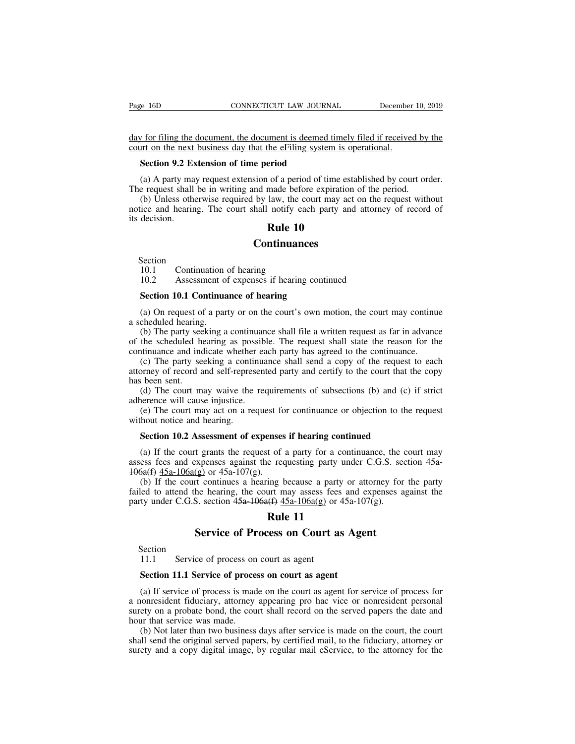Page 16D CONNECTICUT LAW JOURNAL December 10, 2019<br>day for filing the document, the document is deemed timely filed if received by the<br>court on the next business day that the eFiling system is operational. Page 16D CONNECTICUT LAW JOURNAL December<br>day for filing the document, the document is deemed timely filed if received<br>court on the next business day that the eFiling system is operational.<br>Section 9.2 Extension of time pe **SECTICUT LAW JOURNAL CONNECTICUT LAW JOURNAL**<br> **Section 9.2 Extension of time period**<br> **Section 9.2 Extension of time period**<br> **Section 9.2 Extension of time period**<br> **Section 9.2 Extension of time period** (a) A party may (a) A party may request extension of a period imely filed if received by the vert on the next business day that the eFiling system is operational.<br>
Section 9.2 Extension of time period<br>
(a) A party may request extension of

day for filing the document, the document is deemed timely filed if received by<br>court on the next business day that the eFiling system is operational.<br>**Section 9.2 Extension of time period**<br>(a) A party may request extensio (b) Unless otherwise required by the unit on the next business day that the eFiling system is operational.<br>
Section 9.2 Extension of time period<br>
(a) A party may request extension of a period of time established by court **EXECT CONTE AND SECT CONTERN CONTEXT AND SECT ON SECT AND SECT ON A PARTY MAY request extension of a period of time established by court order.**<br>The request shall be in writing and made before expiration of the period.<br>( Section 9.2 Ex<br>
(a) A party ma<br>
The request shall<br>
(b) Unless oth<br>
notice and hearin<br>
its decision. the eFiling system is operiod<br>
of a period of time esta<br>
made before expiration<br>
law, the court may act<br>
notify each party and<br> **Rule 10**<br> **ntinuances** ice and hearing. The court shall notify ead<br>decision.<br>**Rule 10**<br>Continuance<br>Section 10.1 Continuation of hearing<br>10.2 Assessment of expenses if hearing<br>Section 10.1 Continuance of hearing 10.2 decision.<br>
10.1 Continuation of hearing<br>
10.2 Assessment of expenses if hearing continued<br>
10.1 Continuance of hearing<br>
10.1 Continuance of hearing

### **Continuances**

Section<br>10.1 Continuation of hearing

**Section**<br>
Section<br>
10.1 Continuation of hearing<br>
10.2 Assessment of expenses if hearing continuance<br> **Section 10.1 Continuance of hearing**<br>
(a) On request of a party or on the court's own method thereing (a) Ontinual Continual Continual Continual Continual Continuation of hearing<br>
10.2 Assessment of expenses if hearing continued<br> **Section 10.1 Continuance of hearing**<br>
(a) On request of a party or on the court's own motion,

Section<br>10.1 Continuation<br>10.2 Assessment of<br>**Section 10.1 Continua**<br>(a) On request of a par<br>a scheduled hearing.<br>(b) The party seeking a<br>of the scheduled hearing (b) The party seeking a continuance shall file a written request as far in advance<br>
(a) On request of a party or on the court's own motion, the court may continue<br>
cheduled hearing.<br>
(b) The party seeking a continuance sha **Solution 10.1 Continuance of hearing**<br> **Section 10.1 Continuance of hearing**<br>
(a) On request of a party or on the court's own motion, the court may continue<br>
a scheduled hearing.<br>
(b) The party seeking a continuance shall Section 10.1 Continuance of hearing<br>
(a) On request of a party or on the court's own motion, the court may continu<br>
a scheduled hearing.<br>
(b) The party seeking a continuance shall file a written request as far in advance<br>

Section 10.1 Continuance of hearing<br>
(a) On request of a party or on the court's own motion, the court may continue<br>
cheduled hearing.<br>
(b) The party seeking a continuance shall file a written request as far in advance<br>
th (a) On request of a party or on the court's own motion, the court may continue a scheduled hearing.<br>
(b) The party seeking a continuance shall file a written request as far in advance<br>
of the scheduled hearing as possible (a) On request on<br>a scheduled hearing<br>(b) The party see<br>of the scheduled he<br>continuance and inc<br>(c) The party se<br>attorney of record a<br>has been sent.<br>(d) The court m<br>adherence will caus (b) The party seeking a continuance shall file a written request as far in advance<br>the scheduled hearing as possible. The request shall state the reason for the<br>tinuance and indicate whether each party has agreed to the co (b) The party secking a continuant<br>of the scheduled hearing as possib<br>continuance and indicate whether ea<br>(c) The party seeking a continua<br>attorney of record and self-represent<br>has been sent.<br>(d) The court may waive the re the scheduled hearing as possible. The request shall state the reason for the trinuance and indicate whether each party has agreed to the continuance.<br>(c) The party seeking a continuance shall send a copy of the request to (c) The party seeking a continuated with the party seeking a continuation<br>attorney of record and self-repres<br>has been sent.<br>(d) The court may waive the<br>adherence will cause injustice.<br>(e) The court may act on a re<br>without been sent.<br>
Section 10.2 Assessment of subsections (b) and (c) is<br>
interested party and certify to the court that the<br>
(d) The court may waive the requirements of subsections (b) and (c) is<br>
interested will cause injustice

(d) The court may waive the requirements of subsections (b) and (c) if strict<br>nerence will cause injustice.<br>(e) The court may act on a request for continuance or objection to the request<br>hout notice and hearing.<br>**Section** as<br>define the request for continuance or objection to the request<br>without notice and hearing.<br>**Section 10.2 Assessment of expenses if hearing continued**<br>(a) If the court grants the request of a party for a continuance, th (e) The court may act on a request for<br>without notice and hearing.<br>Section 10.2 Assessment of expenses<br>(a) If the court grants the request of<br>assess fees and expenses against the red<br> $\frac{106a(f)}{15a-106a(g)}$  or  $\frac{45a-107(g$ **Section 10.2 Assessment of expenses if hearing continued**<br>(a) If the court grants the request of a party for a continuance, the court may ess fees and expenses against the requesting party under C.G.S. section 45a-<br>5a(f) enses if hearing continuated to the act a party for a continuate equesting party und<br>time because a party or until may assess fees an act and the set of the set of the set of the set of the set of the set of the set of the

**Section 10.2 Assessment of expenses if hearing continued**<br>
(a) If the court grants the request of a party for a continuance, the court may<br>
assess fees and expenses against the requesting party under C.G.S. section 45a-<br> **Section 10.2 Assessment of expenses if hearing continued**<br>
(a) If the court grants the request of a party for a continuance, the assess fees and expenses against the requesting party under C.G.S. section  $45a-107(g)$ .<br>
(b The grants the request of a party for a continuance, the compresses against the requesting party under C.G.S. sect (g) or 45a-107(g).<br>
The court may assess fees and expenses ages.<br>
Section 45<del>a-106a(f)</del> 45a-106a(g) or 45a failed to attend the hearing, the court may assess fees and expenses against the party under C.G.S. section  $45a-106a(f) 45a-106a(g)$  or  $45a-107(g)$ .<br> **Rule 11**<br> **Service of Process on Court as Agent**<br>
Section 11.1 Service

Section<br>11.1

**Service of Process on Court as Age**<br>Section<br>11.1 Service of process on court as agent<br>Section 11.1 Service of process on court as agent<br>(a) If service of process is made on the court as agent for se Section<br>
11.1 Service of process on court as agent<br> **Section 11.1 Service of process on court as agent**<br>
(a) If service of process is made on the court as agent for service of process for<br>
ionresident fiduciary, attorney a Section<br>
11.1 Service of process on court as agent<br> **Section 11.1 Service of process on court as agent**<br>
(a) If service of process is made on the court as agent for service of process for<br>
a nonresident fiduciary, attorney Section<br>
11.1 Service of process on court as agent<br> **Section 11.1 Service of process on court as agent**<br>
(a) If service of process is made on the court as agent for service of process for<br>
a nonresident fiduciary, attorney 11.1 Service of process on<br> **Section 11.1 Service of proce**<br>
(a) If service of process is made<br>
a nonresident fiduciary, attorney<br>
surety on a probate bond, the cou<br>
hour that service was made.<br>
(b) Not later than two busi Section 11.1 Service of process on court as agent<br>
(a) If service of process is made on the court as agent for service of process for<br>
nonresident fiduciary, attorney appearing pro hac vice or nonresident personal<br>
ety on Section 11.1 Service of process on court as agent<br>
(a) If service of process is made on the court as agent for service of process for<br>
a nonresident fiduciary, attorney appearing pro hac vice or nonresident personal<br>
suret (a) If service of process is made on the court as agent for service of process for a nonresident fiduciary, attorney appearing pro hac vice or nonresident personal surety on a probate bond, the court shall record on the se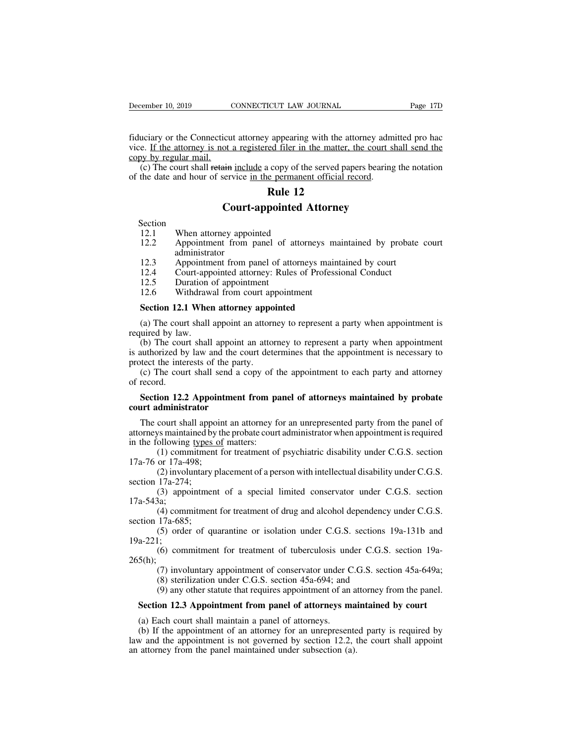December 10, 2019 CONNECTICUT LAW JOURNAL Page 17D<br>fiduciary or the Connecticut attorney appearing with the attorney admitted pro hac<br>vice. If the attorney is not a registered filer in the matter, the court shall send the<br> vice. If the attorney is not a registered filer in the attorney admitted pro had vice. If the attorney is not a registered filer in the matter, the court shall send the copy by regular mail.<br>(c) The court shall retain incl December 10, 2019<br>
fiduciary or the Connecticu<br>
vice. If the attorney is not<br>
copy by regular mail.<br>
(c) The court shall retain<br>
of the date and hour of ser (c) The court shall retain include a copy of the served papers bearing the notation<br>the date and hour of service in the served papers bearing the notation<br>the date and hour of service in the permanent official record.<br>**Pul** fiduciary or the Connecticut attorney appearing with the attorney adm<br>vice. If the attorney is not a registered filer in the matter, the court sl<br>copy by regular mail.<br>(c) The court shall retain include a copy of the serve **Rule 12**<br> **Rule 12**<br> **Rule 12**<br> **Rule 12**<br> **Rule 12**<br> **Rule 12** icut attorney appearing with the attorney admit<br>
ot a registered filer in the matter, the court share<br>
in include a copy of the served papers bearing the<br>
service in the permanent official record.<br> **Rule 12**<br> **Court-appoin** 

Section<br>12.1 When attorney appointed

- (c) The court shall retain include a copy of the<br>the date and hour of service in the permanent<br>**Rule 12**<br>**Court-appointed A**<br>Section<br>12.1 When attorney appointed<br>12.2 Appointment from panel of attorne<br>administrator **12.2 Court-appointed Attorney**<br>**12.1 When attorney appointed Attorney**<br>**12.1 When attorney appointed**<br>**12.2 Appointment from panel of attorneys maintained by probate court administrator**<br>**12.3 Appointment from p** administrator<br>Appointment from panel of attorneys maintained by court **12.3**<br> **12.3** Appointment from panel of attorneys maintained by probate<br>
12.3 Appointment from panel of attorneys maintained by court<br>
12.3 Appointment from panel of attorneys maintained by court<br>
12.4 Court-appointed att **Court-appointed Attorney**<br>
12.1 When attorney appointed<br>
12.2 Appointment from panel of attorneys maintained by probate<br>
12.3 Appointment from panel of attorneys maintained by court<br>
12.4 Court-appointed attorney: Rules o Section<br>
12.1 When attorney appointed<br>
12.2 Appointment from panel of a<br>
administrator<br>
12.3 Appointment from panel of att<br>
12.4 Court-appointed attorney: Rule<br>
12.5 Duration of appointment<br>
12.6 Withdrawal from court appo 12.1 When attorney appointed<br>
12.2 Appointment from panel of attorneys m<br>
administrator<br>
12.3 Appointment from panel of attorneys mail<br>
12.4 Court-appointed attorney: Rules of Profess<br>
12.5 Duration of appointment<br>
12.6 Wi 12.2 Appointment from panel of attorneys mail<br>
administrator<br>
12.3 Appointment from panel of attorneys maint.<br>
12.4 Court-appointed attorney: Rules of Professia<br>
12.5 Duration of appointment<br>
12.6 Withdrawal from court app
- 
- 
- 
- 

(a) The court-appointment from panel of attorneys maintained by court<br>
12.4 Court-appointed attorney: Rules of Professional Conduct<br>
12.5 Duration of appointment<br>
12.6 Withdrawal from court appointment<br> **Section 12.1 When** 

12.4 Court-app<br>12.5 Duration<br>12.6 Withdraw<br>**Section 12.1 When**<br>(a) The court shall<br>required by law.<br>(b) The court shall<br>is authorized by law a 12.5 Duration of appointment<br>
12.5 Duration of appointment<br> **Section 12.1 When attorney appointed**<br>
(a) The court shall appoint an attorney to represent a party when appointment is<br>
uired by law.<br>
(b) The court shall appoi Example 12.6 Withdrawal from court appointment<br> **Section 12.1 When attorney appointed**<br>
(a) The court shall appoint an attorney to represent a party when appointment is<br>
required by law.<br>
(b) The court shall appoint an att 12.6 Withdrawal from court appointment<br> **Section 12.1 When attorney appointed**<br>
(a) The court shall appoint an attorney to represent a party when appointment is<br>
required by law.<br>
(b) The court shall appoint an attorney to Section 12.1 When attorney appointed<br>
(a) The court shall appoint an attorney to represent a party when appointment is<br>
uired by law.<br>
(b) The court shall appoint an attorney to represent a party when appointment<br>
uuthoriz (a) The courrequired by law<br>
(b) The cours<br>
is authorized by<br>
protect the inte<br>
(c) The cour<br>
of record.<br> **Section 12.2** wired by law.<br>
(b) The court shall appoint an attorney to represent a party when appointment<br>
authorized by law and the court determines that the appointment is necessary to<br>
tect the interests of the party.<br>
(c) The court (b) The court shall appoint<br>is authorized by law and the correct the interests of the part<br>(c) The court shall send a c<br>of record.<br>**Section 12.2 Appointment**<br>**court administrator**<br>The court shall appoint an a

The court shall send a copy of the appointment to each party and attorney<br>(c) The court shall send a copy of the appointment to each party and attorney<br>record.<br>**Section 12.2 Appointment from panel of attorneys maintained b** (c) The court shall send a copy of the appointment to each party and attorney<br>of record.<br>**Section 12.2 Appointment from panel of attorneys maintained by probate**<br>**court administrator**<br>The court shall appoint an attorney f of record.<br> **Section 12.2 Appointment from particle of record.**<br> **Section 12.2 Appointment from particle court administrator**<br>
The court shall appoint an attorney for attorneys maintained by the probate court<br>
in the foll (1) commitment from panel of attorneys maintained by probate<br>dministrator<br>court shall appoint an attorney for an unrepresented party from the panel of<br>ys maintained by the probate court administrator when appointment is re **Section 12.2 Appoint**<br> **court administrator**<br>
The court shall appoin<br>
attorneys maintained by the<br>
in the following types of<br>
(1) commitment for<br>
17a-76 or 17a-498;<br>
(2) involuntary pla<br>
section 17a-274; dministrator<br>
court shall appoint an attorney for an unrepresented party from the panel of<br>
ys maintained by the probate court administrator when appointment is required<br>
ollowing <u>types of</u> matters:<br>
(1) commitment for tr The court shall appo<br>attorneys maintained by<br>in the following types<br>(1) commitmen<br>17a-76 or 17a-498;<br>(2) involuntary<br>section 17a-274;<br>(3) appointmer<br>17a-543a; Example 1 and alternative and alternative when appointment is required<br>ollowing types of matters:<br>(1) commitment for treatment of psychiatric disability under C.G.S. section<br>or 17a-498;<br>(2) involuntary placement of a perso

(1) commitment for treatment of psychiatric disability under C.G.S. section<br>or 17a-498;<br>(2) involuntary placement of a person with intellectual disability under C.G.S.<br>17a-274;<br>(3) appointment of a special limited conserv

17a-543a;<br>(4) commitment for treatment of drug and alcohol dependency under C.G.S. (2) involuntary placement of a person with intellectual disability under C.G.S.<br>
17a-274;<br>
(3) appointment of a special limited conservator under C.G.S. section<br>
3a;<br>
(4) commitment for treatment of drug and alcohol depend

17a-76 or 17a-498;<br>
(2) involuntary<br>
section 17a-274;<br>
(3) appointmen<br>
17a-543a;<br>
(4) commitmen<br>
section 17a-685;<br>
(5) order of qu<br>
19a-221;

19a-221; 34,<br>
(4) commitment for treatment of drug and alcohol dependency under C.G.S.<br>
17a-685;<br>
(5) order of quarantine or isolation under C.G.S. sections 19a-131b and<br>
1;<br>
(6) commitment for treatment of tuberculosis under C.G.S (4) commitment for treatment of dug and acconomic dependency<br>17a-685;<br>(5) order of quarantine or isolation under C.G.S. sections 1<br>(6) commitment for treatment of tuberculosis under C.G.S.<br>(7) involuntary appointment of c (5) order of quarantine or isolation under C.G.S. sections 19a-131b and  $(5)$  order of quarantine or isolation under C.G.S. section 19a-<br>(6) commitment for treatment of tuberculosis under C.G.S. section 19a-<br>(7) involunta

section 17a-274;<br>
(3) appointment of a special limited conservator under C.G.S. section<br>
17a-543a;<br>
(4) commitment for treatment of drug and alcohol dependency under C.G.S.<br>
section 17a-685;<br>
(5) order of quarantine or iso  $265(h)$ ; a-221;<br>
(6) commitment for treatment of tuberculosis under C.G.S. section 19a-<br>
5(h);<br>
(7) involuntary appointment of conservator under C.G.S. section 45a-649a;<br>
(8) sterilization under C.G.S. section 45a-694; and<br>
(9) any

5(h);<br>
(7) involuntary appointment of conservator under (8) sterilization under C.G.S. section 45a-694; and (9) any other statute that requires appointment of an **Section 12.3 Appointment from panel of attorneys m** (a) Ea (7) involuntary appointment of conservator under C.G.S. section 45a-649a;<br>
(8) sterilization under C.G.S. section 45a-694; and<br>
(9) any other statute that requires appointment of an attorney from the panel.<br> **Section 12.3** (8) sterilization under C.G.S. section 45a-694; and<br>
(9) any other statute that requires appointment of an attorney from the panel.<br> **Section 12.3 Appointment from panel of attorneys maintained by court**<br>
(a) Each court s (9) any other statute that requires appointment of an a<br>**Section 12.3 Appointment from panel of attorneys ma**<br>(a) Each court shall maintain a panel of attorneys.<br>(b) If the appointment of an attorney for an unrepresente<br>l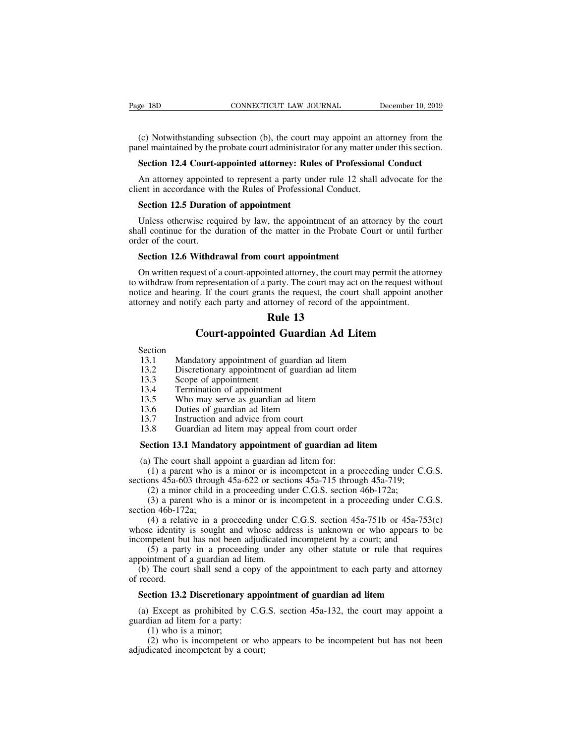EXECTIVE SUBLEMAL EXECTION CONNECTICUT LAW JOURNAL December 10, 2019<br>
(c) Notwithstanding subsection (b), the court may appoint an attorney from the<br>
enel maintained by the probate court administrator for any matter under Page 18D CONNECTICUT LAW JOURNAL December 10, 2019<br>
(c) Notwithstanding subsection (b), the court may appoint an attorney from the<br>
panel maintained by the probate court administrator for any matter under this section.<br> **S** EXECTIVE TREET SECTION COURNAL TREAD TO SEVERITE 19. 2019<br>
Section 12.4 Court-appointed attorney: Rules of Professional Conduct<br>
An attorney appointed to represent a party under rule 12 shall advocate for the<br>
An attorney (c) Notwithstanding subsection (b), the court may appoint an attorney from the<br>nel maintained by the probate court administrator for any matter under this section.<br>**Section 12.4 Court-appointed attorney: Rules of Professio** (c) Notwithstanding subsection (b), the court may appoint an at panel maintained by the probate court administrator for any matter un<br>**Section 12.4 Court-appointed attorney: Rules of Professiona**<br>An attorney appointed to r

(c) Notwithstanding subsection (b), the court m<br>nel maintained by the probate court administrator<br>**Section 12.4 Court-appointed attorney: Rule**<br>An attorney appointed to represent a party und<br>ent in accordance with the Rule

Section 12.4 Court-appointed attorney: Rules of Professional Conduct<br>An attorney appointed to represent a party under rule 12 shall advocate for the<br>ent in accordance with the Rules of Professional Conduct.<br>Section 12.5 Du Section 12.4 Court-appointed attorney: Rules of Professional Conduct<br>An attorney appointed to represent a party under rule 12 shall advocate for the<br>client in accordance with the Rules of Professional Conduct.<br>Section 12.5 An attorney appointe<br>client in accordance wit<br>Section 12.5 Duratio<br>Unless otherwise requested<br>shall continue for the dorder of the court.<br>Section 12.6 Withdr ent in accordance with the Rules of Professional Conduct.<br> **Section 12.5 Duration of appointment**<br>
Unless otherwise required by law, the appointment of an at<br>
all continue for the duration of the matter in the Probate C<br>
d

Section 12.5 Duration of appointment<br>Unless otherwise required by law, the appointment of an attorney by the court<br>all continue for the duration of the matter in the Probate Court or until further<br>der of the court.<br>Section Unless otherwise required by law, the appointment of an attorney by the court<br>shall continue for the duration of the matter in the Probate Court or until further<br>order of the court.<br>**Section 12.6 Withdrawal from court appo** Shall continue for the duration of the matter in the Probate Court or until further order of the court.<br> **Section 12.6 Withdrawal from court appointment**<br>
On written request of a court-appointed attorney, the court may per order of the court.<br> **Section 12.6 Withdrawal from court appointment**<br>
On written request of a court-appointed attorney, the court may permit the attorney<br>
to withdraw from representation of a party. The court may act on t **Example 13**<br> **Rule 13**<br> **Rule 13**<br> **Rule 13**<br> **Rule 13**<br> **Rule 13**<br> **Rule 13** Withdrawal from court appointment<br>the state of a court-appointed attorney, the court may permit the attorney<br>representation of a party. The court may act on the request without<br>g. If the court grants the request, the court 13.1 Mandatory appointment of guardian ad litem<br>
13.2 Discretionary appointment<br>
13.2 Discretionary appointment of guardian ad litem<br>
13.3 Scope of appointment<br>
13.3 Scope of appointment

# They and notify each party and attorney of record of the appointment.<br> **Rule 13**<br> **Court-appointed Guardian Ad Litem**<br>
Section<br>
13.1 Mandatory appointment of guardian ad litem<br>
13.2 Discretionary appointment of guardian ad

Section<br>13.1 Mandatory appointment of guardian ad litem

**Court-appointed Guardian Ad Litem**<br>
Section<br>
13.1 Mandatory appointment of guardian ad litem<br>
13.2 Discretionary appointment of guardian ad litem<br>
13.3 Scope of appointment<br>
13.4 Termination of appointment<br>
13.5 Who may s

**13.3**<br>Court-appointed C<br>13.1 Mandatory appointment of g<br>13.2 Discretionary appointment c<br>13.3 Scope of appointment<br>13.4 Termination of appointment<br>13.5 Who may serve as guardian

**Court-appointed Guar**<br>Section<br>13.1 Mandatory appointment of guardia<br>13.2 Discretionary appointment of guar<br>13.3 Scope of appointment<br>13.5 Who may serve as guardian ad lite<br>13.6 Duties of guardian ad litem

Section<br>
13.1 Mandatory appointment of guardian ad litem<br>
13.2 Discretionary appointment of guardian ad lite<br>
13.3 Scope of appointment<br>
13.4 Termination of appointment<br>
13.5 Who may serve as guardian ad litem<br>
13.6 Duties 13.1 Mandatory appointment of guardian ad<br>
13.2 Discretionary appointment of guardian a<br>
13.3 Scope of appointment<br>
13.4 Termination of appointment<br>
13.5 Who may serve as guardian ad litem<br>
13.6 Duties of guardian ad litem

## 13.1 Manuatoly appointment of guardian ad litem<br>
13.2 Discretionary appointment of guardian ad litem<br>
13.3 Scope of appointment<br>
13.5 Who may serve as guardian ad litem<br>
13.6 Duties of guardian ad litem<br>
13.7 Instruction a 13.3 Scope of appointment<br>
13.4 Termination of appointment<br>
13.5 Who may serve as guardian ad litem<br>
13.6 Duties of guardian ad litem<br>
13.7 Instruction and advice from court<br>
13.8 Guardian ad litem may appeal from court or

13.5 Who may serve as guardian ad litem<br>13.6 Duties of guardian ad litem<br>13.7 Instruction and advice from court<br>13.8 Guardian ad litem may appeal from court order<br>**Section 13.1 Mandatory appointment of guardian ad l**<br>(a) T (1) a parent who is a minor or is incompetent in a proceeding under C.G.S. 13.7 Instruction and advice from court<br>
13.8 Guardian ad litem may appeal from court order<br> **Section 13.1 Mandatory appointment of guardian ad litem**<br>
(a) The court shall appoint a guardian ad litem for:<br>
(1) a parent who

(3) 8.8 Guardian ad litem may appeal from court order<br> **ection 13.1 Mandatory appointment of guardian ad litem**<br>
(1) a parent who is a minor or is incompetent in a proceeding under C<br>
(1) a parent who is a minor or is inc (4) a parent who is a minor or is incompetent in a proceeding under C.G.S.<br>
(1) a parent who is a minor or is incompetent in a proceeding under C.G.S.<br>
ons 45a-603 through 45a-622 or sections 45a-715 through 45a-719;<br>
(2)

**Section 13.1 Manda**<br>(a) The court shall ap<br>(1) a parent who is<br>sections  $45a-603$  throug<br>(2) a minor child in<br>(3) a parent who is<br>section  $46b-172a$ ;<br>(4) a relative in a<br>whose identity is sougle (1) a parent who is a minor or is incompetent in a proceeding under C.G.S.<br>
(1) a parent who is a minor or is incompetent in a proceeding under C.G.S.<br>
ons 45a-603 through 45a-622 or sections 45a-715 through 45a-719;<br>
(2) (a) The court shart appoint a guardiant ad nictin for.<br>
(1) a parent who is a minor or is incompetent in a proceeding under C.G.S.<br>
sections 45a-603 through 45a-622 or sections 45a-715 through 45a-719;<br>
(2) a minor child (1) a parent who is a minor of is incompetent in a proceeding under C.O.s.<br>sections 45a-603 through 45a-622 or sections 45a-715 through 45a-719;<br>(2) a minor child in a proceeding under C.G.S. section 46b-172a;<br>(3) a paren (2) a minor child in a proceeding under C.G.S. section 46b-172a;<br>
(3) a parent who is a minor or is incompetent in a proceeding under C.G.S.<br>
(3) a parent who is a minor or is incompetent in a proceeding under C.G.S.<br>
(4) (2) a filmor clind in a proceeding unity (3) a parent who is a minor or is in section 46b-172a;<br>(4) a relative in a proceeding under whose identity is sought and whose add<br>incompetent but has not been adjudicated<br>(5) a pa (b) a parent who is a minor of is incompetent in a proceeding under C.O.S.<br>
(d) a relative in a proceeding under C.G.S. section 45a-751b or 45a-753(c)<br>
nose identity is sought and whose address is unknown or who appears t (4) a relat<br>
(4) a relat<br>
whose identity<br>
incompetent bu<br>
(5) a part<br>
appointment of<br>
(b) The cour<br>
of record.<br> **Section 13.2** France identity is sought and whose address is unknown or who appears to be competent but has not been adjudicated incompetent by a court; and (5) a party in a proceeding under any other statute or rule that requires point

appointment of a guardian ad litem.<br>
(b) The court shall send a copy<br>
of record.<br> **Section 13.2 Discretionary appointing**<br>
(a) Except as prohibited by C.G<br>
guardian ad litem for a party:<br>
(1) who is a minor;<br>
(2) who is in (1) The court shall send a coord.<br> **ction 13.2 Discretionary**<br>
Except as prohibited by<br>
lian ad litem for a party:<br>
(1) who is a minor;<br>
(2) who is incompetent of<br>
licated incompetent by a c

(5) a party in a proceeding under any other statute or rule that requires<br>pointment of a guardian ad litem.<br>(b) The court shall send a copy of the appointment to each party and attorney<br>record.<br>**Section 13.2 Discretionary** (2) cord.<br>
(2) cord.<br>
(2) who is incompetent or who appears to be incompetent but has not been<br>
(2) who is incompetent or who appears to be incompetent but has not been<br>
(2) who is incompetent or who appears to be incompe **Section 13.2 Discretionary appo**<br>(a) Except as prohibited by C.G guardian ad litem for a party:<br>(1) who is a minor;<br>(2) who is incompetent or who adjudicated incompetent by a court;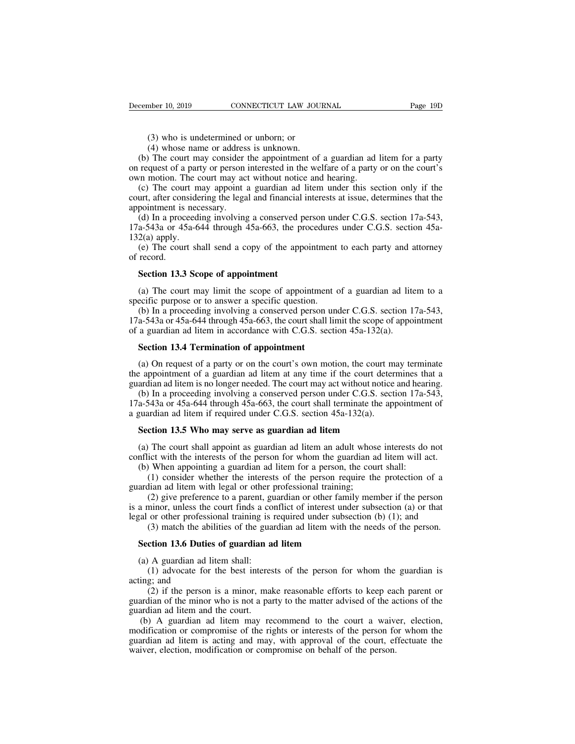mber 10, 2019 CONNECTICUT LAW JOUT<br>(3) who is undetermined or unborn; or<br>(4) whose name or address is unknown.<br>The court may consider the appointment of (4) who is undetermined or unborn; or<br>(4) whose name or address is unknown.<br>(4) whose name or address is unknown.<br>(4) The court may consider the appointment of quest of a party or person interested in the we (3) who is undetermined or unborn; or<br>
(4) whose name or address is unknown.<br>
(b) The court may consider the appointment of a guardian ad litem for a party<br>
request of a party or person interested in the welfare of a party On request of a party or person interested in the welfare of a party or person interested in the welfare of a party or person interested in the welfare of a party or on the court's own motion. The court may act without not (3) who is undetermined or unborn; or<br>
(4) whose name or address is unknown.<br>
(b) The court may consider the appointment of a guardian ad<br>
on request of a party or person interested in the welfare of a party<br>
own motion. T

(3) who is undetermined or unborn; or<br>
(4) whose name or address is unknown.<br>
(b) The court may consider the appointment of a guardian ad litem for a party<br>
request of a party or person interested in the welfare of a part (3) who is undetermined or unborn; or<br>
(4) whose name or address is unknown.<br>
(b) The court may consider the appointment of a guardian ad litem for a party<br>
on request of a party or person interested in the welfare of a p (4) whose name or addres<br>
(4) whose name or addres<br>
(b) The court may consider<br>
on request of a party or person<br>
own motion. The court may ac<br>
(c) The court may appoint<br>
:<br>
court, after considering the lega<br>
appointment i

(b) The court may consider the appointment of a guardian ad litem for a party request of a party or person interested in the welfare of a party or on the court's ran motion. The court may act without notice and hearing.<br>( (b) The court hay consider the appointment of a guardian ad fitem for a party<br>on request of a party or person interested in the welfare of a party or on the court's<br>own motion. The court may act without notice and hearing om reduces of a part<br>
own motion. The c<br>
(c) The court m<br>
court, after conside<br>
appointment is nece<br>
(d) In a proceed<br>
17a-543a or 45a-6<br>
132(a) apply.<br>
(e) The court sh<br>
of record. (c) The court may appoint a guardian ad litem under this section only if the urt, after considering the legal and financial interests at issue, determines that the pointment is necessary.<br>
(d) In a proceeding involving a (c) The court, after com-<br>appointment is<br>(d) In a proce<br>17a-543a or 45<br>132(a) apply.<br>(e) The cour<br>of record.<br>**Section 13.3** pointment is necessary.<br>
(d) In a proceeding involving a conserved p<br>
a-543a or 45a-644 through 45a-663, the pro<br>
2(a) apply.<br>
(e) The court shall send a copy of the appoint<br> **Section 13.3 Scope of appointment**<br>
(a) The co (a) apply.<br>
a-543a or 45a-644 through 45a-663, the procedures under C.G.S. section 45a-2(a) apply.<br>
(e) The court shall send a copy of the appointment to each party and attorney<br>
record.<br> **Section 13.3 Scope of appointmen** 

132(a) apply.<br>
(e) The court shall send a copy of the appointment<br>
of record.<br> **Section 13.3 Scope of appointment**<br>
(a) The court may limit the scope of appointment of<br>
specific purpose or to answer a specific question.<br> (e) The court shall send a copy of the appointment to each party and attorney<br>record.<br>**Section 13.3 Scope of appointment**<br>(a) The court may limit the scope of appointment of a guardian ad litem to a<br>ecific purpose or to a **Section 13.3 Scope of appointment**<br>
(a) The court may limit the scope of appointment of a guardian ad litem to a<br>
specific purpose or to answer a specific question.<br>
(b) In a proceeding involving a conserved person under Section 13.3 Scope of appointment<br>
(a) The court may limit the scope of appointment of a guardian ad lite<br>
specific purpose or to answer a specific question.<br>
(b) In a proceeding involving a conserved person under C.G.S. s (a) The court may limit the scope of appointment<br>ecific purpose or to answer a specific question.<br>(b) In a proceeding involving a conserved person u<br>a-543a or 45a-644 through 45a-663, the court shall li<br>a guardian ad lite ecific purpose or to answer a specific question.<br>
(b) In a proceeding involving a conserved person under C.G.S. section 17a-543,<br>
a-543a or 45a-644 through 45a-663, the court shall limit the scope of appointment<br>
a guardia (b) In a proceeding involving a conserved person under C.G.S. section 17a-543,<br>17a-543a or 45a-644 through 45a-663, the court shall limit the scope of appointment<br>of a guardian ad litem in accordance with C.G.S. section 4

17a-543a or 45a-644 through 45a-663, the court shall limit the scope of appointment<br>of a guardian ad litem in accordance with C.G.S. section 45a-132(a).<br>**Section 13.4 Termination of appointment**<br>(a) On request of a party a guardian ad litem in accordance with C.G.S. section  $45a-132(a)$ .<br> **Section 13.4 Termination of appointment**<br>
(a) On request of a party or on the court's own motion, the court may terminate<br>
a propointment of a guardian **Section 13.4 Termination of appointment**<br>
(a) On request of a party or on the court's own motion, the court may terminate<br>
the appointment of a guardian ad litem at any time if the court determines that a<br>
guardian ad li **Section 13.4 Termination of appointment**<br>(a) On request of a party or on the court's own motion, the court m<br>the appointment of a guardian ad litem at any time if the court deter<br>guardian ad litem is no longer needed. Th (a) On request of a party or on the court's own motion, the court may the appointment of a guardian ad litem at any time if the court determin ardian ad litem is no longer needed. The court may act without notice and (b) I

ardian ad litem is no longer needed. The court may act without notice and hearing.<br>
(b) In a proceeding involving a conserved person under C.G.S. section 17a-543,<br>
a-543a or 45a-644 through 45a-663, the court shall termina (b) In a proceeding involving a conserved person under C.G.S. section 17a-543, 17a-543a or 45a-644 through 45a-663, the court shall terminate the appointment of a guardian ad litem if required under C.G.S. section 45a-132

a-543a or 45a-644 through 45a-663, the court shall terminate the appointmen<br>guardian ad litem if required under C.G.S. section 45a-132(a).<br>**Section 13.5 Who may serve as guardian ad litem**<br>(a) The court shall appoint as gu interiand and litem if required under C.G.S. section 45a-132(a).<br> **ction 13.5 Who may serve as guardian ad litem**<br>
The court shall appoint as guardian ad litem an adult whose interests do not<br>
ict with the interests of the **Section 13.5 Who may serve as guardian ad litem**<br>(a) The court shall appoint as guardian ad litem an adult whos<br>conflict with the interests of the person for whom the guardian a<br>(b) When appointing a guardian ad litem for

(2) give preference to a parent, guardian and litem an adult whose interests do not ict with the interests of the person for whom the guardian ad litem will act. When appointing a guardian ad litem for a person, the court (a) The court shall appoint as guardian ad litem an adult whose interests do not conflict with the interests of the person for whom the guardian ad litem will act.<br>
(b) When appointing a guardian ad litem for a person, th (a) The coart shall appoint as guardian ad litem an adatit whose increases do not conflict with the interests of the person for whom the guardian ad litem will act.<br>
(b) When appointing a guardian ad litem for a person, t (1) onsider whether the interests of the person for whom the guardian ad litem with the.<br>
(1) consider whether the interests of the person, the court shall:<br>
(1) consider whether the interests of the person require the pro (1) consider whether the interests of the person require t<br>ardian ad litem with legal or other professional training;<br>(2) give preference to a parent, guardian or other family me<br>a minor, unless the court finds a conflict (2) give preference to a parent, guardinor, unless the court finds a correlation of the professional training is i<br>(3) match the abilities of the guardian ad **Section 13.6 Duties of guardian ad**<br>(a) A guardian ad litem sh minor, unless the court finds a conflict of interest under subsection (a) or that<br>or other professional training is required under subsection (b) (1); and<br>(3) match the abilities of the guardian ad litem with the needs of

legal or other professi<br>
(3) match the abi<br> **Section 13.6 Duties**<br>
(a) A guardian ad li<br>
(1) advocate for<br>
acting; and<br>
(2) if the person<br>
guardian of the minor (3) match the abilities of the guardian ad litem with the needs of the person.<br> **ction 13.6 Duties of guardian ad litem**<br>
(A guardian ad litem shall:<br>
(1) advocate for the best interests of the person for whom the guardia Section 13.6 Duties of guardian ad litem<br>
(a) A guardian ad litem shall:<br>
(1) advocate for the best interests of the person for whom the guardian is<br>
acting; and<br>
(2) if the person is a minor, make reasonable efforts to ke **Section 13.6 Duties of guardian a**<br>(a) A guardian ad litem shall:<br>(1) advocate for the best interes<br>acting; and<br>(2) if the person is a minor, mal<br>guardian of the minor who is not a pa<br>guardian ad litem and the court.<br>(b)

(a) A guardian ad litem shall:<br>
(1) advocate for the best interests of the person for whom the guardian is<br>
ing; and<br>
(2) if the person is a minor, make reasonable efforts to keep each parent or<br>
ardian of the minor who is (1) advocate for the best interests of the person for whom the guardian is acting; and (2) if the person is a minor, make reasonable efforts to keep each parent or guardian of the minor who is not a party to the matter ad (1) divided for the best interests of the person for whom the guardian is<br>acting; and<br>(2) if the person is a minor, make reasonable efforts to keep each parent or<br>guardian of the minor who is not a party to the matter advi acting; and (2) if the person is a minor, make reasonable efforts to keep each parent or guardian of the minor who is not a party to the matter advised of the actions of the guardian ad litem and the court. (b) A guardian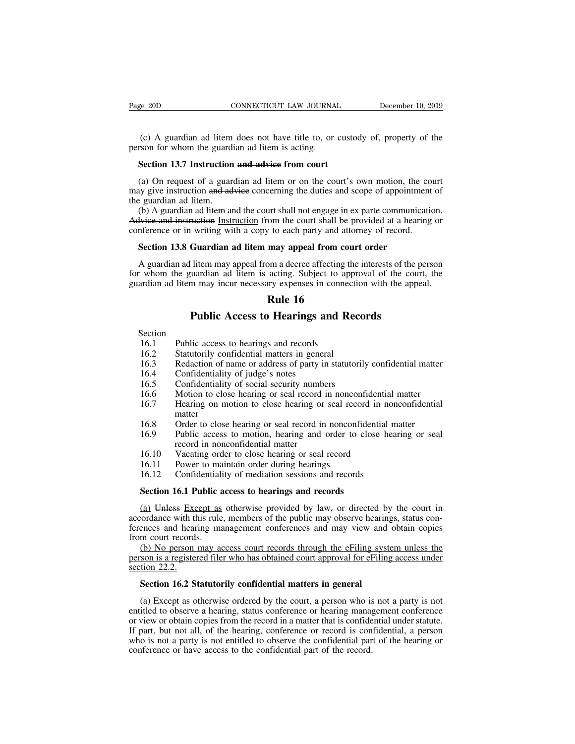(c) A guardian ad litem does not have title to, or custody of, property of the son for whom the guardian ad litem is acting. Page 20D **CONNECTICUT LAW JOURNA**<br>
(c) A guardian ad litem does not have title to, or<br>
person for whom the guardian ad litem is acting.<br> **Section 13.7 Instruction and advice from court** EXECTI CONNECTICUT LAW JOURNAL<br>
(c) A guardian ad litem does not have title to, or custors<br>
from for whom the guardian ad litem is acting.<br> **Section 13.7 Instruction and advice from court**<br>
(a) On request of a guardian ad

(c) A guardian ad litem does not have title to, or custody of, property of the rson for whom the guardian ad litem is acting.<br>Section 13.7 Instruction and advice from court<br>(a) On request of a guardian ad litem or on the (c) A guardian ad litem does not have title to, or custody of, property of the person for whom the guardian ad litem is acting.<br> **Section 13.7 Instruction and advice from court**<br>
(a) On request of a guardian ad litem or o (c) A guardian ad litem<br>person for whom the guard<br>**Section 13.7 Instruction**<br>(a) On request of a guar<br>may give instruction and ad<br>the guardian ad litem.<br>(b) A guardian ad litem and<br>Advice and instruction Instruction Section 13.7 Instruction and advice from court<br>
(a) On request of a guardian ad litem or on the court's own motion, the court<br>
(a) On request of a guardian ad litem or on the court's own motion, the court<br>
by give instruct Section 13.7 Instruction and advice from court<br>
(a) On request of a guardian ad litem or on the court's own motion, the court<br>
may give instruction and advice concerning the duties and scope of appointment of<br>
the guardian Section 13.7 Instruction and adview from court<br>
(a) On request of a guardian ad litem or on the court's own motion, the com<br>
may give instruction and adview concerning the duties and scope of appointment<br>
the guardian ad l

(a) On request of a guardian ad litem or on the court's own motion, the only give instruction and advice concerning the duties and scope of appointme e guardian ad litem.<br>
(b) A guardian ad litem and the court shall not en

Exercise and litem.<br>
(b) A guardian ad litem and the court shall not engage in ex parte communication.<br>
Hyiee and instruction Instruction from the court shall be provided at a hearing or<br>
inference or in writing with a cop (b) A guardian ad litem and the court shall not engage in ex parte communication.<br>
Advice and instruction Instruction from the court shall be provided at a hearing or<br>
conference or in writing with a copy to each party an Advice and instruction Instruction from the court shall be provided at a hearing or conference or in writing with a copy to each party and attorney of record.<br> **Section 13.8 Guardian ad litem may appeal from court order**<br> From the court shall be p<br>is to each party and atto<br>may appeal from cours<br>om a decree affecting the acting. Subject to app<br>ary expenses in connect<br>**Rule 16**<br>**Rule 16 Public Access to Hearings and Records**<br>
Fundamental and litem may appeal from court order<br>
puardian ad litem is acting. Subject to approval of the count<br>
m may incur necessary expenses in connection with the appe<br> **Rule 1** Figure 16.1 Public Access to Hearings and Records and Records and Records 16.1 Public access to hearings and records 16.2 Statutorily confidential matters in general 16.3 Redaction of name or address of party in statute

### **Section**

- 
- 
- **16.2 Rule 16.3**<br>**Rule 16**<br>**Public Access to Hearings and Reservice**<br>16.1 Public access to hearings and records<br>16.2 Statutorily confidential matters in general<br>16.3 Redaction of name or address of party in statuto:<br>16.4 **16.3 Public Access to Hearings and Records**<br>
16.1 Public access to hearings and records<br>
16.2 Statutorily confidential matters in general<br>
16.3 Redaction of name or address of party in statutorily confidential matter<br>
1 **16.4** Public Access to Hearings an<br>
16.1 Public access to hearings and records<br>
16.2 Statutorily confidential matters in genera<br>
16.3 Redaction of name or address of party in<br>
16.4 Confidentiality of judge's notes<br>
16.5 C
- 
- 
- 
- **16.1** Public access to **hearings and Recon**<br>16.1 Public access to hearings and records<br>16.2 Statutorily confidential matters in general<br>16.3 Redaction of name or address of party in statutorily<br>16.4 Confidentiality of jud Section<br>
16.1 Public access to hearings and records<br>
16.2 Statutorily confidential matters in general<br>
16.3 Redaction of name or address of party in statutorily confidential matter<br>
16.4 Confidentiality of judge's notes<br>
1 16.1 Public access to hearings and records<br>
16.1 Statutorily confidential matters in general<br>
16.3 Redaction of name or address of party in statutorily confidential matter<br>
16.4 Confidentiality of judge's notes<br>
16.5 Confi matter<br>Order to close hearing or seal record in nonconfidential matter 16.3 Redaction of name or address of party in statutorily confidential matter<br>
16.4 Confidentiality of judge's notes<br>
16.5 Confidentiality of social security numbers<br>
16.6 Motion to close hearing or seal record in nonconfi 16.4 Confidentiality of judge's notes<br>
16.5 Confidentiality of judge's notes<br>
16.5 Confidentiality of social security numbers<br>
16.6 Motion to close hearing or seal record in nonconfidential matter<br>
16.8 Order to close hear Confidentiality of judge's notes<br>
Confidentiality of social security numbers<br>
Motion to close hearing or seal record in nonconfidential matter<br>
Hearing on motion to close hearing or seal record in nonconfidential<br>
matter<br> 16.6 Motion to close hearing or seal record in nonconfidential<br>16.7 Hearing on motion to close hearing or seal record in nonconfidential<br>16.8 Order to close hearing or seal record in nonconfidential<br>16.9 Public access to m 16.7 Hearing on motion to close hearing or seal record in nonconfi<br>16.3 Order to close hearing or seal record in nonconfi<br>16.9 Public access to motion, hearing and order to c<br>16.10 Vacating order to close hearing or seal r
- 
- From Franchine of the sessentiality of sear record in nonconfidential m<br>16.8 Order to close hearing or seal record in nonconfidential m<br>16.9 Public access to motion, hearing and order to close hear<br>record in nonconfidentia 16.8 Order to close hearing or seal record in nonconfident<br>16.9 Public access to motion, hearing and order to close<br>record in nonconfidential matter<br>16.10 Vacating order to close hearing or seal record<br>16.11 Power to maint
- 
- 
- 

record in nonconfidential matter<br>
16.10 Vacating order to close hearing or seal record<br>
16.11 Power to maintain order during hearings<br>
16.12 Confidentiality of mediation sessions and records<br> **Section 16.1 Public access to** 16.10 Vacating order to close hearing or seal record<br>
16.11 Power to maintain order during hearings<br>
16.12 Confidentiality of mediation sessions and records<br> **Section 16.1 Public access to hearings and records**<br>
(a) Unles 16.11 Power to maintain order during hearings<br>16.12 Confidentiality of mediation sessions and records<br>**Section 16.1 Public access to hearings and records**<br>(a) Unless Except as otherwise provided by law<sub>7</sub> or directed by t 16.12 Confidentiali<br> **Section 16.1 Public a**<br>
(a) Unless Except as<br>
accordance with this rule<br>
ferences and hearing ma<br>
from court records.<br>
(b) No person may as<br>
person is a registered file Section 16.1 Public access to hearings and records<br>(a) Unless Except as otherwise provided by law<sub>7</sub> or directed by the court in<br>ordance with this rule, members of the public may observe hearings, status con-<br>ences and he **Section 16.1 Public access to hearings and records**<br>
(a) Unless Except as otherwise provided by law, or directed by the court in<br>
accordance with this rule, members of the public may observe hearings, status con-<br>
ferenc (a) Unless Exc<br>accordance with the<br>ferences and hear<br>from court records<br>(b) No person<br>person is a register<br>section 22.2.<br>**Section 16.2 St** accordance with this rule, members of the public may observe hearings, status con-<br>ferences and hearing management conferences and may view and obtain copies<br>from court records.<br>(b) No person may access court records throu

(b) No person may access court records through the eFiling system unless the<br>son is a registered filer who has obtained court approval for eFiling access under<br>tion 22.2.<br>**Section 16.2 Statutorily confidential matters in g** (b) No person may access court records through the eFiling system unless the<br>person is a registered filer who has obtained court approval for eFiling access under<br>section 22.2.<br>**Section 16.2 Statutorily confidential matter** person is a registered filer who has obtained court approval for eFiling access under<br>section 22.2.<br>**Section 16.2 Statutorily confidential matters in general**<br>(a) Except as otherwise ordered by the court, a person who is n Section 22.2.<br>
Section 16.2 Statutorily confidential matters in general<br>
(a) Except as otherwise ordered by the court, a person who is not a party is not<br>
entitled to observe a hearing, status conference or hearing managem Section 16.2 Statutorily confidential matters in general<br>
(a) Except as otherwise ordered by the court, a person who is not a party is not<br>
entitled to observe a hearing, status conference or hearing management conference<br> Section 16.2 Statutorily confidential matters in general<br>(a) Except as otherwise ordered by the court, a person who is<br>entitled to observe a hearing, status conference or hearing manag<br>or view or obtain copies from the rec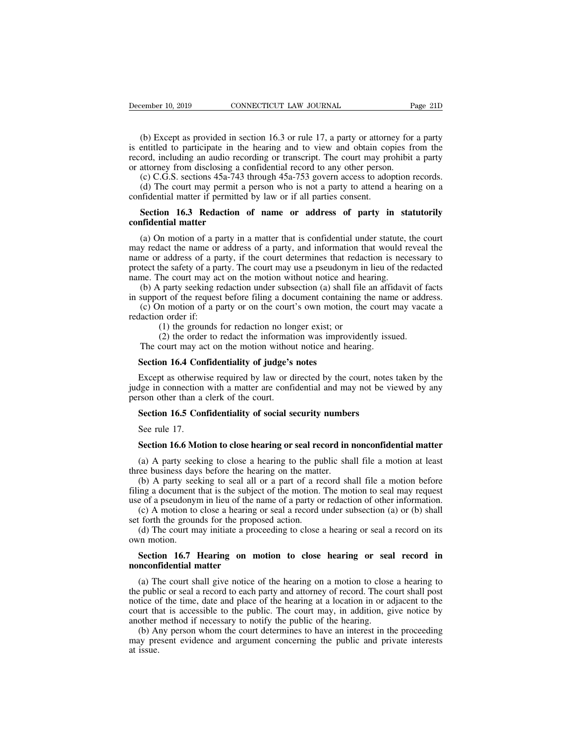(b) Except as provided in section 16.3 or rule 17, a party or attorney for a party<br>
(b) Except as provided in section 16.3 or rule 17, a party or attorney for a party<br>
entitled to participate in the hearing and to view and December 10, 2019 CONNECTICUT LAW JOURNAL Page 21D<br>
(b) Except as provided in section 16.3 or rule 17, a party or attorney for a party<br>
is entitled to participate in the hearing and to view and obtain copies from the<br>
reco December 10, 2019 CONNECTICUT LAW JOURNAL Page 21D<br>
(b) Except as provided in section 16.3 or rule 17, a party or attorney for a party<br>
is entitled to participate in the hearing and to view and obtain copies from the<br>
reco December 10, 2019 CONNECTICUT LAW JOURNAL P<br>
(b) Except as provided in section 16.3 or rule 17, a party or attorney for<br>
is entitled to participate in the hearing and to view and obtain copies fr<br>
record, including an audi (b) Except as provided in section 16.3 or rule 17, a party or attorney for a party entitled to participate in the hearing and to view and obtain copies from the ord, including an audio recording or transcript. The court ma (b) Except as provided in section 16.3 or rule 17, a party or attorney for a party entitled to participate in the hearing and to view and obtain copies from the ord, including an audio recording or transcript. The court m (b) Except as provided in section 16.3 or rule 17, a party or attorn<br>is entitled to participate in the hearing and to view and obtain cor<br>record, including an audio recording or transcript. The court may pro<br>or attorney fr entitled to participate in the hearing and to view and obtain copies from the ord, including an audio recording or transcript. The court may prohibit a party attorney from disclosing a confidential record to any other pers

record, including an audio record, including an audio record attacked to C.C.G.S. sections 45a-743<br>
(c) C.G.S. sections 45a-743<br>
(d) The court may permit attending the confidential matter if permitte<br> **Section 16.3 Redacti** 

(c) C.G.S. sections 45a-743 through 45a-753 govern access to adoption records.<br>(d) The court may permit a person who is not a party to attend a hearing on a fidential matter if permitted by law or if all parties consent.<br> (d) The court may permit a person who is not a party to attend a hearing on a<br>confidential matter if permitted by law or if all parties consent.<br>**Section 16.3 Redaction of name or address of party in statutorily**<br>**confiden** confidential matter if permitted by law or if all parties consent.<br> **Section 16.3 Redaction of name or address of party in statutorily**<br> **Confidential matter**<br>
(a) On motion of a party in a matter that is confidential unde **Section 16.3 Redaction of name or address of party in statutorily confidential matter**<br>(a) On motion of a party in a matter that is confidential under statute, the court may redact the name or address of a party, and inf **Section 16.3 Redaction of name or address of party in stream<br>confidential matter**<br>(a) On motion of a party in a matter that is confidential under statute,<br>may redact the name or address of a party, and information that wo **(a)** On motion of a party in a matter that is confidential under statute, the court y redact the name or address of a party, and information that would reveal the me or address of a party, if the court determines that red (a) On motion of a party in a matter that is confidential under statute, the court may redact the name or address of a party, and information that would reveal the name or address of a party, if the court determines that r (a) On motion of a party in a matter that is connicentral under statuc, the court<br>y redact the name or address of a party, and information that would reveal the<br>me or address of a party, if the court determines that redac may redact the name or<br>name or address of a pa<br>protect the safety of a pa<br>name. The court may ac<br>(b) A party seeking re<br>in support of the request<br>(c) On motion of a pi<br>redaction order if:<br>(1) the grounds<br>(2) the order to The same of a party, if the court determines that redact<br>the safety of a party. The court may use a pseudonym in<br>The court may act on the motion without notice and head<br>party seeking redaction under subsection (a) shall fi

The sately of a party. The court may use a pseudonym in heu of the redaction the court may act on the motion without notice and hearing.<br>
Lead a party seeking redaction under subsection (a) shall file an affidavit of f<br>
or The court may act on the motion without notice and hearing.<br>
(b) A party seeking redaction under subsection (a) shall file an afficity<br>
(c) On motion of a party or on the court's own motion, the court r<br>
laction order if:<br> support of the request before filing a document contain<br>
(c) On motion of a party or on the court's own motion<br>
laction order if:<br>
(1) the grounds for redaction no longer exist; or<br>
(2) the order to redact the information

Except as otherwise required by law or directed by the court, notes taken by the direction order if:<br>
(1) the grounds for redact the information was improvidently issued.<br>
The court may act on the motion without notice and (1) the grounds for redaction no longer exist; or<br>
(2) the order to redact the information was improvidently issued.<br>
The court may act on the motion without notice and hearing.<br> **Section 16.4 Confidentiality of judge's n** (2) the order to redact the information<br>The court may act on the motion withou<br>Section 16.4 Confidentiality of judge's<br>Except as otherwise required by law or d<br>judge in connection with a matter are confi<br>person other than The court may act on the motion without notice and hearing.<br>**Section 16.4 Confidentiality of judge's notes**<br>Except as otherwise required by law or directed by the court, notes<br>dge in connection with a matter are confidenti Section 16.4 Con<br>Except as otherwidge in connection<br>rson other than a<br>Section 16.5 Con<br>See rule 17.<br>Section 16.6 Mot Except as otherwise required by law or directed by the court, notes taken by the<br>dge in connection with a matter are confidential and may not be viewed by any<br>rson other than a clerk of the court.<br>**Section 16.5 Confidentia** 

(a) A party seeking to close a hearing or seal record in nonconfidential matter<br>(a) A party seeking to close hearing or seal record in nonconfidential matter<br>(a) A party seeking to close a hearing to the public shall file

Section 16.5 Confidentiality of social security numbe<br>See rule 17.<br>Section 16.6 Motion to close hearing or seal record in <br>(a) A party seeking to close a hearing to the public sha<br>three business days before the hearing on Section 16.5 Confidentiality of social security numbers<br>See rule 17.<br>Section 16.6 Motion to close hearing or seal record in nonconfidential matter<br>(a) A party seeking to close a hearing to the public shall file a motion at See rule 17.<br> **Section 16.6 Motion to close hearing or seal record in nonconfidential matter**<br>
(a) A party seeking to close a hearing to the public shall file a motion at least<br>
three business days before the hearing on t **Section 16.6 Motion to close hearing or seal record in nonconfidential matter**<br>(a) A party seeking to close a hearing to the public shall file a motion at least<br>three business days before the hearing on the matter.<br>(b) A **Section 16.6 Motion to close hearing or seal record in nonconfidential matter**<br>(a) A party seeking to close a hearing to the public shall file a motion at least<br>ree business days before the hearing on the matter.<br>(b) A p (a) A party seeking to close a hearing to the put<br>three business days before the hearing on the matter (b) A party seeking to seal all or a part of a re<br>filing a document that is the subject of the motion.<br>use of a pseudon (a) A party seeking to close a hearing to the public shall file a motion at least<br>ree business days before the hearing on the matter.<br>(b) A party seeking to seal all or a part of a record shall file a motion before<br>ing a (b) A party see<br>filing a document<br>use of a pseudony<br>(c) A motion to<br>set forth the ground<br>(d) The court m<br>own motion.<br>**Section 16.7** ing a document that is the subject of the motion. The motion to seal may request<br>e of a pseudonym in lieu of the name of a party or redaction of other information.<br>(c) A motion to close a hearing or seal a record under sub

use of a pseudonym in lieu of the r<br>
(c) A motion to close a hearing<br>
set forth the grounds for the prope<br>
(d) The court may initiate a pro<br>
own motion.<br> **Section 16.7 Hearing on m**<br> **nonconfidential matter**<br>
(a) The court

(d) The court may initiate a proceeding to close a hearing or seal a record on its<br>
(d) The court may initiate a proceeding to close a hearing or seal a record on its<br> **Section 16.7 Hearing on motion to close hearing or s** (d) The court may initiate a proceeding to close a hearing or seal a record on its<br>own motion.<br>**Section 16.7 Hearing on motion to close hearing or seal record in**<br>**nonconfidential matter**<br>(a) The court shall give notice of notion.<br>
Section 16.7 Hearing on motion to close hearing or seal record in<br>
nonconfidential matter<br>
(a) The court shall give notice of the hearing on a motion to close a hearing to<br>
the public or seal a record to each part Section 16.7 Hearing on motion to close hearing or seal record in<br>nonconfidential matter<br>(a) The court shall give notice of the hearing on a motion to close a hearing to<br>the public or seal a record to each party and attorn **Section 16.7 Hearing on motion to close hearing or sea<br>nonconfidential matter**<br>(a) The court shall give notice of the hearing on a motion to close<br>the public or seal a record to each party and attorney of record. The co<br>n nconfidential matter<br>(a) The court shall give notice of the hearing on a motion to close a hearing to<br>epublic or seal a record to each party and attorney of record. The court shall post<br>tice of the time, date and place of (a) The court shall give notice of the hearing on a motion to close a hearing to the public or seal a record to each party and attorney of record. The court shall post notice of the time, date and place of the hearing at a (a) It<br>the publ<br>notice of court the<br>another (b) Ai<br>may pre<br>at issue.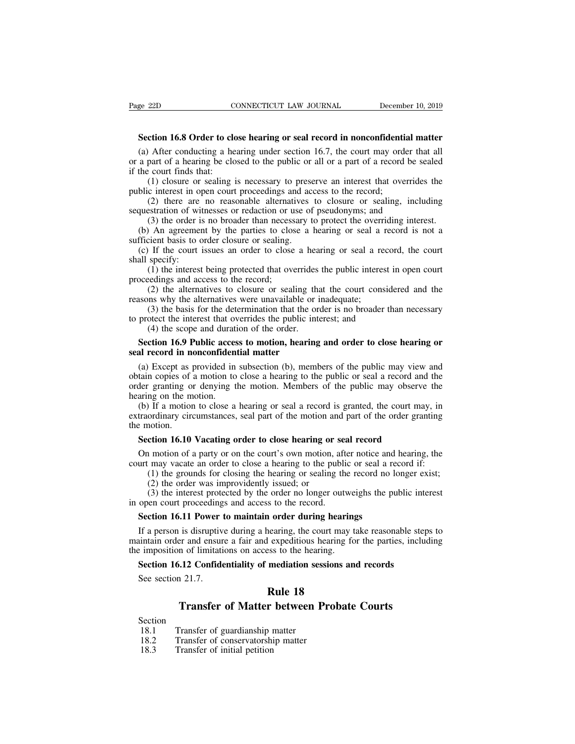**Section 16.8 Order to close hearing or seal record in nonconfidential matter**<br> **Section 16.8 Order to close hearing or seal record in nonconfidential matter**<br> **Section 16.8 Order to close hearing under section 16.7, the c** (a) After conducting a hearing or seal record in nonconfidential matter (a) After conducting a hearing under section 16.7, the court may order that all a part of a hearing be closed to the public or all or a part of a reco Page 22D CONNECTICUT LAW JOURNAL December 10, 2019<br> **Section 16.8 Order to close hearing or seal record in nonconfidential matter**<br>
(a) After conducting a hearing under section 16.7, the court may order that all<br>
or a part Page 22D<br>
Section 16.8 Order to close that:<br>
(a) After conducting a he<br>
or a part of a hearing be close<br>
if the court finds that:<br>
(1) closure or sealing in<br>
public interest in open court (1) closure or sealing or seal record in nonconfidential matter<br>
After conducting a hearing under section 16.7, the court may order that all<br>
part of a hearing be closed to the public or all or a part of a record be sealed **Section 16.8 Order to close hearing or seal record in nonconfidenti** (a) After conducting a hearing under section 16.7, the court may ordor a part of a hearing be closed to the public or all or a part of a record if the c ction 16.8 Order to close hearing or seal record in nonconfidential matter<br>
After conducting a hearing under section 16.7, the court may order that all<br>
part of a hearing be closed to the public or all or a part of a recor (a) After conducting a hearing under section 16.7, the court may order that or a part of a hearing be closed to the public or all or a part of a record be set if the court finds that:<br>
(1) closure or sealing is necessary (a) After conducting a hearing under section 16.7, the court may order that all<br>or a part of a hearing be closed to the public or all or a part of a record be sealed<br>if the court finds that:<br>(1) closure or sealing is neces

a part of a nearing oc closed to the public of all of a part of a record be seated<br>the court finds that:<br>(1) closure or sealing is necessary to preserve an interest that overrides the<br>blic interest in open court proceeding (1) closure or sealing is necessary to prese<br>public interest in open court proceedings and ac<br>(2) there are no reasonable alternatives<br>sequestration of witnesses or redaction or use of<br>(3) the order is no broader than nece

(1) closure of sealing is necessary to preserve an interest that overrides the<br>blic interest in open court proceedings and access to the record;<br>(2) there are no reasonable alternatives to closure or sealing, including<br>que public linest in option<br>
(2) there are<br>
sequestration of wit<br>
(3) the order is<br>
(b) An agreement<br>
sufficient basis to c<br>
(c) If the court is<br>
shall specify:<br>
(1) the interest<br>
proceedings and act

(2) there are no reasonable and natural ves to closure or sealing, including<br>estration of witnesses or redaction or use of pseudonyms; and<br>(3) the order is no broader than necessary to protect the overriding interest.<br>An

sequestiation of whilesses of redaction of u<br>
(3) the order is no broader than necess<br>
(b) An agreement by the parties to clos<br>
sufficient basis to order closure or sealing.<br>
(c) If the court issues an order to close<br>
shal First difficient basis to order closure or sealing.<br>
sufficient basis to order closure or sealing.<br>
(c) If the court issues an order to close a hearing or seal a re<br>
shall specify:<br>
(1) the interest being protected that o (c) if the contributions and other to close a healing of sear a record<br>shall specify:<br>(1) the interest being protected that overrides the public interest in<br>proceedings and access to the record;<br>(2) the alternatives to cl (1) the interest being protected that overrides<br>edings and access to the record;<br>(2) the alternatives to closure or sealing that<br>ms why the alternatives were unavailable or i<br>(3) the basis for the determination that the o

(3) the other is no broader than necessary to protect the overriding interest.<br>
So An agreement by the parties to close a hearing or seal a record is not a<br>
cient basis to order closure or sealing.<br>
If the court issues an (1) If the court issues an order to close a hearing or seal a record, the court specify:<br>
(1) the interest being protected that overrides the public interest in open court eedings and access to the record;<br>
(2) the alterna **Secondings and access to the record;**<br>
(2) the alternatives to closure or sealing that the court considered and the<br>
sasons why the alternatives were unavailable or inadequate;<br>
(3) the basis for the determination that th

(2) the alternatives to closure or sealing the<br>reasons why the alternatives were unavailable or<br>(3) the basis for the determination that the or<br>to protect the interest that overrides the public in<br>(4) the scope and duratio

(3) the basis for the determination that the order is no broader than necessary<br>protect the interest that overrides the public interest; and<br>(4) the scope and duration of the order.<br>**Section 16.9 Public access to motion, h** (3) the basis for the determination that the order is no broader than necessary<br>to protect the interest that overrides the public interest; and<br>(4) the scope and duration of the order.<br>**Section 16.9 Public access to motio** to protect the interest that overrides the public interest; and<br>
(4) the scope and duration of the order.<br> **Section 16.9 Public access to motion, hearing and order to close hearing or**<br> **seal record in nonconfidential matt** (4) the scope and durat<br> **Section 16.9 Public acces**<br> **seal record in nonconfiden**<br>
(a) Except as provided in<br>
obtain copies of a motion to<br>
order granting or denying t<br>
hearing on the motion.<br>
(b) If a motion to close a<br> Section 16.9 Public access to motion, hearing and order to close hearing or<br>al record in nonconfidential matter<br>(a) Except as provided in subsection (b), members of the public may view and<br>tain copies of a motion to close seal record in nonconfidential matter<br>
(a) Except as provided in subsection (b), members of the public may view and<br>
obtain copies of a motion to close a hearing to the public or seal a record and the<br>
order granting or de (a) Except as pobtain copies of<br>order granting of<br>hearing on the m<br>(b) If a motion<br>extraordinary circ<br>the motion.<br>**Section 16.10** tain copies of a motion to close a hearing to the public or seal a record and<br>der granting or denying the motion. Members of the public may observe<br>aring on the motion.<br>(b) If a motion to close a hearing or seal a record i

der granting or denying the motion. Members of the public may observe the aring on the motion.<br>
(b) If a motion to close a hearing or seal a record is granted, the court may, in traordinary circumstances, seal part of the nearing on the motion.<br>
(b) If a motion to close a hearing or seal a record is granted, the court may, in extraordinary circumstances, seal part of the motion and part of the order granting the motion.<br> **Section 16.10 Vaca** If a motion to close a hearing or seal a record is granted, the court may, in ordinary circumstances, seal part of the motion and part of the order granting notion.<br> **ction 16.10 Vacating order to close hearing or seal rec** 

ordinary circumstances, seal part of the motion and<br>
anotion.<br> **ction 16.10 Vacating order to close hearing or**<br>
a motion of a party or on the court's own motion,<br>
i may vacate an order to close a hearing to the pu<br>
(1) th (3) the interest protected by the order during hearing or seal record<br>
(1) motion of a party or on the court's own motion, after notice and hearing, the<br>
(1) the grounds for closing the hearing to the public or seal a reco **Section 16.10 Vacating order to close hearing or set**<br>On motion of a party or on the court's own motion, aft<br>court may vacate an order to close a hearing to the publi<br>(1) the grounds for closing the hearing or sealing th<br> On motion of a party or on the court's own motion, after notice and<br>urt may vacate an order to close a hearing to the public or seal a re<br>(1) the grounds for closing the hearing or sealing the record no l<br>(2) the order was

If a person is disruptive during a hearing to the public or seal a record in:<br>
(1) the grounds for closing the hearing or sealing the record no longer exist;<br>
(2) the order was improvidently issued; or<br>
(3) the interest p (1) the grounds for closing the nearing or sealing the record no longer exist;<br>
(2) the order was improvidently issued; or<br>
(3) the interest protected by the order no longer outweighs the public interest<br>
in open court pr (2) the order was improvidently issued; or<br>
(3) the interest protected by the order no longer outwe<br>
in open court proceedings and access to the record.<br> **Section 16.11 Power to maintain order during hearing**<br>
If a person open court proceedings and access to the record.<br>**Section 16.11 Power to maintain order during hearings**<br>If a person is disruptive during a hearing, the court may take reasonable step<br>initiain order and ensure a fair and e Section 16.11 Power 1<br>If a person is disruptive<br>intain order and ensure<br>a imposition of limitatif<br>Section 16.12 Confide<br>See section 21.7. **Example 18**<br>**Rule 18**<br>**Rule 18**<br>**Rule 18**<br>**Rule 18**<br>**Rule 18**<br>**Rule 18**<br>**Rule 18** is disruptive during a hearing, the court may take reasonable steps<br>er and ensure a fair and expeditious hearing for the parties, includi<br>n of limitations on access to the hearing.<br>**Transfer of Matter between Probate Court** 

# Section 16.12 Confidentiality of mediation sess<br>
See section 21.7.<br> **Rule 18**<br> **Transfer of Matter between P**<br>
Section<br>
18.1 Transfer of guardianship matter<br>
18.2 Transfer of conservatorship matter<br>
18.3 Transfer of initia

# **18.2 Transfer of Matter between Pro**<br> **18.1** Transfer of **Matter between Pro**<br>
18.1 Transfer of guardianship matter<br>
18.2 Transfer of conservatorship matter<br>
18.3 Transfer of initial petition

- Section<br>18.1 Transfer of guardianship matter
- 
- **18.4 Transfer of Matter**<br>
18.1 Transfer of guardianship<br>
18.2 Transfer of conservatorship<br>
18.3 Transfer of initial petition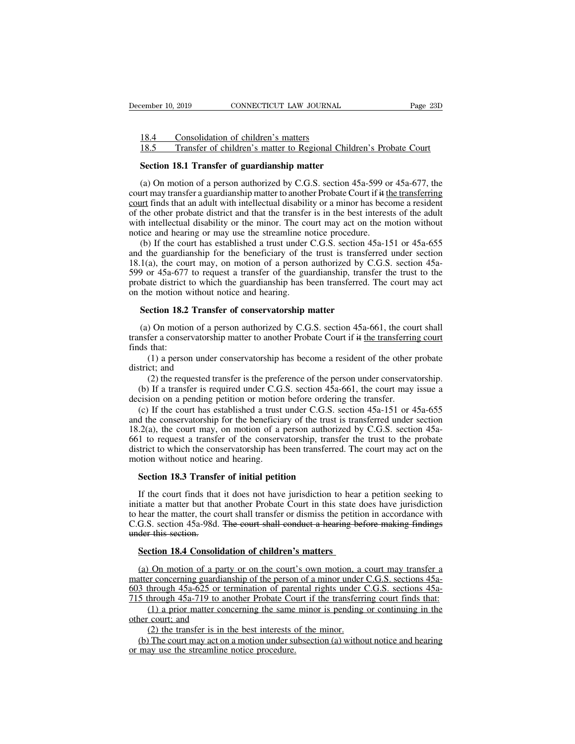External Consolidation of children's matters<br>
18.4 Consolidation of children's matters<br>
18.5 Transfer of children's matter to Regional C Example: 10, 2019 CONNECTICUT LAW JOURNAL Page 23D<br>
18.4 Consolidation of children's matters<br>
18.5 Transfer of children's matter to Regional Children's Probate Court<br>
Section 18.1 Transfer of guardianship matter

Example 10, 2019 CONNECTICUT LAW JOURNAL<br>
18.4 Consolidation of children's matters<br>
18.5 Transfer of children's matter to Regional Childre<br> **Section 18.1 Transfer of guardianship matter**<br>
(a) On motion of a person authoriz 18.4 Consolidation of children's matters<br>
18.5 Transfer of children's matter to Regional Children's Probate Court<br> **Section 18.1 Transfer of guardianship matter**<br>
(a) On motion of a person authorized by C.G.S. section 45a-18.4 Consolidation of children's matters<br>
18.5 Transfer of children's matter to Regional Children's Probate Court<br> **Section 18.1 Transfer of guardianship matter**<br>
(a) On motion of a person authorized by C.G.S. section 45a 18.4 Consolidation of children's matters<br>
18.5 Transfer of children's matter to Regional Children's Probate Court<br> **Section 18.1 Transfer of guardianship matter**<br>
(a) On motion of a person authorized by C.G.S. section 45a 18.5 Transfer of children's matter to Regional Children's Probate Court<br>
Section 18.1 Transfer of guardianship matter<br>
(a) On motion of a person authorized by C.G.S. section 45a-599 or 45a-677, the<br>
court may transfer a g **Section 18.1 Transfer of guardianship matter**<br>(a) On motion of a person authorized by C.G.S. section 45a-599 or 45a-677, the<br>court may transfer a guardianship matter to another Probate Court if it the transferring<br><u>court</u> **Section 18.1 Transfer or guardianship matter**<br>(a) On motion of a person authorized by C.G.S. section 45a-599 or<br>court may transfer a guardianship matter to another Probate Court if it <u>the</u><br>court finds that an adult with (a) On motion of a person authorized by C.G.S. section 45a-599 or 45a-677, the urt may transfer a guardianship matter to another Probate Court if it the transferring unt finds that an adult with intellectual disability or (a) on motion of a person atalomized by C.O.B. section 45d 355 of 45d 677, the court may transfer a guardianship matter to another Probate Court if it the transferring court finds that an adult with intellectual disabilit

court may transfer a guardianship matter to another Frocate Coart in the <u>inclusivening</u><br>court finds that an adult with intellectual disability or a minor has become a resident<br>of the other probate district and that the t **EXAMPLE 1999** or a transferred in the transfer is in the best interests of the adult with intellectual disability or the minor. The court may act on the motion without notice and hearing or may use the streamline notice or the other probate district that the transfer is in the best interests of the addit<br>with intellectual disability or the minor. The court may act on the motion without<br>notice and hearing or may use the streamline notice with interaction disability of the limit<br>of the motice and hearing or may use the streamline no<br>(b) If the court has established a trust under  $\alpha$ <br>and the guardianship for the beneficiary of the<br>18.1(a), the court may, o (b) If the court has established a trust under C.G.S. section 4<br>I the guardianship for the beneficiary of the trust is transfer  $1(a)$ , the court may, on motion of a person authorized by  $C$  or  $45a-677$  to request a trans 1(a), the court may, on motion of a person authorized by C.G.S. section 45a-<br>
a) or 45a-677 to request a transfer of the guardianship, transfer the trust to the bate district to which the guardianship has been transferred

599 or 45a-677 to request a transfer of the guardianship, transfer the trust to the probate district to which the guardianship has been transferred. The court may act on the motion without notice and hearing.<br> **Section 18** probate district t<br>on the motion w<br>**Section 18.2**<br>(a) On motion<br>transfer a conser<br>finds that:<br>(1) a persor<br>district; and (1) a person under conservatorship matter<br>
(1) a person authorized by C.G.S. section 45a-661, the court shall<br>
fer a conservatorship matter to another Probate Court if it the transferring court<br>
that:<br>
(1) a person under c **Section 18.2 Trans**<br>(a) On motion of a p<br>transfer a conservatorsh<br>finds that:<br>(1) a person under<br>district; and<br>(2) the requested to<br>(b) If a transfer is re (2) the requested transfer is the preference of the person under conservatorship matter<br>
(1) a person under conservatorship has become a resident of the other probate<br>
(1) a person under conservatorship has become a resid (a) On motion of a person authorized by C.G.S. section 45a-661, the court shall insfer a conservatorship matter to another Probate Court if it the transferring court ds that:<br>
(1) a person under conservatorship has become transfer a conservatorship matter to another Probate Court if it the transferrine finds that:<br>
(1) a person under conservatorship has become a resident of the other district; and<br>
(2) the requested transfer is the preferen

(d) that:<br>
(1) a person under conservatorship has become a resident of the other probate<br>
strict; and<br>
(2) the requested transfer is the preference of the person under conservatorship.<br>
(b) If a transfer is required under (1) a person under conservatorship has become a resident of the other probate district; and (2) the requested transfer is the preference of the person under conservatorship. (b) If a transfer is required under C.G.S. sect district; and<br>
(2) the requested transfer is the preference of the person under conservatorship.<br>
(b) If a transfer is required under C.G.S. section 45a-661, the court may issue a<br>
decision on a pending petition or motion (2) the requested transfer is the preference of the person under conservatorship.<br>
(b) If a transfer is required under C.G.S. section 45a-661, the court may issue a<br>
decision on a pending petition or motion before orderin (b) If a transfer is required under C.G.S. section 45a-661, the court may issue a decision on a pending petition or motion before ordering the transfer.<br>
(c) If the court has established a trust under C.G.S. section 45a-1 (b) If a dalister is required under C.O.<br>decision on a pending petition or motion<br>(c) If the court has established a trust<br>and the conservatorship for the beneficia<br>18.2(a), the court may, on motion of a<br>661 to request a (c) If the court has established a trust under C.G.S. so<br>d the conservatorship for the beneficiary of the trust is<br>.2(a), the court may, on motion of a person authorize<br>1 to request a transfer of the conservatorship, trans 2(a), the court may, on motion of a person authorized by C.G.S. section 45a-<br>1 to request a transfer of the conservatorship, transfer the trust to the probate<br>strict to which the conservatorship has been transferred. The c

661 to request a transfer of the conservatorship, transfer the trust to the probate district to which the conservatorship has been transferred. The court may act on the motion without notice and hearing.<br> **Section 18.3 Tra** district to which the conservatorship has been transferred. The court may act on the<br>motion without notice and hearing.<br>Section 18.3 Transfer of initial petition<br>If the court finds that it does not have jurisdiction to hea motion without notice and hearing.<br>
Section 18.3 Transfer of initial petition<br>
If the court finds that it does not have jurisdiction to hear a petition seeking to<br>
initiate a matter but that another Probate Court in this s Section 18.3 Transfe<br>If the court finds that<br>initiate a matter but that<br>to hear the matter, the cc<br>C.G.S. section 45a-98d.<br>under this section.<br>Section 18.4 Consoli If the court finds that it does not have jurisdiction to hear tiate a matter but that another Probate Court in this state do hear the matter, the court shall transfer or dismiss the petition G.S. section 45a-98d. The court tiate a matter but that another Probate Court in this state does have jurisdiction<br>hear the matter, the court shall transfer or dismiss the petition in accordance with<br>G.S. section 45a-98d. <del>The court shall conduct a heari</del>

to hear the matter, the court shall transfer or dismiss the petition in accordance with<br>C.G.S. section 45a-98d. The court shall conduct a hearing before making findings<br>under this section.<br>Section 18.4 Consolidation of chi C.G.S. section 45a-98d. The court shall conduct a hearing before making findings<br>under this section.<br>Section 18.4 Consolidation of children's matters<br>(a) On motion of a party or on the court's own motion, a court may trans 911 under this section.<br> **Section 18.4 Consolidation of children's matters**<br>
(a) On motion of a party or on the court's own motion, a court may transfer a<br>
matter concerning guardianship of the person of a minor under C.G. (1) a priori and the same minority of the security of the court's own motion, a court may transfer a per concerning guardianship of the person of a minor under C.G.S. sections 45a-<br>through 45a-625 or termination of parenta **Section 18.4 Consolidation**<br>(a) On motion of a party<br>matter concerning guardian<br>603 through  $45a-625$  or tel<br>715 through  $45a-719$  to an<br>(1) a prior matter concerned the court; and<br>(2) the transfer is in the (b) The cour (2) On motion of a party or on the court's own motion, a<br>er concerning guardianship of the person of a minor under<br>through 45a-625 or termination of parental rights under through 45a-719 to another Probate Court if the tra The converting guardianship of the person of a minor under C.G.S. sections 45a-<br>3 through 45a-625 or termination of parental rights under C.G.S. sections 45a-<br>5 through 45a-719 to another Probate Court if the transferring 603 through  $45a-625$  or termination of pare<br>715 through  $45a-719$  to another Probate Co<br>(1) a prior matter concerning the same<br>other court; and<br>(2) the transfer is in the best interests of<br>(b) The court may act on a moti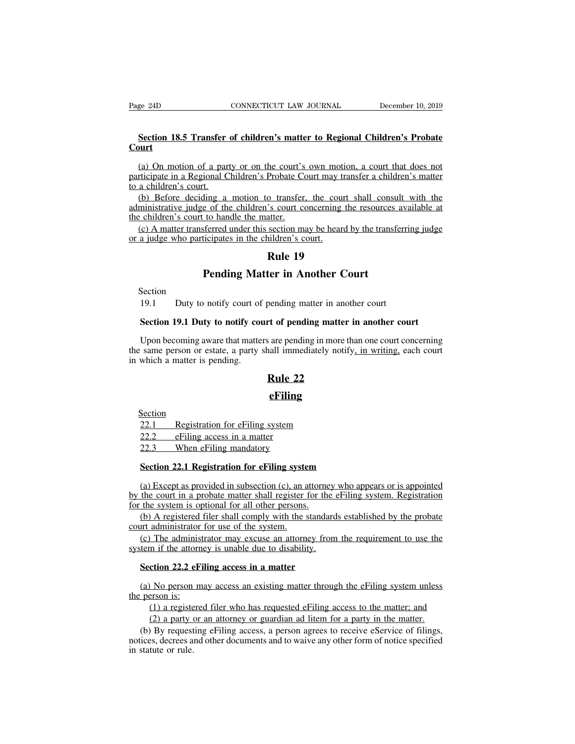### **Section 18.5 Transfer of children's matter to Regional Children's Probate Court**

(a) On motion of a party or on the court's own motion, a court that does not<br>
(a) On motion of a party or on the court's own motion, a court that does not<br>
tricipate in a Regional Children's Probate Court may transfer a ch participate in a Regional Children's matter to Regional Children's Probate Court<br>
(a) On motion of a party or on the court's own motion, a court that does not<br>
participate in a Regional Children's Probate Court may transfe Section 18.5 Transfer<br>Court<br>(a) On motion of a par<br>participate in a Regional C<br>to a children's court.<br>(b) Before deciding a<br>administrative judge of the Section 18.5 Transfer of children's matter to Regional Children's Probate<br>
(a) On motion of a party or on the court's own motion, a court that does not<br>
rticipate in a Regional Children's Probate Court may transfer a child **Court**<br>
(a) On motion of a party or on the court's own motion, a court that does not<br>
participate in a Regional Children's Probate Court may transfer a children's matter<br>
to a children's court.<br>
(b) Before deciding a moti (a) On motion of a party or on the court's own motion, a court that does not participate in a Regional Children's Probate Court may transfer a children's matter to a children's court.<br>(b) Before deciding a motion to transf (a) On motion of a party or on the court's own motion, a court that does not riticipate in a Regional Children's Probate Court may transfer a children's matter a children's court.<br>
(b) Before deciding a motion to transfer

participate in a Regional Children's Probate Court may to a children's court.<br>
(b) Before deciding a motion to transfer, the court<br>
administrative judge of the children's court concerning<br>
the children's court to handle th Probate Court may tran<br>
<u>o transfer</u>, the court :<br>
's court concerning the<br>
atter.<br>
section may be heard b<br>
iildren's court.<br> **Rule 19**<br> **ter in Another Co** Figure 1 amotion to transfer, the court shall consulude of the children's court concerning the resources a<br>
10 handle the matter.<br> **Pending Matter in Another Court**<br> **Rule 19**<br> **Pending Matter in Another Court** 

19.1 a judge who participates in the children's court.<br>
19.1 **Pending Matter in Another Court**<br>
19.1 Duty to notify court of pending matter in another court<br>
19.1 Duty to notify court of pending matter in another court<br>
19

Section

**Pending Matter in Another Court**<br>Section<br>19.1 Duty to notify court of pending matter in another court<br>Section 19.1 Duty to notify court of pending matter in another court<br>Upon becoming aware that matters are pending in mo Friending Matter in Another Court<br>
19.1 Duty to notify court of pending matter in another court<br>
Section 19.1 Duty to notify court of pending matter in another court<br>
Upon becoming aware that matters are pending in more th Section<br>19.1 Duty to notify court of pending matter in another court<br>Section 19.1 Duty to notify court of pending matter in another court<br>Upon becoming aware that matters are pending in more than one court concerning<br>the s 19.1 Duty to notify court of<br>Section 19.1 Duty to notify conting.<br>Upon becoming aware that matter<br>the same person or estate, a party<br>in which a matter is pending. rending matter in another<br>**Rule 3** are pending in more the<br>sall immediately notify.<br>**Rule 22**<br>**Rule 22** which a matter is pending.<br> **Rule 22**<br> **eFiling**<br>
<u>22.1 Registration for eFiling system</u><br>
22.2 eFiling access in a matter<br>
22.3 When eFiling mandatory

### **eFiling**

Section

**22.1**<br>
<u>22.1</u> Registration for eFiling system<br>
22.2 eFiling access in a matter<br>
22.3 When eFiling mandatory

# Examedia<br>
<u>22.1</u> Registration for eFiling system<br>
22.2 eFiling access in a matter<br>
22.3 When eFiling mandatory<br>
Section 22.1 Registration for eFiling system

**Section**<br>
22.1 Registration for eFiling system<br>
22.2 eFiling access in a matter<br>
22.3 When eFiling mandatory<br> **Section 22.1 Registration for eFiling system**<br>
(a) Except as provided in subsection (c), an attorney who appea (a) Except as provided in a matter<br>
(a) Except as provided in subsection (c), an attorney who appears or is appointed<br>
(a) Except as provided in subsection (c), an attorney who appears or is appointed<br>
(a) Except as provid 22.2 eFiling access in a matter<br>
22.2 eFiling access in a matter<br>
22.3 When eFiling mandatory<br>
Section 22.1 Registration for eFiling system.<br>
(a) Except as provided in subsection (c), an attorney who appears or is appoint For the system is a matter  $22.3$  When eFiling mandatory<br>Section 22.1 Registration for eFiling system<br>(a) Except as provided in subsection (c), an attorne<br>by the court in a probate matter shall register for the<br>for the sy Section 22.1 Registration for eFiling system<br>
(a) Except as provided in subsection (c), an attorney who appears or is appointed<br>
the court in a probate matter shall register for the eFiling system. Registration<br>
(b) A reg **Section 22.1 Registration for eFiling syste**<br>(a) Except as provided in subsection (c), an a<br>by the court in a probate matter shall register if<br>for the system is optional for all other persons.<br>(b) A registered filer shall (a) Except as provided in subsection (c), an attorney who appears or is appointed the court in a probate matter shall register for the eFiling system. Registration the system is optional for all other persons.<br>(b) A regist (a) Except as provided in subsection (c), an attorney<br>by the court in a probate matter shall register for the of<br>for the system is optional for all other persons.<br>(b) A registered filer shall comply with the standard<br>cour

the system is optional for all other persons.<br>
(b) A registered filer shall comply with the standar<br>
(c) The administrator for use of the system.<br>
(c) The administrator may excuse an attorney from<br>
tem if the attorney is u

(b) A registered thet shall comptly with the standards established by the probate<br>int administrator for use of the system.<br>(c) The administrator may excuse an attorney from the requirement to use the<br>tem if the attorney i (c) The administrator<br>system if the attorney<br>**Section 22.2 eFi**<br>(a) No person m<br>the person is:<br>(1) a registerey<br>(2) a party or

(1) a registered filer who has requested eFiling access to the matter<br>(1) a registered filer who has requested eFiling access to the matter; and<br>(2) a party or an attorney or guardian ad litem for a party in the matter.<br>(2 (a) No person may access in a matter<br>
(a) No person may access an existing matter through the eFiling system unless<br>
the person is:<br>
(1) a registered filer who has requested eFiling access to the matter; and<br>
(2) a party o

Section 22.2 eFiling access in a matter<br>
(a) No person may access an existing matter through the eFiling system unless<br>
person is:<br>
(1) a registered filer who has requested eFiling access to the matter; and<br>
(2) a party o (a) No person may access an existing matter through the eFiling system unless<br>the person is:<br>(1) a registered filer who has requested eFiling access to the matter; and<br>(2) a party or an attorney or guardian ad litem for a notices, decrees and other documents and to waive any other form of notice specified in statute or rule.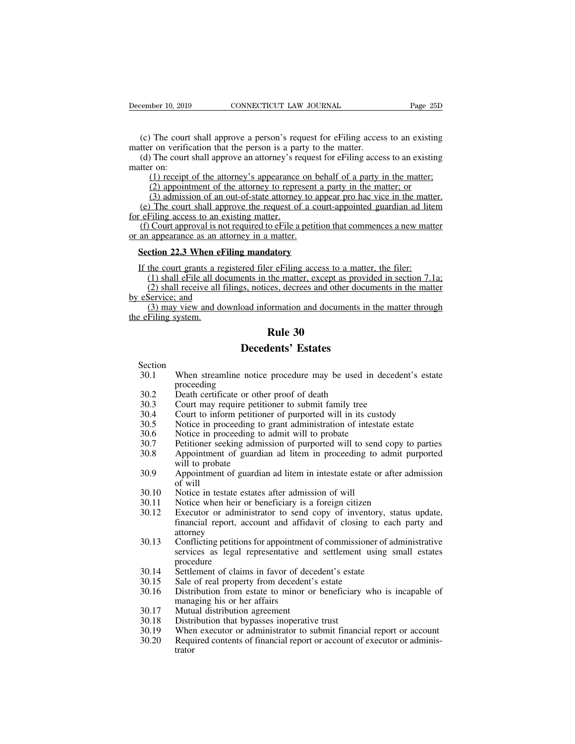(c) The court shall approve a person's request for eFiling access to an existing<br>
(c) The court shall approve a person's request for eFiling access to an existing<br>
(d) The court shall approve an attorney's request for eFil

December 10, 2019 CONNECTICUT LAW JOURNAL<br>
(c) The court shall approve a person's request for eFiling access<br>
matter on verification that the person is a party to the matter.<br>
(d) The court shall approve an attorney's requ (c) The court shall approve a person's request for eFiling access to an existing<br>
(c) The court shall approve a person's request for eFiling access to an existing<br>
(d) The court shall approve an attorney's request for eFil December 10, 2019<br>
(c) The court<br>
matter on verific<br>
(d) The court<br>
matter on:<br>
(1) receipt<br>
(2) appoint (1) The court shall approve a person's request for eFiling access to an existing<br>
t on verification that the person is a party to the matter.<br>
The court shall approve an attorney's request for eFiling access to an existing

The court shall approve a person's request for eFiling access to an existing<br>
r on verification that the person is a party to the matter.<br>
The court shall approve an attorney's request for eFiling access to an existing<br>
r The court shall approve a person's request for eFiling access to an existing r on verification that the person is a party to the matter.<br>The court shall approve an attorney's request for eFiling access to an existing r on: (e) The court shall approve a person s request for elarning access to an existing<br>tter on verification that the person is a party to the matter.<br>(d) The court shall approve an attorney's request for eFiling access to an e for effiling access to an existing matter.<br>
(d) The court shall approve an attorney's rematter on:<br>
(1) receipt of the attorney's appearance<br>
(2) appointment of the attorney to repre<br>
(3) admission of an out-of-state attor (a) The court shall approve an attorney's request for erring access to an existing<br>tter on:<br>
(1) receipt of the attorney's appearance on behalf of a party in the matter;<br>
(2) appointment of the attorney to represent a par (1) receipt of the attorney's appearance on t<br>(2) appointment of the attorney to represent<br>(3) admission of an out-of-state attorney to a<br>(e) The court shall approve the request of a co<br>for eFiling access to an existing ma (2) appointment of the attorney to represent a party in the matter; or<br>
(3) admission of an out-of-state attorney to appear pro hac vice in the matter.<br>
(e) The court shall approve the request of a court-appointed guardian

(e) The court shall approve the request of a court-appointed guardian ad lite<br>  $\epsilon$  refiling access to an existing matter.<br>
(f) Court approval is not required to eFile a petition that commences a new matt<br>
an appearance a (1) Shall excess to an existing matter.<br>
(1) Court approval is not required to eFile a petition that commences a new matter<br>
(1) shall effile as an attorney in a matter.<br>
(1) shall eFile all documents in the matter, except (2) Court approval is not required to eFile a petition that commences a new matter<br>
(appearance as an attorney in a matter.)<br>
(be court grants a registered filer eFiling access to a matter, the filer:<br>
(1) shall eFile all or an appearance as an attor<br> **Section 22.3 When eFili**<br>
If the court grants a regis<br>
(1) shall eFile all docus<br>
(2) shall receive all filin<br>
by eService; and<br>
(3) may view and down<br>
the eFiling system. (1) the court grants a registered filer eFiling access to a matter, the filer:<br>
(1) shall eFile all documents in the matter, except as provided in section 7.1a;<br>
(2) shall receive all filings, notices, decrees and other do Section 22.3 When el<br>
If the court grants a re<br>
(1) shall eFile all do<br>
(2) shall receive all<br>
by eService; and<br>
(3) may view and d<br>
the eFiling system. **EXECUTE:**<br>
<u>Reference 30</u><br>
the matter, except as proces, decrees and other domination<br> **Rule 30**<br> **Rule 30**<br> **Rule 30**<br> **Rule 30** Fred filer eFiling access to a matter<br>ents in the matter, except as providents<br>gs, notices, decrees and other documents<br>oad information and documents in<br>**Rule 30**<br>**Decedents' Estates**<br>notice procedure may be used in

- Section<br>30.1 When streamline notice procedure may be used in decedent's estate 30.1 When streamline notice procedure may be used in decedent's estate<br>30.1 When streamline notice procedure may be used in decedent's estate<br>30.2 Death certificate or other proof of death proceeding<br>Death certificate or other proof of death **EXECUTE: Reference Section**<br>30.1 When streamline notice procedure may be used in<br>30.2 Death certificate or other proof of death<br>30.3 Court may require petitioner to submit family tree<br>30.4 Court to inform petitioner of **130.3**<br> **30.3** Court may require performance proceeding<br>
30.2 Death certificate or other proof of death<br>
30.3 Court may require petitioner to submit family tree<br>
30.4 Court to inform petitioner of purported will in its cu **SECUTE: Decedents' Estates**<br>
30.1 When streamline notice procedure may be used in decedent's estat<br>
proceeding<br>
30.2 Death certificate or other proof of death<br>
30.3 Court may require petitioner to submit family tree<br>
30 Section<br>
30.1 When streamline notice procedure may be used in decedent's estate<br>
proceeding<br>
30.2 Death certificate or other proof of death<br>
30.3 Court may require petitioner to submit family tree<br>
30.4 Court to inform pet 30.1 When streamline notice procedure may be used in de<br>proceeding<br>30.2 Death certificate or other proof of death<br>30.3 Court may require petitioner to submit family tree<br>30.4 Court to inform petitioner of purported will in
- 
- 
- 
- 
- 
- 
- 30.2 Death certificate or other proof of death<br>30.2 Death certificate or other proof of death<br>30.3 Court may require petitioner to submit family tree<br>30.4 Court to inform petitioner of purported will in its custody<br>30.5 No 30.2 Death certificate or other proof of death<br>
30.3 Court may require petitioner to submit family tree<br>
30.4 Court to inform petitioner of purported will in its custody<br>
30.5 Notice in proceeding to grant administration o Death centricate of othe<br>Court may require petitic<br>Court to inform petition<br>Notice in proceeding to<br>Notice in proceeding to<br>Petitioner seeking admis<br>Appointment of guardiar<br>Appointment of guardiar<br>of will Court to Internet<br>
Notice in pre<br>
Notice in pre<br>
Petitioner see<br>
Appointment<br>
will Notice in tes<br>
Notice when 30.5 Notice in proceeding to grant administration of mess<br>30.6 Notice in proceeding to admit will to probate<br>30.7 Petitioner seeking admission of purported will to sen<br>30.8 Appointment of guardian ad litem in proceeding to
- 30.3 Court may require pertioner to submit rainity tree<br>30.4 Court to inform petitioner of purported will in its custody<br>30.5 Notice in proceeding to grant administration of intestate estate<br>30.6 Notice in proceeding to ad
- 
- 
- 30.7 Petitioner seeking admission of purported will to send copy to<br>30.7 Petitioner seeking admission of purported will to send copy to<br>30.8 Appointment of guardian ad litem in proceeding to admit pu<br>will to probate<br>30.9 A 20.12 Executor or administrator to send copy of inventory, status update,<br>30.9 Appointment of guardian ad litem in intestate estate or after admission<br>30.10 Notice in testate estates after admission of will<br>30.11 Notice wh Final report<br>
will to probate<br>
Appointment of guardian ad litem in intestate estate or after admission<br>
of will<br>
Notice in testate estates after admission of will<br>
Notice when heir or beneficiary is a foreign citizen<br>
Exec attorney
- 30.3 Settlement of guardian ad item in incestate estate of arter admission<br>of will<br>30.10 Notice in testate estates after admission of will<br>30.11 Notice when heir or beneficiary is a foreign citizen<br>30.12 Executor or admini Service in testate estates after admission of will<br>Notice when heir or beneficiary is a foreign citizen<br>Executor or administrator to send copy of inventory, status update,<br>financial report, account and affidavit of closing procedure 30.12 Executor or administrator to send copy of inventory, state<br>
financial report, account and affidavit of closing to each<br>
attorney<br>
30.13 Conflicting petitions for appointment of commissioner of adn<br>
services as legal 30.12 Executor of administrator to send copy of inventor<br>
financial report, account and affidavit of closing to<br>
30.13 Conflicting petitions for appointment of commissioner<br>
services as legal representative and settlement mancial report, account and arrivant of closing to each party and<br>attorney<br>30.13 Conflicting petitions for appointment of commissioner of administrative<br>services as legal representative and settlement using small estates<br>3 Conflicting petitions for appointment of commissioner of administrative<br>services as legal representative and settlement using small estates<br>procedure<br>Settlement of claims in favor of decedent's estate<br>Sale of real property 30.13 Confident Controlling performance of a procedure<br>services as legal representative and<br>procedure<br>30.15 Sale of real property from decedent<sup>2</sup><br>30.16 Distribution from estate to minor of<br>managing his or her affairs<br>30.1
- 
- 
- Services as legar representative and settlement<br>procedure<br>30.14 Settlement of claims in favor of decedent's estate<br>30.15 Sale of real property from decedent's estate<br>30.16 Distribution from estate to minor or beneficiary<br>m
- 
- 
- 
- 30.14 Settlement of claims in favor of decedent's estate<br>30.15 Sale of real property from decedent's estate<br>30.16 Distribution from estate to minor or beneficiary who is incapable of<br>managing his or her affairs<br>30.17 Mutua 30.15 Sale of real property from decedent's estate<br>30.15 Sale of real property from decedent's estate<br>30.16 Distribution from estate to minor or beneficiary who is incapable of<br>managing his or her affairs<br>30.17 Mutual dist trator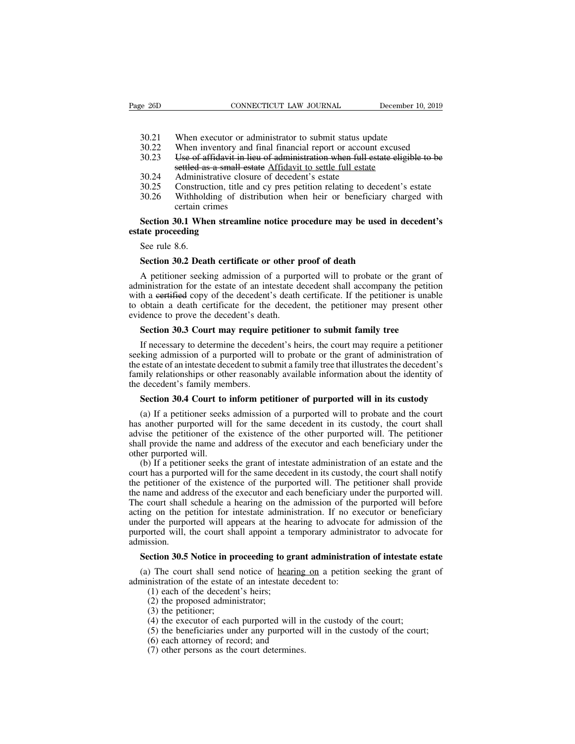- 
- 30.21 When executor or administrator to submit status update<br>30.22 When executor or administrator to submit status update<br>30.22 When inventory and final financial report or account excused<br>30.23 Use of affidavit in lieu of EXECTI SERVICUS CONNECTICUT LAW JOURNAL SERVICE DECEMBENT 10, 2019<br>30.21 When executor or administrator to submit status update<br>30.22 When inventory and final financial report or account excused<br>30.23 Use of affidavit in l 30.21 When executor or administrator to submit status update<br>30.21 When executor or administrator to submit status update<br>30.22 When inventory and final financial report or account excused<br>30.23 Use of affidavit in lieu of CONNECTICUT LAW JOURNAL December<br>
When executor or administrator to submit status update<br>
When inventory and final financial report or account excused<br>
Use of affidavit in lieu of administration when full estate eligit<br>
se 30.21 When executor or administrator to submit status upd<br>30.22 When inventory and final financial report or account<br>30.23 Use of affidavit in lieu of administration when full es<br>settled as a small estate Affidavit to sett 30.21 When executor or administrator to submit status update<br>30.22 When inventory and final financial report or account excused<br>30.23 Use of affidavit in lieu of administration when full estate eligible to be<br>settled as a 30.21 When executor or administrator to submit status update<br>30.22 When inventory and final financial report or account excused<br>30.23 Use of affidavit in lieu of administration when full estate eligible to be<br>settled as a When inventory and fi<br>When inventory and fi<br>Use of affidavit in lieu<br>settled as a small estat<br>Administrative closure<br>Construction, title and<br>Withholding of distril<br>certain crimes<br>80.1 When streamline
	-
- 
- 
- 

### 30.23 Use of affidavit in lieu of administration when full estate eligible to be settled as a small estate Affidavit to settle full estate<br>30.24 Administrative closure of decedent's estate<br>30.25 Construction, title and cy **settled as a small**<br>30.24 Administrative cl<br>30.25 Construction, title<br>30.26 Withholding of<br>certain crimes<br>**Section 30.1 When stream**<br>**estate proceeding**<br>See rule 8.6. So.24<br>
30.25 Construce<br>
30.26 Withhold<br>
certain cr<br>
Section 30.1 Whe<br>
ate proceeding<br>
See rule 8.6.<br>
Section 30.2 Deat **Solution 30.26** Withholding of distribution when heir or beneficiary changed that certain crimes<br> **Section 30.1 When streamline notice procedure may be used in c**<br> **See rule 8.6.**<br> **Section 30.2 Death certificate or other**

Section 30.1 When streamline notice procedure may be used in decedent's<br>ate proceeding<br>See rule 8.6.<br>Section 30.2 Death certificate or other proof of death<br>A petitioner seeking admission of a purported will to probate or t Section 30.1 When streamline notice procedure may be used in decedent's<br>estate proceeding<br>See rule 8.6.<br>Section 30.2 Death certificate or other proof of death<br>A petitioner seeking admission of a purported will to probate o estate proceeding<br>See rule 8.6.<br>Section 30.2 Death certificate or other proof of death<br>A petitioner seeking admission of a purported will to probate or the grant of<br>administration for the estate of an intestate decedent sh See rule 8.6.<br>
Section 30.2 Death certificate or other proof of death<br>
A petitioner seeking admission of a purported will to probate or the grant of<br>
administration for the estate of an intestate decedent shall accompany t Section 30.2 Death certificate or other p<br>A petitioner seeking admission of a purp<br>administration for the estate of an intestate d<br>with a eertified copy of the decedent's death<br>to obtain a death certificate for the decede<br> **Section 30.2 Death certificate or other proof of death**<br>A petitioner seeking admission of a purported will to probate or the grant on<br>ministration for the estate of an intestate decedent shall accompany the petitic<br>h a ee A permoner seeking annission of a purported with to probate of the grant of<br>ministration for the estate of an intestate decedent shall accompany the petition<br>h a eertified copy of the decedent's death certificate. If the p

summistation for the estate of an intestant decedent shall accompany the petition<br>with a eertified copy of the decedent's death certificate. If the petitioner is unable<br>to obtain a death certificate for the decedent, the p to obtain a death certificate for the decedent, the petitioner may present other evidence to prove the decedent's death.<br> **Section 30.3 Court may require petitioner to submit family tree**<br>
If necessary to determine the dec family relationships or other reasonably available information about the identity of the decedent's death.<br> **Section 30.3 Court may require petitioner to submit family tree**<br>
If necessary to determine the decedent's heirs, Section 30.3 Court may require<br>If necessary to determine the deced<br>seeking admission of a purported will<br>the estate of an intestate decedent to sulfamily relationships or other reasonab<br>the decedent's family members.<br>Secti **Section 30.3 Court may require petitioner to submit rainity tree**<br>If necessary to determine the decedent's heirs, the court may require a petitioner<br>king admission of a purported will to probate or the grant of administra In increastly to determine the decedent is hers, the court may require a petitioner<br>king admission of a purported will to probate or the grant of administration of<br>estate of an intestate decedent to submit a family tree th

Secking admission of a purported will to probate of the grant of administration of<br>the estate of an intestate decedent to submit a family tree that illustrates the decedent's<br>family relationships or other reasonably availa Framily relationships or other reasonably available information about the identity of the decedent's family members.<br> **Section 30.4 Court to inform petitioner of purported will in its custody**<br>
(a) If a petitioner seeks ad shall provide the name and address of the executor and the set and the court of the decedent's family members.<br>Section 30.4 Court to inform petitioner of purported will in its custody (a) If a petitioner seeks admission of the decedent's family members.<br>
Section 30.4 Court to inform petitioner of purported will in its custody<br>
(a) If a petitioner seeks admission of a purported will to probate and the court<br>
has another purported will for the **Section 30.4 Court to inform petitioner of purported will in its custody**<br>(a) If a petitioner seeks admission of a purported will to probate and the court<br>s another purported will for the same decedent in its custody, the (a) If a petitioner seeks admission of a purported will to probate and the court has another purported will for the same decedent in its custody, the court shall advise the petitioner of the existence of the other purporte

(a) IT a petitioner seeks admission of a purported will to probate and the court<br>has another purported will for the same decedent in its custody, the court shall<br>advise the petitioner of the existence of the other purporte The name and address of the executor and each beneficiary under the purported will. The petitioner shall provide the name and address of the executor and each beneficiary under the other purported will. (b) If a petitioner advise the pertitioner of the existence of the other purported will. The pertitioner<br>shall provide the name and address of the executor and each beneficiary under the<br>other purported will.<br>(b) If a petitioner seeks the gra shan provide the hank and address of the execution and each ocherriciary under the other purported will.<br>
(b) If a petitioner seeks the grant of intestate administration of an estate and the court has a purported will for (b) If a petitioner seeks the grant of intestate administration of an estate and the court has a purported will for the same decedent in its custody, the court shall notify the petitioner of the existence of the purported (b) It a permonet seeks the grant of intestate administration of an estate and the court has a purported will for the same decedent in its custody, the court shall notify the petitioner of the existence of the purported w admission. I have a name and address of the executor and each beneficiary under the purported will.<br>
Section shall schedule a hearing on the admission of the purported will before<br>
ing on the petition for intestate administration. If (a) The period of the period of the distinction. If no executor or beneficiary<br>der the purported will appears at the hearing to advocate for admission of the<br>ported will, the court shall appoint a temporary administrator t administration. In the example of the purported will appears at the hearing to advocate purported will, the court shall appoint a temporary administration.<br>Section 30.5 Notice in proceeding to grant administration.<br>(a) The The dividend with appears at the head<br>orted will, the court shall appoint a te<br>ssion.<br>**Example 10.5 Notice in proceeding to grammers**<br>(1) The court shall send notice of <u>hear</u><br>instration of the decedent's heirs;<br>(2) the pr

Solid Will, the court shall appoint a sion.<br>
Solid 20.5 Notice in proceeding to g<br>
(1) The court shall send notice of heartistration of the estate of an intestate<br>
(1) each of the decedent's heirs;<br>
(2) the proposed admin **Section 30.5 Notice in proceeding to grant administration of intestate estate**<br>
(a) The court shall send notice of <u>hearing on</u> a petition seeking the grant of<br>
administration of the estate of an intestate decedent to:<br> ection 30.5 Notice in proceeding to grant administration of intestate es<br>
) The court shall send notice of <u>hearing on</u> a petition seeking the gransitration of the estate of an intestate decedent to:<br>
(1) each of the deced (5) The court shall send notice of <u>hearing on</u> a petition seeking the grant of instration of the estate of an intestate decedent to:<br>
(1) each of the decedent's heirs;<br>
(2) the proposed administrator;<br>
(3) the petitioner The control shall school follow in the state of an intestate deced<br>(1) each of the decedent's heirs;<br>(2) the proposed administrator;<br>(3) the petitioner;<br>(4) the executor of each purported will in t<br>(5) the beneficiaries u

- 
- 
- 
- 
- (1) each of the decedent's heirs;<br>(2) the proposed administrator;<br>(3) the persons administrator;<br>(3) the persons as the purported will in<br>(5) the beneficiaries under any purported<br>(6) each attorney of record; and<br>(7) othe
- 
-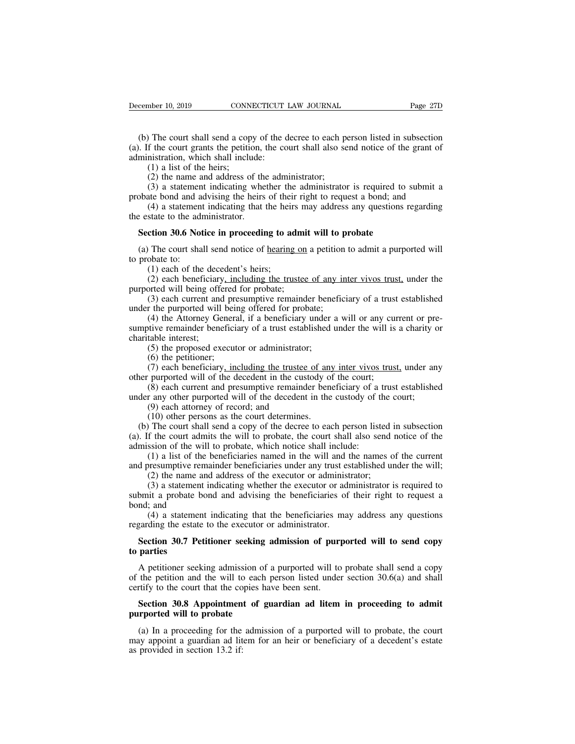(b) The court shall send a copy of the decree to each person listed in subsection<br>(b) The court shall send a copy of the decree to each person listed in subsection<br>of it is court grants the petition, the court shall also s (b) The court shall send a copy of the decree to each person listed in subsection<br>(a). If the court grants the petition, the court shall also send notice of the grant of<br>administration, which shall include:<br>(1) a list of t December 10, 2019 CONNECTICUT 1<br>
(b) The court shall send a copy of the d<br>
(a). If the court grants the petition, the co<br>
administration, which shall include:<br>
(1) a list of the heirs;<br>
(2) the name and address of the adm mber 10, 2019 CONN.<br>
(1) The court shall send a cop<br>
f the court grants the petitic<br>
inistration, which shall inclu<br>
(1) a list of the heirs;<br>
(2) the name and address of<br>
(3) a statement indicating (2) The court shall send a copy of the decree to each perf the court grants the petition, the court shall also se instration, which shall include:<br>(1) a list of the heirs;<br>(2) the name and address of the administrator;<br>(3) (3) The court shall send a copy of the decree to each person listed in subsection<br>f the court grants the petition, the court shall also send notice of the grant of<br>instration, which shall include:<br>(1) a list of the heirs;<br> (b) The court shall send a copy of the decree to each person listed in subsection (a). If the court grants the petition, the court shall also send notice of the grant of administration, which shall include:<br>
(1) a list of The court shart schu a copy of the decree to each person fisted in subsection<br>f the court grants the petition, the court shall also send notice of the grant of<br>instration, which shall include:<br>(1) a list of the heirs;<br>(2)

(a). It the court grains the perition,<br>administration, which shall include:<br>(1) a list of the heirs;<br>(2) the name and address of the<br>(3) a statement indicating whe<br>probate bond and advising the heirs<br>(4) a statement indic (1) a list of the heirs;<br>
(2) the name and address of the administrator;<br>
(3) a statement indicating whether the administrator is required to so<br>
boate bond and advising the heirs of their right to request a bond; and<br>
(4

(3) a statement indicating whether the administrator is required to submit a obate bond and advising the heirs of their right to request a bond; and (4) a statement indicating that the heirs may address any questions rega probate bond and a<br>
(4) a statement<br>
the estate to the adr<br> **Section 30.6 Not**<br>
(a) The court sha<br>
to probate to:<br>
(1) each of the<br>
(2) each benef (4) a statement indicating that the heir<br>state to the administrator.<br>**ction 30.6 Notice in proceeding to ac**<br> $\overline{ }$  The court shall send notice of <u>hearing</u><br>obate to:<br>(1) each of the decedent's heirs;<br>(2) each beneficiar (2) each beneficiary including to admit will to probate<br>
(2) each both beneficiary including the trustee of any inter vivos trust, under the<br>
(2) each beneficiary, including the trustee of any inter vivos trust, under the<br> **Section 30.6 Notice in proceeding to admi**<br>(a) The court shall send notice of <u>hearing on</u><br>to probate to:<br>(1) each of the decedent's heirs;<br>(2) each beneficiary<u>, including the trustee</u><br>purported will being offered for pr (3) each current and proceeding to admit will to probate<br>
(1) each current shall send notice of <u>hearing on</u> a petition to admit a purported will<br>
(1) each of the decedent's heirs;<br>
(2) each beneficiary, including the trus

(a) The court shall send notice of <u>hearing on</u> a petition<br>to probate to:<br>(1) each of the decedent's heirs;<br>(2) each beneficiary<u>, including the trustee of any in</u><br>purported will being offered for probate;<br>(3) each curren (1) the Court shall send hotte of <u>healing</u> on a petition to adility a purported will<br>obate to:<br>(1) each of the decedent's heirs;<br>(2) each beneficiary, including the trustee of any inter vivos trust, under the<br>pred will be (1) each of the decedent's heirs;<br>
(2) each beneficiary<u>, including the trustee of any inter vivos trust</u>, under the<br>
purported will being offered for probate;<br>
(3) each current and presumptive remainder beneficiary of a (1) each of the decomposite (2) each beneficiary<br>purported will being offs (3) each current and<br>under the purported will<br>(4) the Attorney Ge<br>sumptive remainder beneficially interest;<br>(5) the proposed ex (6) the petitioner (2) cach benched by <u>, including the trustee of any</u><br>orted will being offered for probate;<br>(3) each current and presumptive remainder bene<br>r the purported will being offered for probate;<br>(4) the Attorney General, if a ben (3) each current and pre<br>
(3) each current and pre<br>
(4) the Attorney Genera<br>
(4) the Attorney Genera<br>
tive remainder beneficial<br>
(5) the proposed execut<br>
(6) the petitioner;<br>
(7) each beneficiary, incurported will of the (3) each current and presumptive remainder beneficiary of a trust established<br>r the purported will being offered for probate;<br>(4) the Attorney General, if a beneficiary under a will or any current or pre-<br>tive remainder b (4) the Attorney General, if a beneficiary under a will or any cus<br>sumptive remainder beneficiary of a trust established under the will is<br>charitable interest;<br>(5) the proposed executor or administrator;<br>(6) the petitioner (4) the Attorncy General, it a beneficiary under a win of any current of pre-<br>tive remainder beneficiary of a trust established under the will is a charity or<br>table interest;<br>(5) the proposed executor or administrator;<br>(6

under any of a trust established under the will is a charity contritable interest;<br>
(5) the proposed executor or administrator;<br>
(6) the petitioner;<br>
(7) each beneficiary<u>, including the trustee of any inter vivos trust</u>, (5) the proposed executor or administrator;<br>(6) the petitioner;<br>(7) each beneficiary, including the trustee<br>purported will of the decedent in the cust<br>(8) each current and presumptive remainde<br>r any other purported will o

(5) the proposed executor of administrator,<br>
(6) the petitioner;<br>
(7) each beneficiary, including the trustee of any<br>
purported will of the decedent in the custody of<br>
(8) each current and presumptive remainder ben<br>
r any (b) the pethology, including the trustee of any inter vivos trust, under any over purported will of the decedent in the custody of the court;<br>
(8) each current and presumptive remainder beneficiary of a trust established (*i*) cach ochericlary<u>, including the tussee of any intervivos dust</u>, under any<br>other purported will of the decedent in the custody of the court;<br>(8) each current and presumptive remainder beneficiary of a trust establis For particle with of the decedent in the eastedy of the court,<br>
(8) each current and presumptive remainder beneficiary of a<br>
under any other purported will of the decedent in the custody of t<br>
(9) each attorney of record; (6) cach current and presumptive remainder beneficiary of a flust established<br>r any other purported will of the decedent in the custody of the court;<br>(9) each attorney of record; and<br>(10) other persons as the court determ and (10) other parported win of the decedent in the castody of the court,<br>
(9) each attorney of record; and<br>
(10) other persons as the court determines.<br>
(b) The court shall send a copy of the decree to each person listed (3) cach adolney or recold, and<br>(10) other persons as the court determines.<br>The court shall send a copy of the decree to each person listed if<br>the court admits the will to probate, the court shall also send<br>ssion of the w (10) other persons as the contriduct entrincs.<br>
The court shall send a copy of the decree to each person listed in subsection<br>
f the court admits the will to probate, the court shall also send notice of the<br>
ssion of the

(a) The court shall scholar a copy of the decrete to each person instead in stosection<br>(a). If the court admits the will to probate, the court shall also send notice of the<br>admission of the will to probate, which notice s (a). It the court admission of the will<br>admission of the will<br>(1) a list of the<br>and presumptive rem.<br>(2) the name and<br>(3) a statement is<br>bond; and<br>(4) a statement<br>regarding the estate t (1) a list of the beneficiaries named in the will and the names of the current<br>resumptive remainder beneficiaries under any trust established under the will;<br>(2) the name and address of the executor or administrator;<br>(3)

(1) a list of the beneficiaries hanned in the will and<br>and presumptive remainder beneficiaries under any trust es<br>(2) the name and address of the executor or administ<br>(3) a statement indicating whether the executor or adm<br> (2) the name and address of the executor or administrator;<br>
(3) a statement indicating whether the executor or administrator is required to<br>
bmit a probate bond and advising the beneficiaries of their right to request a<br>
n (3) a statemen<br>submit a probate 1<br>bond; and<br>(4) a statement<br>regarding the estate<br>**Section 30.7 Pe<br>to parties**<br>A petitioner see

A petitioner seeking admission of purported will to send copy<br>A petitioner seeking admission of purported will to send copy<br>parties<br>A petitioner seeking admission of a purported will to probate shall send a copy<br>the petit (4) a statement indicating that the beneficiaries may address any questions<br>regarding the estate to the executor or administrator.<br>**Section 30.7 Petitioner seeking admission of purported will to send copy**<br>to **parties**<br>A regarding the estate to the executor or administrator.<br> **Section 30.7 Petitioner seeking admission of purp**<br> **to parties**<br>
A petitioner seeking admission of a purported will to<br>
of the petition and the will to each person **Section 30.7 Petitioner seeking admission of purported will to send copy parties**<br>A petitioner seeking admission of a purported will to probate shall send a copy the petition and the will to each person listed under secti **to parties**<br>A petitioner seeking admission of<br>of the petition and the will to each<br>certify to the court that the copies ha<br>**Section 30.8 Appointment of gradition**<br>**purported will to probate**<br>(a) In a proceeding for the ad A petitioner seeking admission of a purported will to probate shall send a copy<br>the petition and the will to each person listed under section 30.6(a) and shall<br>rtify to the court that the copies have been sent.<br>**Section 3** 

of the petition and the will to each person listed under section 30.6(a) and shall<br>certify to the court that the copies have been sent.<br>**Section 30.8 Appointment of guardian ad litem in proceeding to admit**<br>**purported will** certify to the court that the co<br> **Section 30.8 Appointmen**<br> **purported will to probate**<br>
(a) In a proceeding for the<br>
may appoint a guardian ad lit<br>
as provided in section 13.2 if: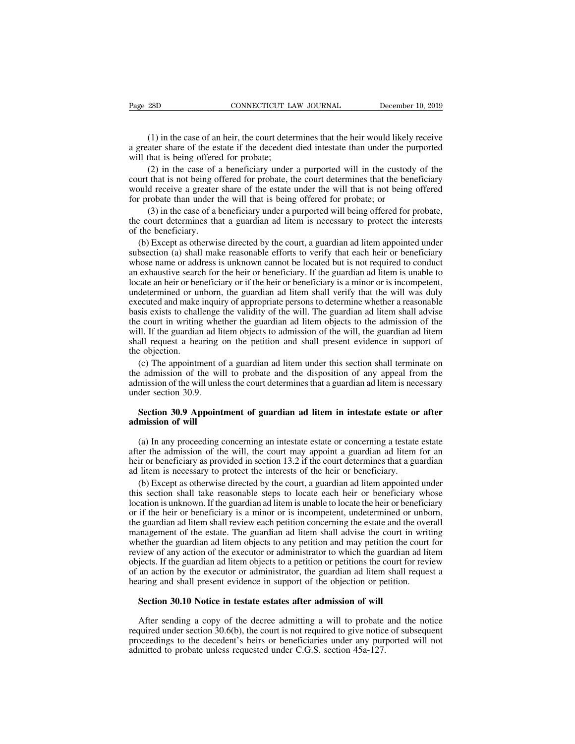(1) in the case of an heir, the court determines that the heir would likely receive ater share of the estate if the decedent died intestate than under the purported that is being offered for probate; Page 28D CONNECTICUT LAW JOURNAL December 10, 2019<br>
(1) in the case of an heir, the court determines that the heir would likely receive<br>
a greater share of the estate if the decedent died intestate than under the purported Page 28D CONNECTICUT LA<br>
(1) in the case of an heir, the court deter<br>
a greater share of the estate if the decedent<br>
will that is being offered for probate;<br>
(2) in the case of a beneficiary under<br>
court that is not being

(1) in the case of an heir, the court determines that the heir would likely receive ater share of the estate if the decedent died intestate than under the purported that is being offered for probate;<br>(2) in the case of a b (1) in the case of an heir, the court determines that the heir would likely receive<br>a greater share of the estate if the decedent died intestate than under the purported<br>will that is being offered for probate;<br>(2) in the (1) in the case of an heir, the court determines that the heir would likely receive<br>a greater share of the estate if the decedent died intestate than under the purported<br>will that is being offered for probate;<br>(2) in the (1) in the case of an heir, the court determines that the heir would likely<br>a greater share of the estate if the decedent died intestate than under the pu<br>will that is being offered for probate;<br>(2) in the case of a benef ater share of the estate if the decedent died intestate than under the purported<br>that is being offered for probate;<br>(2) in the case of a beneficiary under a purported will in the custody of the<br>that is not being offered fo will that is being offered for probate;<br>
(2) in the case of a beneficiary under a purported will in the custody of the<br>
court that is not being offered for probate, the court determines that the beneficiary<br>
would receive (2) in the case of a<br>court that is not being of<br>would receive a greater<br>for probate than under t<br>(3) in the case of a l<br>the court determines that<br>of the beneficiary.<br>(b) Except as otherwis<br>subsection (a) shall mak

It that is not being offered for probate, the court determines that the beneficiary<br>
ould receive a greater share of the estate under the will that is not being offered<br>
r probate than under the will that is being offered would receive a greater share of the estate under the will that is not being offered<br>for probate than under the will that is being offered for probate; or<br>(3) in the case of a beneficiary under a purported will being offer for probate than under the will that is being offered for probate; or<br>
(3) in the case of a beneficiary under a purported will being offered for probate,<br>
the court determines that a guardian ad litem is necessary to prote (3) in the case of a beneficiary under a purported will being offered for probate, the court determines that a guardian ad litem is necessary to protect the interests of the beneficiary.<br>
(b) Except as otherwise directed the court determines that a guardian ad litem is necessary to protect the interests<br>of the beneficiary.<br>(b) Except as otherwise directed by the court, a guardian ad litem appointed under<br>subsection (a) shall make reasonabl of the beneficiary.<br>
(b) Except as otherwise directed by the court, a guardian ad litem appointed under<br>
subsection (a) shall make reasonable efforts to verify that each heir or beneficiary<br>
whose name or address is unknow (b) Except as otherwise directed by the court, a guardian ad litem appointed under subsection (a) shall make reasonable efforts to verify that each heir or beneficiary whose name or address is unknown cannot be located but (b) Except as otherwise directed by the court, a guardian ad interimply and subsection (a) shall make reasonable efforts to verify that each heir or beneficiary whose name or address is unknown cannot be located but is no subsection (a) shart make reasonable enorts to vertry that each fiert of ocherriciary<br>whose name or address is unknown cannot be located but is not required to conduct<br>an exhaustive search for the heir or beneficiary. If t whose hante of address is dinknown cannot oc located out is not required to conduct<br>an exhaustive search for the heir or beneficiary. If the guardian ad litem is unable to<br>locate an heir or beneficiary or if the heir or be an exhausuve search for the heli of ocherriclary. If the guardian ad flictin is unable to<br>locate an heir or beneficiary or if the heir or beneficiary is a minor or is incompetent,<br>undetermined or unborn, the guardian ad li fraction and the official<br>termined or unexecuted and make<br>basis exists to chall<br>the court in writing<br>will. If the guardiar<br>shall request a heal<br>the objection.<br>(c) The appointn<br>the admission of the ecuted and make inquiry of appropriate persons to determine whether a reasonable<br>sis exists to challenge the validity of the will. The guardian ad litem shall advise<br>e court in writing whether the guardian ad litem objects basis exists to challenge the validity of the will. The guardian ad litem shall advise<br>the court in writing whether the guardian ad litem objects to the admission of the<br>will. If the guardian ad litem objects to admission the court in writing whether the guardian ad litem objects to the admission of the will. If the guardian ad litem objects to admission of the will, the guardian ad litem shall request a hearing on the petition and shall pr

will. If the guardian ad li<br>shall request a hearing<br>the objection.<br>(c) The appointment of<br>the admission of the will unle<br>admission of the will unle<br>under section 30.9.<br>Section 30.9 Appoint **Section** 30.9 Appointment of guardian ad litem under this section shall terminate on endmission of the will to probate and the disposition of any appeal from the mission of the will unless the court determines that a guar (c) The appointment of<br>the admission of the wild<br>admission of the will unle<br>under section 30.9.<br>**Section 30.9 Appoin<br>admission of will**<br>(a) In any proceeding

E admission of the will unless the court determines that a guardian ad litem is necessary<br>der section 30.9.<br>**Section 30.9 Appointment of guardian ad litem in intestate estate or after**<br>**mission of will**<br>(a) In any proceed admission of the will these state court determines that a guardian ad litem is necessary<br>under section 30.9.<br>Section 30.9 Appointment of guardian ad litem in intestate estate or after<br>admission of will<br>(a) In any proceedin **Section 30.9 Appointment of guardian ad litem in intestate estate or after admission of will**<br>(a) In any proceeding concerning an intestate estate or concerning a testate estate<br>after the admission of the will, the court **Section 30.9 Appointment of guardian ad litem in intestate estate or admission of will**<br>(a) In any proceeding concerning an intestate estate or concerning a testate<br>after the admission of the will, the court may appoint a (a) In any proceeding concerning an intestate estate or concerning a testate estate er the admission of the will, the court may appoint a guardian ad litem for an ir or beneficiary as provided in section 13.2 if the court

(a) In any proceeding concerning an intestate estate or concerning a testate estate after the admission of the will, the court may appoint a guardian ad litem for an heir or beneficiary as provided in section 13.2 if the c (a) In any proceeding concerning an intestate estate or concerning a testate estate after the admission of the will, the court may appoint a guardian ad litem for an heir or beneficiary as provided in section 13.2 if the c after the admission of the will, the court may appoint a guardian ad litem for an heir or beneficiary as provided in section 13.2 if the court determines that a guardian ad litem is necessary to protect the interests of th the first or beneficiary as provided in section 13.2 if the court determines that a guardian ad litem is necessary to protect the interests of the heir or beneficiary.<br>
(b) Except as otherwise directed by the court, a guar ad litem is necessary to protect the interests of the heir or beneficiary.<br>
(b) Except as otherwise directed by the court, a guardian ad litem appointed under<br>
this section shall take reasonable steps to locate each heir o (b) Except as otherwise directed by the court, a guardian ad litem appointed under this section shall take reasonable steps to locate each heir or beneficiary whose location is unknown. If the guardian ad litem is unable t (b) Except as otherwise directed by the court, a guardian ad internappointed under<br>this section shall take reasonable steps to locate each heir or beneficiary whose<br>location is unknown. If the guardian ad litem is unable t Insis section shall take reasonable steps to locate each hell of ochiencially whose<br>location is unknown. If the guardian ad litem is unable to locate the heir or beneficiary<br>or if the heir or beneficiary is a minor or is i ocation is unknown. It the guardian ad inclinity studior to locate the held of ocherriciary<br>or if the heir or beneficiary is a minor or is incompetent, undetermined or unborn,<br>the guardian ad litem shall review each petiti or it the first of benchedary is a filmot of is incompetent, undetermined or under<br>the guardian ad litem shall review each petition concerning the estate and the over<br>management of the estate. The guardian ad litem shall a management of the estate. The guardian ad litem shall advise the court in writing<br>whether the guardian ad litem objects to any petition and may petition the court for<br>review of any action of the executor or administrator t The weak of any action of the execution of administrator to which the guardian ad intentifiects. If the guardian ad litem objects to a petition or petitions the court for review an action by the executor or administrator,

required under section 30.10 Notice in testate estates after admission of will<br>Section 30.10 Notice in testate estates after admission of will<br>Section 30.10 Notice in testate estates after admission of will<br>After sending a be detail of an action by the executor of administrator, the guardian ad fitem shall request a hearing and shall present evidence in support of the objection or petition.<br>Section 30.10 Notice in testate estates after admis Section 30.10 Notice in testate estates after admission of will<br>After sending a copy of the decree admitting a will to probate<br>required under section 30.6(b), the court is not required to give notice<br>proceedings to the dec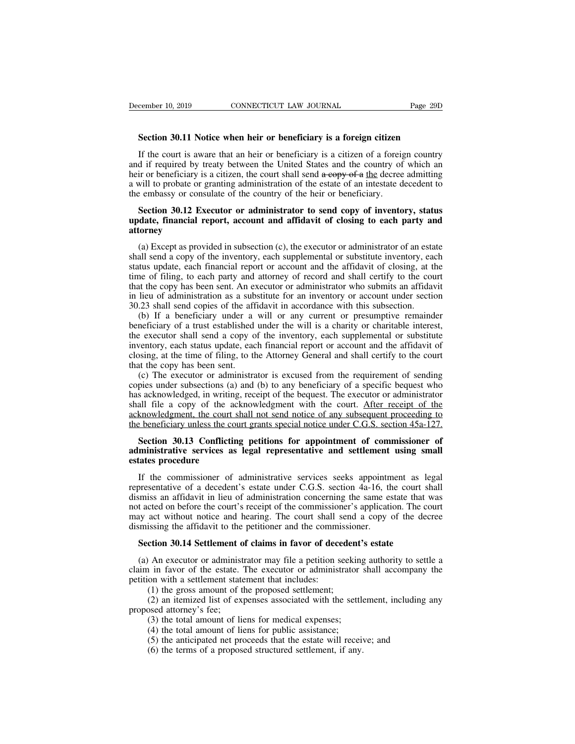**Section 30.11 Notice when heir or beneficiary is a foreign citizen**<br> **Section 30.11 Notice when heir or beneficiary is a foreign citizen**<br>
If the court is aware that an heir or beneficiary is a citizen of a foreign countr If the court is aware that an heir or beneficiary is a foreign citizen<br>If the court is aware that an heir or beneficiary is a foreign citizen<br>If the court is aware that an heir or beneficiary is a citizen of a foreign coun **Example 10, 2019** CONNECTICUT LAW JOURNAL Page 29D<br> **Section 30.11 Notice when heir or beneficiary is a foreign citizen**<br>
If the court is aware that an heir or beneficiary is a citizen of a foreign country<br>
and if require **Section 30.11 Notice when heir or beneficiary is a foreign citizen**<br>If the court is aware that an heir or beneficiary is a citizen of a foreign country<br>and if required by treaty between the United States and the country **Section 30.11 Notice when heir or beneficiary is a foreign citizen**<br>If the court is aware that an heir or beneficiary is a citizen of a foreign country<br>and if required by treaty between the United States and the country Section 30.11 Notice when heir or beneficiary is a foreign citizen<br>If the court is aware that an heir or beneficiary is a citizen of a foreig<br>and if required by treaty between the United States and the country of<br>heir or b If the court is aware that an heir or beneficiary is a citizen of a foreign country<br>d if required by treaty between the United States and the country of which an<br>ir or beneficiary is a citizen, the court shall send a copy If the court is aware that an heir or beneficiary is a citizen of a foreign country<br>and if required by treaty between the United States and the country of which an<br>heir or beneficiary is a citizen, the court shall send  $a$ 

### **attorney**

will to probate or granting administration of the estate of an intestate decedent to<br>e embassy or consulate of the country of the heir or beneficiary.<br>**Section 30.12 Executor or administrator to send copy of inventory, sta** the embassy or consulate of the country of the heir or beneficiary.<br> **Section 30.12 Executor or administrator to send copy of inventory, status**<br> **update, financial report, account and affidavit of closing to each party an** Section 30.12 Executor or administrator to send copy of inventory, status update, financial report, account and affidavit of closing to each party and attorney<br>(a) Except as provided in subsection (c), the executor or admi Section 30.12 Executor or administrator to send copy of inventory, status update, financial report, account and affidavit of closing to each party and attorney<br>
(a) Except as provided in subsection (c), the executor or adm update, financial report, account and affidavit of closing to each party and<br>attorney<br>(a) Except as provided in subsection (c), the executor or administrator of an estate<br>shall send a copy of the inventory, each supplement attorney<br>
(a) Except as provided in subsection (c), the executor or administrator of an estate<br>
shall send a copy of the inventory, each supplemental or substitute inventory, each<br>
status update, each financial report or a (a) Except as provided in subsection (c), the executor or administrator of an esta<br>shall send a copy of the inventory, each supplemental or substitute inventory, ea<br>status update, each financial report or account and the a (a) Except as provided in subsection (e), the exectuor of administrator of an estate all send a copy of the inventory, each supplemental or substitute inventory, each titus update, each financial report or account and the shall send a copy of the inventiony, each supplemental or substitute inventiony, each status update, each financial report or account and the affidavit of closing, at the time of filing, to each party and attorney of recor

status update, each mantelar teport of account and the arrivance of closing, at the time of filing, to each party and attorney of record and shall certify to the court that the copy has been sent. An executor or administra ince of limits, to cach party and attorney of record and shall eerthy to the contribute that the copy has been sent. An executor or administrator who submits an affidavit in lieu of administration as a substitute for an in in lieu of administration as a substitute for an inventory or account under section 30.23 shall send copies of the affidavit in accordance with this subsection.<br>
(b) If a beneficiary under a will or any current or presumpt 30.23 shall send copies of the affidavit in accordance with this subsection.<br>
(b) If a beneficiary under a will or any current or presumptive remainder<br>
beneficiary of a trust established under the will is a charity or cha (b) If a beneficiary under a will or any current or presumptive remainder neficiary of a trust established under the will is a charity or charitable interest, e executor shall send a copy of the inventory, each supplementa (b) If a beneficiary dinact a wiff of any current of presumptive remainder<br>beneficiary of a trust established under the will is a charity or charitable interest,<br>the executor shall send a copy of the inventory, each suppl

behenciary or a trust established under the wir is a charity of charmable interest, the executor shall send a copy of the inventory, each supplemental or substitute inventory, each status update, each financial report or a inventory, each status update, each financial report or account and the affidavit of closing, at the time of filing, to the Attorney General and shall certify to the court that the copy has been sent.<br>
(c) The executor or mychiory, cach status update, cach manieral report of account and the arithawit of<br>closing, at the time of filing, to the Attorney General and shall certify to the court<br>that the copy has been sent.<br>(c) The executor or adm that the copy has been sent.<br>
(c) The executor or administrator is excused from the requirement of sending<br>
copies under subsections (a) and (b) to any beneficiary of a specific bequest who<br>
has acknowledged, in writing, r (c) The executor or administrator is excused from the requirement of sending<br>pies under subsections (a) and (b) to any beneficiary of a specific bequest who<br>s acknowledged, in writing, receipt of the bequest. The executor copies under subsections (a) and (b) to any beneficiary of a specific bequest who<br>has acknowledged, in writing, receipt of the bequest. The executor or administrator<br>shall file a copy of the acknowledgment with the court. has acknowledged, in writing<br>shall file a copy of the acknowledgment, the court is<br>acknowledgment, the court is<br>the beneficiary unless the co<br>**Section 30.13 Confliction**<br>**administrative services as**<br>**estates procedure**<br>If

knowledgment, the court shall not send notice of any subsequent proceeding to<br>
beneficiary unless the court grants special notice under C.G.S. section 45a-127.<br> **Section 30.13 Conflicting petitions for appointment of commi** the beneficiary unless the court grants special notice under C.G.S. section 45a-127.<br>Section 30.13 Conflicting petitions for appointment of commissioner of<br>administrative services as legal representative and settlement usi Section 30.13 Conflicting petitions for appointment of commissioner of administrative services as legal representative and settlement using small estates procedure<br>If the commissioner of administrative services seeks appoi Section 30.13 Conflicting petitions for appointment of commissioner of administrative services as legal representative and settlement using small estates procedure<br>If the commissioner of administrative services seeks appoi administrative services as legal representative and settlement using small<br>estates procedure<br>If the commissioner of administrative services seeks appointment as legal<br>representative of a decedent's estate under C.G.S. sect estates procedure<br>If the commissioner of administrative services seeks appointn<br>representative of a decedent's estate under C.G.S. section 4a-16, the<br>dismiss an affidavit in lieu of administration concerning the same es<br>no If the commissioner of administrative services seeks appointment as learner<br>presentative of a decedent's estate under C.G.S. section 4a-16, the court shares an affidavit in lieu of administration concerning the same estate is an affidavit in lieu of administration concerning the same estate that was<br>t acted on before the court's receipt of the commissioner's application. The court<br>ay act without notice and hearing. The court shall send a cop not acted on before the court's receipt of the commissioner's application. The court<br>may act without notice and hearing. The court shall send a copy of the decree<br>dismissing the affidavit to the petitioner and the commissi

may act without notice and hearing. The court shall s<br>dismissing the affidavit to the petitioner and the commi<br>**Section 30.14 Settlement of claims in favor of dece**<br>(a) An executor or administrator may file a petition so<br>c issing the affidavit to the petitioner and the commissio<br> **ction 30.14 Settlement of claims in favor of deceden**<br>
An executor or administrator may file a petition seeki<br>
1 in favor of the estate. The executor or administra (2) an itemized list of claims in favor of decedent's estate<br>
An executor or administrator may file a petition seeking authority to settle a<br>
in favor of the estate. The executor or administrator shall accompany the<br>
on wi **Section 30.14 Settlement o**<br>(a) An executor or administ<br>claim in favor of the estate.<br>petition with a settlement state<br>(1) the gross amount of ti<br>(2) an itemized list of exproposed attorney's fee;<br>(3) the total amount of (4) An executor or administrator may file a petition seeking<br>
in favor of the estate. The executor or administrator s<br>
on with a settlement statement that includes:<br>
(1) the gross amount of the proposed settlement;<br>
(2) an The second of all amount of liens for the product of administrator<br>
in favor of the estate. The executor or administrator<br>
(1) the gross amount of the proposed settlement;<br>
(2) an itemized list of expenses associated with

(1) the gross amount of the proposed settlement;<br>(2) an itemized list of expenses associated with the settlement, including a<br>seed attorney's fee;<br>(3) the total amount of liens for medical expenses;<br>(4) the total amount of (1) the gross amount of the proposed settlement;<br>(2) an itemized list of expenses associated with the settlement;<br>(2) an itemized list of expenses associated with the settlement<br>osed attorney's fee;<br>(3) the total amount o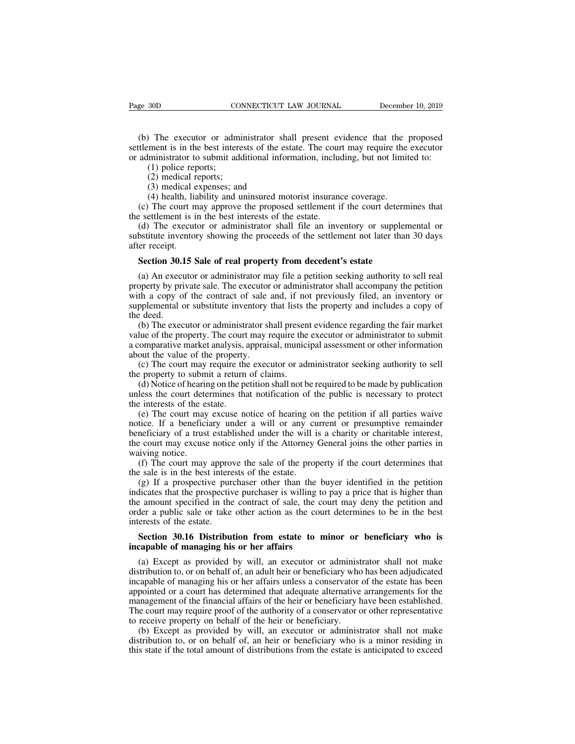(b) The executor or administrator shall present evidence that the proposed thement is in the best interests of the estate. The court may require the executor administrator to submit additional information, including, but n Page 30D CONNECTICUT LAW JOURNAL December 10, 2019<br>(b) The executor or administrator shall present evidence that the proposed<br>settlement is in the best interests of the estate. The court may require the executor<br>or adminis Page 30D CONNECTICUT LAW JOURNAL December 10, 2019<br>
(b) The executor or administrator shall present evidence that the proposed<br>
settlement is in the best interests of the estate. The court may require the executor<br>
or admi (1) policies and the executor or adm<br>
(1) police reports;<br>
(2) police reports;<br>
(2) medical reports;<br>
(3) medical expenses; and the expenses; and the expenses; and the expense of the expense of the expense of the expense o (2) The executor or admin<br>
ment is in the best interes<br>
lministrator to submit addi<br>
(1) police reports;<br>
(2) medical reports;<br>
(3) medical expenses; and<br>
(4) health, liability and ur (3) The executor or administrator shapenent is in the best interests of the es<br>
iministrator to submit additional infor<br>
(1) police reports;<br>
(2) medical reports;<br>
(3) medical expenses; and<br>
(4) health, liability and unins (4) The executor or administrator shall present evidence that the<br>ment is in the best interests of the estate. The court may require the<br>ministrator to submit additional information, including, but not limit<br>(1) police rep (e) The executor of administrator share present evidence that the proposed<br>tlement is in the best interests of the estate. The court may require the executor<br>administrator to submit additional information, including, but n

Sutement is in the best interests of the estate. The court<br>or administrator to submit additional information, include<br>(1) police reports;<br>(2) medical expenses; and<br>(4) health, liability and uninsured motorist insurant<br>(c) (1) police reports;<br>
(2) medical reports;<br>
(3) medical expenses; and<br>
(4) health, liability and uninsured motorist insurance coverage.<br>
(c) The court may approve the proposed settlement if the court determines that<br>
settle (1) police reports,<br>
(2) medical expenses; and<br>
(4) health, liability and uninsured motorist insurance coverage.<br>
(c) The court may approve the proposed settlement if the court determines that<br>
the settlement is in the bes (2) inclined it<br>
(3) medical e<br>
(4) health, lia<br>
(c) The court m<br>
the settlement is in<br>
(d) The execute<br>
substitute inventor<br>
after receipt.<br> **Section 30.15** S (4) health, liability and uninsured motorist insurance coverage.<br>
(c) The court may approve the proposed settlement if the court determ<br>
e settlement is in the best interests of the estate.<br>
(d) The executor or administrat

(c) The coart may approve the proposed settlement in the coart determines that<br>e settlement is in the best interests of the estate.<br>(d) The executor or administrator shall file an inventory or supplemental or<br>bstitute inve (d) The executor or administrator shall file an inventory or supplemental or substitute inventory showing the proceeds of the settlement not later than 30 days after receipt.<br>Section 30.15 Sale of real property from decede whistritute inventory showing the proceeds of the settlement not later than 30 days<br>after receipt.<br>**Section 30.15 Sale of real property from decedent's estate**<br>(a) An executor or administrator may file a petition seeking a substitute inventory showing the proceeds or the settlement not natel than 50 days<br>after receipt.<br>Section 30.15 Sale of real property from decedent's estate<br>(a) An executor or administrator may file a petition seeking auth **Section 30.1**<br>(a) An exect<br>property by pri<br>with a copy of<br>supplemental complemental complemental complemental complemental complemental conditions. Section 30.15 Sale of real property from decedent's estate<br>
(a) An executor or administrator may file a petition seeking authority to sell real<br>
operty by private sale. The executor or administrator shall accompany the pe (a) An executor or administrator may file a petition seeking authority to sell real property by private sale. The executor or administrator shall accompany the petition with a copy of the contract of sale and, if not previ (a) An executor or administrator may file a pethon seeking atthorty to sell real property by private sale. The executor or administrator shall accompany the petition with a copy of the contract of sale and, if not previous

property by private sate. The executor<br>with a copy of the contract of sale<br>supplemental or substitute inventory<br>the deed.<br>(b) The executor or administrator s<br>value of the property. The court may ra<br>a comparative market ana (c) The court may require the executor or administrator seeking authority to seller property and includes a copy of  $e$  deed.<br>
(b) The executor or administrator shall present evidence regarding the fair market lue of the supprementar or substitute inventory that rists the deed.<br>
(b) The executor or administrator shall presen<br>
value of the property. The court may require the<br>
a comparative market analysis, appraisal, munic<br>
about the value (b) The executor or administrator shall present evidence regarding the fair market<br>lue of the property. The court may require the executor or administrator to submit<br>comparative market analysis, appraisal, municipal asses (b) The executor of administrator shall present evidence regarding the ran market value of the property. The court may require the executor or administrator to submit a comparative market analysis, appraisal, municipal as

value of the property. The court<br>a comparative market analysis, a<br>bout the value of the property<br>(c) The court may require the<br>the property to submit a return<br>(d) Notice of hearing on the pe<br>unless the court determines tha

omparative market analysis, appraisar, municipal assessment of outer information<br>out the value of the property.<br>(c) The court may require the executor or administrator seeking authority to sell<br>e property to submit a retur about the value of the property.<br>
(c) The court may require the executor or administrator seeking authority to sell<br>
the property to submit a return of claims.<br>
(d) Notice of hearing on the petition shall not be required t (c) The court may require the exection of administration seeking attitionly to self the property to submit a return of claims.<br>
(d) Notice of hearing on the petition shall not be required to be made by publication unless t the court of the court may approve the sale of the property if the court determines that notification of the public is necessary to protect the interests of the estate.<br>
(e) The court may excuse notice of hearing on the pe (u) Notice of heart<br>unless the court dete<br>the interests of the es<br>(e) The court may<br>notice. If a beneficial<br>beneficiary of a trust<br>the court may excuse<br>waiving notice.<br>(f) The court may<br>the sale is in the bes Figure 2.1 The court determines that notification of the public is inclusion of protect<br>
interests of the estate.<br>
(e) The court may excuse notice of hearing on the petition if all parties waive<br>
tice. If a beneficiary und (e) The court may excuse notice of hearing or<br>notice. If a beneficiary under a will or any cu<br>beneficiary of a trust established under the will i<br>the court may excuse notice only if the Attorney<br>waiving notice.<br>(f) The cou (e) The court may excuse notice of hearing on the petition II an parties wave<br>tice. If a beneficiary under a will or any current or presumptive remainder<br>neficiary of a trust established under the will is a charity or cha

indicates that the prospective purchaser is will be network of presumptive remainder<br>the court may excuse notice only if the Attorney General joins the other parties in<br>waiving notice.<br>(f) The court may approve the sale of behericiary of a trust established under the win is a charity of character interest, the court may excuse notice only if the Attorney General joins the other parties in waiving notice.<br>
(f) The court may approve the sale o order a public sale or take other action as the court determines that<br>the sale is in the best interests of the estate.<br>(g) If a prospective purchaser other than the buyer identified in the petition<br>indicates that the prosp waving nonce.<br>
(f) The court may approve<br>
the sale is in the best intered (g) If a prospective pure<br>
indicates that the prospective<br>
the amount specified in the<br>
order a public sale or take<br>
interests of the estate.<br> **Sec** Example is in the best interests of the estate.<br>
(g) If a prospective purchaser other than the buyer identified in the petition<br>
licates that the prospective purchaser is willing to pay a price that is higher than<br>
Example (g) If a prospective purchaser other than the b<br>indicates that the prospective purchaser is willing to<br>the amount specified in the contract of sale, the co<br>order a public sale or take other action as the cour<br>interests of Fraction and the prospective partitions is whiling to pay a price that is inglier than<br>
E amount specified in the contract of sale, the court may deny the petition and<br>
der a public sale or take other action as the court d

distribution to, or on behalf of, an adult heir or beneficiary who is incapable of managing his or her affairs<br>(a) Except as provided by will, an executor or administrator shall not make distribution to, or on behalf of, a interests of the estate.<br> **Section 30.16 Distribution from estate to minor or beneficiary who is**<br> **incapable of managing his or her affairs**<br>
(a) Except as provided by will, an executor or administrator shall not make<br>
di Section 30.16 Distribution from estate to minor or beneficiary who is<br>incapable of managing his or her affairs<br>(a) Except as provided by will, an executor or administrator shall not make<br>distribution to, or on behalf of, a Section 30.16 Distribution from estate to minor or beneficiary who is<br>incapable of managing his or her affairs<br>(a) Except as provided by will, an executor or administrator shall not make<br>distribution to, or on behalf of, a incapable of managing his or her affairs<br>
(a) Except as provided by will, an executor or administrator shall not make<br>
distribution to, or on behalf of, an adult heir or beneficiary who has been adjudicated<br>
incapable of m (a) Except as provided by will, an executor or administ<br>distribution to, or on behalf of, an adult heir or beneficiary who<br>incapable of managing his or her affairs unless a conservator<br>appointed or a court has determined t (a) Except as provided by win, an executor or administrator shall not make<br>tribution to, or on behalf of, an adult heir or beneficiary who has been adjudicated<br>capable of managing his or her affairs unless a conservator of distribution to, or on behalf of, an addit hen or beneficiary who has been adjudicated<br>incapable of managing his or her affairs unless a conservator of the estate has been<br>appointed or a court has determined that adequate Incapable of managing ins of iterations at conservator of the estate has been appointed or a court has determined that adequate alternative arrangements for the management of the financial affairs of the heir or beneficiar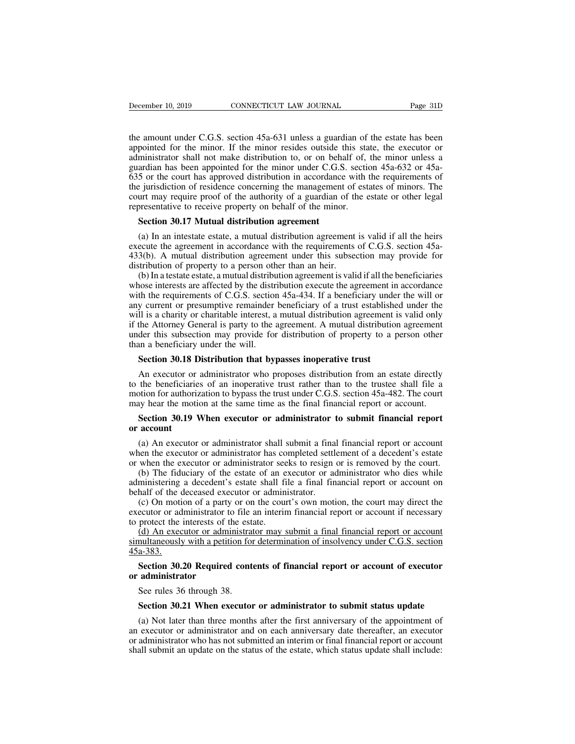December 10, 2019 CONNECTICUT LAW JOURNAL Page 31D<br>the amount under C.G.S. section 45a-631 unless a guardian of the estate has been<br>appointed for the minor. If the minor resides outside this state, the executor or<br>administ December 10, 2019 CONNECTICUT LAW JOURNAL Page 31D<br>the amount under C.G.S. section 45a-631 unless a guardian of the estate has been<br>appointed for the minor. If the minor resides outside this state, the executor or<br>administ December 10, 2019 CONNECTICUT LAW JOURNAL Page 31D<br>the amount under C.G.S. section 45a-631 unless a guardian of the estate has been<br>appointed for the minor. If the minor resides outside this state, the executor or<br>administ December 10, 2019 CONNECTICUT LAW JOURNAL Page 31D<br>the amount under C.G.S. section 45a-631 unless a guardian of the estate has been<br>appointed for the minor. If the minor resides outside this state, the executor or<br>administ the amount under C.G.S. section 45a-631 unless a guardian of the estate has been<br>appointed for the minor. If the minor resides outside this state, the executor or<br>administrator shall not make distribution to, or on behalf the amount under C.G.S. section 45a-631 unless a guardian of the estate has been<br>appointed for the minor. If the minor resides outside this state, the executor or<br>administrator shall not make distribution to, or on behalf the amount under C.G.S. section 45a-631 unless a guardian of the estate has been<br>appointed for the minor. If the minor resides outside this state, the executor or<br>administrator shall not make distribution to, or on behalf incommutative to receive Theorem and appointed for the minor. If the minor resides outside this stand administrator shall not make distribution to, or on behalf of, guardian has been appointed for the minor under C.G.S. se ministrator shall not make distribution to, or on behal<br>ardian has been appointed for the minor under C.G.S.<br>5 or the court has approved distribution in accordance<br>be jurisdiction of residence concerning the management<br>urt (a) In an intestate estate, a mutual distribution agreement is valid if all the heirs (a). A mutual distribution agreement of estates of minors. The urt may require proof of the authority of a guardian of the estate or ot

From the jurisdiction of residence concerning the management of estates of minors. The court may require proof of the authority of a guardian of the estate or other legal representative to receive property on behalf of the the yaristicution of restactive concerning the management of estates of minors. The<br>court may require proof of the authority of a guardian of the estate or other legal<br>representative to receive property on behalf of the mi Frequity in the all than of the distribution of the minor.<br> **Section 30.17 Mutual distribution agreement**<br>
(a) In an intestate estate, a mutual distribution agreement<br>
execute the agreement in accordance with the requireme Section 30.17 Mutual distribution agreement<br>
(a) In an intestate estate, a mutual distribution agreement is valid if all the heirs<br>
ecute the agreement in accordance with the requirements of C.G.S. section 45a-<br>
3(b). A m

**Section 30.17 Mutual distribution agreement**<br>
(a) In an intestate estate, a mutual distribution agreement is valid if all the heirs<br>
execute the agreement in accordance with the requirements of C.G.S. section 45a-<br>
433(b (a) In an intestate estate, a mutual distribution agreement is valid if all the heirs execute the agreement in accordance with the requirements of C.G.S. section 45a-433(b). A mutual distribution agreement under this subs (a) In an increase estate, a middle distribution agreement is valid if an the hensexecute the agreement in accordance with the requirements of C.G.S. section 45a-433(b). A mutual distribution agreement under this subsecti 433(b). A mutual distribution agreement under this subsection may provide for distribution of property to a person other than an heir.<br>
(b) In a testate estate, a mutual distribution agreement is valid if all the benefici  $433(0)$ . A mutual distribution agreement under this subsection may provide for distribution of property to a person other than an heir.<br>
(b) In a testate estate, a mutual distribution agreement is valid if all the benefi under this absection may provide for distribution of property to a person other than an heart.<br>
(b) In a testate estate, a mutual distribution agreement is valid if all the beneficiaries<br>
whose interests are affected by th (b) In a testate estate, a mutual distribution<br>whose interests are affected by the distribution<br>with the requirements of C.G.S. section<br>any current or presumptive remainder<br>will is a charity or charitable interest, a<br>if th th the requirements of C.G.S. section 45a-434. If a beneficiary under<br>y current or presumptive remainder beneficiary of a trust establishe<br>Il is a charity or charitable interest, a mutual distribution agreement i<br>the Attor If is a charity or charitable interest, a mutual distribution agreement is valid only the Attorney General is party to the agreement. A mutual distribution agreement der this subsection may provide for distribution of prop

which a charty of chartable interest, a matdai distribution agreement is valid only<br>if the Attorney General is party to the agreement. A mutual distribution agreement<br>under this subsection may provide for distribution of p motion for authorization for authorization for a person other<br>than a beneficiary under the will.<br>**Section 30.18 Distribution that bypasses inoperative trust**<br>An executor or administrator who proposes distribution from an e may provide for distribution of property to a person official<br>than a beneficiary under the will.<br>Section 30.18 Distribution that bypasses inoperative trust<br>An executor or administrator who proposes distribution from an est **Section 30.18 Distribution that bypasses inoperative trust**<br>An executor or administrator who proposes distribution from an estate directly<br>the beneficiaries of an inoperative trust rather than to the trustee shall file a<br> **Section 50.18 D**<br>An executor or<br>to the beneficiarie<br>motion for authoriz<br>may hear the motion<br>**Section 30.19 V**<br>or account<br>(a) An executor An execution or administrator who proposes distribution from an estate directly<br>the beneficiaries of an inoperative trust rather than to the trustee shall file a<br>otion for authorization to bypass the trust under C.G.S. sec

when the executor or administrator shall submit a final financial report or account.<br> **Section 30.19 When executor or administrator to submit financial report**<br> **Section 30.19 When executor or administrator to submit finan** motion for administration to by by assume that the control executor  $-5a-7b2$ . The court<br>may hear the motion at the same time as the final financial report or account.<br>**Section 30.19 When executor or administrator to submi** Section 30.19 When executor or administrator to submit financial report<br>account<br>(a) An executor or administrator shall submit a final financial report or account<br>en the executor or administrator has completed settlement of **Section 30.19 When executor or administrator to submit financial report**<br>or account<br>(a) An executor or administrator shall submit a final financial report or account<br>when the executor or administrator has completed settl or account<br>
(a) An executor or administrator shall submit a fina<br>
when the executor or administrator has completed settle<br>
or when the executor or administrator seeks to resign<br>
(b) The fiduciary of the estate of an execut (a) An executor or administrator shall submit a final financial report or account<br>en the executor or administrator has completed settlement of a decedent's estate<br>when the executor or administrator seeks to resign or is re

(a) An executor or administrator has completed settlement of a decedent's estate<br>or when the executor or administrator seeks to resign or is removed by the court.<br>(b) The fiduciary of the estate of an executor or administ when the exection of administrator has co<br>or when the exection of administrator see<br>(b) The fiduciary of the estate of an e<br>administering a decedent's estate shall fi<br>behalf of the deceased exection or admin<br>(c) On motion When the executor or administrator seeks to resign or is removed by the court.<br>
(b) The fiduciary of the estate of an executor or administrator who dies while<br>
ministering a decedent's estate shall file a final financial

(c) On motion of a party or on the court's own motion, the court may direct the ecutor or administrator to file an interim financial report or account if necessary protect the interests of the estate.<br>
(d) An executor or a

(b) The Hudelary of the estate of an execution of administrator who dies while<br>administering a decedent's estate shall file a final financial report or account on<br>behalf of the deceased executor or administrator.<br>(c) On m 45a-383. executor or administrator to<br>to protect the interests of th<br>(d) An executor or admin<br>simultaneously with a petitic<br>45a-383.<br>**Section 30.20 Required**<br>or administrator<br>See rules 36 through 38. proced the interests of the est<br>(d) An executor or administrative<br>nultaneously with a petition for<br>a-383.<br>**Section 30.20 Required cont**<br>**administrator**<br>See rules 36 through 38.<br>**Section 30.21 When executor** multaneously with a petition for determination of insolvency under C.G.S. section a-383.<br> **Section 30.20 Required contents of financial report or account of executor administrator**<br>
See rules 36 through 38.<br> **Section 30.21** 

Section 30.20 Required contents of financial report or account of executor<br>administrator<br>See rules 36 through 38.<br>Section 30.21 When executor or administrator to submit status update<br>(a) Not later than three months after t Section 30.20 Required contents of financial report or account of executor<br>or administrator<br>See rules 36 through 38.<br>Section 30.21 When executor or administrator to submit status update<br>(a) Not later than three months afte or administrator<br>See rules 36 through 38.<br>Section 30.21 When executor or administrator to submit status update<br>(a) Not later than three months after the first anniversary of the appointment of<br>an executor or administrator See rules 36 through 38.<br>Section 30.21 When executor or administrator to submit status update<br>(a) Not later than three months after the first anniversary of the appointment of<br>an executor or administrator and on each anniv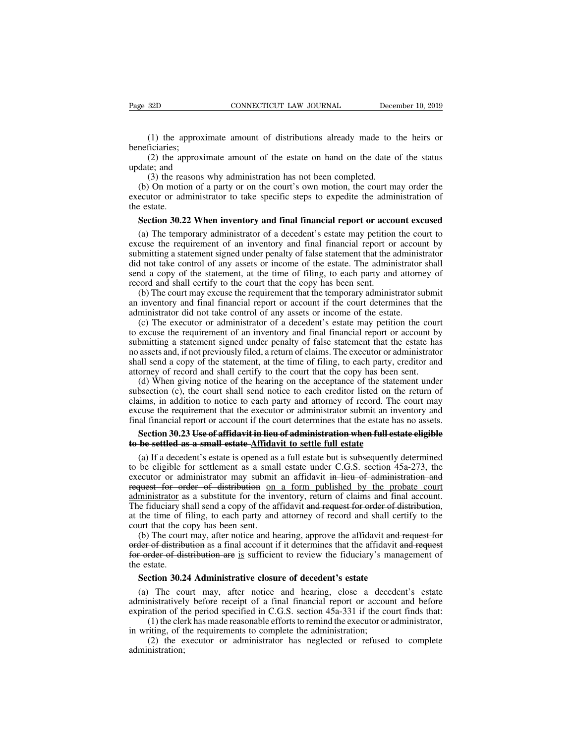(1) the approximate amount of distributions already made to the heirs or ficiaries;<br>(2) the approximate amount of the estate on hand on the date of the status (2) the approximate amount of the estate on hand on the date of beneficiaries;

(1) the approximate amount of distributions already made to the heirs or ficiaries;<br>(2) the approximate amount of the estate on hand on the date of the status te; and (3) the reasons why administration has not been complet Page 32D<br>
(1) the approxim<br>
beneficiaries;<br>
(2) the approxima<br>
update; and<br>
(3) the reasons wl<br>
(b) On motion of a p

(1) the approximate amount of distributions already made to ficiaries;<br>(2) the approximate amount of the estate on hand on the date of<br>te; and<br>(3) the reasons why administration has not been completed.<br>(3) On motion of a p (1) the approximate amount of distributions already made to the heirs or neficiaries;<br>
(2) the approximate amount of the estate on hand on the date of the status date; and<br>
(3) the reasons why administration has not been (1) the approximate amount of distributions already made to the heirs or beneficiaries;<br>
(2) the approximate amount of the estate on hand on the date of the status update; and<br>
(3) the reasons why administration has not b the dependent of the dependence of the approach (2) the approximate (3) the read (b) On motion executor or adress the estate. (2) the approximate amount of the estate on hand on the date of the status date; and<br>
(3) the reasons why administration has not been completed.<br>
(b) On motion of a party or on the court's own motion, the court may order

date; and<br>
(3) the reasons why administration has not been completed.<br>
(b) On motion of a party or on the court's own motion, the court may order the<br>
ecutor or administrator to take specific steps to expedite the administ (3) the reasons why administration has not been completed.<br>
(b) On motion of a party or on the court's own motion, the court may order the executor or administrator to take specific steps to expedite the administration of (b) On motion of a party or on the court's own motion, the court may order the executor or administrator to take specific steps to expedite the administration of the estate.<br>Section 30.22 When inventory and final financial executor or administrator to take specific steps to expedite the administration of<br>the estate.<br>Section 30.22 When inventory and final financial report or account excused<br>(a) The temporary administrator of a decedent's esta section 30.22 When inventory and final financial report or account excused<br>(a) The temporary administrator of a decedent's estate may petition the court to<br>excuse the requirement of an inventory and final financial report **Section 30.22 When inventory and final financial report or acco** (a) The temporary administrator of a decedent's estate may petition excuse the requirement of an inventory and final financial report or submitting a statem (a) The temporary administrator of a decedent's estate may petition the court to cuse the requirement of an inventory and final financial report or account by bmitting a statement signed under penalty of false statement th (a) The temporary administrator or a decedent s estate may pertuon the court to excuse the requirement of an inventory and final financial report or account by submitting a statement signed under penalty of false statemen Excuse the requirement of an inventory and final financial report of accounsubmitting a statement signed under penalty of false statement that the administrator send a copy of the statement, at the time of filing, to each or a decoder is statement of an inventory and final financial report or account by by the statement, at the time of filing, to each party and attorney of cord and shall certify to the court that the copy has been sent.<br>(b)

and a copy of the statement, at the time of filing, to each party and attorney of record and shall certify to the court that the copy has been sent.<br>
(b) The court may excuse the requirement that the temporary administrato schia a copy of the statement, at the time of filing, to cach party and attorney of<br>record and shall certify to the court that the copy has been sent.<br>(b) The court may excuse the requirement that the temporary administrat no and shall certify to the court that the temporary administrator submit<br>an inventory and final financial report or account if the court determines that the<br>administrator did not take control of any assets or income of th (b) The court may excuse the requirement that the temporary administrator stollent an inventory and final financial report or account if the court determines that the administrator did not take control of any assets or inc an inventory and final final report of account if the court determines that the<br>administrator did not take control of any assets or income of the estate.<br>(c) The executor or administrator of a decedent's estate may petitio (c) The executor or administrator of a decedent's estate may petition the court excuse the requirement of an inventory and final financial report or account by bmitting a statement signed under penalty of false statement t (c) The exectuor of administrator of a decedent s estate may pertition the contro-<br>to excuse the requirement of an inventory and final financial report or account by<br>submitting a statement signed under penalty of false sta

co excuse the requirement of an inventory and final final report of account by<br>submitting a statement signed under penalty of false statement that the estate has<br>no assets and, if not previously filed, a return of claims. submitting a statement signed under penalty of raise statement that the estate has<br>no assets and, if not previously filed, a return of claims. The executor or administrator<br>shall send a copy of the statement, at the time final set all the set all the set all the set all the set all the set all the set all send a copy of the statement, at the time of filing, to each party, creditor and attorney of record and shall certify to the court that orney of record and shall certify to the court that the copy has been sent.<br>
(d) When giving notice of the hearing on the acceptance of the statement under<br>
bsection (c), the court shall send notice to each creditor listed (d) When giving notice of the hearing on the acceptance of the states<br>subsection (c), the court shall send notice to each creditor listed on the<br>claims, in addition to notice to each party and attorney of record. The<br>excu bsection (c), the court shall send notice to each creditor listed on the return of<br>uims, in addition to notice to each party and attorney of record. The court may<br>cuse the requirement that the executor or administrator sub

claims, in addition to notice to each party and attorney of record. The court may<br>excuse the requirement that the executor or administrator submit an inventory and<br>final financial report or account if the court determines excuse the requirement that the executor or administrator submit an inventory and<br>final financial report or account if the court determines that the estate has no assets.<br>**Section 30.23 Use of affidavit in lieu of administ** final financial report or account if the court determines that the estate has no assets.<br> **Section 30.23 Use of affidavit in lieu of administration when full estate eligible**<br> **to be settled as a small estate**  $\Delta$ **ffidav** Section 30.23 Use of affidavit in lieu of administration when full estate eligible<br>to be settled as a small estate-Affidavit to settle full estate<br>(a) If a decedent's estate is opened as a full estate but is subsequently d to be settled as a small estate-Affidavit to settle full estate<br>(a) If a decedent's estate is opened as a full estate but is subsequently determined<br>to be eligible for settlement as a small estate under C.G.S. section 45a-(a) If a decedent's estate is opened as a full estate but is subsequently determined<br>to be eligible for settlement as a small estate under C.G.S. section  $45a-273$ , the<br>executor or administrator may submit an affidavit in (a) If a decedent s estate is opened as<br>to be eligible for settlement as a smal<br>executor or administrator may submit<br>request for order of distribution on<br>administrator as a substitute for the inv<br>The fiduciary shall send a be engible for settlement as a sinant estate under C.G.S. section 45a-275, the ecutor or administrator may submit an affidavit in lieu of administration and quest for order of distribution on a form published by the probat exection of administrator may submit an arrivavit in heal or administration and request for order of distribution on a form published by the probate court administrator as a substitute for the inventory, return of claims a For order of distribution are in sufficient of distribution.<br>
The fiduciary shall send a copy of the affidavit and request for order of distribution,<br>
at the time of filing, to each party and attorney of record and shall c

doministrator as<br>The fiduciary shat the time of f<br>court that the co<br>(b) The court<br>order of distribution<br>for order of distribution<br>the estate.<br>Section 30.2 the time of filing, to each party and attorney of record and shall cert<br>urt that the copy has been sent.<br>(b) The court may, after notice and hearing, approve the affidavit and the<br>detrof distribution as a final account if In that the copy has been sent.<br>
(b) The court may, after notice and hearing, approve the affidavit and request for<br>
der of distribution as a final account if it determines that the affidavit and request<br>
corder of distrib (b) The court may, after notice and hearing, approve the attidavit and request for order of distribution are is sufficient to review the fiduciary's management of the estate.<br>Section 30.24 Administrative closure of decede

expected in a strain and account if it determines that the attidavit and request<br>for order of distribution are is sufficient to review the fiduciary's management of<br>the estate.<br>Section 30.24 Administrative closure of deced refer of distribution are is sufficient to review the fiduciary's management of state.<br>
ction 30.24 Administrative closure of decedent's estate<br>
The court may, after notice and hearing, close a decedent's estate<br>
instrativ the estate.<br> **Section 30.24 Administrative closure of decedent's estate**<br>
(a) The court may, after notice and hearing, close a dece<br>
administratively before receipt of a final financial report or accours<br>
expiration of the ction 30.24 Administrative closure of decedent's estate<br>
The court may, after notice and hearing, close a decedent's estate<br>
mistratively before receipt of a final financial report or account and before<br>
ation of the perio

administration;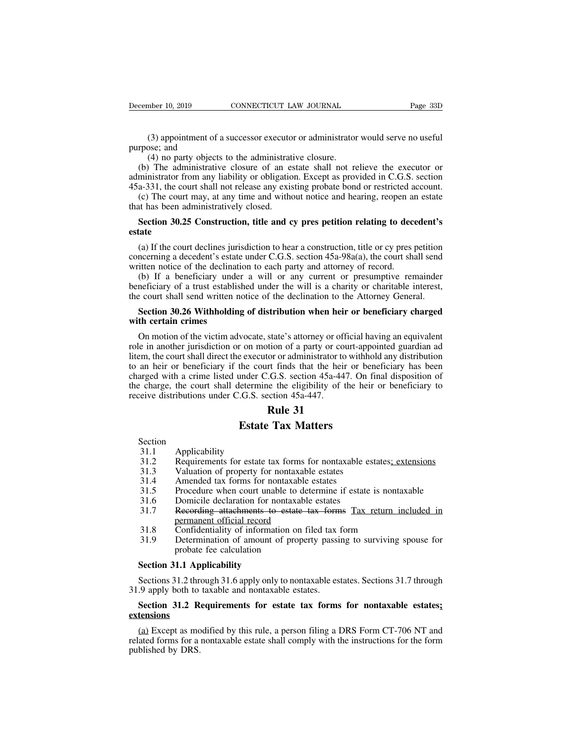December 10, 2019<br>
(3) appointment of<br>
purpose; and<br>
(4) no party object:<br>
(b) The administrative mber 10, 2019 CONNECTICUT LAW JOURNAL<br>(3) appointment of a successor executor or administrator<br>ose; and<br>(4) no party objects to the administrative closure.<br>The administrative closure of an estate shall not re-<br>nistrator fr (3) appointment of a successor executor or administrator would serve no useful<br>rpose; and<br>(4) no party objects to the administrative closure.<br>(b) The administrative closure of an estate shall not relieve the executor or<br>mi (3) appointment of a successor executor or administrator would serve no useful<br>purpose; and<br>(4) no party objects to the administrative closure.<br>(b) The administrative closure of an estate shall not relieve the executor or (3) appointment of a successor executor or administrator would serve no useful<br>purpose; and<br>(4) no party objects to the administrative closure.<br>(b) The administrative closure of an estate shall not relieve the executor or (3) appointment of a successor executor or administrator would serve no useful<br>rpose; and<br>(4) no party objects to the administrative closure.<br>(b) The administrative closure of an estate shall not relieve the executor or<br>m (3) appointment of a successor executo<br>purpose; and<br>(4) no party objects to the administrat<br>(b) The administrative closure of an es<br>administrator from any liability or obligatio<br> $45a-331$ , the court shall not release any (4) no party objects to the administrative closure.<br>
(b) The administrative closure of an estate shall not relieve the executor or<br>
ministrator from any liability or obligation. Except as provided in C.G.S. section<br>
a-331,

### **estate**

missimum and hold and release any existing probate bond or restricted account.<br>(c) The court may, at any time and without notice and hearing, reopen an estate<br>at has been administratively closed.<br>**Section 30.25 Constructi** concerning a decedent's estate under the declination of the and hearing, reopen an estate that has been administratively closed.<br> **Section 30.25 Construction, title and cy pres petition relating to decedent's** estate<br>
(a) (b) The coal that, at any time and while and holice and hearing, respect and that has been administratively closed.<br> **Section 30.25 Construction, title and cy pres petition relating to decestate**<br>
(a) If the court declines Section 30.25 Construction, title and cy pres petition relating to decedent's<br>tate<br>(a) If the court declines jurisdiction to hear a construction, title or cy pres petition<br>necerning a decedent's estate under C.G.S. sectio **Section 30.25 Construction, title and cy pres petition relating to decedent's**<br> **estate**<br>
(a) If the court declines jurisdiction to hear a construction, title or cy pres petition<br>
concerning a decedent's estate under C.G estate<br>
(a) If the court declines jurisdiction to hear a construction, title or cy pres petition<br>
concerning a decedent's estate under C.G.S. section 45a-98a(a), the court shall send<br>
written notice of the declination to e (a) If the court declines jurisdiction to hear a construction, title or cy pres petition nocerning a decedent's estate under C.G.S. section 45a-98a(a), the court shall send itten notice of the declination to each party and

concerning a decedent's estate<br>written notice of the declinat<br>(b) If a beneficiary unde<br>beneficiary of a trust establis<br>the court shall send written n<br>**Section 30.26 Withholdin**<br>with certain crimes<br>On motion of the victim

The victim motion of the victim advocate, state's attorney or record.<br>
(b) If a beneficiary under a will or any current or presumptive remainder<br>
neficiary of a trust established under the will is a charity or charitable i From the beneficiary of a trust established under the will is a charity or charitable interest, the court shall send written notice of the declination to the Attorney General.<br> **Section 30.26 Withholding of distribution wh** beherically or a trast established ander the with is a entary or entantible interest,<br>the court shall send written notice of the declination to the Attorney General.<br>**Section 30.26 Withholding of distribution when heir or** the court shall send whiteh holded or the declination to the ritatincy denoted.<br>
Section 30.26 Withholding of distribution when heir or beneficiary charged<br>
with certain crimes<br>
On motion of the victim advocate, state's at **Section 30.26 Withholding of distribution when heir or beneficiary charged** with certain crimes<br>
On motion of the victim advocate, state's attorney or official having an equivalent<br>
role in another jurisdiction or on mot **unity of** the victim advocate, state's attorney or official having an equivalent<br>role in another jurisdiction or on motion of a party or court-appointed guardian ad<br>litem, the court shall direct the executor or administr On motion of the victim advocate, state's attorney or of<br>role in another jurisdiction or on motion of a party or co<br>litem, the court shall direct the executor or administrator to<br>to an heir or beneficiary if the court find state's attorney or officition of a party or court<br>tor or administrator to w<br>tr finds that the heir o<br>.G.S. section 45a-447.<br>e the eligibility of the<br>ection 45a-447.<br>**Rule 31**<br>**Tax Matters** Frame Transform of a party or court-app<br>
Executor or administrator to withher<br>
the court finds that the heir or be<br>
under C.G.S. section 45a-447. On the<br>
letermine the eligibility of the heir<br>
C.S. section 45a-447.<br> **Rule** Charge, the court shall determine<br>
eive distributions under C.G.S. so<br> **Estate**<br>
Section<br>
31.1 Applicability<br>
31.2 Requirements for estate<br>
31.3 Valuation of property fo

Section<br>31.1

- Extributions under C.G.S. section 45a-447.<br> **Rule 31**<br> **Estate Tax Matters**<br>
Section<br>
31.1 Applicability<br>
31.2 Requirements for estate tax forms for nontaxable estates<u>; extensions</u><br>
31.3 Valuation of property for nontaxab **Estate Tax Matters**<br>
Section<br>
31.1 Applicability<br>
31.2 Requirements for estate tax forms for nontaxable est<br>
31.3 Valuation of property for nontaxable estates<br>
31.4 Amended tax forms for nontaxable estates<br>
31.5 Procedure **Estate Tax Matters**<br>
Section<br>
31.1 Applicability<br>
31.2 Requirements for estate tax forms for nontaxable est<br>
31.3 Valuation of property for nontaxable estates<br>
31.4 Amended tax forms for nontaxable estates<br>
31.5 Procedure
- 
- 
- 
- 
- **Estate Tax Matters**<br>
31.1 Applicability<br>
31.2 Requirements for estate tax forms for nontaxable estates<u>; extensions</u><br>
31.3 Valuation of property for nontaxable estates<br>
31.4 Amended tax forms for nontaxable estates<br>
31.5 Section<br>
31.1 Applicability<br>
31.2 Requirements for estate tax forms for nontaxable est<br>
31.3 Valuation of property for nontaxable estates<br>
31.4 Amended tax forms for nontaxable estates<br>
31.5 Procedure when court unable to 31.1 Applicability<br>
31.2 Requirements for estate tax forms for nontaxable estates<u>; extensions</u><br>
31.3 Valuation of property for nontaxable estates<br>
31.4 Amended tax forms for nontaxable estates<br>
31.5 Procedure when court u Application<br>Requirements for estate tax forms for<br>Valuation of property for nontaxable<br>Amended tax forms for nontaxable<br>Procedure when court unable to dete<br>Domicile declaration for nontaxable<br>Recording attachments to estat 31.2 Requirements for estate tax forms for nontaxable estates, **CALET 31.3** Valuation of property for nontaxable estates<br>31.4 Amended tax forms for nontaxable estates<br>31.5 Procedure when court unable to determine if estate Amerided tax forms for nontaxable<br>Procedure when court unable to d<br>Domicile declaration for nontaxable<br>Recording attachments to estate<br>permanent official record<br>Confidentiality of information on<br>Determination of amount of 31.6 Domicile declaration for nor<br>
31.7 Recording attachments to e<br>
permanent official record<br>
31.8 Confidentiality of informatio<br>
31.9 Determination of amount of<br>
probate fee calculation<br>
Section 31.1 Applicability<br>
Secti
- 
- 31.9 Valuation of property for nontaxable estates<br>
31.4 Amended tax forms for nontaxable estates<br>
31.5 Procedure when court unable to determine if estate is nontaxable<br>
31.6 Domicile declaration for nontaxable estates<br>
31. SECTION IN THE SECTION DETERMINENT SECTION 31.8 Confidentiality of information on filed tax form<br>
31.9 Determination of amount of property passing to surviving spouse for<br>
5 probate fee calculation<br>
Section 31.1 Applicabil 31.8 Confidentiality of information on filed tax 1<br>31.9 Determination of amount of property passim<br>probate fee calculation<br>Section 31.1 Applicability<br>Section 31.2 through 31.6 apply only to nontaxable est<br>31.9 apply both t 31.9 Determination of amount of property passing to surviving spouse for<br> **Section 31.1 Applicability**<br>
Sections 31.2 through 31.6 apply only to nontaxable estates. Sections 31.7 through<br>
9 apply both to taxable and nontax

### **extensions**

Section 31.1 Applicability<br>
Sections 31.2 through 31.6 apply only to nontaxable estates. Sections 31.7 through<br>
9 apply both to taxable and nontaxable estates.<br>
Section 31.2 Requirements for estate tax forms for nontaxable Sections 31.2 through 31.6 apply only to nontaxable estates. Sections 31.7 through 31.9 apply both to taxable and nontaxable estates.<br> **Section 31.2 Requirements for estate tax forms for nontaxable estates:**<br> **Sextensions** because 31.2 and<br>31.9 apply both to<br>**Section 31.2 R<br>extensions**<br>(a) Except as mo<br>related forms for a<br>published by DRS.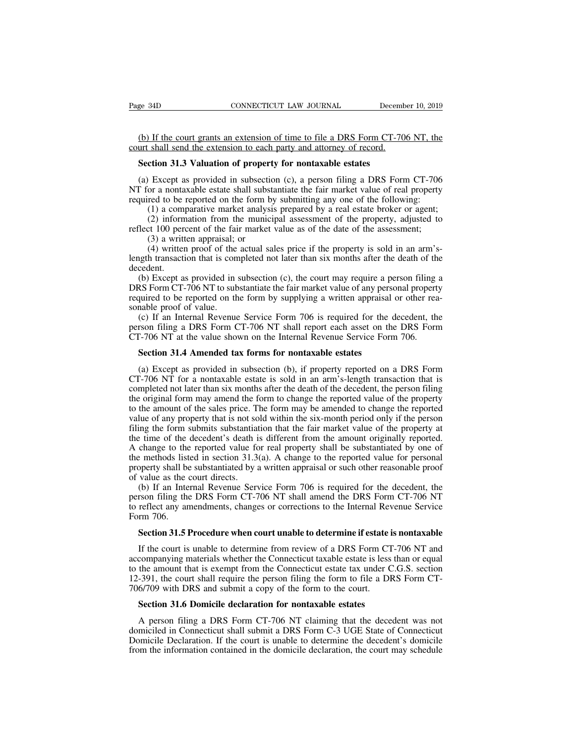EXECT BOOT CONNECTICUT LAW JOURNAL December 10, 2019<br>
(b) If the court grants an extension of time to file a DRS Form CT-706 NT, the<br>
section 21.2 Veluation of property for portaxely extense Page 34D CONNECTICUT LAW JOURNAL Decemb<br>
(b) If the court grants an extension of time to file a DRS Form CT-70<br>
court shall send the extension to each party and attorney of record.<br> **Section 31.3 Valuation of property for SECTE ANDER CONNECTICUT LAW JOURNAL** Decem<br> **SECULE 18 DESCRIPT CONNECTICUT LAW JOURNAL** December 10.<br> **Section 31.3 Valuation of property for nontaxable estates**<br> **Section 31.3 Valuation of property for nontaxable estate** 

(b) If the court grants an extension of time to file a DRS Form CT-706 NT, the urt shall send the extension to each party and attorney of record.<br>Section 31.3 Valuation of property for nontaxable estates<br>(a) Except as prov (b) If the court grants an extension of time to file a DRS Form CT-706 NT, the court shall send the extension to each party and attorney of record.<br> **Section 31.3 Valuation of property for nontaxable estates**<br>
(a) Except a (b) If the court grants an extension of time to file a DRS Form CT-706 NT, the court shall send the extension to each party and attorney of record.<br> **Section 31.3 Valuation of property for nontaxable estates**<br>
(a) Except a (1) shall send the extension to each party and attorney of record.<br>
(1) a comparation of property for nontaxable estates<br>
(1) Except as provided in subsection (c), a person filing a DRS Form CT-706<br>
or a nontaxable estate (2) information of property for nontaxable estates<br>
(2) Except as provided in subsection (c), a person filing a DRS Form CT-706<br>
or a nontaxable estate shall substantiate the fair market value of real property<br>
red to be r **Section 31.3 Valuation of property for nontaxable estates**<br>
(a) Except as provided in subsection (c), a person filing a DRS Form CT-706<br>
NT for a nontaxable estate shall substantiate the fair market value of real propert Except as provided in subsection<br>or a nontaxable estate shall subst<br>red to be reported on the form by<br>(1) a comparative market analysi<br>(2) information from the munici<br>ct 100 percent of the fair market<br>(3) a written apprais

Except as provided in subsection (c), a person film at DKS Form C1-700 or a nontaxable estate shall substantiate the fair market value of real property red to be reported on the form by submitting any one of the following length transaction that is completed not later than six months after the death of the property.<br>
(1) a comparative market analysis prepared by a real estate broker or agent;<br>
(2) information from the municipal assessment decedent.<br>(b) Except as provided in subsection (c), the court may require a person filing a

(b) a comparative market analysis prepared by a reat estate broker of agent,<br>
(2) information from the municipal assessment of the property, adjusted to<br>
dect 100 percent of the fair market value as of the date of the ass (2) information from the maintepar assessment of the property, adjusted to reflect 100 percent of the fair market value as of the date of the assessment;<br>
(3) a written proport of the actual sales price if the property is reflect 100 percent of the fail market value as of the take of the assessment,<br>
(3) a written proof of the actual sales price if the property is sold in an arm's-<br>
length transaction that is completed not later than six mo (3) a written appraisar, (4) written proof of the<br>length transaction that is condecedent.<br>(b) Except as provided in DRS Form CT-706 NT to sub<br>required to be reported on th<br>sonable proof of value.<br>(c) If an Internal Revenue (a) written proof of the actual sates price if the property is sold in an aim s-<br>ight transaction that is completed not later than six months after the death of the<br>cedent.<br>(b) Except as provided in subsection (c), the co decedent.<br>
(b) Except as provided in subsection (c), the court may require a person filing a<br>
DRS Form CT-706 NT to substantiate the fair market value of any personal property<br>
required to be reported on the form by supply (b) Except as provided in subsection (c), the court may require a person filing DRS Form CT-706 NT to substantiate the fair market value of any personal propert required to be reported on the form by supplying a written ap RS Form CT-706 NT to substantiate the fair market value of any persequired to be reported on the form by supplying a written appraisal nable proof of value.<br>
(c) If an Internal Revenue Service Form 706 is required for the

The proof of value.<br>
(c) If an Internal Revenue Service Form 706 is required for the decedent, the<br>
rson filing a DRS Form CT-706 NT shall report each asset on the DRS Form<br>
T-706 NT at the value shown on the Internal Reve (c) If an Internal Revenue Service Form 706 is required for the decedent, the person filing a DRS Form CT-706 NT shall report each asset on the DRS Form CT-706 NT at the value shown on the Internal Revenue Service Form 70 person filing a DRS Form CT-706 NT shall report each asset on the DRS Form<br>CT-706 NT at the value shown on the Internal Revenue Service Form 706.<br>**Section 31.4 Amended tax forms for nontaxable estates**<br>(a) Except as provid CT-706 NT at the value shown on the Internal Revenue Service Form 706.<br> **Section 31.4 Amended tax forms for nontaxable estates**<br>
(a) Except as provided in subsection (b), if property reported on a DRS Form<br>
CT-706 NT for Section 31.4 Amended tax forms for nontaxable estates<br>
(a) Except as provided in subsection (b), if property reported on a DRS Form<br>
CT-706 NT for a nontaxable estate is sold in an arm's-length transaction that is<br>
complet **Section 31.4 Amended tax forms for nontaxable estates**<br>(a) Except as provided in subsection (b), if property reported on a DRS Form<br>CT-706 NT for a nontaxable estate is sold in an arm's-length transaction that is<br>complet (a) Except as provided in subsection (b), if property reported on a DRS Form CT-706 NT for a nontaxable estate is sold in an arm's-length transaction that is completed not later than six months after the death of the deced (a) Except as provided in subsection (b), if property reported on a EKS Form CT-706 NT for a nontaxable estate is sold in an arm's-length transaction that is completed not later than six months after the death of the dece C1-700 N1 for a hontaxable estate is sold in an aim s-length transaction that is<br>completed not later than six months after the death of the decedent, the person filing<br>the original form may amend the form to change the re completed not fater than six months after the death of the decedent, the person rimig<br>the original form may amend the form to change the reported value of the property<br>to the amount of the sales price. The form may be amen incomistant of the sales price. The form to change the reported value of the property to the amount of the sales price. The form may be amended to change the reported value of any property that is not sold within the six-m of the amount of the sates price. The value of any property that is not so filing the form submits substantiate the time of the decedent's death is A change to the reported value for the methods listed in section 31.3 prop (b) If an Internal Revenue Service Form 706 is required for the decedent, the resonance of the decedent's death is different from the amount originally reported. Change to the reported value for real property shall be subs ming the form submits substantiation that the fan market value of the property at<br>the time of the decedent's death is different from the amount originally reported.<br>A change to the reported value for real property shall be the to the decedent secali is underesting through any depoted.<br>A change to the reported value for real property shall be substantiated by one of<br>the methods listed in section 31.3(a). A change to the reported value for per

A change to the<br>the methods list<br>property shall be<br>of value as the of<br>(b) If an Inte<br>person filing the<br>to reflect any ar<br>Form 706.<br>**Section 31.5** l betty shall be substantiated by a written appraisal or such other reasonable proof<br>value as the court directs.<br>(b) If an Internal Revenue Service Form 706 is required for the decedent, the<br>rson filing the DRS Form CT-706 N (b) If an Internal Revenue Service Form 706 is required for the decedent, the rson filing the DRS Form CT-706 NT shall amend the DRS Form CT-706 NT reflect any amendments, changes or corrections to the Internal Revenue Ser

person filing the DRS Form CT-706 NT shall amend the DRS Form CT-706 NT<br>to reflect any amendments, changes or corrections to the Internal Revenue Service<br>Form 706.<br>**Section 31.5 Procedure when court unable to determine if** to reflect any amendments, changes or corrections to the Internal Revenue Service<br>Form 706.<br>Section 31.5 Procedure when court unable to determine if estate is nontaxable<br>If the court is unable to determine from review of a Form 706.<br> **Section 31.5 Procedure when court unable to determine if estate is nontaxable**<br>
If the court is unable to determine from review of a DRS Form CT-706 NT and<br>
accompanying materials whether the Connecticut taxabl **Section 31.5 Procedure when court unable to determine if estate** If the court is unable to determine from review of a DRS Form C1 accompanying materials whether the Connecticut taxable estate is less to the amount that is If the court is unable to determine from review of a DRS Form CT-<br>
Section 31.6 Dominals whether the Connecticut taxable estate is less the<br>
the amount that is exempt from the Connecticut estate tax under C.<br>
1991, the cou companying materials whether the Connecticut taxable estate is less than or equal<br>the amount that is exempt from the Connecticut estate tax under C.G.S. section<br>-391, the court shall require the person filing the form to f

to the amount that is exempt from the Connecticut estate tax under C.G.S. section 12-391, the court shall require the person filing the form to file a DRS Form CT-706/709 with DRS and submit a copy of the form to the court 12-391, the court shall require the person filing the form to file a DRS Form CT-706/709 with DRS and submit a copy of the form to the court.<br> **Section 31.6 Domicile declaration for nontaxable estates**<br>
A person filing a D From 31.6 Domicile declaration for nontaxable estates<br>A person filing a DRS Form CT-706 NT claiming that the decedent was not<br>domiciled in Connecticut shall submit a DRS Form C-3 UGE State of Connecticut<br>Domicile Declarati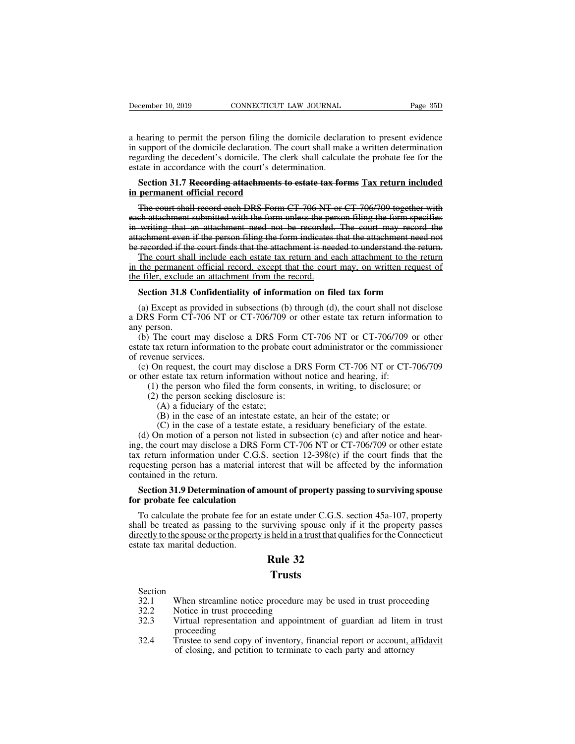December 10, 2019 CONNECTICUT LAW JOURNAL Page 35D<br>a hearing to permit the person filing the domicile declaration to present evidence<br>in support of the domicile declaration. The court shall make a written determination<br>reg December 10, 2019 CONNECTICUT LAW JOURNAL Page 35D<br>a hearing to permit the person filing the domicile declaration to present evidence<br>in support of the domicile declaration. The court shall make a written determination<br>reg December 10, 2019 CONNECTICUT LAW JOURNAL Page 35D<br>a hearing to permit the person filing the domicile declaration to present evidence<br>in support of the domicile declaration. The court shall make a written determination<br>reg December 10, 2019 CONNECTICUT LAW JOURNAL<br>
a hearing to permit the person filing the domicile declarin<br>
in support of the domicile declaration. The court shall make<br>
regarding the decedent's domicile. The clerk shall calcu **Section 31.7 Recording attachments to estate tax forms Tax return included**<br> **Section 31.7 Recording attachments to estate tax forms Tax return included**<br> **Section 31.7 Recording attachments to estate tax forms Tax return** a hearing to permit the person filing the comport of the domicile declaration. The regarding the decedent's domicile. The clearation accordance with the court's deter **Section 31.7 Recording attachments to the permanent of** Example of person image and the court shall make a written determination<br>support of the domicile declaration. The court shall raake a written determination<br>garding the decedent's domicile. The clerk shall calculate the pro

example attachment submitted with the form unless that the attachment need not attachment even in accordance with the court's determination.<br> **Section 31.7 Recording attachments to estate tax forms Tax return included**<br>
in in a correct in accordance with the court's determination.<br>
Section 31.7 Recording attachments to estate tax forms Tax return included<br>
in permanent official record<br>
The court shall record each DRS Form CT-706 NT or CT-706 Section 31.7 Recording attachments to estate tax forms Tax return included<br>in permanent official record<br>The court shall record each DRS Form CT-706 NT or CT-706/709 together with<br>each attachment submitted with the form unl Section 31.7 Recording attachments to estate tax forms Tax return included<br>in permanent official record<br>The court shall record each DRS Form CT-706 NT or CT-706/709 together with<br>each attachment submitted with the form unl permanent official record<br>The court shall record each DRS Form CT-706 NT or CT-706/709 together with<br>ch attachment submitted with the form unless the person filing the form specifies<br>writing that an attachment need not be The court shall record each DRS Form CT-706 NT or CT-706/709 together with<br>each attachment submitted with the form unless the person filing the form specifies<br>in writing that an attachment need not be recorded. The court m The court shall record each DKS Form CT 700 IVT<br>each attachment submitted with the form unless the per<br>in writing that an attachment need not be recorded.<br>attachment even if the person filing the form indicates<br>be recorded

writing that an attachment need not be recorded. The court may record the achment even if the person filing the form indicates that the attachment need not recorded if the court finds that the attachment is needed to under recorded if the court finds that the attachment is needed to understand the return.<br>The court shall include each estate tax return and each attachment to the return<br>the permanent official record, except that the court may, The court shall include each estate tax return and each attachment to the return<br>in the permanent official record, except that the court may, on written request of<br>the filer, exclude an attachment from the record.<br>**Section** 

in the permanent<br>the filer, exclude<br>Section 31.8 (<br>(a) Except as p<br>a DRS Form CT<br>any person.<br>(b) The court<br>estate tax return i Section 31.8 Confiden<br>
(a) Except as provided<br>
a DRS Form CT-706 NT<br>
any person.<br>
(b) The court may disestate tax return information<br>
of revenue services.<br>
(c) On request, the court of the restate tax return

(b) The court may disclose a DRS Form CT-706 NT or CT-706/709 or other tax return information to the probate court shall not disclose DRS Form CT-706 NT or CT-706/709 or other estate tax return information to y person.<br>
(b Section 31.8 Confidentiality of information on filed tax form<br>
(a) Except as provided in subsections (b) through (d), the court shall not disclose<br>
a DRS Form CT-706 NT or CT-706/709 or other estate tax return information (a) Except as provided in subsections (b) through (d), the court shall not disclose<br>DRS Form CT-706 NT or CT-706/709 or other estate tax return information to<br>y person.<br>(b) The court may disclose a DRS Form CT-706 NT or C (a) Except as provided in subsections (b) unough (d), the court shart not<br>a DRS Form CT-706 NT or CT-706/709 or other estate tax return inform<br>any person.<br>(b) The court may disclose a DRS Form CT-706 NT or CT-706/709<br>esta (1) the person who filed the form consents, in writing, to disclosure; or (2) the person seeking disclose a DRS Form CT-706 NT or CT-706/709 or other etax return information to the probate court administrator or the commis (2) The court may disclose a DRS Form C<br>
e tax return information to the probate cour<br>
venue services.<br>
On request, the court may disclose a DRS<br>
her estate tax return information without n<br>
(1) the person who filed the fo The court may disclose a DK3 Ton<br>ax return information to the probate<br>nue services.<br>In request, the court may disclose a<br>restate tax return information with<br>the person seeking disclosure is:<br>(A) a fiduciary of the estate;

has return information to the probate court administrator of the commis-<br>nue services.<br>In request, the court may disclose a DRS Form CT-706 NT or CT-7<br>r estate tax return information without notice and hearing, if:<br>the per

(a) in request, the court may disclose a DRS Form CT-706 NT or CT-706/709 r estate tax return information without notice and hearing, if:<br>
(b) the person who filed the form consents, in writing, to disclosure; or<br>
(c) in t (c) On request, the court may disclose a DKS Form CT-700 NT of CT-700/709<br>other estate tax return information without notice and hearing, if:<br>(1) the person who filed the form consents, in writing, to disclosure; or<br>(2) t (1) the person who filed the form consents, in writing, to disclosure; or<br>
(2) the person seeking disclosure is:<br>
(A) a fiduciary of the estate;<br>
(B) in the case of an intestate estate, an heir of the estate; or<br>
(C) in t (1) die person who fired the form consents, in writing, to disclosure, of<br>
(2) the person seeking disclosure is:<br>
(A) a fiduciary of the estate;<br>
(B) in the case of an intestate estate, an heir of the estate; or<br>
(C) in t (2) the person seeking this distribute is.<br>
(A) a fiduciary of the estate;<br>
(B) in the case of an intestate estate, an heir of the estate; or<br>
(C) in the case of a testate estate, a residuary beneficiary of the estate.<br>
( (A) a nucleary of the<br>
(B) in the case of an<br>
(C) in the case of a te<br>
(d) On motion of a person<br>
ing, the court may disclose a<br>
tax return information under<br>
requesting person has a mate<br>
contained in the return.<br> **Sectio** (C) in the case of a testate estate, a residuary beneficiary of the estate.<br>
(d) On motion of a person not listed in subsection (c) and after notice and hear-<br>
g, the court may disclose a DRS Form CT-706 NT or CT-706/709 (d) On motion of a person not listed in<br>ing, the court may disclose a DRS Form<br>tax return information under C.G.S. sec<br>requesting person has a material interes<br>contained in the return.<br>**Section 31.9 Determination of amoun** The calculate the probate fee for an estate under C.G.S. section 12-398(c) if the court finds that the questing person has a material interest that will be affected by the information intained in the return.<br>Section 31.9

shall be treated as passing to the surviving spouse of the surviving spouse for probate fee calculation<br>To calculate the probate fee for an estate under C.G.S. section 45a-107, property shall be treated as passing to the Example 1.1 and the sponsor and the sponsor contained in the return.<br> **Section 31.9 Determination of amount of property passing to surviving spouse**<br>
for probate fee calculation<br>
To calculate the probate fee for an estate Section 31.9 Determination of<br>for probate fee calculation<br>To calculate the probate fee for<br>shall be treated as passing to the<br>directly to the spouse or the propert<br>estate tax marital deduction. **Rule 32**<br>**Rule 32**<br>**Rule 32**<br>**Rule 32**<br>**Rule 32**<br>**Rule 32** Example 12.1 When streamline notice procedure may be used in trust proceeding<br>32.1 When streamline notice procedure may be used in trust proceeding<br>32.2 Notice in trust proceeding<br>32.3 Virtual representation and appointmen

### **Trusts**

- Section<br>32.1 When streamline notice procedure may be used in trust proceeding
- 
- Example 12<br>
32.1 Trusts<br>
Section<br>
32.1 When streamline notice procedure m<br>
32.2 Notice in trust proceeding<br>
32.3 Virtual representation and appointme<br>
proceeding **32.1**<br>**Section**<br>32.1 When streamline notice procedure may be used in trust proceeding<br>32.2 Notice in trust proceeding<br>32.3 Virtual representation and appointment of guardian ad litem in trust<br>proceeding<br>32.4 Trustee to se proceeding<br>Trustee to send copy of inventory, financial report or account, affidavit
- **Section**<br>32.1 When streamline notice procedure may be used in trust proceeding<br>32.2 Notice in trust proceeding<br>32.3 Virtual representation and appointment of guardian ad litem in trust<br>proceeding<br>32.4 Trustee to send copy When streamline notice procedure may be used in trust proceed<br>Notice in trust proceeding<br>Virtual representation and appointment of guardian ad litem<br>proceeding<br>Trustee to send copy of inventory, financial report or account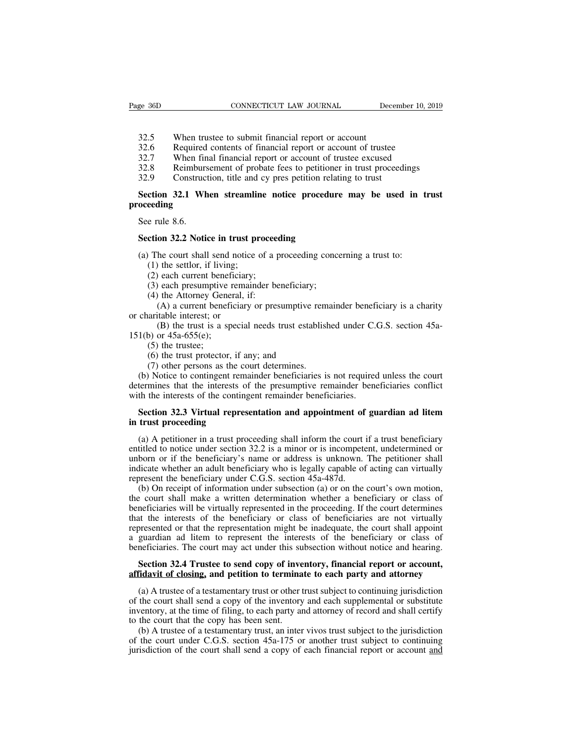- 
- 
- EXECTIVE SERVICE TRANSFER THE SERVICE TO THE SERVICE THE SERVICE SERVICE SERVICE SERVICE SERVICE SERVICE SERVICE SERVICE SERVICE SERVICE SERVICE SERVICE SERVICE SERVICE SERVICE SERVICE SERVICE SERVICE SERVICE SERVICE SERVI
- EXECT SERVICUS: THE CONNECTICUT CONNECTICUT LAW JOURNAL SERVICE DECEMBENT 10, 20<br>32.5 When trustee to submit financial report or account<br>32.6 Required contents of financial report or account of trustee<br>32.7 When final fina EXECUTE SERVICUS: THE USE ON MOVINAL SERVICE TO SERVICE THE SERVICE TO SALE 32.5 When trustee to submit financial report or account of trustee<br>32.7 When final financial report or account of trustee<br>32.7 When final financia SE 36D CONNECTICUT LAW JOURNAL December 10, 2019<br>
32.5 When trustee to submit financial report or account<br>
32.6 Required contents of financial report or account of trustee<br>
32.7 When final financial report or account of tr
- 

### 32.5 When trustee to submit financial report or account<br>32.6 Required contents of financial report or account of trustee<br>32.7 When final financial report or account of trustee excused<br>32.8 Reimbursement of probate fees to **Section 32.5** When trustee to submit financial report or account<br>
Sequired contents of financial report or account of trustee<br>
Section 52.7 When final financial report or account of trustee excused<br>
Reimbursement of proba **proceeding** 32.7 When fir<br>32.8 Reimburs<br>32.9 Construc<br>**Section 32.1 Wh<br>oceeding**<br>See rule 8.6.<br>**Section 32.2 Noti SECT SECTS**<br> **SECTS**<br> **Section 32.1 When streamline notice procedure<br>
<b>Section 32.2 Notice in trust proceeding**<br>
(a) The court shall send notice of a proceeding concerned and in the sensitive of a proceeding concerned and Section 32.1 When streamline notice procedure may be used in t<br>oceeding<br>See rule 8.6.<br>Section 32.2 Notice in trust proceeding<br>(a) The court shall send notice of a proceeding concerning a trust to:<br>(1) the settlor, if livin (1) the settlement<br>
eding<br>
e rule 8.6.<br>
ction 32.2 Notice in trust pr<br>
The court shall send notice c<br>
(1) the settlor, if living;<br>
(2) each current beneficiary;<br>
(3) each presumptive remaind

# e rule 8.6.<br>
ction 32.2 Notice in trust proceed<br>
The court shall send notice of a p<br>
(1) the settlor, if living;<br>
(2) each current beneficiary;<br>
(3) each presumptive remainder be<br>
(4) the Attorney General, if:

e rule 8.6.<br>
ction 32.2 Notice in trust proceeding<br>
The court shall send notice of a proceeding conce<br>
(1) the settlor, if living;<br>
(2) each current beneficiary;<br>
(3) each presumptive remainder beneficiary;<br>
(4) the Attorn ction 32.2 Notice in trust proceed<br>(1) the court shall send notice of a p<br>(1) the settlor, if living;<br>(2) each current beneficiary;<br>(3) each presumptive remainder be<br>(4) the Attorney General, if:<br>(A) a current beneficiary (A) a current beneficiary or presumptive remainder beneficiary or presumptive remainder beneficiary;<br>
(A) a current beneficiary;<br>
(A) a current beneficiary is a charity or presumptive remainder beneficiary is a charity<br>
(

(a) The court shall send notion<br>
(1) the settlor, if living;<br>
(2) each current beneficiar<br>
(3) each presumptive rema<br>
(4) the Attorney General, i<br>
(A) a current beneficiary<br>
or charitable interest; or<br>
(B) the trust is a (B) the settlor, if living;<br>
(B) the settlor, if living;<br>
(B) each current beneficiary;<br>
(B) the Attorney General, if:<br>
(A) a current beneficiary or presumptive remainder beneficiary is a charity<br>
(B) the trust is a specia (2) each current benefic<br>
(3) each current benefic<br>
(3) each presumptive r<br>
(4) the Attorney Gener<br>
(A) a current benefic<br>
or charitable interest; or<br>
(B) the trust is a spe<br>
151(b) or 45a-655(e);<br>
(5) the trustee;<br>
(6) t (3) each presumptive<br>
(4) the Attorney Gen<br>
(A) a current bene<br>
arritable interest; or<br>
(B) the trust is a s<br>
(5) or 45a-655(e);<br>
(5) the truste;<br>
(6) the trust protecto<br>
(7) other persons as (4) the Attorney General, if:<br>
(4) the Attorney General, if:<br>
(A) a current beneficiary or presumptive rearitable interest; or<br>
(B) the trust is a special needs trust estably<br>
(6) or 45a-655(e);<br>
(6) the trustes;<br>
(6) the

(A) a current beneficiary or presumptive rem<br>aritable interest; or<br>(B) the trust is a special needs trust establish<br>(B) or 45a-655(e);<br>(5) the trustee;<br>(6) the trust protector, if any; and<br>(7) other persons as the court d (b) the trust is a special needs trust established under C.G.S. section 45a-<br>
(b) or 45a-655(e);<br>
(6) the trustee;<br>
(6) the trustee;<br>
(6) the trustee;<br>
(6) the trust protector, if any; and<br>
(7) other persons as the court (B) the trust is a special needs trust established under C.G.S. section 45a-<br>151(b) or 45a-655(e);<br>(5) the trustee;<br>(6) the trust protector, if any; and<br>(7) other persons as the court determines.<br>(b) Notice to contingent 151(b) or 45a-655(e);<br>
(5) the trustee;<br>
(6) the trustee;<br>
(6) the trust protector, if any; and<br>
(7) other persons as the court determines.<br>
(b) Notice to contingent remainder beneficiaries is not required<br>
determines tha (5) the trustee;<br>
(6) the trust protector, if any; and<br>
(7) other persons as the court determines.<br>
(b) Notice to contingent remainder beneficiaries is not required unless the court<br>
termines that the interests of the pre (6) the trust protector, if any; and<br>
(7) other persons as the court determines.<br>
(b) Notice to contingent remainder beneficiaries is not required unless the court<br>
determines that the interests of the presumptive remaind

(b) Notice to contingent remainder beneficiaries is not required unless the court<br>termines that the interests of the presumptive remainder beneficiaries conflict<br>th the interests of the contingent remainder beneficiaries. determines that the interests of the presumptive remainder beneficiaries conflict<br>with the interests of the contingent remainder beneficiaries.<br>**Section 32.3 Virtual representation and appointment of guardian ad litem**<br>in with the interests of the contingent remainder beneficiaries.<br> **Section 32.3 Virtual representation and appointment of guardian ad litem**<br>
in trust proceeding<br>
(a) A petitioner in a trust proceeding shall inform the court **Section 32.3 Virtual representation and appointment of guardian ad litem**<br>in trust proceeding<br>(a) A petitioner in a trust proceeding shall inform the court if a trust beneficiary<br>entitled to notice under section 32.2 is **Section 32.3 Virtual representation and appointment of**<br>in trust proceeding<br>(a) A petitioner in a trust proceeding shall inform the court intitled to notice under section 32.2 is a minor or is incompete<br>unborn or if the trust proceeding<br>
(a) A petitioner in a trust proceeding shall inform the court if a trust beneficiary<br>
titled to notice under section 32.2 is a minor or is incompetent, undetermined or<br>
born or if the beneficiary's name (a) A petitioner in a trust proceeding shall inform the court if a trust beneficiary<br>entitled to notice under section 32.2 is a minor or is incompetent, undetermined or<br>unborn or if the beneficiary's name or address is un

(a) A petitioner in a trust proceeding shall mornt incevent if a trust beneficiary<br>entitled to notice under section 32.2 is a minor or is incompetent, undetermined or<br>unborn or if the beneficiary's name or address is unkn that the interests of the beneficiary or class of the beneficiary or class of the beneficiary or class of the beneficiary who is legally capable of acting can virtually represent the beneficiary under C.G.S. section 45a-48 indicate whether an adult beneficiary who is legally capable of acting can virtually represent the beneficiary under C.G.S. section  $45a-487d$ .<br>
(b) On receipt of information under subsection (a) or on the court's own mot mateat whence an addit beneficiary who is tegany capable of acting can virtually<br>represent the beneficiary under C.G.S. section 45a-487d.<br>(b) On receipt of information under subsection (a) or on the court's own motion,<br>the the court shall make a written determination (a) or on the court's own motion,<br>the court shall make a written determination whether a beneficiary or class of<br>beneficiaries will be virtually represented in the proceeding. I Exercise court shall make a written determination whether a beneficiary or class of meficiaries will be virtually represented in the proceeding. If the court determines at the interests of the beneficiary or class of benef beneficiaries will be virtually represented in the proceeding. If the court determines<br>that the interests of the beneficiary or class of beneficiaries are not virtually<br>represented or that the representation might be inade

presented or that the representation might be inadequate, the court shall appoint guardian ad litem to represent the interests of the beneficiary or class of meficiaries. The court may act under this subsection without not a guardian ad litem to represent the interests of the beneficiary or class of beneficiaries. The court may act under this subsection without notice and hearing.<br> **Section 32.4 Trustee to send copy of inventory, financial r** beneficiaries. The court may act under this subsection without notice and hearing.<br> **Section 32.4 Trustee to send copy of inventory, financial report or account,**<br> **affidavit of closing, and petition to terminate to each p Section 32.4 Trustee to send copy of inve**<br>**affidavit of closing, and petition to termina**<br>(a) A trustee of a testamentary trust or other t<br>of the court shall send a copy of the inventory<br>inventory, at the time of filing, Section 32.4 Trustee to send copy of inventory, financial report or account,<br>fidavit of closing, and petition to terminate to each party and attorney<br>(a) A trustee of a testamentary trust or other trust subject to continu attidavit of closing, and petition to terminate to each party and attorney<br>
(a) A trustee of a testamentary trust or other trust subject to continuing jurisdiction<br>
of the court shall send a copy of the inventory and each (a) A trustee of a testamentary trust or other trust subject to continuing jurisdiction of the court shall send a copy of the inventory and each supplemental or substitute inventory, at the time of filing, to each party an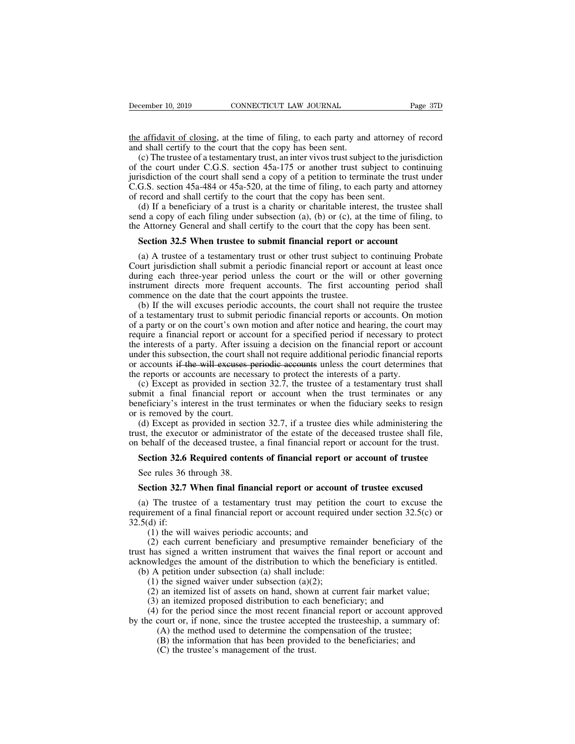the affidavit of closing, at the time of filing, to each party and attorney of record<br>the affidavit of closing, at the time of filing, to each party and attorney of record<br>and shall certify to the court that the copy has b

December 10, 2019 CONNECTICUT LAW JOURNAL<br>
the affidavit of closing, at the time of filing, to each party and<br>
and shall certify to the court that the copy has been sent.<br>
(c) The trustee of a testamentary trust, an inter (c) The trustee of a testamentary trust, an inter vivos trust subject to the jurisdiction<br>(c) The trustee of a testamentary trust, an inter vivos trust subject to the jurisdiction<br>(c) The trustee of a testamentary trust, a December 10, 2019 CONNECTICUT LAW JOURNAL Page 37D<br>the affidavit of closing, at the time of filing, to each party and attorney of record<br>and shall certify to the court that the copy has been sent.<br>(c) The trustee of a test is the affidavit of closing, at the time of filing, to each party and attorney of record and shall certify to the court that the copy has been sent.<br>
(c) The trustee of a testamentary trust, an inter vivos trust subject to the affidavit of closing, at the time of filing, to each party and attorney of record<br>and shall certify to the court that the copy has been sent.<br>(c) The trustee of a testamentary trust, an inter vivos trust subject to the the affidavit of closing, at the time of filing, to each party and attorney<br>and shall certify to the court that the copy has been sent.<br>(c) The trustee of a testamentary trust, an inter vivos trust subject to the ju<br>of the Figure 2.1 and a contribution of the court that the copy has been sent.<br>
(c) The trustee of a testamentary trust, an inter vivos trust subject to the jurisdiction<br>
the court under C.G.S. section 45a-175 or another trust s shall shall certify to the court that the copy has been sent.<br>
(c) The trustee of a testamentary trust, an inter vivos trust subject to the jurisdiction<br>
of the court under C.G.S. section 45a-175 or another trust subject (c) The trastee of a testamentary trust, an inter vivos trust subject to the jurisdiction of the court under C.G.S. section 45a-175 or another trust subject to continuing jurisdiction of the court shall send a copy of a p isdiction of the court shall send a copy of a petition to terminate the trust u<br>G.S. section 45a-484 or 45a-520, at the time of filing, to each party and atto<br>record and shall certify to the court that the copy has been se

(a) A trustee of a testamentary trust or other trust subject to continuing probate ourt jurisdiction 32.5 When trustee to submit financial report or account (a) A trustee of a testamentary trust or other trust subject to (d) If a beneficiary of a trust is a charity or charitable interest, the trustee shall send a copy of each filing under subsection (a), (b) or (c), at the time of filing, to the Attorney General and shall certify to the c (d) If a benefield of a trast is a enarity of enaritable interest, the trastee sharified search a copy of each filing under subsection (a), (b) or (c), at the time of filing, to the Attorney General and shall certify to t Section 32.5 When trustee to submit financial report or account<br>section 32.5 When trustee to submit financial report or account<br>(a) A trustee of a testamentary trust or other trust subject to continuing Probate<br>Court juri Section 32.5 When trustee to submit financial report or a<br>(a) A trustee of a testamentary trust or other trust subject to<br>Court jurisdiction shall submit a periodic financial report or ac<br>during each three-year period unle **Section 32.5 When trustee to submit financial report or account**<br>(a) A trustee of a testamentary trust or other trust subject to continuing Probate<br>urt jurisdiction shall submit a periodic financial report or account at l (a) A trustee of a testamentary trust or other trust subject to continuing Probate<br>Court jurisdiction shall submit a periodic financial report or account at least once<br>during each three-year period unless the court or the

(a) A trustee or a testamentary trust or outer trust subject to continuing Frobate<br>Court jurisdiction shall submit a periodic financial report or account at least once<br>during each three-year period unless the court or the Court jurisdiction shart submit a periodic financial report or account at least once<br>during each three-year period unless the court or the will or other governing<br>instrument directs more frequent accounts. The first accoun during cach tince-year period tiness the court of the win of onter governing<br>instrument directs more frequent accounts. The first accounting period shall<br>commence on the date that the court appoints the trustee.<br>(b) If the instrument different accounts. The first accounting period shall commence on the date that the court appoints the trustee.<br>
(b) If the will excuses periodic accounts, the court shall not require the trustee<br>
of a testament (b) If the will excuses periodic accounts, the court shall not require the trustee of a testamentary trust to submit periodic financial reports or accounts. On motion of a party or on the court's own motion and after noti (b) If the will excluses periodic accounts, the court shall not require the dividend of a testamentary trust to submit periodic financial reports or accounts. On m of a party or on the court's own motion and after notice a cstallichary trust to submit periodic mialical reports of accounts. On motion<br>a party or on the court's own motion and after notice and hearing, the court may<br>quire a financial report or account for a specified period if or a party or on the court s own motion and arter notice and hearing, the court may<br>require a financial report or account for a specified period if necessary to protect<br>the interests of a party. After issuing a decision on bequire a mianciar report of account for a specified period if necessary to protect<br>the interests of a party. After issuing a decision on the financial report or account<br>under this subsection, the court shall not require a

the merests of a party. After issumder this subsection, the court show accounts if the will exeuses p<br>the reports or accounts are neces<br>(c) Except as provided in sect<br>submit a final financial report<br>beneficiary's interest (d) Except as provided in section 32.7, if a trustee dies while administering that the reports or accounts are necessary to protect the interests of a party.<br>
(c) Except as provided in section 32.7, the trustee of a testam the executions in the win excusses performed accounts unless the court determines that<br>the reports or accounts are necessary to protect the interests of a party.<br>(c) Except as provided in section 32.7, the trustee of a tes In the deceased in section 32.7, the trustee of a testamentary trust shall submit a final financial report or account when the trust terminates or any beneficiary's interest in the trust terminates or when the fiduciary se bmit a final financial report or account when the trust terminates or any meficiary's interest in the trust terminates or when the fiduciary seeks to resign is removed by the court.<br>
(d) Except as provided in section 32.7,

See rules 36 through 38. In the transition is removed by the court.<br>
(d) Except as provided in sect<br>
st, the executor or administrat<br>
behalf of the deceased trustee<br> **Section 32.6 Required conter**<br>
See rules 36 through 38. (d) Except as provided in section 32.7, if a trustee dies while administering the stat, the executor or administrator of the estate of the deceased trustee shall file, behalf of the deceased trustee, a final financial rep

(a) The trustee of a testamentary trust may petition the court of trustee share of the trust.<br>Section 32.6 Required contents of financial report or account of trustee<br>See rules 36 through 38.<br>Section 32.7 When final finan **Section 32.6 Required contents of financial report or account of trustee**<br>See rules 36 through 38.<br>**Section 32.7 When final financial report or account of trustee excused**<br>(a) The trustee of a testamentary trust may peti Section 32.6 1<br>See rules 36 t<br>Section 32.7<br>(a) The truste<br>requirement of a<br>32.5(d) if:<br>(1) the will<br>(2) each cu e rules 36 through 38.<br>
ction 32.7 When final financial report or account<br>
The trustee of a testamentary trust may petition<br>
rement of a final financial report or account required<br>
d) if:<br>
(1) the will waives periodic acco

(2) errors 30 different beneficial different current of the court of trustee excused<br>
(2) The trustee of a testamentary trust may petition the court to excuse the<br>
rement of a final financial report or account required un **Section 32.7 When final financial report or account of trustee excused**<br>(a) The trustee of a testamentary trust may petition the court to excuse the<br>requirement of a final financial report or account required under secti (a) The trustee of a testamentary trust may petition the court to excuse the requirement of a final financial report or account required under section 32.5(c) or 32.5(d) if:<br>(1) the will waives periodic accounts; and (2) (a) The urstee of a testamentary trust may pention<br>quirement of a final financial report or account required<br>.5(d) if:<br>(1) the will waives periodic accounts; and<br>(2) each current beneficiary and presumptive rema<br>st has si (1) the will waives periodic accounts; and<br>(2) if:<br>(1) the will waives periodic accounts; and<br>(2) each current beneficiary and presumptive remains signed a written instrument that waives the fir<br>owledges the amount of the (1) the will waives periodic accounts; and<br>
(2) each current beneficiary and presumptive remainder beneficiary of the<br>
has signed a written instrument that waives the final report or account and<br>
owledges the amount of th (1) the win waves periodic accounts, and<br>
(2) each current beneficiary and presumptive remainder beneficiary of<br>
has signed a written instrument that waives the final report or account<br>
owledges the amount of the distribu (2) cach curtent ocncricially and presumptive remainder ocincitally of the<br>has signed a written instrument that waives the final report or account and<br>owledges the amount of the distribution to which the beneficiary is en

by the court or, if none, since the trustee accepted the trusteeship, a summary of:<br>
(a) the method use of assets on hand, shown at current fair market value;<br>
(b) A petition under subsection (a)(2);<br>
(2) an itemized list The method used to determine the compensation of the benchingthalist pertition under subsection (a)(2); an itemized list of assets on hand, shown at current fair market value; an itemized proposed distribution to each ben (B) the signed waiver under subsection (a) shari include.<br>
(b) the signed waiver under subsection (a)(2);<br>
an itemized list of assets on hand, shown at current fair market value;<br>
(a) an itemized proposed distribution to (a) an itemized list of assets on hand, shown<br>an itemized list of assets on hand, shown<br>of the period since the most recent fination to each<br>for the period since the trustee accepte<br>(A) the method used to determine the co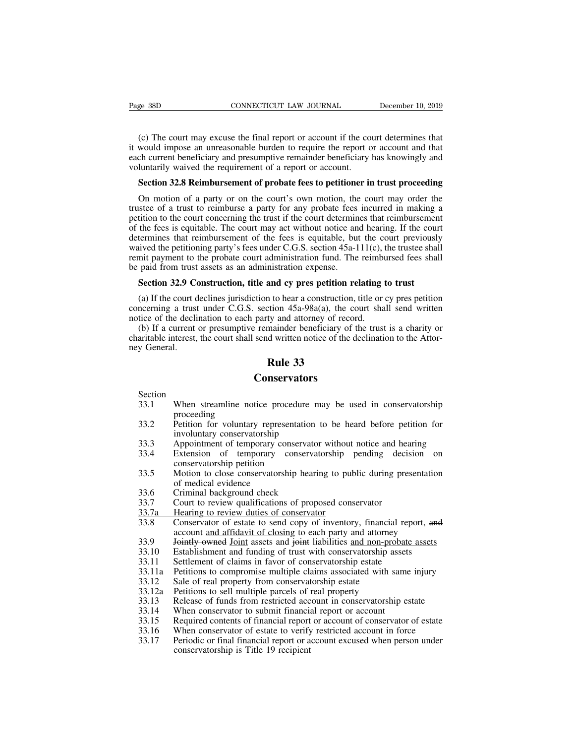(c) The court may excuse the final report or account if the court determines that<br>
would impose an unreasonable burden to require the report or account and that<br>
ch current beneficiary and presumptive remainder beneficiary Fage 38D CONNECTICUT LAW JOURNAL December 10, 2019<br>(c) The court may excuse the final report or account if the court determines that<br>it would impose an unreasonable burden to require the report or account and that<br>each cur Page 38D CONNECTICUT LAW JOURNAL December 10, 2019<br>
(c) The court may excuse the final report or account if the court determines that<br>
it would impose an unreasonable burden to require the report or account and that<br>
each Page 38D CONNECTICUT LAW JOURNAL<br>
(c) The court may excuse the final report or account if the court<br>
it would impose an unreasonable burden to require the report of<br>
each current beneficiary and presumptive remainder benef (c) The court may excuse the final report or account if the court determines that<br>would impose an unreasonable burden to require the report or account and that<br>ch current beneficiary and presumptive remainder beneficiary h (c) The court may excuse the final report or account if the court determines that<br>would impose an unreasonable burden to require the report or account and that<br>ch current beneficiary and presumptive remainder beneficiary h

it would impose an unreasonable burden to require the report or account and that<br>each current beneficiary and presumptive remainder beneficiary has knowingly and<br>voluntarily waived the requirement of a report or account.<br> petition to the requirement of a persumptive remainder beneficiary has knowingly and voluntarily waived the requirement of a report or account.<br> **Section 32.8 Reimbursement of probate fees to petitioner in trust proceeding** voluntarily waived the requirement of a report or account.<br> **Section 32.8 Reimbursement of probate fees to petitioner in trust proceeding**<br>
On motion of a party or on the court's own motion, the court may order the<br>
trust **Section 32.8 Reimbursement of probate fees to petitioner in trust proceeding**<br>On motion of a party or on the court's own motion, the court may order the<br>trustee of a trust to reimburse a party for any probate fees incurr **Section 32.8 Reimbursement of probate fees to petitioner in trust proceeding**<br>On motion of a party or on the court's own motion, the court may order the<br>trustee of a trust to reimburse a party for any probate fees incurr On motion of a party or on the court's own motion, the court may order the trustee of a trust to reimburse a party for any probate fees incurred in making a petition to the court concerning the trust if the court determin On motion of a party of on the court's own motion, the<br>trustee of a trust to reimburse a party for any probate fees<br>petition to the court concerning the trust if the court determine<br>of the fees is equitable. The court may tition to the court concerning the trust if the court determines that reimbursement<br>the fees is equitable. The court may act without notice and hearing. If the court<br>termines that reimbursement of the fees is equitable, b termines that reimbursement of the fees is equitable, but the court previously<br>ived the petitioning party's fees under C.G.S. section 45a-111(c), the trustee shall<br>mit payment to the probate court administration fund. The waived the petitioning party's fees under C.G.S. section 45a-111(c), the trustee shall<br>remit payment to the probate court administration fund. The reimbursed fees shall<br>be paid from trust assets as an administration expen

Framit payment to the probate court administration fund. The reimbordination fund in the probate court administration fund. The reimbording to paid from trust assets as an administration expense.<br>Section 32.9 Construction (b) If a current or presumptive remainder beneficiary of the trust of the court declines jurisdiction to hear a construction, title or cy pres petition neerning a trust under C.G.S. section 45a-98a(a), the court shall send **Section 32.9 Construction, title and cy pres petition relating to trust**<br>(a) If the court declines jurisdiction to hear a construction, title or cy pres petition<br>concerning a trust under C.G.S. section  $45a-98a(a)$ , the c **Section 32.9 C**<br>(a) If the court d<br>concerning a trust<br>notice of the decli<br>(b) If a current<br>charitable interest,<br>ney General. and cy pres petition r<br>
n to hear a construction,<br>
tion 45a-98a(a), the c<br>
ty and attorney of reco<br>
mainder beneficiary of<br>
d written notice of the c<br> **Rule 33**<br> **Rule 33** 

### **Conservators**

- Section<br>33.1 When streamline notice procedure may be used in conservatorship 33.2 article interest, the court shall send written notice of the declination to the Attor-<br>
33.1 **Rule 33**<br>
33.1 When streamline notice procedure may be used in conservatorship<br>
33.2 Petition for voluntary representation proceeding<br>Petition for voluntary representation to be heard before petition for
- **23.2 Conservators**<br>
Section<br>
33.1 When streamline notice procedure may be used in conservatorship<br>
33.2 Petition for voluntary representation to be heard before petition for<br>
involuntary conservatorship<br>
33.3 Appointmen **Conservators**<br>
When streamline notice procedure m<br>
proceeding<br>
Petition for voluntary representation in<br>
involuntary conservatorship<br>
Appointment of temporary conservator<br>
Extension of temporary conservat When streamline notice procedure<br>proceeding<br>Petition for voluntary representation<br>involuntary conservatorship<br>Appointment of temporary conserv<br>Extension of temporary conservatorship<br>Motion to close conservatorship he<br>of me Petition for voluntary represe<br>involuntary conservatorship<br>Appointment of temporary conservatorship<br>Extension of temporary conservatorship petition<br>Motion to close conservatorship<br>of medical evidence<br>Criminal background ch
- 
- **CONSETVATOTS**<br>
Section<br>
33.1 When streamline notice procedure may be used in conservatorship<br>
proceeding<br>
33.2 Petition for voluntary representation to be heard before petition for<br>
involuntary conservatorship<br>
33.3 Appoi Section<br>
33.1 When streamline notice procedure may be used in conservatorship<br>
proceeding<br>
33.2 Petition for voluntary representation to be heard before petition for<br>
involuntary conservatorship<br>
33.3 Appointment of tempor 33.1 When steamme holice procedule may be used in conservatorship<br>proceeding<br>33.2 Petition for voluntary representation to be heard before petition for<br>involuntary conservatorship<br>33.3 Appointment of temporary conservators Francol Technolman Community Professor<br>
involuntary conservatorship<br>
33.3 Appointment of temporary conservator<br>
33.4 Extension of temporary conservators<br>
conservatorship petition<br>
33.5 Motion to close conservatorship heari 33.3 Appointment of temporary conservator without notice and headled as Extension of temporary conservatorship pending decises conservatorship petition<br>33.5 Motion to close conservatorship hearing to public during pressort 33.3<br>
33.4 Extension of temporary conservatorship<br>
conservatorship petition<br>
33.5 Motion to close conservatorship hearing to pul<br>
of medical evidence<br>
33.6 Criminal background check<br>
33.7 Court to review qualifications of
- Extension of temporary conservatorship pending decision on<br>conservatorship petition<br>33.5 Motion to close conservatorship hearing to public during presentation<br>33.6 Criminal background check<br>33.7 Court to review qualificati Motion to close conservatorship hearing to public during presentation<br>of medical evidence<br>Criminal background check<br>Court to review qualifications of proposed conservator<br>Hearing to review duties of conservator<br>Conservator
- 
- 
- 
- 33.5 Motion to close conservatorship nearing to public during presentation<br>of medical evidence<br>33.6 Criminal background check<br>33.7 Court to review qualifications of proposed conservator<br>33.7 Conservator of estate to send c 33.6 Criminal background check<br>33.7 Court to review qualifications of proposed conservator<br>33.7 Exercity to review duties of conservator<br>33.8 Conservator of estate to send copy of inventory, financial report, and<br>account <u></u> 33.7 Court to review qualifications of proposed conservator<br>33.7 Court to review qualifications of proposed conservator<br>33.8 Conservator of estate to send copy of inventory, financial repor<br>account <u>and affidavit of closin</u> 33.7<br>
23.7 Hearing to review duties of conservator<br>
33.7 Hearing to review duties of conservator<br>
33.8 Conservator of estate to send copy of inventory, financial report, and<br>
account <u>and affidavit of closing</u> to each part 33.12 Sale of real multiple parcels of real property<br>
33.8 Conservator of estate to send copy of inventory, financial<br>
account <u>and affidavit of closing</u> to each party and attorney<br>
33.9 <del>Jointly owned</del> <u>Joint</u> assets and 33.3<br>
23.33 Conservator of estate to send copy of inventory, infinited<br>
23.9 Jointly owned Joint assets and joint liabilities <u>and non-prob</u><br>
33.10 Establishment and funding of trust with conservatorship ass<br>
33.11 Settlem
- 33.9 **For Funds and Solution Colombia** and Solution and Solution and Solution and Funds and Funds and non-probate assets 33.10 Establishment and funding of trust with conservatorship assets 33.11 Settlement of claims in fa
- 
- 
- 33.10 Establishment and funding of trust with conservatorship asset<br>33.10 Establishment and funding of trust with conservatorship asset<br>33.11 Settlement of claims in favor of conservatorship estate<br>33.12 Sale of real prope
- 
- 
- 
- 
- 
- 
- 33.11 Settlement of claims in favor of conservatorship assess<br>33.11 Settlement of claims in favor of conservatorship estate<br>33.12 Sale of real property from conservatorship estate<br>33.12 Sale of real property from conservat 33.11 Settlement of claims in favor of conservatorship estate<br>33.11 Petitions to compromise multiple claims associated with same injury<br>33.12 Sale of real property from conservatorship estate<br>33.13 Release of funds from re 33.12 Sale of real property from conservatorship estate<br>33.12 Sale of real property from conservatorship estate<br>33.13 Release of funds from restricted account in conservatorship estate<br>33.14 When conservator to submit fina Bate of teal property from conservation<br>Petitions to sell multiple parcels of<br>Release of funds from restricted acc<br>When conservator to submit financia<br>Required contents of financial report<br>When conservator of estate to ver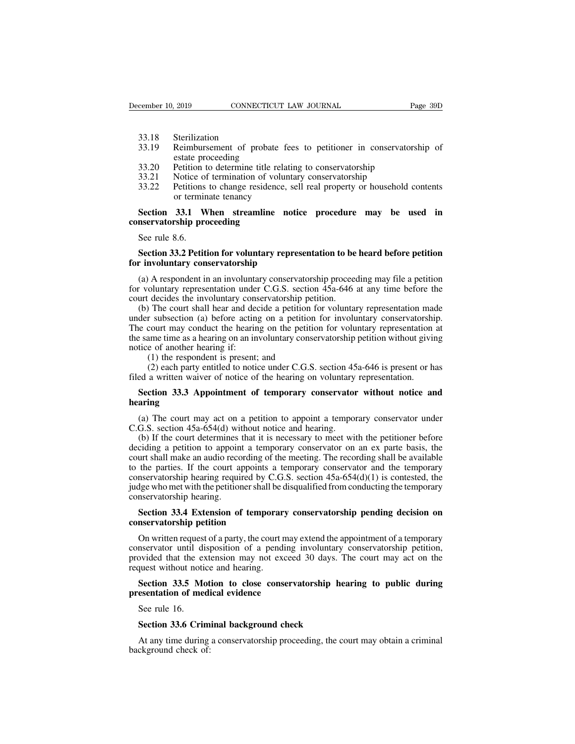- 
- Example 10, 2019<br>
33.18 Sterilization<br>
33.19 Reimbursement of process external proceeding EXEMBED 10, 2019 CONNECTICUT LAW JOURNAL Page 39D<br>
33.18 Sterilization<br>
33.19 Reimbursement of probate fees to petitioner in conservatorship of<br>
33.20 Petition to determine title relating to conservatorship 2019 CONNECTICUT<br>
Sterilization<br>
Reimbursement of probate<br>
estate proceeding<br>
Petition to determine title re<br>
Notice of termination of vol EXECUTE: CONNECTICUT LAW JOURNAL<br>
33.18 Sterilization<br>
33.19 Reimbursement of probate fees to petitioner in conservators<br>
estate proceeding<br>
33.20 Petition to determine title relating to conservatorship<br>
33.21 Notice of te 33.18 Sterilization<br>33.19 Reimbursement of probate fees to petitioner in conservator<br>state proceeding<br>33.20 Petition to determine title relating to conservatorship<br>33.21 Notice of termination of voluntary conservatorship<br>3 33.18 Sterilization<br>33.19 Reimbursement of probate fees to petitioner in conservatorship of<br>estate proceeding<br>33.20 Petition to determine title relating to conservatorship<br>33.21 Notice of termination of voluntary conservat Sterilization<br>Reimbursement of probate fee<br>estate proceeding<br>Petition to determine title relatiin<br>Notice of termination of volunti<br>Petitions to change residence, s<br>or terminate tenancy<br>**33.1 When streamline no**
- 
- 
- 

33.19 Reimbursement of probate fees to petitioner in conservatorship of<br>estate proceeding<br>33.20 Petition to determine title relating to conservatorship<br>33.21 Notice of termination of voluntary conservatorship<br>33.22 Petitio estate proceeding<br>
33.20 Petition to determine title rel<br>
33.21 Notice of termination of volu<br>
33.22 Petitions to change residence<br>
or terminate tenancy<br> **Section 33.1 When streamline**<br> **conservatorship proceeding**<br>
See ru 33.21 Notice of<br>33.22 Notice of<br>33.22 Petitions<br>or termin<br>Section 33.1 W<br>See rule 8.6.<br>Section 33.2 Petit 33.22 Petitions to change residence, sell real property or household contents<br>or terminate tenancy<br>**Section 33.1 When streamline notice procedure may be used in**<br>**Section 33.2 Petition for voluntary representation to be he** or terminate tenancy<br> **Section 33.1 When streamline notice**<br> **for involuntary proceeding**<br>
See rule 8.6.<br> **Section 33.2 Petition for voluntary represe**<br> **for involuntary conservatorship**<br>
(a) A respondent in an involuntary

Section 33.1 When streamline notice procedure may be used in<br>nservatorship proceeding<br>See rule 8.6.<br>Section 33.2 Petition for voluntary representation to be heard before petition<br>r involuntary conservatorship<br>(a) A respon **For value 3.6.**<br>See rule 8.6.<br>**Section 33.2 Petition for voluntary representation to be heard before petition**<br>for involuntary conservatorship<br>(a) A respondent in an involuntary conservatorship proceeding may file a peti See rule 8.6.<br>
Section 33.2 Petition for voluntary representation to be<br>
for involuntary conservatorship<br>
(a) A respondent in an involuntary conservatorship proceed<br>
for voluntary representation under C.G.S. section 45a-64

Section 33.2 Petition for voluntary representation to be heard before petition<br>r involuntary conservatorship<br>(a) A respondent in an involuntary conservatorship proceeding may file a petition<br>r voluntary representation und **Section 33.2 Petition for voluntary representation to be heard before petition**<br>for involuntary conservatorship<br>(a) A respondent in an involuntary conservatorship proceeding may file a petition<br>for voluntary representati for involuntary conservatorship<br>
(a) A respondent in an involuntary conservatorship proceeding may file a petition<br>
for voluntary representation under C.G.S. section 45a-646 at any time before the<br>
court decides the invol (a) A respondent in an involuntary conservatorship proceeding may file a petition<br>for voluntary representation under C.G.S. section  $45a-646$  at any time before the<br>court decides the involuntary conservatorship petition.<br> (a) A respondent in an involuntate<br>for voluntary representation under<br>court decides the involuntary cons<br>(b) The court shall hear and dec<br>under subsection (a) before acting<br>The court may conduct the hearin<br>the same time as old decides the involuntary conservatorship peticles the involuntary conservatorship peticles the involuntary conservatorship petical The court shall hear and decide a petition frequency is presentioned in the same of anot The court shall hear and decide a petition for voluntary representation made<br>
r subsection (a) before acting on a petition for involuntary conservatorship.<br>
court may conduct the hearing on the petition for voluntary repr (b) The court shart heat and decide a petition for voluntary representation made<br>under subsection (a) before acting on a petition for involuntary conservatorshi<br>The court may conduct the hearing on the petition for volunta **Section 33.3 Appointment of temporary conservatorship petition without giving**<br> **Section** 48 a hearing on an involuntary conservatorship petition without giving<br> **Section** 45 a written waiver of notice under C.G.S. sectio

## **hearing** (1) the respondent is present; and<br>
(2) each party entitled to notice under C.G.S. section 45a-646 is present or has<br>
ed a written waiver of notice of the hearing on voluntary representation.<br> **Section 33.3 Appointment of**

(1) the respondent is present; and<br>
(2) each party entitled to notice under C.G.S. section 45a-646 is present or has<br>
filed a written waiver of notice of the hearing on voluntary representation.<br> **Section 33.3 Appointment** (a) The court may act on a petition to appoint a temporary conservator without notice and aring<br>(a) The court may act on a petition to appoint a temporary conservator under<br>G.S. section 45a-654(d) without notice and heari deciding a petition to appoint of temporary conservator without notice and<br>hearing<br>(a) The court may act on a petition to appoint a temporary conservator under<br>C.G.S. section 45a-654(d) without notice and hearing.<br>(b) If t **Section 33.3 Appointment of temporary conservator without notice and hearing**<br>(a) The court may act on a petition to appoint a temporary conservator under C.G.S. section 45a-654(d) without notice and hearing.<br>(b) If the hearing<br>
(a) The court may act on a petition to appoint a temporary conservator under<br>
C.G.S. section 45a-654(d) without notice and hearing.<br>
(b) If the court determines that it is necessary to meet with the petitioner be (a) The court may act on a petition to appoint a temporary conservator under C.G.S. section 45a-654(d) without notice and hearing.<br>
(b) If the court determines that it is necessary to meet with the petitioner before decid (a) The court may act on a petition to appoint a temporary conservation under<br>C.G.S. section 45a-654(d) without notice and hearing.<br>(b) If the court determines that it is necessary to meet with the petitioner before<br>decid c.c.s. section  $45a-0.5+(d)$  with<br>
(b) If the court determines ideciding a petition to appoint<br>
court shall make an audio reco<br>
to the parties. If the court approximation<br>
generalized who met with the petition<br>
conservator ciding a petition to appoint a temporary conservator on an ex parte basis, the<br>urt shall make an audio recording of the meeting. The recording shall be available<br>the parties. If the court appoints a temporary conservator a **court shall make an audio recording of**<br>to the parties. If the court appoints is<br>conservatorship hearing required by C<br>judge who met with the petitioner shall conservatorship hearing.<br>**Section 33.4 Extension of tempore<br>co** mservatorship hearing required by C.G.S. section  $45a-654(d)(1)$  is contested, the dge who met with the petitioner shall be disqualified from conducting the temporary nservatorship hearing.<br>Section 33.4 Extension of tempora

judge who met with the petitioner shall be disqualified from conducting the temporary<br>conservatorship hearing.<br>**Section 33.4 Extension of temporary conservatorship pending decision on**<br>**Conservatorship petition**<br>On writte provided that the extension of temporary conservatorship pending decision on<br>conservatorship petition<br>On written request of a party, the court may extend the appointment of a temporary<br>conservator until disposition of a pe Section 33.4 Extension of temporar<br>conservatorship petition<br>On written request of a party, the court r<br>conservator until disposition of a pend<br>provided that the extension may not ex-<br>request without notice and hearing.<br>Sec **Section 33.4 Extension of demporary conservatorship penamig decision on**<br>**Security inservatorship petition**<br>On written request of a party, the court may extend the appointment of a temporary<br>nservator until disposition of **presentation of the control of the control of the control of a pending**<br>provided that the extension may not exceed<br>request without notice and hearing.<br>**Section 33.5 Motion to close conservals**<br>presentation of medical evid Exercise the servator until divided that the expected that the expect without notice Section 33.5 Mesontation of me<br>See rule 16.<br>See rule 16.<br>Section 33.6 Crin

## boyded that the extension may not exceed 30 days. The<br>
section 33.5 Motion to close conservatorship hea<br>
seentation of medical evidence<br>
See rule 16.<br>
Section 33.6 Criminal background check<br>
At any time during a conservato Section 33.5 Motion to close conservatorship hearing to public during<br>esentation of medical evidence<br>See rule 16.<br>Section 33.6 Criminal background check<br>At any time during a conservatorship proceeding, the court may obtain

**Section 35.5 Mot**<br>presentation of medi<br>See rule 16.<br>**Section 33.6 Crim**<br>At any time during<br>background check of: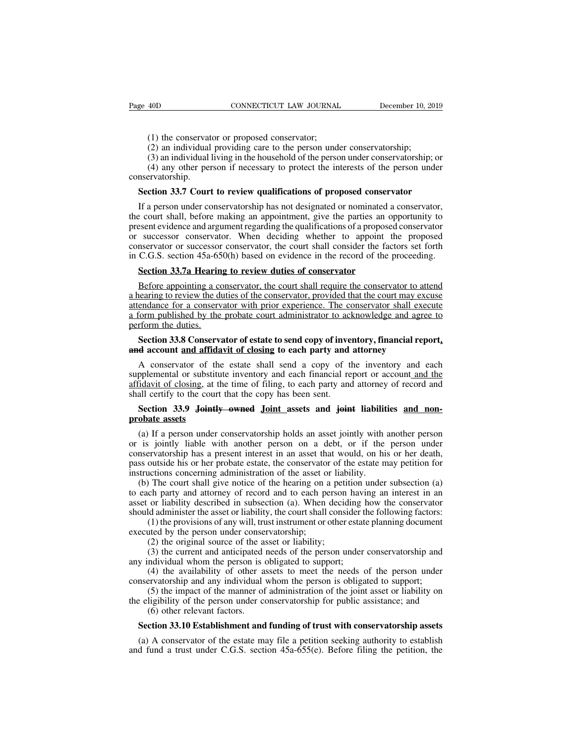(1) the conservator or proposed conservator;<br>(2) an individual providing care to the person under<br>(3) an individual living in the household of the person (1) the conservator or proposed conservator;<br>
(2) an individual providing care to the person under conservatorship;<br>
(3) an individual living in the household of the person under conservatorship;<br>
(4) any other person if n

(3) 40D CONNECTICUT LAW JOURNAL December 10, 2019<br>
(1) the conservator or proposed conservator;<br>
(2) an individual providing care to the person under conservatorship; or<br>
(3) an individual living in the household of the pe (1) the conservator or proposed conservator;<br>
(2) an individual providing care to the person under conservatorship;<br>
(3) an individual living in the household of the person under conservatorship; or<br>
(4) any other person i conservatorship. (1) the conservator or proposed conservator;<br>
(2) an individual providing care to the person under conservatorship;<br>
(3) an individual living in the household of the person under conservatorship; or<br>
(4) any other person i

(1) the conservator of proposed conservator,<br>
(2) an individual providing care to the person under conservatorship;<br>
(3) an individual living in the household of the person under conservatorship; or<br>
(4) any other person (2) an individual providing calc to the person under conservatorship,<br>
(3) an individual living in the household of the person under conservatorship; or<br>
(4) any other person if necessary to protect the interests of the p (3) an individual riving in the household of the person under conservatorship, or (4) any other person if necessary to protect the interests of the person under conservatorship.<br> **Section 33.7 Court to review qualificatio Conservatorship.**<br> **Section 33.7 Court to review qualifications of proposed conservator**<br>
If a person under conservatorship has not designated or nominated a conservator,<br>
the court shall, before making an appointment, g **Section 33.7 Court to review qualifications of proposed conservator**<br>If a person under conservatorship has not designated or nominated a conservator,<br>the court shall, before making an appointment, give the parties an opp Section 33.7 Court to review qualifications of proposed conservator<br>If a person under conservatorship has not designated or nominated a conservator,<br>the court shall, before making an appointment, give the parties an opport If a person under conservatorship has not designated or nominated a<br>
E court shall, before making an appointment, give the parties an o<br>
esent evidence and argument regarding the qualifications of a propose<br>
successor cons before appointing an appointment, give the parties an oppointing to essent evidence and argument regarding the qualifications of a proposed conservator successor conservator. When deciding whether to appoint the proposed n

present evidence and argument regarding the quarmeations of a proposed conservator<br>or successor conservator. When deciding whether to appoint the proposed<br>conservator or successor conservator, the court shall consider the attendance for a conservator, the court shall consider the factors set forth<br>in C.G.S. section 45a-650(h) based on evidence in the record of the proceeding.<br>**Section 33.7a Hearing to review duties of conservator**<br>Before ap in C.G.S. section 45a-650(h) based on evidence in the record of the proceeding.<br> **Section 33.7a Hearing to review duties of conservator**<br> **Before appointing a conservator, the court shall require the conservator to attend<br>** Section 33.7a Hearin<br>
Before appointing a co<br>
a hearing to review the du<br>
attendance for a conserved a form published by the<br>
perform the duties.<br>
Section 33.8 Conserved<br>
and account and affide **Section 33.7 Theating to Teview duties of conservator**<br>
Before appointing a conservator, the court shall require the conservator to attend<br>
earing to review the duties of the conservator, provided that the court may excus Before appointing a conservator, the court shall require the conservator to attain a hearing to review the duties of the conservator, provided that the court may exattendance for a conservator with prior experience. The co dealing to review the duties of the conservator, provided that the court hay excesse endance for a conservator with prior experience. The conservator shall execute form published by the probate court administrator to ackno

Supplemental or substitute inventory and construct included and agree to perform the duties.<br>Section 33.8 Conservator of estate to send copy of inventory, financial report, and account and affidavit of closing to each part a form published by the probate court at<br>all ministration to acknowledge and agree to<br>perform the duties.<br>**Section 33.8 Conservator of estate to send copy of inventory, financial report,**<br>A conservator of the estate shall Section 33.8 Conservator of estate to send copy of inve<br>
and account and affidavit of closing to each party and<br>
A conservator of the estate shall send a copy of the<br>
supplemental or substitute inventory and each financial **Section 33.9 Joints and affidavit of closing to each party and attorney, inancelal report, A** conservator of the estate shall send a copy of the inventory and each pplemental or substitute inventory and each financial r A conservator of the supplemental or substituted assets<br>affidavit of closing, at the shall certify to the courn<br>**probate assets**<br>(a) If a person under<br>or is initially liable w (a) If a person under conservatorship holds an asset jointly with another person is jointly taken assets (a) If a person under conservatorship holds an asset jointly with another person is jointly liable with another perso

Suppenies and substitute inventory and each infinite and report of account and the affidavit of closing, at the time of filing, to each party and attorney of record and shall certify to the court that the copy has been sen **Example 19 Consults** in the time of ming, to each party and attorney of record and shall certify to the court that the copy has been sent.<br> **Section 33.9 Jointly owned Joint assets and joint liabilities and non-probate as Section 33.9 Jointly owned Joint assets and joint liabilities and non-**<br>**probate assets**<br>(a) If a person under conservatorship holds an asset jointly with another person<br>or is jointly liable with another person on a debt, **Section 33.9 Jointly owned Joint assets and joint liabilit probate assets**<br>(a) If a person under conservatorship holds an asset jointly with or is jointly liable with another person on a debt, or if the conservatorship ha **obate assets**<br>(a) If a person under conservatorship holds an asset jointly with another person<br>is jointly liable with another person on a debt, or if the person under<br>nservatorship has a present interest in an asset that (a) If a person under conservatorship holds an asset jointly with another person<br>or is jointly liable with another person on a debt, or if the person under<br>conservatorship has a present interest in an asset that would, on (a) If a person under conservatorship holds an asset jointly with another person<br>or is jointly liable with another person on a debt, or if the person under<br>conservatorship has a present interest in an asset that would, on

or is jointly habit with another person on a debt, or if the person didet<br>conservatorship has a present interest in an asset that would, on his or her death,<br>pass outside his or her probate estate, the conservator of the e Evaluations of any sults are conservators of the estate may petition for actions concerning administration of the asset or liability.<br>The court shall give notice of the hearing on a petition under subsection (a) ch party a pass outside ins of net probate estate, the conservator<br>instructions concerning administration of the asset or<br>(b) The court shall give notice of the hearing on a<br>to each party and attorney of record and to each pe<br>asset o (2) the original source of the hearing on a petical prior of the solution of the solution of the beam or liability described in subsection (a). When decided administer the asset or liability, the court shall consi (1) the The coart shan give notice of the heating on a petition under subsection (a) ch party and attorney of record and to each person having an interest in an or liability described in subsection (a). When deciding how the cons any and adolney of record and to each person haviasset or liability described in subsection (a). When deciding is should administer the asset or liability, the court shall consider to (1) the provisions of any will, trust

(4) the person is subsection (a). When declining now the conservator<br>(d) administer the asset or liability, the court shall consider the following factors:<br>(1) the provisions of any will, trust instrument or other estate collar and any individual whom the person is obligated to support;<br>(1) the provisions of any will, trust instrument or other estate planning document<br>executed by the person under conservatorship;<br>(2) the original source of

(1) the provisions of any win, thust instrument of other estate planning document<br>ted by the person under conservatorship;<br>(2) the original source of the asset or liability;<br>(3) the current and anticipated needs of the per (2) the original solute of the as<br>
(3) the current and anticipated<br>
ndividual whom the person is<br>
(4) the availability of other a<br>
revatorship and any individual<br>
(5) the impact of the manner of<br>
ligibility of the person

Executed by the person under conservatorship,<br>
(2) the original source of the asset or liability;<br>
(3) the current and anticipated needs of the person under conservatorship and<br>
any individual whom the person is obligated **Section 33.10 Establishment and funding of trust with conservatorship and funding of the person is obligated to support;**<br>
(4) the availability of other assets to meet the needs of the person under nservatorship and any i

(a) a conservator of the manner of administration of the joint asset or liability on<br>eligibility of the person under conservatorship for public assistance; and<br>(6) other relevant factors.<br>**Section 33.10 Establishment and** conservatorship and any individual whold the person is obtigated to support,<br>
(5) the impact of the manner of administration of the joint asset or liability on<br>
the eligibility of the person under conservatorship for publ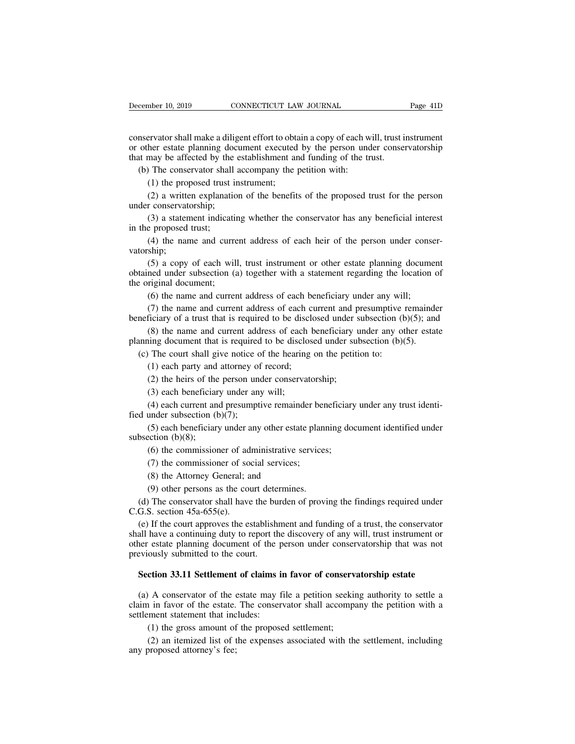December 10, 2019 CONNECTICUT LAW JOURNAL Page 41D<br>
conservator shall make a diligent effort to obtain a copy of each will, trust instrument<br>
or other estate planning document executed by the person under conservatorship<br> December 10, 2019 CONNECTICUT LAW JOURNAL Page 41D<br>
conservator shall make a diligent effort to obtain a copy of each will, trust instrument<br>
or other estate planning document executed by the person under conservatorship<br> December 10, 2019 CONNECTICUT LAW JOURNAL<br>
conservator shall make a diligent effort to obtain a copy of each will, trust if<br>
or other estate planning document executed by the person under conser<br>
that may be affected by th (conservator shall make a diligent effort to obtain a copy of each we other estate planning document executed by the person und the may be affected by the establishment and funding of the tree (b) The conservator shall acc First external make a diligent effort to obtation<br>ther estate planning document executed<br>may be affected by the establishment and<br>the proposed trust instrument;<br>(2) a written explanation of the benefit:<br>r conservatorship: Exercisco shall make a diligent effort to obtain a copy of each will, trust instrument<br>her estate planning document executed by the person under conservatorship<br>may be affected by the establishment and funding of the trust conservator shall make a ding<br>or other estate planning doc<br>that may be affected by the<br>(b) The conservator shall<br>(1) the proposed trust ir<br>(2) a written explanatio<br>under conservatorship;<br>(3) a statement indicatin<br>in the pr

may be affected by the establishment and funding of the trust.<br>
The conservator shall accompany the petition with:<br>
(1) the proposed trust instrument;<br>
(2) a written explanation of the benefits of the proposed trust for th (b) The conservator shall<br>(1) the proposed trust;<br>(2) a written explanation<br>under conservatorship;<br>(3) a statement indicat<br>in the proposed trust;<br>(4) the name and curro<br>vatorship; (1) the proposed trust instrument;<br>
(2) a written explanation of the benefits of the proposed trust for the person<br>
r conservatorship;<br>
(3) a statement indicating whether the conservator has any beneficial interest<br>
e pro

vatorship;

(2) a written explanation of the benefits of the proposed trust for the person<br>r conservatorship;<br>(3) a statement indicating whether the conservator has any beneficial interest<br>e proposed trust;<br>(4) the name and current a (3) a statement indicating whether the conservator has any beneficial interest<br>in the proposed trust;<br>(4) the name and current address of each heir of the person under conser-<br>vatorship;<br>(5) a copy of each will, trust inst (3) a statement indicatir<br>in the proposed trust;<br>(4) the name and curre<br>vatorship;<br>(5) a copy of each will<br>obtained under subsection (a<br>the original document;<br>(6) the name and curren<br>(7) the name and curren e proposed trust;<br>(4) the name and current address of each heir of the person under conse<br>ship;<br>(5) a copy of each will, trust instrument or other estate planning docume<br>ned under subsection (a) together with a statement r (4) the name and current address of each neir of the person under conser-<br>ship;<br>(5) a copy of each will, trust instrument or other estate planning document<br>ned under subsection (a) together with a statement regarding the valorship;<br>
(5) a copy of each will, trust instrument or other estate planning document<br>
obtained under subsection (a) together with a statement regarding the location of<br>
the original document;<br>
(6) the name and current (5) a copy of each wint, trust instrument or other estate planning document<br>ned under subsection (a) together with a statement regarding the location of<br>riginal document;<br>(6) the name and current address of each beneficia

bolained under subsection (a) together with a statement regarding the location of the original document;<br>
(6) the name and current address of each beneficiary under any will;<br>
(7) the name and current address of each curr (6) the name and current address of each beneficiary under any wil<br>
(7) the name and current address of each current and presumptive ineficiary of a trust that is required to be disclosed under subsection (b)<br>
(8) the nam (7) the name and current address of each complete that is required to be disclosed<br>(8) the name and current address of each bing document that is required to be disclosed<br>(8) the name and current address of each bing docu (3) the heirs of the heir and current address of each beneficiary of a trust that is required to be disclosed under s<br>(8) the name and current address of each beneficiary uning document that is required to be disclosed un (8) the name and current address of each<br>hing document that is required to be discle<br>The court shall give notice of the hearing<br>(1) each party and attorney of record;<br>(2) the heirs of the person under conserva<br>(3) each be

(4) in the current that is required to be disclosed under subsection (b)(5).<br>
The court shall give notice of the hearing on the petition to:<br>
(1) each party and attorney of record;<br>
(2) the heirs of the person under conse (c) The court shall give notice o<br>
(1) each party and attorney of<br>
(2) the heirs of the person une<br>
(3) each beneficiary under any<br>
(4) each current and presumpt<br>
fied under subsection (b)(7);<br>
(5) each beneficiary under

(1) each party and attorney of record;<br>
(2) the heirs of the person under conservatorship;<br>
(3) each beneficiary under any will;<br>
(4) each current and presumptive remainder beneficiary under any trust identi-<br>
under subse (2) the heirs of the<br>
(3) each beneficiar<br>
(4) each current and<br>
fied under subsection (b)<br>
(5) each beneficiary<br>
subsection (b)(8);<br>
(6) the commission<br>
(7) the commission (3) each beneficiary under any will;<br>(4) each current and presumptive remainder beneficiary<br>under subsection (b)(7);<br>(5) each beneficiary under any other estate planning dos<br>ection (b)(8);<br>(6) the commissioner of administ (4) each current and presumptive remainder be<br>under subsection (b)(7);<br>(5) each beneficiary under any other estate plar<br>ection (b)(8);<br>(6) the commissioner of administrative service<br>(7) the commissioner of social services under subsection (b)(7);<br>(5) each beneficiary under any other estate existent<br>(b)(8);<br>(6) the commissioner of administrative s<br>(7) the commissioner of social services;<br>(8) the Attorney General; and<br>(9) other persons as th (5) each beneficiary under any other estate plann<br>ection (b)(8);<br>(6) the commissioner of administrative services<br>(7) the commissioner of social services;<br>(8) the Attorney General; and<br>(9) other persons as the court determ

bsection (b)(8);<br>
(6) the commissioner of administrative services;<br>
(7) the commissioner of social services;<br>
(8) the Attorney General; and<br>
(9) other persons as the court determines.<br>
(d) The conservator shall have the b (6) the commissioner of ad<br>
(7) the commissioner of so<br>
(8) the Attorney General; a<br>
(9) other persons as the coud<br>
(d) The conservator shall have<br>
C.G.S. section  $45a-655(e)$ .<br>
(e) If the court approves the eshall have a

(7) the commissioner of social services;<br>
(8) the Attorney General; and<br>
(9) other persons as the court determines.<br>
(d) The conservator shall have the burden of proving the findings required under<br>
G.S. section 45a-655(e (8) the Attorney General; and<br>
(9) other persons as the court determines.<br>
(d) The conservator shall have the burden of proving the findings required under<br>
C.G.S. section 45a-655(e).<br>
(e) If the court approves the establ (a) the Attorney General, and<br>
(9) other persons as the court determines.<br>
(d) The conservator shall have the burden of proving the findings required under<br>
C.G.S. section 45a-655(e).<br>
(e) If the court approves the establ (9) other persons as the court dete<br>
(d) The conservator shall have the bu<br>
C.G.S. section  $45a-655(e)$ .<br>
(e) If the court approves the establish<br>
shall have a continuing duty to report the<br>
other estate planning document G.S. section 45a-655(e).<br>
(e) If the court approves the establishment and funding of a trust, the conservator<br>
all have a continuing duty to report the discovery of any will, trust instrument or<br>
er estate planning documen (a) A conservator of the estate may file a petition seeking authority to settle a<br>that was not eviously submitted to the court.<br>Section 33.11 Settlement of claims in favor of conservatorship estate<br>(a) A conservator of the

other estate planning document of the person under conservatorship that was not<br>previously submitted to the court.<br>**Section 33.11 Settlement of claims in favor of conservatorship estate**<br>(a) A conservator of the estate may previously submitted to the court.<br> **Section 33.11 Settlement of claims in**<br>
(a) A conservator of the estate may f<br>
claim in favor of the estate. The conservate<br>
settlement statement that includes:<br>
(1) the gross amount o (1) the gross amount of claims in favor of conservation 33.11 Settlement of claims in favor of the estate may file a petition seekin in favor of the estate. The conservator shall accompainent statement that includes:<br>(1) t (2) an itemized list of the expenses associated with the settlement, including proposed attorney's fee;<br>
(2) an itemized list of the expenses associated with the settlement, including<br>
orposed attorney's fee; (a) A conservator of the education in favor of the estate.<br>Settlement statement that inc<br>(1) the gross amount of<br>(2) an itemized list of t<br>any proposed attorney's fee;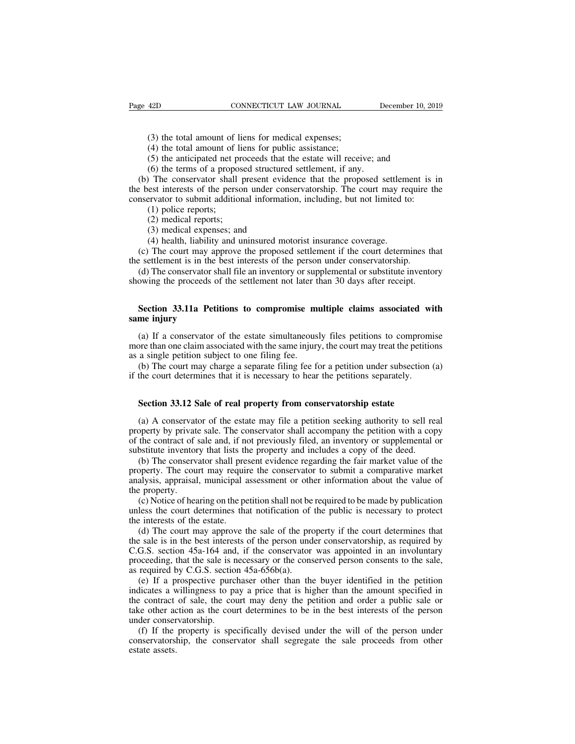- 
- (3) the total amount of liens for medical expenses;<br>(3) the total amount of liens for medical expenses;<br>(4) the total amount of liens for public assistance;<br>(5) the anticipated net proceeds that the estate will receive (3) the total amount of liens for medical expenses;<br>(4) the total amount of liens for medical expenses;<br>(5) the anticipated net proceeds that the estate will recei<br>(6) the terms of a proposed structured settlement, if any
- 

(3) the total amount of liens for medical expenses;<br>
(4) the total amount of liens for medical expenses;<br>
(4) the total amount of liens for public assistance;<br>
(5) the anticipated net proceeds that the estate will receive; (3) the total amount of liens for medical expenses;<br>
(4) the total amount of liens for medical expenses;<br>
(4) the total amount of liens for public assistance;<br>
(5) the anticipated net proceeds that the estate will receive; (3) the total amount of liens for medical expenses;<br>
(4) the total amount of liens for public assistance;<br>
(5) the anticipated net proceeds that the estate will receive; and<br>
(6) the terms of a proposed structured settlem (3) the total amount of liens for medical expenses;<br>
(4) the total amount of liens for public assistance;<br>
(5) the anticipated net proceeds that the estate will receive; and<br>
(6) the terms of a proposed structured settlem (3) the total amount of liens for medical expenses;<br>
(4) the total amount of liens for public assistance;<br>
(5) the anticipated net proceeds that the estate will receive; and<br>
(6) the terms of a proposed structured settlem (4) the total amount of 1<br>(5) the anticipated net p<br>(6) the terms of a propor<br>The conservator shall<br>est interests of the persent interests of the persent<br>ervator to submit addition<br>(1) police reports;<br>(2) medical reports; (5) the anticipated net pro<br>(6) the terms of a propose<br>) The conservator shall p<br>est interests of the persor<br>ervator to submit additions<br>(1) police reports;<br>(2) medical reports;<br>(3) medical expenses; and<br>(4) health, liabi (6) the terms of a proposed structure<br>(6) the terms of a proposed structure<br>est interests of the person under con<br>ervator to submit additional informati<br>(1) police reports;<br>(2) medical reports;<br>(3) medical expenses; and<br>( The conservator shall present evidence that the proposed settlem<br>est interests of the person under conservatorship. The court may re<br>ervator to submit additional information, including, but not limited to<br>(1) police report (e) the settlements of the person under conservatorship. The court may require the mservator to submit additional information, including, but not limited to:<br>
(1) police reports;<br>
(2) medical reports;<br>
(3) medical expenses

- 
- 
- 
- 

(1) police reports;<br>
(2) medical expenses; and<br>
(4) health, liability and uninsured motorist insurance coverage.<br>
(c) The court may approve the proposed settlement if the court determines that<br>
a settlement is in the best (4) health, hability and uninsured motorist insurance coverage.<br>
(c) The court may approve the proposed settlement if the court determines that<br>
a settlement is in the best interests of the person under conservatorship.<br>
(

the settlement is in the settlement is in the settlement interests of the settlement is in the best interests of the person under conservatorship.<br>
(a) The court may approve the proposed settlement if the court determines (2) medical reports;<br>
(3) medical expenses; and<br>
(4) health, liability and uninsured motorist insurance coverage.<br>
(c) The court may approve the proposed settlement if the court determines that<br>
the settlement is in the b (c) The court may ap<br>the settlement is in the<br>(d) The conservator showing the proceeds of<br>**Section 33.11a Peti**<br>**same injury**<br>(a) If a conservator of

(d) The conservator shall file an inventory or supplemental or substitute inventory<br>owing the proceeds of the settlement not later than 30 days after receipt.<br>**Section 33.11a Petitions to compromise multiple claims associ** showing the proceeds of the settlement not later than 30 days after receipt.<br> **Section 33.11a Petitions to compromise multiple claims associated with**<br> **same injury**<br>
(a) If a conservator of the estate simultaneously files **Section 33.11a Petitions to compromise m**<br>**same injury**<br>(a) If a conservator of the estate simultaneous<br>more than one claim associated with the same injury<br>as a single petition subject to one filing fee.<br>(b) The court may Section 33.11a Petitions to compromise multiple claims associated with<br>me injury<br>(a) If a conservator of the estate simultaneously files petitions to compromise<br>ore than one claim associated with the same injury, the court Section 35.11a Petitions to compromise multiple claims associated wis<br>same injury<br>(a) If a conservator of the estate simultaneously files petitions to comprom<br>more than one claim associated with the same injury, the court (a) If a conservator of the estate simultaneously files petitions to comprom<br>ore than one claim associated with the same injury, the court may treat the petitic<br>a single petition subject to one filing fee.<br>(b) The court ma

(b) The court may charge a separate filing fee.<br>
(b) The court may charge a separate filing fee for a petition under subsection (a)<br>
the court determines that it is necessary to hear the petitions separately.<br> **Section 33.** (b) The court may charge a separate filing fee for a petition under subsection (a) if the court determines that it is necessary to hear the petitions separately.<br> **Section 33.12 Sale of real property from conservatorship** if the court determines that it is necessary to hear the petitions separately.<br> **Section 33.12 Sale of real property from conservatorship estate**<br>
(a) A conservator of the estate may file a petition seeking authority to se **Section 33.12 Sale of real property from conservatorship estate**<br>(a) A conservator of the estate may file a petition seeking authority to sell re<br>property by private sale. The conservator shall accompany the petition with Section 33.12 Sale of real property from conservatorship estate<br>(a) A conservator of the estate may file a petition seeking authority to sell real<br>operty by private sale. The conservator shall accompany the petition with a Section 35.12 Sale of real property from conservatorship estate<br>
(a) A conservator of the estate may file a petition seeking authority to sell real<br>
property by private sale. The conservator shall accompany the petition wi (a) A conservator of the estate may file a petition seeking authority to sell real property by private sale. The conservator shall accompany the petition with a copy of the contract of sale and, if not previously filed, an

(a)  $\Lambda$  conservate<br>property by private<br>of the contract of  $\sigma$ :<br>substitute inventor<br>(b) The conserv<br>property. The cou<br>analysis, appraisal<br>the property.<br>(c) Notice of hea (b) The same state. The conservator shall accompany the petition with a copy the contract of sale and, if not previously filed, an inventory or supplemental or bstitute inventory that lists the property and includes a copy substitute inventory that lists the property and includes a copy of the deed.<br>
(b) The conservator shall present evidence regarding the fair market value of the property. The court may require the conservator to submit a c (b) The conservator shall pre<br>property. The court may requin<br>analysis, appraisal, municipal a<br>the property.<br>(c) Notice of hearing on the pe<br>unless the court determines tha<br>the interests of the estate.<br>(d) The court may app (d) The court may require the conservator to submit a comparative market alysis, appraisal, municipal assessment or other information about the value of  $\epsilon$  property.<br>
(c) Notice of hearing on the petition shall not be r

the sale is in the sale interests of the person under the conservator of the property.<br>
(c) Notice of hearing on the petition shall not be required to be made by publication<br>
unless the court determines that notification o The property.<br>
(c) Notice of hearing on the petition shall not be required to be made by publication<br>
unless the court determines that notification of the public is necessary to protect<br>
the interests of the estate.<br>
(d) (c) Notice of hearing on the petition shall not be required to be made by publication<br>unless the court determines that notification of the public is necessary to protect<br>the interests of the estate.<br>(d) The court may appr (c) Notice of healing of the perthon shall not be<br>unless the court determines that notification of<br>the interests of the estate.<br>(d) The court may approve the sale of the pre<br>the sale is in the best interests of the person The purchaser of the state.<br>
(d) The court may approve the sale of the property if the court determines that<br>
e sale is in the best interests of the person under conservatorship, as required by<br>
G.S. section 45a-164 and, (d) The court may approve the sale of the property if the court determines that the sale is in the best interests of the person under conservatorship, as required by C.G.S. section 45a-164 and, if the conservator was appo

(a) The court may approve the sale of the property if the contract determines that the sale is in the best interests of the person under conservatorship, as required by C.G.S. section 45a-164 and, if the conservator was a the sate is in the cest interests of the person under conservatorship, as required by C.G.S. section 45a-164 and, if the conservator was appointed in an involuntary proceeding, that the sale is necessary or the conserved p existed to the sale is a<br>proceeding, that the sale is a<br>as required by C.G.S. sectio<br>(e) If a prospective purc<br>indicates a willingness to p<br>the contract of sale, the co<br>under conservatorship.<br>(f) If the property is spe<br>con (f) If the propertive purchaser of the buyer identified in the petition dicates a willingness to pay a price that is higher than the amount specified in econtract of sale, the court may deny the petition and order a public conservative purchaser other than the buyer identified in the petition<br>indicates a willingness to pay a price that is higher than the amount specified in<br>the contract of sale, the court may deny the petition and order a pu (c) If a p<br>indicates a v<br>the contract<br>take other ac<br>under conservators<br>estate assets.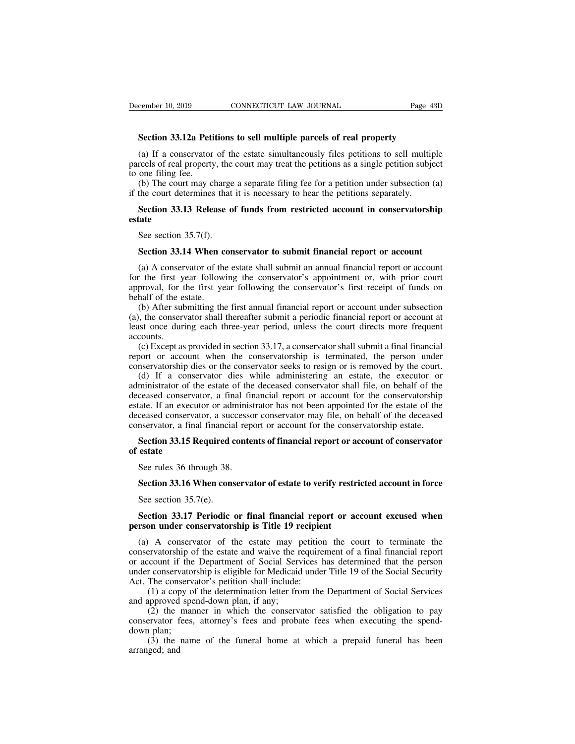**Section 33.12a Petitions to sell multiple parcels of real property**<br> **Section 33.12a Petitions to sell multiple parcels of real property**<br> **Section 33.12a Petitions to sell multiple parcels of real property**<br> **Sections** t (a) If a conservator of the estate simultaneously files petitions to sell multiple percels of real property<br>(a) If a conservator of the estate simultaneously files petitions to sell multiple<br>reels of real property, the cou parcels of real property<br> **parcels of real property**<br>
(a) If a conservator of the estate simultaneously files petitions to sell multiple<br>
parcels of real property, the court may treat the petitions as a single petition sub becember 10, 2019<br>
Section 33.12a Peti<br>
(a) If a conservator<br>
parcels of real property<br>
to one filing fee.<br>
(b) The court may c<br>
if the court determines Section 33.12a Petitions to sell multiple parcels of real property<br>
(a) If a conservator of the estate simultaneously files petitions to sell multiple<br>
rcels of real property, the court may treat the petitions as a single Section 33.12a Petitions to sell multiple parcels of real property<br>
(a) If a conservator of the estate simultaneously files petitions to sell multip<br>
parcels of real property, the court may treat the petitions as a single **SECT ASSET CONCIDENT CONSERVATE CONSERVATE CONSERVATE CONSERVATION** (a) If a conservator of the estate simultaneously files petitions to sell multiple reels of real property, the court may treat the petitions as a single

one filing fee.<br>(b) The court may charge<br>the court determines that<br>**Section 33.13 Release of the See section 35.7(f).**<br>**Section 33.14 When con** 

## **estate** (b) The court may charge a separate film the form a petition under subsection (a) the court determines that it is necessary to hear the petitions separately.<br> **Section 33.13 Release of funds from restricted account in cons**

Section 33.13 Release of funds from restricted account in conservatorship<br>See section 35.7(f).<br>Section 33.14 When conservator to submit financial report or account<br>(a) A conservator of the estate shall submit an annual fi Section 35.15 Release of funds from restricted account in conservatorship<br>estate<br>See section 35.7(f).<br>Section 33.14 When conservator to submit financial report or account<br>(a) A conservator of the estate shall submit an ann See section 35.7(f).<br>
Section 33.14 When conservator to submit financial report or account<br>
(a) A conservator of the estate shall submit an annual financial report or account<br>
for the first year following the conservator's See section 35.7(f).<br> **Section 33.14 When c**<br>
(a) A conservator of the<br>
for the first year follow<br>
approval, for the first ye<br>
behalf of the estate.<br>
(b) After submitting the<br>
(a), the conservator shall Section 33.14 When conservator to submit financial report or account<br>(a) A conservator of the estate shall submit an annual financial report or account<br>r the first year following the conservator's appointment or, with prio **Section 33.14 When conservator to submit financial report or account**<br>(a) A conservator of the estate shall submit an annual financial report or account<br>for the first year following the conservator's appointment or, with (a) A conservator of the estate shall submit an annual financial report or account<br>for the first year following the conservator's appointment or, with prior court<br>approval, for the first year following the conservator's fi

accounts.<br>(c) Except as provided in section 33.17, a conservator shall submit a final financial (a) the mist year following the conservator's appointment of, while proval, for the first year following the conservator's first receipt of funds on half of the estate.<br>
(b) After submitting the first annual financial repo reprioral, to the first year following the conservator's first fecept of funds on<br>behalf of the estate.<br>(b) After submitting the first annual financial report or account under subsection<br>(a), the conservator shall thereaft (b) After submitting the first annual financial report or account under subsection (a), the conservator shall thereafter submit a periodic financial report or account at least once during each three-year period, unless the (b) Arter submitting the first annuar inflancial report of account unter subsection<br>i, the conservator shall thereafter submit a periodic financial report or account at<br>st once during each three-year period, unless the cou

(a), the conservator shall intereality submit a perfodic manieral report of account at least once during each three-year period, unless the court directs more frequent accounts.<br>
(c) Except as provided in section 33.17, a deceased conservator and financial report or accounts.<br>
(c) Except as provided in section 33.17, a conservator shall submit a final financial<br>
report or account when the conservatorship is terminated, the person under<br>
con accounts.<br>
(c) Except as provided in section 33.17, a conservator shall submit a final financial<br>
report or account when the conservatorship is terminated, the person under<br>
conservatorship dies or the conservator seeks to (c) Except as provided in section 35.17, a conservator sitant submit a final financial report or account when the conservatorship is terminated, the person under conservatorship dies or the conservator seeks to resign or conservatorship dies or the conservatorship is terminated, the person under<br>conservatorship dies or the conservator seeks to resign or is removed by the court.<br>(d) If a conservator dies while administering an estate, the e (d) If a conservator dies while administering an estate, the executor or ministrator of the estate of the deceased conservator shall file, on behalf of the ceased conservator, a final financial report or account for the co deministrator of the<br>deceased conserva<br>estate. If an execut<br>deceased conservator<br>conservator, a fina<br>**Section 33.15 R**<br>of estate<br>See rules 36 three Example 2013<br>
See assed conservator, a successed conservator, a successed<br>
Inservator, a final financial rep<br>
Section 33.15 Required contendent<br>
See rules 36 through 38.<br>
Section 33.16 When conserva

## Exeased conservator, a successor conservator may life, on behalf of the deceased mservator, a final financial report or account for the conservatorship estate.<br>**Section 33.15 Required contents of financial report or accoun** Section 33.15 Required c<br>estate<br>See rules 36 through 38.<br>Section 33.16 When cons<br>See section 35.7(e).<br>Section 33.17 Periodic

## **See rules 36 through 38.**<br> **Section 33.16 When conservator of estate to verify restricted account in force**<br>
See section 35.7(e).<br> **Section 33.17 Periodic or final financial report or account excused when**<br> **rson under co** See rules 36 through 38.<br> **Section 33.16 When conservator of estate to verify restri**<br>
See section 35.7(e).<br> **Section 33.17 Periodic or final financial report or ac**<br> **person under conservatorship is Title 19 recipient**<br>
(

Section 33.16 When conservator of estate to verify restricted account in force<br>See section 35.7(e).<br>Section 33.17 Periodic or final financial report or account excused when<br>rson under conservatorship is Title 19 recipient<br> Section 35.10 when conservator of estate to vertry restricted action in force<br>See section 35.7(e).<br>**Section 33.17 Periodic or final financial report or account excused when**<br>**person under conservatorship is Title 19 recip** See section 35.7(e).<br>
Section 33.17 Periodic or final financial report or account excused when<br>
person under conservatorship is Title 19 recipient<br>
(a) A conservator of the estate may petition the court to terminate the<br>
c Section 33.17 Periodic or final financial report or account excused when<br>person under conservatorship is Title 19 recipient<br>(a) A conservator of the estate may petition the court to terminate the<br>conservatorship of the est Section 33.17 Periodic or final financial report or account excused when<br>person under conservatorship is Title 19 recipient<br>(a) A conservator of the estate may petition the court to terminate the<br>conservatorship of the est (1) a conservatorship is Title 19 recipient<br>
(1) A conservator of the estate may petition the court to terminate the<br>
ervatorship of the estate and waive the requirement of a final financial report<br>
ccount if the Departme (a) A conservator of the estate may p conservatorship of the estate and waive the ror account if the Department of Social Servator conservatorship is eligible for Medicaid Act. The conservator's petition shall include: (1) The conservator of the estate may pethon the contribute to defining the errvatorship of the estate and waive the requirement of a final financial report count if the Department of Social Services has determined that the pe conservatorship of the estate and warve the requirement of a final financial report<br>or account if the Department of Social Services has determined that the person<br>under conservatorship is eligible for Medicaid under Title

or account if the<br>
under conservator<br>
Act. The conservator<br>
(1) a copy of<br>
and approved spectrus<br>
(2) the mar<br>
conservator fees,<br>
down plan;<br>
(3) the nam<br>
arranged; and The conservatorship is englote for Medical under The 19 of the Social Security<br>The conservator's petition shall include:<br>(1) a copy of the determination letter from the Department of Social Services<br>pproved spend-down plan Act. The conservation<br>
(1) a cop<br>
and approved<br>
(2) the<br>
conservator f<br>
down plan;<br>
(3) the<br>
arranged; and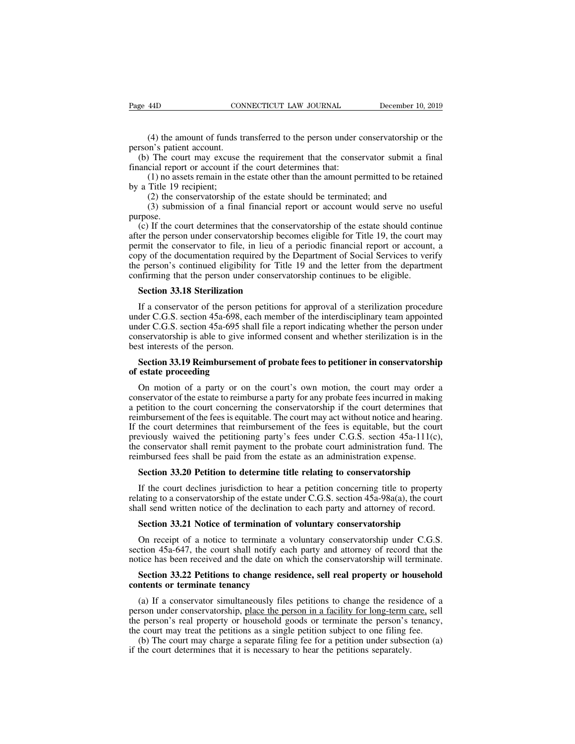(4) the amount of funds transferred to the person under conservatorship or the m's patient account.<br>The court may excuse the requirement that the conservator submit a final<br>The court may excuse the requirement that the con

Page 44D CON<br>
(4) the amount of funds to<br>
person's patient account.<br>
(b) The court may excuse if<br>
inancial report or account if to (4) the amount of funds transferred to the person under conservatorship or the rson's patient account.<br>
(b) The court may excuse the requirement that the conservator submit a final ancial report or account if the court det Fage 44D CONNECTICUT LAW JOURNAL<br>
(4) the amount of funds transferred to the person under c<br>
person's patient account.<br>
(b) The court may excuse the requirement that the conse<br>
financial report or account if the court dete (4) the amount of funds transferred to the person under conservatorship or the m's patient account.<br>
The court may excuse the requirement that the conservator submit a final<br>
cial report or account if the court determines (4) the amount of funds<br>person's patient account.<br>(b) The court may excuse<br>financial report or account if<br>(1) no assets remain in th<br>by a Title 19 recipient;<br>(2) the conservatorship (3)<br>submission of a final (4) the amount of funds transferred to the person under conservatorship or  $n$ 's patient account.<br>
The court may excuse the requirement that the conservator submit a f<br>
cial report or account if the court determines that: ( $\rightarrow$ ) the amount of runds transferred to the person under conservatorship of the<br>n's patient account.<br>The court may excuse the requirement that the conservator submit a final<br>cial report or account if the court determine

purpose.<br>(c) If the court determines that the conservatorship of the estate should continue

(b) The court may excuse the requirement that the conservator submit a final ancial report or account if the court determines that:<br>
(1) no assets remain in the estate other than the amount permitted to be retained<br>
a Tit and the person of account in the contribution that.<br>
(1) no assets remain in the estate other than the amount permitted to be retained<br>
by a Title 19 recipient;<br>
(2) the conservatorship of the estate should be terminated; by a Title 19 recipient;<br>
(2) the conservatorship of the estate should be terminated; and<br>
(3) submission of a final financial report or account would serve no useful<br>
purpose.<br>
(c) If the court determines that the conserv by a Thic 19 technomic,<br>
(2) the conservatorship of the estate should be terminated; and<br>
(3) submission of a final financial report or account would serve no useful<br>
purpose.<br>
(c) If the court determines that the conserva (2) the conservatorship of the estate should be terminated, and<br>
(3) submission of a final financial report or account would serve no useful<br>
purpose.<br>
(c) If the court determines that the conservatorship of the estate sh (3) subfirming that the conservatorship of account would serve not use<br>purpose.<br>(c) If the court determines that the conservatorship of the estate should continuate<br>after the person under conservatorship becomes eligible f (c) If the court determines that the conserver the person under conservatorship becoment<br>the conservator to file, in lieu of a py of the documentation required by the<br>person's continued eligibility for Title<br>nfirming that Figure 1.1 The conservator to file, in lieu of a periodic financial report or account, a<br>py of the documentation required by the Department of Social Services to verify<br>e person's continued eligibility for Title 19 and the

copy of the documentation required by the Department of Social Services to verify<br>the person's continued eligibility for Title 19 and the letter from the department<br>confirming that the person under conservatorship continue the person's continued eligibility for Title 19 and the letter from the department<br>confirming that the person under conservatorship continues to be eligible.<br>**Section 33.18 Sterilization**<br>If a conservator of the person pet confirming that the person under conservatorship continues to be eligible.<br> **Section 33.18 Sterilization**<br>
If a conservator of the person petitions for approval of a sterilization procedure<br>
under C.G.S. section 45a-698, e Section 33.18 Sterilization<br>
If a conservator of the person<br>
under C.G.S. section 45a-698, ead<br>
under C.G.S. section 45a-695 sha<br>
conservatorship is able to give in<br>
best interests of the person.<br>
Section 33.19 Reimburseme **Section 33.19 Reimbursement of probate fees to petitioner in conservatorship**<br>**Section 45a-698**, each member of the interdisciplinary team appointed<br>der C.G.S. section 45a-695 shall file a report indicating whether the pe If a conservator of the person<br>under C.G.S. section 45a-698, ea<br>under C.G.S. section 45a-695 sha<br>conservatorship is able to give in<br>best interests of the person.<br>**Section 33.19 Reimbursemen**<br>of estate proceeding<br>On motion der C.G.S. section 45a-695 shall file a report indicating whether the person under<br>nservatorship is able to give informed consent and whether sterilization is in the<br>st interests of the person.<br>**Section 33.19 Reimbursement** 

conservatorship is able to give informed consent and whether sterilization is in the best interests of the person.<br> **Section 33.19 Reimbursement of probate fees to petitioner in conservatorship**<br> **Section 33.19 Reimburseme** best interests of the person.<br> **Section 33.19 Reimbursement of probate fees to petitioner in conservatorship**<br> **of estate proceeding**<br>
On motion of a party or on the court's own motion, the court may order a<br>
conservator o **Section 33.19 Reimbursement of probate fees to petitioner in conservatorship**<br>of **estate proceeding**<br>On motion of a party or on the court's own motion, the court may order a<br>conservator of the estate to reimburse a party **Section 33.19 Reimbursement of probate fees to petitioner in conservatorship**<br>of estate proceeding<br>On motion of a party or on the court's own motion, the court may order a<br>conservator of the estate to reimburse a party f of estate proceeding<br>On motion of a party or on the court's own motion, the court may order a<br>conservator of the estate to reimburse a party for any probate fees incurred in making<br>a petition to the court concerning the co On motion of a party or on the court's own motion, the court may order a conservator of the estate to reimburse a party for any probate fees incurred in making a petition to the court concerning the conservatorship if the On motion of a party or on the court's own motion, the court may order a conservator of the estate to reimburse a party for any probate fees incurred in making a petition to the court concerning the conservatorship if the betition to the court concerning the conservatorship if the court determines that<br>mbursement of the fees is equitable. The court may act without notice and hearing.<br>the court determines that reimbursement of the fees is e the court determines that reimbursement of the fees is equitable, but the court<br>eviously waived the petitioning party's fees under C.G.S. section 45a-111(c),<br>e conservator shall remit payment to the probate court administr previously waived the petitioning party's fees under C.G.S. section 45a-111(c),<br>the conservator shall remit payment to the probate court administration fund. The<br>reimbursed fees shall be paid from the estate as an administ

the conservator shall remit payment to the probate court administration fund. The reimbursed fees shall be paid from the estate as an administration expense.<br>Section 33.20 Petition to determine title relating to conservato mbursed fees shall be paid from the estate as an administration expense.<br> **Section 33.20 Petition to determine title relating to conservatorship**<br>
If the court declines jurisdiction to hear a petition concerning title to p Section 35.20 Petition to determine the relating to conservatorship<br>If the court declines jurisdiction to hear a petition concerning title to property<br>ating to a conservatorship of the estate under C.G.S. section 45a-98a(a If the court declines jurisdiction to hear a petition concerning title to property<br>relating to a conservatorship of the estate under C.G.S. section 45a-98a(a), the court<br>shall send written notice of the declination to each

relating to a conservatorship of the estate under C.G.S. section 45a-98a(a), the court<br>shall send written notice of the declination to each party and attorney of record.<br>**Section 33.21 Notice of termination of voluntary co** all send written notice of the declination to each party and attorney of record.<br>**Section 33.21 Notice of termination of voluntary conservatorship**<br>On receipt of a notice to terminate a voluntary conservatorship under C.G. **contents 33.21 Notice of termination of**<br>On receipt of a notice to terminate a v<br>section 45a-647, the court shall notify eac<br>notice has been received and the date on w<br>**Section 33.22 Petitions to change resid<br>contents or** 

On receipt of a notice to terminate a voluntary conservatorship under C.G.S.<br>ction 45a-647, the court shall notify each party and attorney of record that the<br>tice has been received and the date on which the conservatorship section 45a-647, the court shall notify each party and attorney of record that the notice has been received and the date on which the conservatorship will terminate.<br> **Section 33.22 Petitions to change residence, sell real** the person's real property or household goods or terminate the person's real property or household contents or terminate tenancy<br>(a) If a conservator simultaneously files petitions to change the residence of a person under Section 33.22 Petitions to change residence, sell real property or household<br>contents or terminate tenancy<br>(a) If a conservator simultaneously files petitions to change the residence of a<br>person under conservatorship, plac Section 33.22 Petitions to change residence, sell real property or household<br>ntents or terminate tenancy<br>(a) If a conservator simultaneously files petitions to change the residence of a<br>rson under conservatorship, place t contents or terminate tenancy<br>
(a) If a conservator simultaneously files petitions to change the residence<br>
person under conservatorship, place the person in a facility for long-term<br>
of the person's real property or house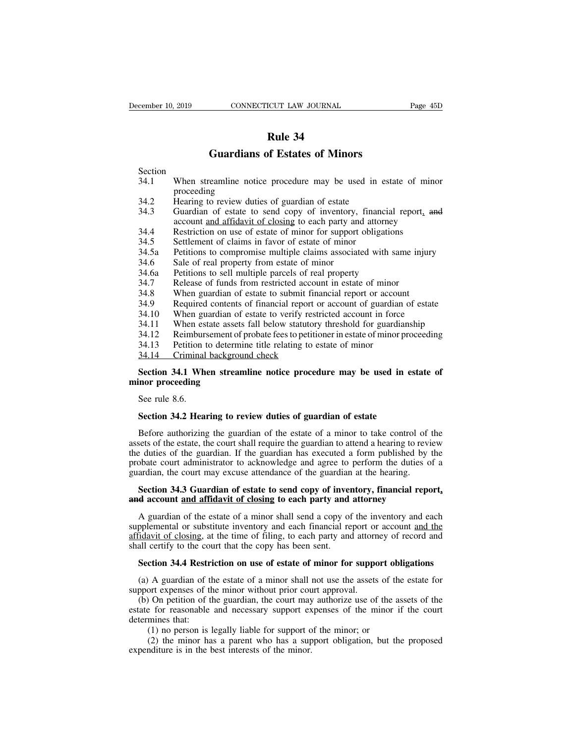# **Rule 34<br>Rule 34<br>of Estates of Mino**

| December 10, 2019 | CONNECTICUT LAW JOURNAL                                                                                                                 | Page 45D |
|-------------------|-----------------------------------------------------------------------------------------------------------------------------------------|----------|
|                   |                                                                                                                                         |          |
|                   | Rule 34                                                                                                                                 |          |
|                   | <b>Guardians of Estates of Minors</b>                                                                                                   |          |
| Section           |                                                                                                                                         |          |
| 34.1              | When streamline notice procedure may be used in estate of minor<br>proceeding                                                           |          |
| 34.2              | Hearing to review duties of guardian of estate                                                                                          |          |
| 34.3              | Guardian of estate to send copy of inventory, financial report, and<br>account and affidavit of closing to each party and attorney      |          |
| 34.4              | Restriction on use of estate of minor for support obligations                                                                           |          |
| 34.5              | Settlement of claims in favor of estate of minor                                                                                        |          |
| 34.5a             | Petitions to compromise multiple claims associated with same injury                                                                     |          |
| 34.6              | Sale of real property from estate of minor                                                                                              |          |
| 34.6a             | Petitions to sell multiple parcels of real property                                                                                     |          |
| 34.7              | Release of funds from restricted account in estate of minor                                                                             |          |
| 34.8              | When guardian of estate to submit financial report or account                                                                           |          |
| 34.9<br>34.10     | Required contents of financial report or account of guardian of estate<br>When guardian of estate to verify restricted account in force |          |
| 34.11             | When estate assets fall below statutory threshold for guardianship                                                                      |          |
| 34.12             | Reimbursement of probate fees to petitioner in estate of minor proceeding                                                               |          |
| 34.13             | Petition to determine title relating to estate of minor                                                                                 |          |
| 34.14             | Criminal background check                                                                                                               |          |
|                   | Section 34.1 When streamline notice procedure may be used in estate of                                                                  |          |
| minor proceeding  |                                                                                                                                         |          |
| See rule 8.6.     |                                                                                                                                         |          |
|                   | Section 34.2 Hearing to review duties of guardian of estate                                                                             |          |
|                   | Before authorizing the guardian of the estate of a minor to take control of the                                                         |          |

Section 34.1 When streamline notice procedure may be used in estate of<br>inor proceeding<br>See rule 8.6.<br>Section 34.2 Hearing to review duties of guardian of estate<br>Before authorizing the guardian of the estate of a minor to See rule 8.6.<br>
See rule 8.6.<br>
Section 34.2 Hearing to review duties of guardian of estate<br>
Before authorizing the guardian of the estate of a minor to take control of the<br>
assets of the estate, the court shall require the See rule 8.6.<br>Section 34.2 Hearing to review duties of guardian of estate<br>Before authorizing the guardian of the estate of a minor to take control of the<br>assets of the estate, the court shall require the guardian to attend See rule 8.6.<br>
Section 34.2 Hearing to review duties of guardian of estate<br>
Before authorizing the guardian of the estate of a minor to take control of the<br>
assets of the estate, the court shall require the guardian to at Section 34.2 Hearing to review duties of guardian of estate<br>Before authorizing the guardian of the estate of a minor to take control of<br>assets of the estate, the court shall require the guardian to attend a hearing to revi Before authorizing the guardian of the estate of a minor to take control of the sets of the estate, the court shall require the guardian to attend a hearing to review e duties of the guardian. If the guardian has executed Before authorizing the guardian of the estate of a minor to take control of assets of the estate, the court shall require the guardian to attend a hearing to reverthe duties of the guardian. If the guardian has executed a

Executed a form published by the boate court administrator to acknowledge and agree to perform the duties of a ardian, the court may excuse attendance of the guardian at the hearing.<br> **Section 34.3 Guardian of estate to se** probate court administrator to acknowledge and agree to perform the duties of a guardian, the court may excuse attendance of the guardian at the hearing.<br> **Section 34.3 Guardian of estate to send copy of inventory, financi** guardian, the court may excuse attendance of the guardian at the hearing.<br> **Section 34.3 Guardian of estate to send copy of inventory, financial report,**<br> **A guardian of the estate of a minor shall send a copy of the inven** Section 34.3 Guardian of estate to send copy of inver<br>and account and affidavit of closing to each party and<br>A guardian of the estate of a minor shall send a copy of<br>supplemental or substitute inventory and each financial **Section 34.4 Restriction on use of estate of minor shall send a copy of the inventory and each pplemental or substitute inventory and each financial report or account <u>and the</u> ridavit of closing, at the time of filing, t** A guardian of the estate of a minor shall send a copy of the inventory and each<br>pplemental or substitute inventory and each financial report or account <u>and the</u><br>idavit of closing, at the time of filing, to each party and supplemental or substitute inventory and each financial report or affidavit of closing, at the time of filing, to each party and attorn shall certify to the court that the copy has been sent.<br> **Section 34.4 Restriction on** 

Fidavit of closing, at the time of filing, to each party and attorney of record and<br>all certify to the court that the copy has been sent.<br>**Section 34.4 Restriction on use of estate of minor for support obligations**<br>(a) A g shall certify to the court that the copy has been sent.<br> **Section 34.4 Restriction on use of estate of minor for support obligations**<br>
(a) A guardian of the estate of a minor shall not use the assets of the estate for<br>
sup **Section 34.4 Restri**<br>(a) A guardian of the<br>support expenses of the<br>(b) On petition of the<br>state for reasonable<br>determines that:<br>(1) no person is 1<br>(2) the minor ha (1) a set of the estate of minor for support of A guardian of the estate of a minor shall not use the assets of the minor without prior court approval.<br>On petition of the guardian, the court may authorize use of the asset (2) A guardian of the estate of a minor shall not use the assets of the estate for ort expenses of the minor without prior court approval.<br>
(2) On petition of the guardian, the court may authorize use of the assets of the (a) A guardian of the estate of a minor shall not use the assets of the estate for support expenses of the minor without prior court approval.<br>
(b) On petition of the guardian, the court may authorize use of the assets of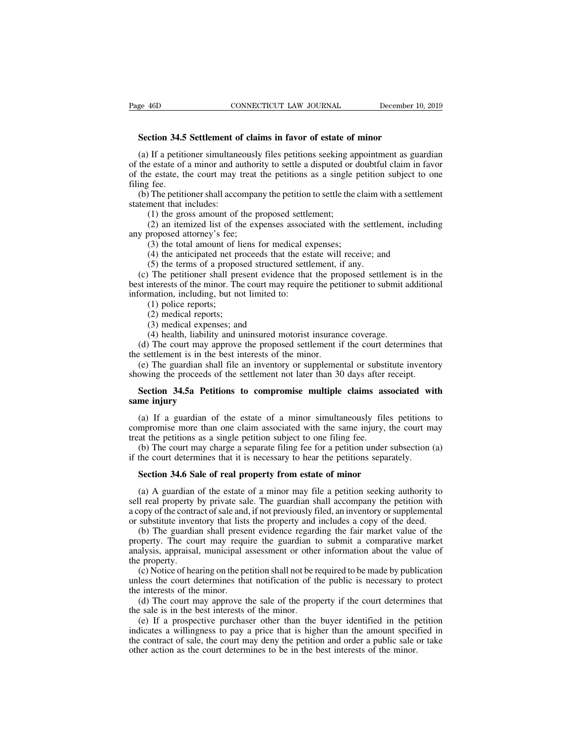**SECTICUS** CONNECTICUT LAW JOURNAL December 1<br> **Section 34.5 Settlement of claims in favor of estate of minor**<br>
(a) If a petitioner simultaneously files petitions seeking appointment as gu (a) If a petitioner simultaneously files petitions seeking appointment as guardian the estate of a minor and authority to settle a disputed or doubtful claim in favor the estate, the court may treat the petitions as a sing **Example 46D** CONNECTICUT LAW JOURNAL December 10, 2019<br> **Section 34.5 Settlement of claims in favor of estate of minor**<br>
(a) If a petitioner simultaneously files petitions seeking appointment as guardian<br>
of the estate of **Section 34.5 Settlement of claims in favor of estate of minor**<br>(a) If a petitioner simultaneously files petitions seeking appointment as guardian<br>of the estate of a minor and authority to settle a disputed or doubtful cla **Section 34.5**<br>(a) If a petitiof<br>the estate of<br>the estate, the<br>filing fee.<br>(b) The petition<br>statement that i **Section 34.5 Settlement of claims in favor of estate of minor**<br>
(a) If a petitioner simultaneously files petitions seeking appointment as guardian<br>
the estate of a minor and authority to settle a disputed or doubtful cla Section 34.5 Settlement of<br>
(a) If a petitioner simultane<br>
of the estate of a minor and at<br>
of the estate, the court may t<br>
filing fee.<br>
(b) The petitioner shall acco<br>
statement that includes:<br>
(1) the gross amount of t<br>
( If a petitioner simultaneously files petitions seeking a<br>re estate of a minor and authority to settle a disputed or  $\alpha$ <br>e estate, the court may treat the petitions as a single  $\beta$ <br>fee.<br>The petitioner shall accompany the For a pentioner simulationary ries pentions seeking appointment as guardian<br>e estate of a minor and authority to settle a disputed or doubtful claim in favor<br>e estate, the court may treat the petitions as a single petition or the estate of a minor and addition<br>of the estate, the court may treat<br>filing fee.<br>(b) The petitioner shall accompar<br>statement that includes:<br>(1) the gross amount of the p<br>(2) an itemized list of the exp<br>any proposed att

Example perfect the total amount of the proposed settlement;<br>(1) the gross amount of the proposed settlement;<br>(2) an itemized list of the expenses associated with the s<br>proposed attorney's fee;<br>(3) the total amount of lien (4) The petitioner shall accompany the petition to settle the claim with a settlement that includes:<br>
(1) the gross amount of the proposed settlement;<br>
(2) an itemized list of the expenses associated with the settlement, i

(1) the gross amount of the proposed settlement;<br>(2) an itemized list of the expenses associated with the settler<br>proposed attorney's fee;<br>(3) the total amount of liens for medical expenses;<br>(4) the anticipated net proceed (1) the gross amount of the proposed settlement;<br>
(2) an itemized list of the expenses associated with the settlement, including<br>
y proposed attorney's fee;<br>
(3) the total amount of liens for medical expenses;<br>
(4) the an (2) an itemized list of the expenses associated with the settlement, including<br>any proposed attorney's fee;<br>(3) the total amount of liens for medical expenses;<br>(4) the anticipated net proceeds that the estate will receive (2) an including of the expenses associated any proposed attorney's fee;<br>(3) the total amount of liens for medical ex<br>(4) the anticipated net proceeds that the est<br>(5) the terms of a proposed structured settli<br>(c) The pet (3) the total amount of 1<br>(4) the total amount of 1<br>(4) the anticipated net p<br>(5) the terms of a propor<br>The petitioner shall printerests of the minor. Th<br>mation, including, but n<br>(1) police reports;<br>(2) medical reports;<br>( (4) the anticipated net pro<br>
(5) the terms of a propose<br>
(5) the terms of a propose<br>
The petitioner shall pres<br>
interests of the minor. The<br>
mation, including, but not<br>
(1) police reports;<br>
(2) medical reports;<br>
(3) medic (5) the terms of a proposed structure<br>
(5) the terms of a proposed structure<br>
The petitioner shall present evidence<br>
interests of the minor. The court may if<br>
mation, including, but not limited to:<br>
(1) police reports;<br>
( (b) the petitioner shall present evidence that the proposed settlement<br>interests of the minor. The court may require the petitioner to submit a<br>mation, including, but not limited to:<br>(1) police reports;<br>(2) medical expense (d) The performant present evidence that the proposed settlement is in the set interests of the minor. The court may require the petitioner to submit additional formation, including, but not limited to:<br>
(1) police reports

the settlement is in the best interests of the minor. The best interpretation, including, but not limited to:<br>
(1) police reports;<br>
(2) medical expenses; and<br>
(4) health, liability and uninsured motorist insurance<br>
(d) The (1) police reports;<br>
(2) medical reports;<br>
(3) medical expenses; and<br>
(4) health, liability and uninsured motorist insurance coverage.<br>
(d) The court may approve the proposed settlement if the court determines that<br>
is es (2) policial reports;<br>
(3) medical expenses; and<br>
(4) health, liability and uninsured motorist insurance coverage.<br>
(d) The court may approve the proposed settlement if the court determines the<br>
the settlement is in the be (3) medical expenses; and<br>
(4) health, liability and uninsured motorist insurance coverage.<br>
(d) The court may approve the proposed settlement if the court determines that<br>  $\epsilon$  esttlement is in the best interests of the (4) health, liability<br>
(d) The court may ap<br>
the settlement is in the<br>
(e) The guardian shal<br>
showing the proceeds of<br> **Section 34.5a Petiti**<br> **same injury**<br>
(a) If a guardian of

Execution is in the best interests of the minor.<br>
(e) The guardian shall file an inventory or supplemental or substitute inventory<br>
owing the proceeds of the settlement not later than 30 days after receipt.<br> **Section 34.5a** (e) The guardian shall file an inventory or supplemental or substitute inventory<br>showing the proceeds of the settlement not later than 30 days after receipt.<br>**Section 34.5a Petitions to compromise multiple claims associat** showing the proceeds of the settlement not later than 30 days after<br> **Section 34.5a Petitions to compromise multiple claims ass**<br> **same injury**<br>
(a) If a guardian of the estate of a minor simultaneously file<br>
compromise mo Section 34.5a Petitions to compromise multiple claims associated with<br>me injury<br>(a) If a guardian of the estate of a minor simultaneously files petitions to<br>mpromise more than one claim associated with the same injury, th Section 34.5a Petitions to compromise multiple claims associated wiselds same in the court of the estate of a minor simultaneously files petitions compromise more than one claim associated with the same injury, the court m (a) If a guardian of the estate of a minor simultaneously files mpromise more than one claim associated with the same injury, the at the petitions as a single petition subject to one filing fee.<br>(b) The court may charge a

mpromise more than one claim associated with the same injury, the court may<br>at the petitions as a single petition subject to one filing fee.<br>(b) The court may charge a separate filing fee for a petition under subsection (a treat the petitions as a single petition subject to one filing fee.<br>
(b) The court may charge a separate filing fee for a petition under subsection (a)<br>
if the court determines that it is necessary to hear the petitions se (b) The court may charge a separate filing fee for a petition under subsection (a) if the court determines that it is necessary to hear the petitions separately.<br> **Section 34.6 Sale of real property from estate of minor**<br> if the court determines that it is necessary to hear the petitions separately.<br> **Section 34.6 Sale of real property from estate of minor**<br>
(a) A guardian of the estate of a minor may file a petition seeking authority to<br>
s Section 34.6 Sale of real property from estate of minor<br>(a) A guardian of the estate of a minor may file a petition seeking authority to<br>Il real property by private sale. The guardian shall accompany the petition with<br>opy

**Section 34.6 Sale of real property from estate of minor**<br>(a) A guardian of the estate of a minor may file a petition seeking authority to<br>sell real property by private sale. The guardian shall accompany the petition with (a) A guardian of the estate of a minor may file a petition seeking authority to sell real property by private sale. The guardian shall accompany the petition with a copy of the contract of sale and, if not previously file (a) A guardian sell real property a copy of the contra<br>or substitute inven<br>(b) The guardia<br>property. The counalysis, appraisal<br>the property.<br>(c) Notice of hea (c) Notice of hearing on the petition shall not be required to be made by publication with the guardian shall present evidence regarding the fair market value of the petition shall present evidence regarding the fair marke a copy of the contract of state and, it not previously fried, an inventory of supprenentation or substitute inventory that lists the property and includes a copy of the deed.<br>
(b) The guardian shall present evidence regard (b) The guardian shall prese<br>property. The court may requinally<br>analysis, appraisal, municipal a<br>the property.<br>(c) Notice of hearing on the pe<br>unless the court determines tha<br>the interests of the minor.<br>(d) The court may a (d) The guaranan sharp pessent evidence regarding the ran market variator of the operty. The court may require the guardian to submit a comparative market alysis, appraisal, municipal assessment or other information about

property. The coald may require the guardiant analysis, appraisal, municipal assessment or other<br>the property.<br>(c) Notice of hearing on the petition shall not be runless the court determines that notification of the<br>the in

(c) Notice of hearing on the petition shall not be required to be made by publication less the court determines that notification of the public is necessary to protect e interests of the minor.<br>(d) The court may approve th (c) Notice of hearing on the petition shall not be required to be made by publication unless the court determines that notification of the public is necessary to protect the interests of the minor.<br>
(d) The court may appr (c) Notice of healing of the petition shall not be required to be made by publication<br>unless the court determines that notification of the public is necessary to protect<br>the interests of the minor.<br>(d) The court may approv d) The interests of the minor.<br>
(d) The court may approve the sale of the property if the court determin<br>
the sale is in the best interests of the minor.<br>
(e) If a prospective purchaser other than the buyer identified in t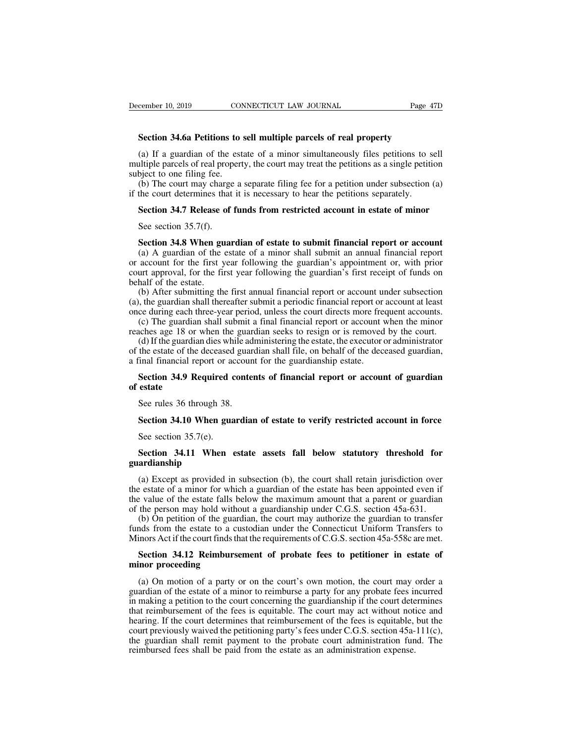**Section 34.6a Petitions to sell multiple parcels of real property**<br>
(a) If a guardian of the estate of a minor simultaneously files petitions to sell (a) If a guardian of the estate of a minor simultaneously files petitions to sell **numerical** Section 34.6a Petitions to sell multiple parcels of real property<br>(a) If a guardian of the estate of a minor simultaneously file multiple parcels of real property<br> **Section 34.6a Petitions to sell multiple parcels of real property**<br>
(a) If a guardian of the estate of a minor simultaneously files petitions to sell<br>
multiple parcels of real property, Section 34.6a Petitions to<br>Section 34.6a Petitions to<br>(a) If a guardian of the est<br>multiple parcels of real propert<br>subject to one filing fee.<br>(b) The court may charge a<br>if the court determines that it Section 34.6a Petitions to sell multiple parcels of real property<br>
(a) If a guardian of the estate of a minor simultaneously files petitions to sell<br>
ultiple parcels of real property, the court may treat the petitions as Section 34.6a Petitions to sell multiple parcels of real property<br>
(a) If a guardian of the estate of a minor simultaneously files petitions to s<br>
multiple parcels of real property, the court may treat the petitions as a s (a) If a guardian of the estate of a minor simultaneously files petitions to sell altiple parcels of real property, the court may treat the petitions as a single petition bject to one filing fee.<br>(b) The court may charge ditiple parcels of real prop<br>bject to one filing fee.<br>(b) The court may charge<br>the court determines that<br>**Section 34.7 Release of**<br>See section 35.7(f).<br>**Section 34.8 When guar** 

(b) The court may charge a separate filing fee for a petition under subsection (a) the court determines that it is necessary to hear the petitions separately.<br> **Section 34.7 Release of funds from restricted account in esta** (b) The court may enarge a separate riming ice for a pertition under subsection (a) the court determines that it is necessary to hear the petitions separately.<br>Section 34.7 Release of funds from restricted account in esta Section 34.7 Release of funds from restricted account in estate of minor<br>See section 35.7(f).<br>Section 34.8 When guardian of estate to submit financial report or account<br>(a) A guardian of the estate of a minor shall submit **Section 34.7 Release of funds from restricted account in estate of minor**<br>See section 35.7(f).<br>**Section 34.8 When guardian of estate to submit financial report or account**<br>(a) A guardian of the estate of a minor shall su See section 35.7(f).<br> **Section 34.8 When gu**<br>
(a) A guardian of the or<br>
or account for the first y<br>
court approval, for the fin<br>
behalf of the estate.<br>
(b) After submitting the<br>
(a), the guardian shall then See section 35.7(f).<br>
Section 34.8 When guardian of estate to submit financial report or account<br>
(a) A guardian of the estate of a minor shall submit an annual financial report<br>
account for the first year following the gu Section 34.8 When guardian of estate to submit financial report or account (a) A guardian of the estate of a minor shall submit an annual financial report or account for the first year following the guardian's appointment orcelation 34.8 When guardian or estate to submit mantchar report or account (a) A guardian of the estate of a minor shall submit an annual financial report or account for the first year following the guardian's first rece (a) A guardian of the estate of a filled into shall submit an annual final final report account for the first year following the guardian's appointment or, with prior urt approval, for the first year following the guardia

or account for the first year following the guardian's appointment or, while procedure approval, for the first year following the guardian's first receipt of funds on behalf of the estate.<br>
(b) After submitting the first a Intrapproval, for the first year following the guardian's first receipt of runds on<br>half of the estate.<br>(b) After submitting the first annual financial report or account under subsection<br>, the guardian shall thereafter sub (b) After submitting the first annual financial report or account under subsection (a), the guardian shall thereafter submit a periodic financial report or account at least once during each three-year period, unless the c

(b) Arter submitting the first annuar finalities (a), the guardian shall thereafter submit a periodic financial report or once during each three-year period, unless the court directs more fre (c) The guardian shall submit ce during each three-year period, unless the court directs more frequent accounts.<br>
(c) The guardian shall submit a final financial report or account when the minor<br>
aches age 18 or when the guardian seeks to resign or is (c) The guardian<br>reaches age 18 or<br>(d) If the guardia<br>of the estate of the<br>a final financial re<br>**Section 34.9 Re**<br>**of estate**<br>See rules 36 three (d) If the guardian dies while ad the estate of the deceased guardinal financial report or account Section 34.9 Required contents estate<br>See rules 36 through 38.<br>Section 34.10 When guardia

## In the estate of the deceased guardian shall file, on behalf of the deceased guardian,<br>
Section 34.9 Required contents of financial report or account of guardian<br>
state<br>
See rules 36 through 38.<br>
Section 34.10 When guardia Section 34.9 Required c<br>estate<br>See rules 36 through 38.<br>Section 34.10 When gua<br>See section 35.7(e).<br>Section 34.11 When

## **See rules 36 through 38.**<br> **Section 34.10 When guardian of estate to verify restricted account in force**<br>
See section 35.7(e).<br> **Section 34.11 When estate assets fall below statutory threshold for**<br> **Section 34.11 When es guardianship**

Section 34.10 When guardian of estate to verify restricted account in force<br>See section 35.7(e).<br>Section 34.11 When estate assets fall below statutory threshold for<br>ardianship<br>(a) Except as provided in subsection (b), the See section 35.7(e).<br>See section 35.7(e).<br>Section 34.11 When estate assets fall below statutory threshold for<br>guardianship<br>(a) Except as provided in subsection (b), the court shall retain jurisdiction over<br>the estate of a See section 35.7(e).<br>
Section 34.11 When estate assets fall below statutory threshold for<br>
guardianship<br>
(a) Except as provided in subsection (b), the court shall retain jurisdiction over<br>
the estate of a minor for which **Section 34.11 When estate assets fall below statutory threshold for guardianship**<br>(a) Except as provided in subsection (b), the court shall retain jurisdiction over<br>the estate of a minor for which a guardian of the estate Section 34.11 When estate assets fall below statutory threshold for ardianship<br>
(a) Except as provided in subsection (b), the court shall retain jurisdiction over<br>
e estate of a minor for which a guardian of the estate ha guardianship<br>
(a) Except as provided in subsection (b), the court shall retain jurisdiction over<br>
the estate of a minor for which a guardian of the estate has been appointed even if<br>
the value of the estate falls below th (a) Except as provided in subsection (b), the court shall retain jurisdiction over<br>the estate of a minor for which a guardian of the estate has been appointed even if<br>the value of the estate falls below the maximum amount

**Section 34.12 Reimbursement of probate fees to petitioner in estate of** and procedure of the estate falls below the maximum amount that a parent or guardian the person may hold without a guardianship under C.G.S. section the value of the estate falls be<br>of the person may hold witho<br>(b) On petition of the guard<br>funds from the estate to a cu<br>Minors Act if the court finds the<br>**Section 34.12 Reimburse**<br>**minor proceeding**<br>(a) On motion of a par

(b) On petition of the guardian, the court may authorize the guardian to transfer ands from the estate to a custodian under the Connecticut Uniform Transfers to inors Act if the court finds that the requirements of C.G.S. funds from the estate to a custodian under the Connecticut Uniform Transfers to<br>Minors Act if the court finds that the requirements of C.G.S. section 45a-558c are met.<br>**Section 34.12 Reimbursement of probate fees to petiti** Minors Act if the court finds that the requirements of C.G.S. section 45a-558c are met.<br> **Section 34.12 Reimbursement of probate fees to petitioner in estate of**<br>
minor proceeding<br>
(a) On motion of a party or on the court' Section 34.12 Reimbursement of probate fees to petitioner in estate of<br>minor proceeding<br>(a) On motion of a party or on the court's own motion, the court may order a<br>guardian of the estate of a minor to reimburse a party f **Section 34.12 Reimbursement of probate fees to petitioner in estate of minor proceeding**<br>(a) On motion of a party or on the court's own motion, the court may order a guardian of the estate of a minor to reimburse a party minor proceeding<br>(a) On motion of a party or on the court's own motion, the court may order a<br>guardian of the estate of a minor to reimburse a party for any probate fees incurred<br>in making a petition to the court concernin (a) On motion of a party or on the court's own motion, the court may order a guardian of the estate of a minor to reimburse a party for any probate fees incurred in making a petition to the court concerning the guardianshi (a) On motion of a party or on the court's own motion, the court may order a guardian of the estate of a minor to reimburse a party for any probate fees incurred in making a petition to the court concerning the guardiansh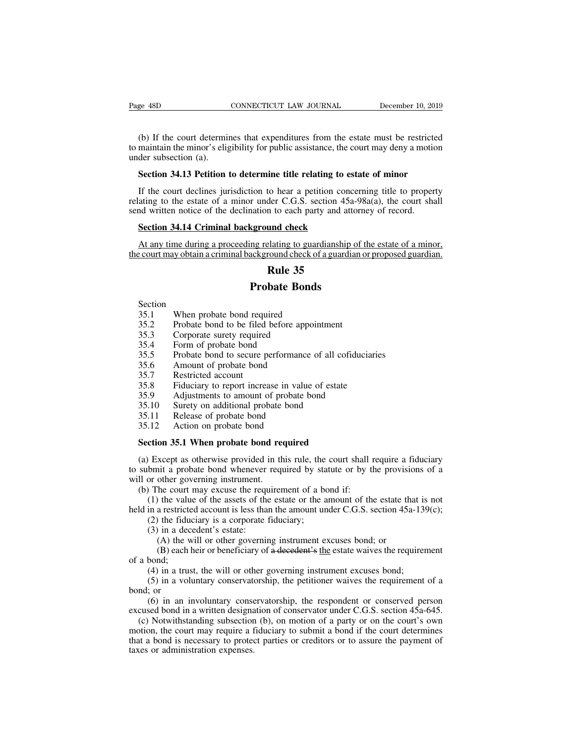(b) If the court determines that expenditures from the estate must be restricted maintain the minor's eligibility for public assistance, the court may deny a motion der subsection (a). to make the minority contract the minority of the minority of the court determines that expenditures from the estate must be restricted to maintain the minor's eligibility for public assistance, the court may deny a motion Page 48D<br>
(b) If the court determine<br>
to maintain the minor's elige<br>
under subsection (a).<br> **Section 34.13 Petition SECTIFY CONNECTICUT LAW JOURNAL SECONDED DECEMBER 10, 2019**<br> **SECONDED IDENTIFY:** CONNECTICUT LAW JOURNAL DECEMBER 10, 2019<br> **SECONDED** TO DET SUBSECTION (a).<br> **SECTION 34.13 Petition to determine title relating to esta** (b) If the court determines that expenditures from the estate must be restricted maintain the minor's eligibility for public assistance, the court may deny a motion der subsection (a).<br>Section 34.13 Petition to determine (b) If the court determines that expenditures from the estate must be restricted to maintain the minor's eligibility for public assistance, the court may deny a motion under subsection (a).<br> **Section 34.13 Petition to det** 

to maintain the minor's eligibility for public assistance, the court may deny a motic<br>under subsection (a).<br>**Section 34.13 Petition to determine title relating to estate of minor**<br>If the court declines jurisdiction to hear **Section 34.13 Petition to determine title relating to es**<br>If the court declines jurisdiction to hear a petition concerting to the estate of a minor under C.G.S. section 45a<br>and written notice of the declination to each pa If the court declines jurisdiction to hear a petition concerning title to property<br>ating to the estate of a minor under C.G.S. section 45a-98a(a), the court shall<br>nd written notice of the declination to each party and att If the court declines jurisdiction to hear a petition concerning title to property<br>relating to the estate of a minor under C.G.S. section 45a-98a(a), the court shall<br>send written notice of the declination to each party and to hear a petition conce<br>der C.G.S. section 45a<br>n to each party and atte<br>und check<br>elating to guardianship<br>round check of a guardia<br>**Rule 35**<br>bate Bonds

From the each party and attorney and attorney and attorney and attorney all alternative and ackground check of a guardian **Rule 35**<br>**Probate Bonds** required From the same state of the court may obtain a criminal background check of a<br> **Rule 35**<br> **Probate Bonds**<br>
Section<br>
35.1 When probate bond required<br>
35.2 Probate bond to be filed before appoint<br>
35.3 Corporate surety requir

Section

- 35.1 When probate bond requ<br>
35.1 Probate bond to be filed<br>
35.3 Corporate surety require<br>
35.4 Form of probate bond<br>
35.5 Probate bond to secure p<br>
35.6 Amount of probate bond<br>
35.7 Restricted account<br>
35.8 Fiduciary to r
- **EXECUTE:**<br> **Rule 35**<br> **Probate Bonds**<br>
Section<br>
35.1 When probate bond required<br>
35.2 Probate bond to be filed before appointment<br>
35.3 Corporate surety required<br>
35.4 Form of probate bond **EXECUTE:**<br> **Rule 35**<br> **Probate Bond**<br>
35.1 When probate bond required<br>
35.2 Probate bond to be filed before apporance<br>
35.3 Corporate surety required<br>
35.4 Form of probate bond<br>
35.5 Probate bond to secure performance **Probate B**<br>
Section<br>
35.1 When probate bond required<br>
35.2 Probate bond to be filed before a<br>
35.3 Corporate surety required<br>
35.4 Form of probate bond<br>
35.5 Probate bond to secure performal<br>
35.6 Amount of probate bond Section<br>
35.1 When probate bond required<br>
35.2 Probate bond to be filed before app<br>
35.3 Corporate surety required<br>
35.4 Form of probate bond<br>
35.5 Probate bond to secure performance<br>
35.6 Amount of probate bond<br>
35.7 Rest
- 
- 
- Frobate Bonds<br>
35.1 When probate bond required<br>
35.2 Probate bond to be filed before appointment<br>
35.3 Corporate surety required<br>
35.4 Form of probate bond<br>
35.5 Probate bond to secure performance of all cofiduciaries<br>
35. 35.2 Frobate bond to be filed before appointment<br>35.3 Corporate surety required<br>35.4 Form of probate bond<br>35.5 Probate bond to secure performance of all cofiduciaries<br>35.6 Amount of probate bond<br>35.7 Restricted account<br>35. 35.3 Corporate surety required<br>
35.3 Corporate surety required<br>
35.4 Form of probate bond<br>
35.5 Probate bond to secure performance of all cofiduci<br>
35.6 Amount of probate bond<br>
35.7 Restricted account<br>
35.8 Fiduciary to re 35.4 Form of probate bond<br>35.5 Probate bond to secure performance of all co<br>35.6 Amount of probate bond<br>35.7 Restricted account<br>35.8 Fiduciary to report increase in value of estate<br>35.9 Adjustments to amount of probate bon 35.5 Probate bond to secure performance<br>35.5 Amount of probate bond<br>35.7 Restricted account<br>35.8 Fiduciary to report increase in valu<br>35.9 Adjustments to amount of probate l<br>35.10 Surety on additional probate bond<br>35.11 Re
- 
- 
- 35.6 Amount of probate bond<br>35.7 Restricted account<br>35.8 Fiduciary to report increase in value<br>35.9 Adjustments to amount of probate<br>35.10 Surety on additional probate bond<br>35.11 Release of probate bond<br>35.12 Action on pro
- 
- 
- 
- 

35.7 **Restricted account**<br>
35.8 Fiduciary to report increase in value of estate<br>
35.9 Adjustments to amount of probate bond<br>
35.10 Surety on additional probate bond<br>
35.11 Release of probate bond<br>
35.12 Action on probate b (35.9) Adjustments to amount of probate bond<br>
35.10 Surety on additional probate bond<br>
35.11 Release of probate bond<br>
35.12 Action on probate bond<br> **Section 35.1 When probate bond required**<br>
(a) Except as otherwise provide 15.10 Surety on additional probate bond<br>
15.11 Release of probate bond<br>
15.12 Action on probate bond<br> **Section 35.1 When probate bond required**<br>
(a) Except as otherwise provided in this rule, the court shall require a fid 35.11 Release of probate bond<br>35.12 Action on probate bond<br>**Section 35.1 When probate bond re**<br>(a) Except as otherwise provided in th<br>to submit a probate bond whenever requ<br>will or other governing instrument.<br>(b) The cour 35.12 Action on probate bond<br>
Section 35.1 When probate bond required<br>
(a) Except as otherwise provided in this rule, the court shall if<br>
submit a probate bond whenever required by statute or by the<br>
Il or other governing (1) the value of the probate bond required<br>
(1) Except as otherwise provided in this rule, the court shall require a fiduciary<br>
bmit a probate bond whenever required by statute or by the provisions of a<br>
or other governin **Section 35.1 When probate bond required**<br>
(a) Except as otherwise provided in this rule, the court shall require a fiduciary<br>
to submit a probate bond whenever required by statute or by the provisions of a<br>
will or other Except as otherwise provided in this rule, the<br>bmit a probate bond whenever required by sta<br>or other governing instrument.<br>The court may excuse the requirement of a bo<br>(1) the value of the assets of the estate or the a<br>in

Except as our most province in<br>bmit a probate bond whenever<br>or other governing instrument.<br>The court may excuse the requency<br>(1) the value of the assets of the<br>in a restricted account is less than<br>(2) the fiduciary is a co other governing instrument.<br>
The court may excuse the requirement of a bond if:<br>
the value of the assets of the estate or the amount of the estate tha<br>
a restricted account is less than the amount under C.G.S. section 45a The court may excuse the requirement of a bond if:<br>
the court may excuse the requirement of a bond if:<br>
the value of the assets of the estate or the amount of the estate that is not<br>
a restricted account is less than the a (1) the value<br>
(1) the value<br>
(2) the fidum<br>
(3) in a dec<br>
(4) the v<br>
(8) each l<br>
(4) in a trus<br>
(5) in a volue

(4) in a trust, the will or other governing instrument excuses bond;<br>
(3) in a decedent's estate:<br>
(4) the will or other governing instrument excuses bond; or<br>
(8) each heir or beneficiary of a decedent's the estate waive (2) the fiduciary is a corporate fiduciary;<br>
(3) in a decedent's estate:<br>
(A) the will or other governing instrument excuses bond; or<br>
(B) each heir or beneficiary of a decedent's the estate waives the requirement<br>
bond;<br>

(3) in a dea<br>
(3) in a dea<br>
(6) the v<br>
(8) each<br>
of a bond;<br>
(4) in a tru<br>
(5) in a void;<br>
(6) in an inexcused bond in (A) the will or other governing instrument excuses bond; or<br>
(B) each heir or beneficiary of a decedent's the estate waives the requirement<br>
bond;<br>
(4) in a trust, the will or other governing instrument excuses bond;<br>
(5)

(1) the wind of conservation of a decedent's the estate waives the requirement<br>of a bond;<br>(4) in a trust, the will or other governing instrument excuses bond;<br>(5) in a voluntary conservatorship, the petitioner waives the (4) in a trust, the will or other governing instrument excuses bond;<br>
(4) in a trust, the will or other governing instrument excuses bond;<br>
(5) in a voluntary conservatorship, the petitioner waives the requirement of a<br>
n (4) in a trust, the will or other governing instrument excuses bond;<br>
(5) in a voluntary conservatorship, the petitioner waives the requirement of a<br>
bond; or<br>
(6) in an involuntary conservatorship, the respondent or cons (i) in a dast, the win of other governing instantion exeases some;<br>
(5) in a voluntary conservatorship, the petitioner waives the requirement of a<br>
bond; or<br>
(6) in an involuntary conservatorship, the respondent or conser bond; or<br>
(6) in an involuntary conservation,<br>
excused bond in a written designa<br>
(c) Notwithstanding subsection<br>
motion, the court may require a f<br>
that a bond is necessary to protec<br>
taxes or administration expenses.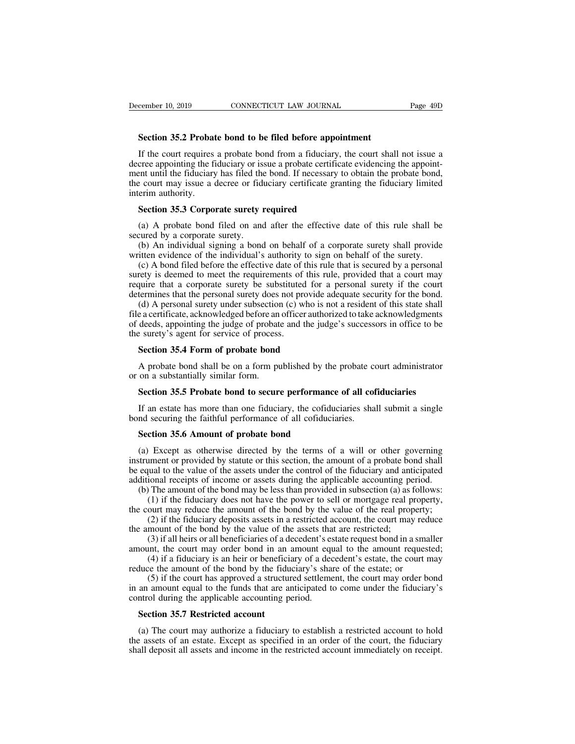**Section 35.2 Probate bond to be filed before appointment**<br>**Section 35.2 Probate bond to be filed before appointment**<br>If the court requires a probate bond from a fiduciary, the court shall If the court requires a probate bond for the filed before appointment<br>If the court requires a probate bond from a fiduciary, the court shall not issue a<br>cree appointing the fiduciary or issue a probate certificate evidenci December 10, 2019 CONNECTICUT LAW JOURNAL Page 49D<br> **Section 35.2 Probate bond to be filed before appointment**<br>
If the court requires a probate bond from a fiduciary, the court shall not issue a<br>
decree appointing the fidu **EXECUTE DEATEL SET THE FIGURE THE FIGURE THE FIGURE THE FIGURE THE SECTION 35.2 Probate bond to be filed before appointment**<br>If the court requires a probate bond from a fiduciary, the court shall not issue a decree appoi Section 35.2 Probate bond to be filed before appointment<br>If the court requires a probate bond from a fiduciary, the court shall not issue a<br>decree appointing the fiduciary or issue a probate certificate evidencing the appo **Section 35.2 Probat**<br>If the court requires<br>decree appointing the fi<br>ment until the fiduciary<br>the court may issue a content in authority.<br>**Section 35.3 Corpo** If the court requires a probate bond from a fiduciary,<br>cree appointing the fiduciary or issue a probate certificate<br>ent until the fiduciary has filed the bond. If necessary t<br>e court may issue a decree or fiduciary certifi cree appointing the fiduciary or issue a probate certificate evidencing the appoint-<br>ent until the fiduciary has filed the bond. If necessary to obtain the probate bond,<br>e court may issue a decree or fiduciary certificate ment until the fiduciary has filed the<br>the court may issue a decree or fiduciterim authority.<br>**Section 35.3 Corporate surety 1**<br>(a) A probate bond filed on and<br>secured by a corporate surety.<br>(b) An individual signing a bon Execut may issue a decree or fiduciary certificate granting the fiduciary limited<br>erim authority.<br>**Section 35.3 Corporate surety required**<br>(a) A probate bond filed on and after the effective date of this rule shall be<br>cure

Section 35.3 Corporate surety required<br>
(a) A probate bond filed on and after the effective date of this rule shall be<br>
secured by a corporate surety.<br>
(b) An individual signing a bond on behalf of a corporate surety shall **Section 35.3 Corporate surety required**<br>(a) A probate bond filed on and after the effective date of this rule shall be<br>cured by a corporate surety.<br>(b) An individual signing a bond on behalf of a corporate surety shall p **Section 35.3 Corporate surety required**<br>(a) A probate bond filed on and after the effective date of this rule shall be<br>secured by a corporate surety.<br>(b) An individual signing a bond on behalf of a corporate surety shall (a) A probate bond filed on and after the effective date of this rule shall be secured by a corporate surety.<br>
(b) An individual signing a bond on behalf of a corporate surety shall provide written evidence of the individ (a) A probate bond fired on and arter the encetive date of this fute shall provide<br>secured by a corporate surety.<br>(b) An individual signing a bond on behalf of a corporate surety shall provide<br>written evidence of the indiv (b) An individual signing a bond on behalf of a corporate surety shall provide<br>itten evidence of the individual's authority to sign on behalf of the surety.<br>(c) A bond filed before the effective date of this rule that is s

(b) All individual signing a bond of behall of a corporate sufery shall provide written evidence of the individual's authority to sign on behalf of the surety.<br>
(c) A bond filed before the effective date of this rule that whiten evidence of the individual s adultofly to sign of behall of the suffer.<br>
(c) A bond filed before the effective date of this rule that is secured by a personal<br>
surety is deemed to meet the requirements of this rule (c) A bond included to the criterive date of surety is deemed to meet the requirements of require that a corporate surety be substituted determines that the personal surety does not pro(d) A personal surety under subsecti quire that a corporate surety be substituted for a<br>termines that the personal surety does not provide<br>(d) A personal surety under subsection (c) who is is<br>e a certificate, acknowledged before an officer author<br>deeds, appoi (d) A personal surety under subsection (c) who is not a resident of this state shall<br>e a certificate, acknowledged before an officer authorized to take acknowledgments<br>deeds, appointing the judge of probate and the judge' file a certificate, acknowledged before an<br>of deeds, appointing the judge of probat<br>the surety's agent for service of process<br>**Section 35.4 Form of probate bond**<br>A probate bond shall be on a form por<br>on a substantially sim

deeds, appointing the judge or probate and the judge's successors in ortice to be<br>
Section 35.4 Form of probate bond<br>
A probate bond shall be on a form published by the probate court administrator<br>
on a substantially simil Section 35.4 Form of probate bond<br>A probate bond shall be on a form published by the probate court administrator<br>on a substantially similar form.<br>Section 35.5 Probate bond to secure performance of all cofiduciaries<br>If an e A probate bond shall be on a form published by the probate cor on a substantially similar form.<br>Section 35.5 Probate bond to secure performance of all cofiduciaries shall be faithful performance of all cofiduciaries shall

A probate bond shall be on a form published by the<br>on a substantially similar form.<br>**Section 35.5 Probate bond to secure performance**<br>If an estate has more than one fiduciary, the cofiduc<br>and securing the faithful performa

Section 35.5 Probate bond to secure performance of all cofiduciaries<br>If an estate has more than one fiduciary, the cofiduciaries shall submit a single<br>nd securing the faithful performance of all cofiduciaries.<br>Section 35.6 SECTION 35.5 FTODATE DONU TO SECTIVE PERTORIBATE:<br>If an estate has more than one fiduciary, the cofiduciaries shall submit a single<br>bond securing the faithful performance of all cofiduciaries.<br>Section 35.6 Amount of probat If an estate has more than one fiduciary, the cofiduciaries shall submit a single<br>bond securing the faithful performance of all cofiduciaries.<br>**Section 35.6 Amount of probate bond**<br>(a) Except as otherwise directed by the bond securing the faithful performance of all cofiduciaries.<br> **Section 35.6 Amount of probate bond**<br>
(a) Except as otherwise directed by the terms of a will or other governing<br>
instrument or provided by statute or this sec Section 35.6 Amount of probate bond<br>
(a) Except as otherwise directed by the terms of a will or other governing<br>
strument or provided by statute or this section, the amount of a probate bond shall<br>
equal to the value of t **COMET ALTERT EXECTS CONDUCT:** Except as otherwise directed by the terms of a will or other governing unnent or provided by statute or this section, the amount of a probate bond shall pual to the value of the assets under (a) Except as otherwise directed by the terms of a will or other governing instrument or provided by statute or this section, the amount of a probate bond shall be equal to the value of the assets under the control of the Except as oncerwise directed by the terms of a wifit of onler governing<br>innent or provided by statute or this section, the amount of a probate bond shall<br>qual to the value of the assets under the control of the fiduciary instrument or provided by statute or this section, the amount of a probate bond shall<br>be equal to the value of the assets under the control of the fiduciary and anticipated<br>additional receipts of income or assets during th

(a) The amount of the bond by the value of the system of the inductary and anticipated ional receipts of income or assets during the applicable accounting period.<br>
(1) if the fiduciary does not have the power to sell or mo additional receipts of meome of assets during the applicable accounting period.<br>
(b) The amount of the bond may be less than provided in subsection (a) as follows:<br>
(1) if the fiduciary does not have the power to sell or m (1) if the fiduciary does not have the power to sell or mortgage real property, ourt may reduce the amount of the bond by the value of the real property; (2) if the fiduciary deposits assets in a restricted account, the c

(1) It the fiductary does not have the power to sell of indicating the court may reduce the amount of the bond by the value of the real property:<br>
(2) if the fiduciary deposits assets in a restricted account, the court ma out may reduce the amount of the bond by the value of the real property,<br>(2) if the fiduciary deposits assets in a restricted account, the court may reduce<br>mount of the bond by the value of the assets that are restricted;<br> (2) if the funds to the value of the assets that are restricted;<br>the amount of the bond by the value of the assets that are restricted;<br>(3) if all heirs or all beneficiaries of a decedent's estate request bond in a smalle the amount of the bond by the value of the assess that<br>
(3) if all heirs or all beneficiaries of a decedent's es<br>
amount, the court may order bond in an amount equ<br>
(4) if a fiduciary is an heir or beneficiary of a dec<br>
re nount, the court may order bond in an a<br>
(4) if a fiduciary is an heir or beneficial<br>
duce the amount of the bond by the fiduce<br>
(5) if the court has approved a structur<br>
an amount equal to the funds that are an<br>
mtrol dur the amount of the bond by the fiduciary's share of the estate; or<br>
(5) if the court has approved a structured settlement, the court may order bond<br>
an amount equal to the funds that are anticipated to come under the fiduci (5) if the court has approved a structured settlement, the court may order bond<br>in an amount equal to the funds that are anticipated to come under the fiduciary's<br>control during the applicable accounting period.<br>**Section 3** 

in an amount equal to the funds that are anticipated to come under the fiduciary's control during the applicable accounting period.<br> **Section 35.7 Restricted account**<br>
(a) The court may authorize a fiduciary to establish a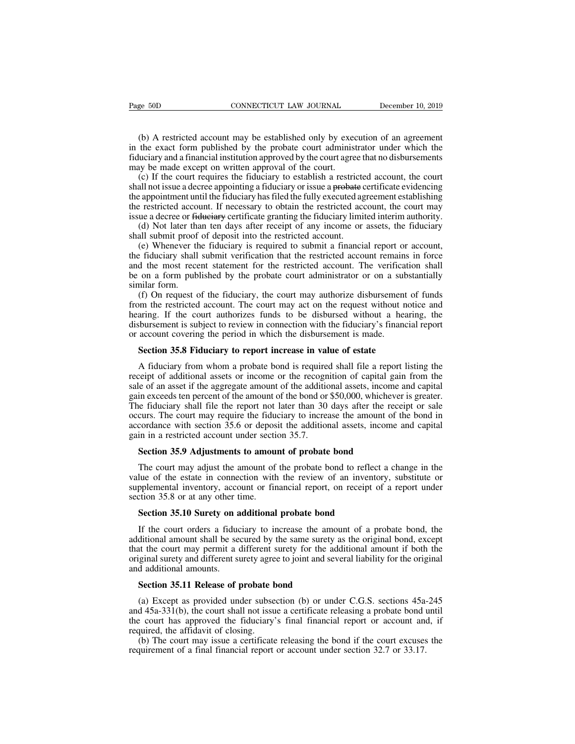(b) A restricted account may be established only by execution of an agreement the exact form published by the probate court administrator under which the luciary and a financial institution approved by the court agree that Example 50D CONNECTICUT LAW JOURNAL December 10, 2019<br>(b) A restricted account may be established only by execution of an agreement<br>in the exact form published by the probate court administrator under which the<br>fiduciary a Fage 50D CONNECTICUT LAW JOURNAL December 10, 2019<br>(b) A restricted account may be established only by execution of an agreement<br>in the exact form published by the probate court administrator under which the<br>fiduciary and Page 50D CONNECTICUT LAW JOURNAL<br>
(b) A restricted account may be established only by exec<br>
in the exact form published by the probate court administ<br>
fiduciary and a financial institution approved by the court agre<br>
may b (b) A restricted account may be established only by execution of an agreement the exact form published by the probate court administrator under which the luciary and a financial institution approved by the court agree that

(b) A restricted account may be established only by execution of an agreement<br>in the exact form published by the probate court administrator under which the<br>fiduciary and a financial institution approved by the court agree (b) A restricted account may be established only by execution of an agreement<br>in the exact form published by the probate court administrator under which the<br>fiduciary and a financial institution approved by the court agree (b) A restricted account hray be established only by execution of an agreement<br>in the exact form published by the probate court administrator under which the<br>fiduciary and a financial institution approved by the court agr in the exact form published by the probate contradinimistator under which the fiduciary and a financial institution approval of the court agree that no disbursements may be made except on written approval of the court.<br>
(c (d) If the court required in statution approved by the court agree that no disbutes intensity be made except on written approval of the court.<br>
(c) If the court requires the fiduciary to establish a restricted account, the (c) If the court requires the fiduciary to establish a restricte<br>shall not issue a decree appointing a fiduciary or issue a probate of<br>the appointment until the fiduciary has filed the fully executed ag<br>the restricted acco (e) It in court requires the fiduciary to establish a festicate account, the coard<br>all not issue a decree appointing a fiduciary or issue a <del>probate</del> certificate evidencing<br>e restricted account. If necessary to obtain the

Shall not issue a decree appointing a nuderally of issue a probate ecriticate evidenting<br>the appointment until the fiduciary has filed the fully executed agreement establishing<br>the restricted account. If necessary to obtai the appointment until the inductary has filed the ruly executed agreement establishing<br>the restricted account. If necessary to obtain the restricted account, the court may<br>issue a decree or <del>fiduciary</del> certificate granting the restricted account. It increased y to obtain the restricted account, the court may<br>issue a decree or <del>fiduciary</del> certificate granting the fiduciary limited interim authority.<br>(d) Not later than ten days after receipt o issue a decree or <del>fiduciary</del> certificate granting the fiduciary limited interim authority.<br>
(d) Not later than ten days after receipt of any income or assets, the fiduciary<br>
shall submit proof of deposit into the restrict (d) Not fact than ich days ance recept of any income of assets, the noticiary<br>all submit proof of deposit into the restricted account.<br>(e) Whenever the fiduciary is required to submit a financial report or account,<br>fiducia from the restricted account.<br>
(e) Whenever the fiduciary is required to submit a financial report or account,<br>
the fiduciary shall submit verification that the restricted account remains in force<br>
and the most recent state

(c) whenever the holderlay is reduncted to submit a finalmean report of account, the fiduciary shall submit verification that the restricted account remains in force and the most recent statement for the restricted account In the most recent statement for the restricted account remains in force<br>and the most recent statement for the restricted account. The verification shall<br>be on a form published by the probate court administrator or on a su and the most recent statement for the restricted account. The vertical<br>be on a form published by the probate court administrator or on a sul<br>similar form.<br>(f) On request of the fiduciary, the court may authorize disburseme milar form.<br>
(f) On request of the fiduciary, the court may authorize disbursement of<br>
om the restricted account. The court may act on the request without not<br>
aring. If the court authorizes funds to be disbursed without a Im the restricted account. The court may act on the request without notice and aring. If the court authorizes funds to be disbursed without a hearing, the solursement is subject to review in connection with the fiduciary's

hearing. If the court authorizes funds to be disbursed without a hearing, the disbursement is subject to review in connection with the fiduciary's financial report or account covering the period in which the disbursement i disbursement is subject to review in connection with the fiduciary's financial report<br>or account covering the period in which the disbursement is made.<br>**Section 35.8 Fiduciary to report increase in value of estate**<br>A fiduc or account covering the period in which the disbursement is made.<br> **Section 35.8 Fiduciary to report increase in value of estate**<br>
A fiduciary from whom a probate bond is required shall file a report listing the<br>
receipt o **Section 35.8 Fiduciary to report increase in value of estate**<br>A fiduciary from whom a probate bond is required shall file a report listing the<br>receipt of additional assets or income or the recognition of capital gain fro **Section 35.8 Fiduciary to report increase in value of estate**<br>A fiduciary from whom a probate bond is required shall file a report listing the<br>receipt of additional assets or income or the recognition of capital gain fro A fiduciary from whom a probate bond is required shall file a report listing the receipt of additional assets or income or the recognition of capital gain from the sale of an asset if the aggregate amount of the additional A nuctury nont whom a probate bond is required<br>receipt of additional assets or income or the recogn<br>sale of an asset if the aggregate amount of the additio<br>gain exceeds ten percent of the amount of the bond or<br>The fiduciar le of an asset if the aggregate amount of the additional assets, income<br>in exceeds ten percent of the amount of the bond or \$50,000, whicheve<br>e fiduciary shall file the report not later than 30 days after the rec<br>curs. The is extending the may require the report not later than 30 days after the receipt or sale<br>curs. The court may require the fiduciary to increase the amount of the bond in<br>cordance with section 35.6 or deposit the additional

occurs. The court may require the fiduciary to increase the amount of the bond in accordance with section 35.6 or deposit the additional assets, income and capital gain in a restricted account under section 35.7.<br>**Section** accordance with section 35.6 or deposit the additional assets, income and capital<br>gain in a restricted account under section 35.7.<br>**Section 35.9 Adjustments to amount of probate bond**<br>The court may adjust the amount of the gain in a restricted account under secticulated Section 35.9 Adjustments to amount of value of the estate in connection with supplemental inventory, account or firsection 35.8 or at any other time.<br>Section 35.10 Surety on **Section 35.9 Adjustments to amount of probate bond**<br>The court may adjust the amount of the probate bond to reflect<br>lue of the estate in connection with the review of an inventor<br>pplemental inventory, account or financial The court may adjust the amount of the probate bond to reflect a change in the<br>lue of the estate in connection with the review of an inventory, substitute or<br>pplemental inventory, account or financial report, on receipt of

value of the estate in connection with the review of an inventory, substitute or supplemental inventory, account or financial report, on receipt of a report under section 35.8 or at any other time.<br> **Section 35.8 or at any** supplemental inventory, account or financial report, on receipt of a report under<br>section 35.8 or at any other time.<br>**Section 35.10 Surety on additional probate bond**<br>If the court orders a fiduciary to increase the amount Section 35.8 or at any other time.<br>
Section 35.10 Surety on additional probate bond<br>
If the court orders a fiduciary to increase the amount of a probate bond, the<br>
additional amount shall be secured by the same surety as t **Section 35.10 Surety on a**<br>If the court orders a fiduc<br>additional amount shall be see<br>that the court may permit a coriginal surety and different su<br>and additional amounts.<br>**Section 35.11 Release of p** If the court orders a fiduciary to increase the amoditional amount shall be secured by the same surety at the court may permit a different surety for the addiginal surety and different surety agree to joint and several dif ditional amount shall be secured by the same surety as the original bond, except<br>at the court may permit a different surety for the additional amount if both the<br>iginal surety and different surety agree to joint and severa

that the court may permit a different surety for the additional amount if both the original surety and different surety agree to joint and several liability for the original and additional amounts.<br> **Section 35.11 Release** original surety and different surety agree to joint and several liability for the original<br>and additional amounts.<br>**Section 35.11 Release of probate bond**<br>(a) Except as provided under subsection (b) or under C.G.S. section and additional amounts.<br> **Section 35.11 Release of probate b**<br>
(a) Except as provided under subse<br>
and 45a-331(b), the court shall not issue<br>
the court has approved the fiduciary<br>
required, the affidavit of closing.<br>
(b) T Section 35.11 Release of probate bond<br>(a) Except as provided under subsection (b) or under C.G.S. sections 45a-245<br>d 45a-331(b), the court shall not issue a certificate releasing a probate bond until<br>e court has approved t **Section 35.11 Release of probate bond**<br>(a) Except as provided under subsection (b) or under C.G.S. sections 45a-<br>and 45a-331(b), the court shall not issue a certificate releasing a probate bond i<br>the court has approved t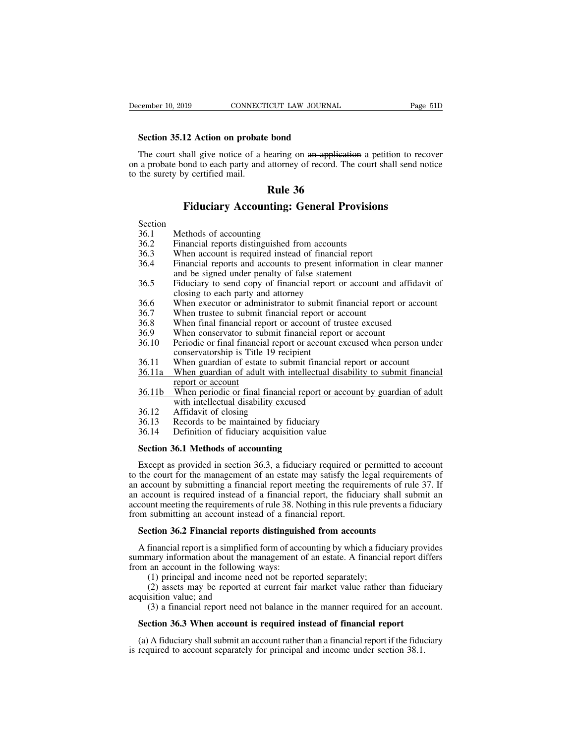**Section 35.12 Action on probate bond**<br>**Section 35.12 Action on probate bond**<br>The court shall give notice of a hearing on an appli-The court shall give notice of a hearing on an application a petition to recover<br>a probate bond The court shall give notice of a hearing on an application a petition to recover<br>a probate bond to each party and attorney of **December 10, 2019** CONNECTICUT LAW JOURNAL Page 51D<br> **Section 35.12 Action on probate bond**<br>
The court shall give notice of a hearing on an application a petition to recover<br>
on a probate bond to each party and attorney o Section 35.12 Action on probate<br>The court shall give notice of a h<br>on a probate bond to each party and<br>to the surety by certified mail. **EXAMPLE 36**<br>**Rule 36**<br>**Rule 36**<br>**Rule 36**<br>**Rule 36**<br>**Rule 36 Fiduciary Accounting:** General Provisions<br>
Fiduciary Accounting: General Provisions<br>
Fiduciary Accounting: General Provisions<br>
Ethods of accounting The surety by certified mail.<br> **Rule 36.1**<br> **Rule 36.1**<br> **Section**<br>
36.1 Methods of accounting<br>
36.2 Financial reports distinguished fro<br>
36.3 When account is required instead

- Section<br>36.1 Methods of accounting
- 
- 
- **26.2 Financial reports distinguished from accounting:**<br>36.1 Methods of accounting<br>36.2 Financial reports distinguished from accounts<br>36.3 When account is required instead of financial report<br>36.4 Financial reports and acc **36.1 Fiduciary Accounting: General Provisions**<br>36.1 Methods of accounting<br>36.2 Financial reports distinguished from accounts<br>36.3 When account is required instead of financial report<br>36.4 Financial reports and accounts to Fiduciary Accounting: General Provisions<br>
36.1 Methods of accounting<br>
36.2 Financial reports distinguished from accounts<br>
36.3 When account is required instead of financial report<br>
36.4 Financial reports and accounts to pr **FIGUCIATY ACCOUNTING: General Provision**<br>Methods of accounting<br>Financial reports distinguished from accounts<br>When account is required instead of financial report<br>Financial reports and accounts to present information<br>and b Financial reports distinguished from accounts<br>36.3 When account is required instead of financial report<br>36.4 Financial reports and accounts to present information in<br>and be signed under penalty of false statement<br>36.5 Fidu 36.3 When account is required instead of miancial report<br>36.4 Financial reports and accounts to present information in clear mann<br>36.5 Fiduciary to send copy of financial report or account and affidavit<br>closing to each par
- Section<br>
36.1 Methods of accounting<br>
36.2 Financial reports distinguished from accounts<br>
36.3 When account is required instead of financial report<br>
36.4 Financial reports and accounts to present information in clear manner Financial reports distinguished from accounts<br>When account is required instead of financial report<br>Financial reports and accounts to present information in clear manner<br>and be signed under penalty of false statement<br>Fiduci 36.2 Financial reports distinguished from accounts<br>36.2 Financial reports distinguished from accounts<br>36.3 When account is required instead of financial report<br>36.4 Financial reports and accounts to present information in Financial reports and accounts to present information in etca<br>
and be signed under penalty of false statement<br>
36.5 Fiduciary to send copy of financial report or account and aff<br>
closing to each party and attorney<br>
36.6 Wh 36.5 Fiduciary to send copy of financial report or account and affidavit of closing to each party and attorney<br>36.6 When executor or administrator to submit financial report or account<br>36.7 When trustee to submit financial
- 
- 
- 
- 
- Fluidary to send copy of final<br>closing to each party and attorney<br>When executor or administrator to submit<br>When trustee to submit financial report or<br>When final financial report or account of<br>Periodic or final financial re 36.6 When executor or administrator to submit financial report or account<br>36.7 When trustee to submit financial report or account<br>36.8 When final financial report or account of trustee excused<br>36.9 When conservator to subm 36.3<br>
36.7 When trustee to submit financial report or account<br>
36.8 When final financial report or account<br>
36.8 When conservator to submit financial report or account<br>
36.10 Periodic or final financial report or account e When trasect to submit<br>When final financial re<br>When conservator to su<br>Periodic or final financi<br>conservatorship is Title<br>When guardian of estat<br>When guardian of adul<br>Teport or account<br>When periodic or final<br>with intellectu 36.9 When conservator to submit financial report or account<br>36.9 When conservator to submit financial report or account<br>36.10 Periodic or final financial report or account excused when person under<br>36.11 When guardian of e When conservator to submit miancial report of<br>Periodic or final financial report or account exconservatorship is Title 19 recipient<br>When guardian of estate to submit financial report<br>When guardian of adult with intellectua
- 
- 36.10 Tenoate of thial infinite and the conservatorship is Title 19 rec<br>36.11 When guardian of estate to sub-<br>36.11 When guardian of adult with in<br>teport or account<br>36.11 When periodic or final financia<br>36.12 Affidavit of 36.11 When guardian of estate to submit financial report<br>36.11 When guardian of estate to submit financial report<br>36.11 When guardian of adult with intellectual disability<br>report or account<br>with intellectual disability exc 36.11 When guardian of estate to submit miancial report<br>36.11a When guardian of adult with intellectual disability<br>report or account<br>with intellectual disability excused<br>36.12 Affidavit of closing<br>36.13 Records to be maint
- **Section 36.11b** When periodic or final financial report<br>
with intellectual disability excused<br>
36.12 Affidavit of closing<br>
36.13 Records to be maintained by fiduciary<br>
36.14 Definition of fiduciary acquisition value<br> **Sec**
- 
- 
- 

with intellectual disability excused<br>
36.12 Affidavit of closing<br>
36.13 Records to be maintained by fiduciary<br>
36.14 Definition of fiduciary acquisition value<br> **Section 36.1 Methods of accounting**<br>
Except as provided in se 16.12 Affidavit of closing<br>
36.13 Records to be maintained by fiduciary<br>
36.14 Definition of fiduciary acquisition value<br> **Section 36.1 Methods of accounting**<br>
Except as provided in section 36.3, a fiduciary required or pe 36.13 Records to be maintained by fiduciary<br>36.14 Definition of fiduciary acquisition value<br>**Section 36.1 Methods of accounting**<br>Except as provided in section 36.3, a fiduciary required or permitted to account<br>to the court 36.14 Definition of fiduciary acquisition value<br> **Section 36.1 Methods of accounting**<br>
Except as provided in section 36.3, a fiduciary required or permitted to account<br>
to the court for the management of an estate may sati **Section 36.1 Methods of accounting**<br>Except as provided in section 36.3, a fiduciary required or permitted to account<br>to the court for the management of an estate may satisfy the legal requirements of<br>an account by submitt Section 36.1 Methods of accounting<br>Except as provided in section 36.3, a fiduciary required or p<br>to the court for the management of an estate may satisfy the lean<br>an account by submitting a financial report meeting the req Except as provided in section 36.3, a fiduciary required or permitted to the court for the management of an estate may satisfy the legal require account by submitting a financial report meeting the requirements of ri accou account by submitting a financial report meeting the requirements of rule 37. If<br>account is required instead of a financial report, the fiduciary shall submit an<br>count meeting the requirements of rule 38. Nothing in this r an account is required instead of a financial report, the fiduciary shall submit an account meeting the requirements of rule 38. Nothing in this rule prevents a fiduciary from submitting an account instead of a financial r

account meeting the requirements of rule 38. Not<br>from submitting an account instead of a finan<br>**Section 36.2 Financial reports distinguish**<br>A financial report is a simplified form of acco<br>summary information about the mana submitting an account instead of a financial report.<br> **ction 36.2 Financial reports distinguished from accounts**<br>
financial report is a simplified form of accounting by which a fidu-<br>
nary information about the management (2) assets may be reported at current fair market value rather than fiduciary provides thangularly information about the management of an estate. A financial report differs an account in the following ways:<br>
(1) principal **Section 36.2 Financial report**<br>A financial report is a simplified<br>summary information about the n<br>from an account in the following<br>(1) principal and income nee<br>(2) assets may be reported<br>acquisition value; and<br>(3) a fina financial report is a simplified form of accounting by which a fiduciary provides<br>mary information about the management of an estate. A financial report differs<br>an account in the following ways:<br>(1) principal and income ne

mmary information about the management of an estate. A financial report diff<br>
om an account in the following ways:<br>
(1) principal and income need not be reported separately;<br>
(2) assets may be reported at current fair mark

(1) principal and income need not be reported separately;<br>
(2) assets may be reported at current fair market value rather than fiduciary<br>
quisition value; and<br>
(3) a financial report need not balance in the manner require (2) assets may be reported at current fair market value rather than fiducacquisition value; and (3) a financial report need not balance in the manner required for an account **Section 36.3 When account is required instead**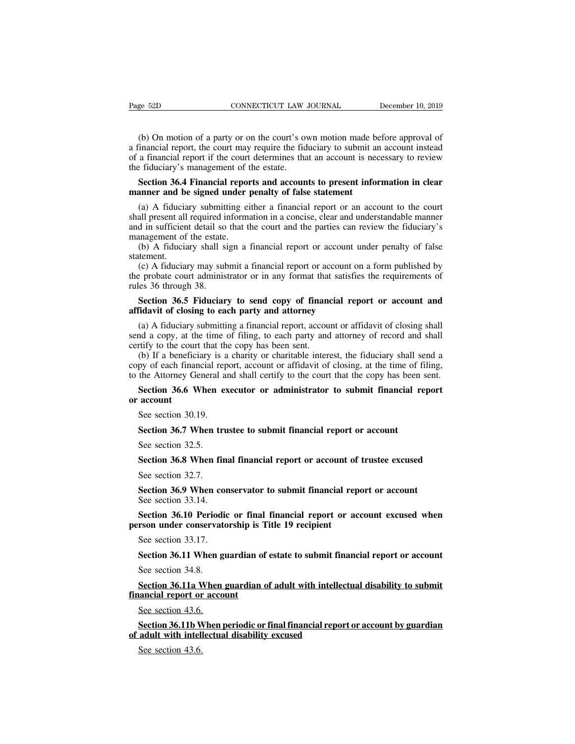EXEMBLE THE CONNECTICUT LAW JOURNAL December 10, 2019<br>
(b) On motion of a party or on the court's own motion made before approval of<br>
inancial report, the court may require the fiduciary to submit an account instead<br>
a fin Page 52D CONNECTICUT LAW JOURNAL December 10, 2019<br>
(b) On motion of a party or on the court's own motion made before approval of<br>
a financial report, the court may require the fiduciary to submit an account instead<br>
of a Page 52D CONNECTICUT LAW JOURNAL December 10, 2019<br>
(b) On motion of a party or on the court's own motion made before approval of<br>
a financial report, the court may require the fiduciary to submit an account instead<br>
of a Page 52D CONNECTICUT LAW.<br>
(b) On motion of a party or on the court's over<br>
a financial report, the court may require the fid<br>
of a financial report if the court determines that<br>
the fiduciary's management of the estate.<br> (b) On motion of a party or on the court's own motion made before approval of inancial report, the court may require the fiduciary to submit an account instead a financial report if the court determines that an account is (b) On motion of a party or on the court's own motion made be a financial report, the court may require the fiduciary to submit an of a financial report if the court determines that an account is necessite fiduciary's mana (a) A fiduciary submitting either a financial report or an account instead a financial report, the court may require the fiduciary to submit an account instead a financial report if the court determines that an account is

is a miancial report, the court may require the riductary to submit an account instead<br>of a financial report if the court determines that an account is necessary to review<br>the fiduciary's management of the estate.<br>**Section** and in sufficient detail solid determines and an account is necessary to leview<br>the fiduciary's management of the estate.<br>**Section 36.4 Financial reports and accounts to present information in clear**<br>**manner and be signed Section 36.4 Financial report<br>manner and be signed under<br>(a) A fiduciary submitting ei<br>shall present all required informand in sufficient detail so that t<br>management of the estate.<br>(b) A fiduciary shall sign a<br>statement.** Section 36.4 Financial reports and accounts to present information in clear<br>anner and be signed under penalty of false statement<br>(a) A fiduciary submitting either a financial report or an account to the court<br>all present a (a) A fiduciary submitting either a financial report or an account to the court<br>all present all required information in a concise, clear and understandable manner<br>d in sufficient detail so that the court and the parties ca (a) A hudday submitting ether a mialicial report or an account to the court<br>shall present all required information in a concise, clear and understandable manner<br>and in sufficient detail so that the court and the parties ca

statement.

shan piesent an required in<br>and in sufficient detail so<br>management of the estate.<br>(b) A fiduciary shall si<br>statement.<br>(c) A fiduciary may sub<br>the probate court adminis<br>rules 36 through 38.<br>**Section 36.5 Fiduciar** in an<br>
Section 36.5 Fiduciary shall sign a financial report or account under penalty of false<br>
tement.<br>
(c) A fiduciary may submit a financial report or account on a form published by<br>
e probate court administrator or in a (b) A fiduciary shall sign a financial report or account is<br>statement.<br>(c) A fiduciary may submit a financial report or account of<br>the probate court administrator or in any format that satisfie<br>rules 36 through 38.<br>**Sectio** 

(c) A fiduciary may submit a financial report or account on a form published by<br>e probate court administrator or in any format that satisfies the requirements of<br>les 36 through 38.<br>**Section 36.5 Fiduciary to send copy of f** (c) A nationally may submit a miancian report of account on a form published by<br>the probate court administrator or in any format that satisfies the requirements of<br>rules 36 through 38.<br>**Section 36.5 Fiduciary to send copy** rules 36 through 38.<br> **Section 36.5 Fiduciary to send copy of financel set of the court of closing to each party and attorney**<br>
(a) A fiduciary submitting a financial report, accouse and a copy, at the time of filing, to e Section 36.5 Fiduciary to send copy of financial report or account and<br>fidavit of closing to each party and attorney<br>(a) A fiduciary submitting a financial report, account or affidavit of closing shall<br>nd a copy, at the ti **Section 36.5 Fiduciary to send copy of financial report or account and affidavit of closing to each party and attorney**<br>
(a) A fiduciary submitting a financial report, account or affidavit of closing shall send a copy, a affidavit of closing to each party and attorney<br>
(a) A fiduciary submitting a financial report, account or affidavit of closing shall<br>
send a copy, at the time of filing, to each party and attorney of record and shall<br>
cer (a) A fiduciary submitting a financial report, account or affidavit of closing shall<br>nd a copy, at the time of filing, to each party and attorney of record and shall<br>rtify to the court that the copy has been sent.<br>(b) If a

send a copy, at the time of filing, to each party and attorney of record and shall certify to the court that the copy has been sent.<br>
(b) If a beneficiary is a charity or charitable interest, the fiduciary shall send a cop (b) If a beneficiary is a<br>py of each financial rep<br>the Attorney General an<br>**Section 36.6 When ex**<br>**account**<br>See section 30.19.<br>**Section 36.7 When tru** py of each financial report, account or affidavit of closing, at the time of fit the Attorney General and shall certify to the court that the copy has been s<br>**Section 36.6 When executor or administrator to submit financi** 

Section 36.6 When executive Section 36.6 When executive See section 30.19.<br>Section 36.7 When trust See section 32.5.<br>Section 36.8 When fil **Section 36.8** When executor or administrator to submit imancial report account<br>See section 36.7 When trustee to submit financial report or account<br>See section 32.5.<br>**Section 36.8** When final financial report or account of

See section 30.19.<br>
Section 36.7 When tr<br>
See section 32.5.<br>
Section 36.8 When film<br>
See section 32.7.<br>
Section 36.9 When co Section 36.7 When trustee to submit financial report or account<br>See section 32.5.<br>Section 36.8 When final financial report or account of trustee excused<br>See section 32.7.<br>Section 36.9 When conservator to submit financial r See section 32.5.<br>Section 36.8 When final<br>See section 32.7.<br>Section 36.9 When cor<br>See section 33.14.<br>Section 36.10 Periodic **Section 36.8 When final financial report or account of**<br>See section 32.7.<br>**Section 36.9 When conservator to submit financial rep**<br>See section 33.14.<br>**Section 36.10 Periodic or final financial report or ac**<br>**person under c** See section 32.7.<br>Section 36.9 When cor<br>See section 33.14.<br>Section 36.10 Periodic<br>rson under conservato<br>See section 33.17.<br>Section 36.11 When gu

Section 36.8 When final financial report or account of trustee excused<br>See section 32.7.<br>Section 36.9 When conservator to submit financial report or account<br>See section 33.14.<br>Section 36.10 Periodic or final financial repo Section 36.9 When conservator to submit financial report or account<br>See section 33.14.<br>Section 36.10 Periodic or final financial report or account excused when<br>rson under conservatorship is Title 19 recipient<br>See section 3 Section 36.10 Periodination<br>Section 36.10 Periodination<br>See section 33.17.<br>Section 36.11 When g<br>See section 34.8.<br>Section 36.11a When

**Section 36.10 Terroute of linear infinite and terrorism** exclusive with<br> **See section 36.11** When guardian of estate to submit financial report or account<br>
See section 34.8.<br> **Section 36.11a When guardian of adult with in Financial report of See section 33.17.**<br>**Section 36.11 When guardian of**<br>See section 34.8.<br>**Section 36.11a When guardian of mancial report or account**<br>See section 43.6. Section 36.11 When g<br>See section 34.8.<br>Section 36.11a When<br>ancial report or acco<br>See section 43.6.<br>Section 36.11b When **Section 36.11 When guardian or estate to submit infinitelal report or account**<br>See section 34.8.<br>**Section 36.11a When guardian of adult with intellectual disability to submit**<br>See section 43.6.<br>**Section 36.11b When period** See section 34.8.<br> **Section 36.11a When guardian of adult with intellect**<br> **financial report or account**<br>
See section 43.6.<br> **Section 36.11b When periodic or final financial report**<br>
of adult with intellectual disability e Section 36.11a When guardian of adult with intellectual disability to submit<br>financial report or account<br>See section 43.6.<br>Section 36.11b When periodic or final financial report or account by guardian<br>of adult with intelle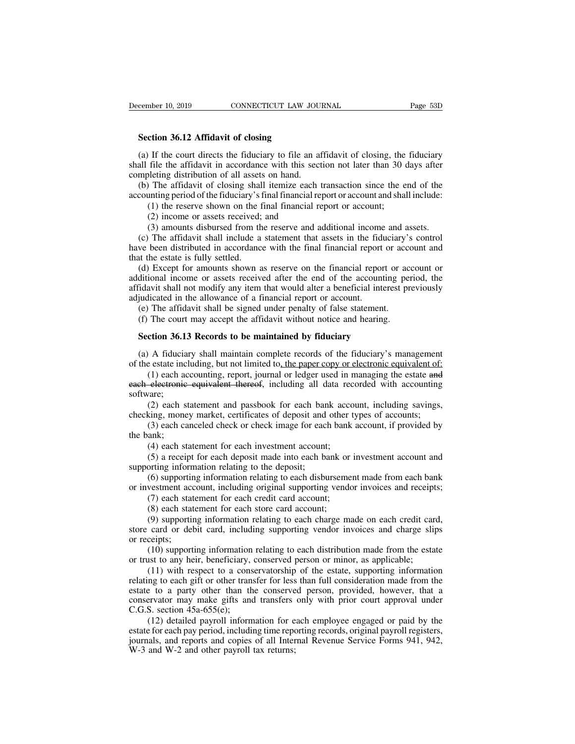**Section 36.12 Affidavit of closing**<br> **Section 36.12 Affidavit of closing**<br> **Section 36.12 Affidavit of closing**<br> **Section 36.12 Affidavit of closing**<br> **Section 36.12 Affidavit of closing** (a) If the court directs the fiduciary to file an affidavit of closing, the fiduciary<br>
(a) If the court directs the fiduciary to file an affidavit of closing, the fiduciary<br>
all file the affidavit in accordance with this s Summer 10, 2019 CONNECTICUT LAW JOURNAL Page 53D<br>
Section 36.12 Affidavit of closing<br>
(a) If the court directs the fiduciary to file an affidavit of closing, the fiduciary<br>
shall file the affidavit in accordance with this **EXECUTE TRANSORT CONNECTIC LAW 300.**<br> **Section 36.12 Affidavit of closing**<br>
(a) If the court directs the fiduciary to file an at<br>
shall file the affidavit in accordance with this sect<br>
completing distribution of all asset Section 36.12 Affidavit of closing<br>
(a) If the court directs the fiduciary to file an affidavit of closing, the fiduciary<br>
all file the affidavit in accordance with this section not later than 30 days after<br>
mpleting distr **Section 36.12 Affidavit of closing**<br>(a) If the court directs the fiduciary to file an affidavit of closing, the fiduciary<br>shall file the affidavit in accordance with this section not later than 30 days after<br>completing di (1) If the court directs the fiduciary to file an affidavit of closing, the file the affidavit in accordance with this section not later than 30 obting distribution of all assets on hand.<br>The affidavit of closing shall ite If the court directs the fiduciary to file an a<br>file the affidavit in accordance with this seci-<br>pleting distribution of all assets on hand.<br>The affidavit of closing shall itemize each<br>unting period of the fiduciary's fina file the affidavit in accordance with this section not later than 30 days after<br>bleting distribution of all assets on hand.<br>The affidavit of closing shall itemize each transaction since the end of the<br>inting period of the

mpleting distribution of all assets on hand.<br>
(b) The affidavit of closing shall itemize each transaction since the end of the<br>
counting period of the fiduciary's final financial report or account;<br>
(1) the reserve shown o (b) The affidavit of closing shall itemize each transaction since the end of the accounting period of the fiduciary's final financial report or account and shall include:<br>
(1) the reserve shown on the final financial repor accounting period of the fiduciary's i<br>
(1) the reserve shown on the f<br>
(2) income or assets received;<br>
(3) amounts disbursed from th<br>
(c) The affidavit shall include a<br>
have been distributed in accordanc<br>
that the estate

(1) the reserve shown on the final financial report or account;<br>
(2) income or assets received; and<br>
(3) amounts disbursed from the reserve and additional income and assets.<br>
(c) The affidavit shall include a statement tha (2) income or assets received; and<br>
(3) amounts disbursed from the reserve and additional income and assets.<br>
(c) The affidavit shall include a statement that assets in the fiduciary's control<br>
have been distributed in ac (3) amounts disbursed from the reserve and additional income and assets.<br>
(c) The affidavit shall include a statement that assets in the fiduciary's control<br>
have been distributed in accordance with the final financial rep (3) amounts disbursed from the reserve and additional income and assets.<br>
(c) The affidavit shall include a statement that assets in the fiduciary's control<br>
have been distributed in accordance with the final financial rep (e) the distributed in accordance with the final financial report or accept the estate is fully settled.<br>
(d) Except for amounts shown as reserve on the financial report or acceptional income or assets received after the e is the estate is fully settled.<br>
(d) Except for amounts shown as reserve on the financial report or acceptional income or assets received after the end of the accounting peridavit shall not modify any item that would alter (a) Except for amounts shown as reserve on the financial report of ditional income or assets received after the end of the accounting davit shall not modify any item that would alter a beneficial interegudicated in the all

Main and the allowance of a financial report or account.<br>
(e) The affidavit shall be signed under penalty of false statement.<br>
(f) The court may accept the affidavit without notice and hearing.<br> **Section 36.13 Records to b** 

adjudicated in the allowance of a financial report or account.<br>
(e) The affidavit shall be signed under penalty of false statement.<br>
(f) The court may accept the affidavit without notice and hearing.<br> **Section 36.13 Record** The attidavit shall be signed under penalty of talse statement.<br>
The court may accept the affidavit without notice and hearing.<br> **ction 36.13 Records to be maintained by fiduciary**<br>
A fiduciary shall maintain complete rec (f) The court may accept the affidavit without notice and hearing.<br> **Section 36.13 Records to be maintained by fiduciary**<br>
(a) A fiduciary shall maintain complete records of the fiduciary's management<br>
of the estate inclu software; (2) each statement and passbook for each bank account, if provided by each canceled by the state including, but not limited to, the paper copy or electronic equivalent of: (1) each accounting, report, journal or ledger use (a) A fiduciary shall maintain complete records of the fiduciary's management<br>of the estate including, but not limited to, the paper copy or electronic equivalent of:<br>(1) each accounting, report, journal or ledger used in Exercise including, but not limited to, the paper copy or electronic equivalent of:<br>
(1) each accounting, report, journal or ledger used in managing the estate and<br>
electronic equivalent thereof, including all data recorde (1) each aces<br>
software;<br>  $(2)$  each s<br>
checking, mone<br>  $(3)$  each cannot<br>
the bank;<br>  $(4)$  each st<br>  $(5)$  a recei electronic equivalent thereof, including all data recare;<br>
(2) each statement and passbook for each bank account;<br>
(3) each canceled check or check image for each bank<br>
(3) each canceled check or check image for each bank<br>

(2) each statement and passbook for each ban checking, money market, certificates of deposit and (3) each canceled check or check image for each bank;<br>(4) each statement for each investment account (5) a receipt for each

vare;<br>(2) each statement and passbook for each bank account, including savings,<br>king, money market, certificates of deposit and other types of accounts;<br>(3) each canceled check or check image for each bank account, if prov king, money market, certificates of deposit and other types of accounts;<br>(3) each canceled check or check image for each bank account, if provided by<br>ank;<br>(4) each statement for each investment account;<br>(5) a receipt for e (3) each canceled check or check image for each bank account, if provided by<br>the bank;<br>(4) each statement for each investment account;<br>(5) a receipt for each deposit made into each bank or investment account and<br>supportin

ank;<br>(4) each statement for each investment account;<br>(5) a receipt for each deposit made into each bank or<br>orting information relating to the deposit;<br>(6) supporting information relating to each disburseme<br>vestment account

(4) each statement for each investment account;<br>(5) a receipt for each deposit made into each bank or<br>orting information relating to the deposit;<br>(6) supporting information relating to each disburseme<br>vestment account, in (5) a receipt for each deposit made into each bank or investment account and<br>orting information relating to the deposit;<br>(6) supporting information relating to each disbursement made from each bank<br>westment account, includ supporting information relating to the deposit;<br>
(6) supporting information relating to each disbursement made from each bank<br>
or investment account, including original supporting vendor invoices and receipts;<br>
(7) each st (6) supportin<br>or investment acc<br>(7) each stat<br>(8) each stat<br>(9) supportin<br>store card or del<br>or receipts;<br>(10) support<br>or trust to any he vestment account, including original supporting vendor invoices and receipts;<br>(7) each statement for each credit card account;<br>(8) each statement for each store card account;<br>(9) supporting information relating to each cha (7) each statement for each credit card account;<br>
(8) each statement for each store card account;<br>
(9) supporting information relating to each charge made on each credit card<br>
store card or debit card, including supporting

(8) each statement for each store card account;<br>(9) supporting information relating to each charge made on each credit card,<br>card or debit card, including supporting vendor invoices and charge slips<br>ceipts;<br>(10) supporting (9) supporting information relating to each charge made on each credit card, store card or debit card, including supporting vendor invoices and charge slips or receipts;<br>  $(10)$  supporting information relating to each dis store card or debit card, including supporting vendor invoices and charge slips<br>or receipts;<br>(10) supporting information relating to each distribution made from the estate<br>or trust to any heir, beneficiary, conserved perso or receipts;<br>
(10) supporting information relating to each distribution made from the estate<br>
or trust to any heir, beneficiary, conserved person or minor, as applicable;<br>
(11) with respect to a conservatorship of the est (10) supporting information<br>or trust to any heir, beneficiary,<br>(11) with respect to a cons<br>relating to each gift or other transestate to a party other than the<br>conservator may make gifts and<br>C.G.S. section 45a-655(e);<br>(12 (11) with respect to a conservatorship of the estate, supporting information is to any heir, beneficiary, conserved person or minor, as applicable;<br>(11) with respect to a conservatorship of the estate, supporting informati (11) with respect to a conservatorship of the estate, supporting information relating to each gift or other transfer for less than full consideration made from the estate to a party other than the conserved person, provid relating to each gift or other transfer for less than full consideration made from the estate to a party other than the conserved person, provided, however, that a conservator may make gifts and transfers only with prior relating to each gift or other transfer for less than full consideration made from the estate to a party other than the conserved person, provided, however, that a conservator may make gifts and transfers only with prior c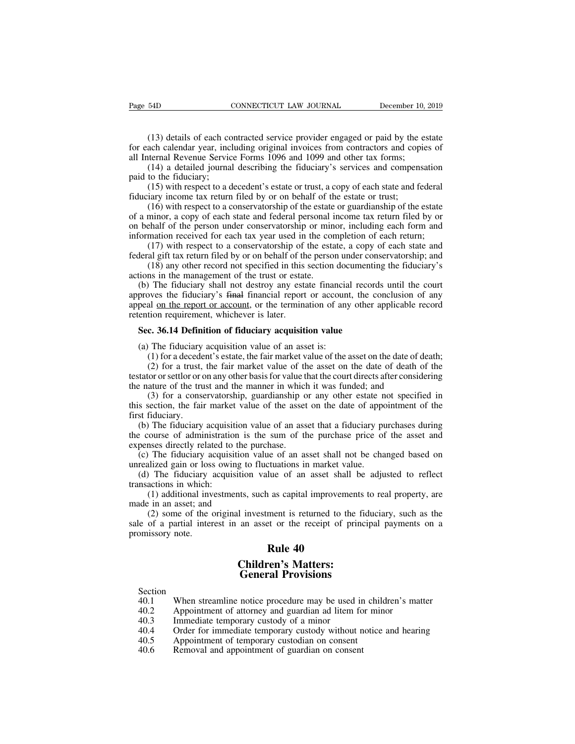(13) details of each contracted service provider engaged or paid by the estate<br>(13) details of each contracted service provider engaged or paid by the estate<br>ach calendar year, including original invoices from contractors Fage 54D CONNECTICUT LAW JOURNAL December 10, 2019<br>
(13) details of each contracted service provider engaged or paid by the estate<br>
for each calendar year, including original invoices from contractors and copies of<br>
all In Page 54D CONNECTICUT LAW JOURNAL December 10, 1<br>
(13) details of each contracted service provider engaged or paid by the es<br>
for each calendar year, including original invoices from contractors and copie<br>
all Internal Reve (13) details of each contracted service provider engaged or paid by the estate<br>(13) details of each contracted service provider engaged or paid by the estate<br>ach calendar year, including original invoices from contractors (13) details of each co<br>for each calendar year, incl<br>all Internal Revenue Servic<br>(14) a detailed journa<br>paid to the fiduciary;<br>(15) with respect to a d<br>fiduciary income tax return (13) details of each contracted service provider engaged or paid by the estate<br>ach calendar year, including original invoices from contractors and copies of<br>ternal Revenue Service Forms 1096 and 1099 and other tax forms;<br>( (13) details of each contracted service provider engaged or paid by the for each calendar year, including original invoices from contractors and cop all Internal Revenue Service Forms 1096 and 1099 and other tax forms; (1

(15) details of each contracted service provider engaged of paid by the estate<br>ach calendar year, including original invoices from contractors and copies of<br>ternal Revenue Service Forms 1096 and 1099 and other tax forms;<br>( of cach calculate year, including original invoices from contractors and copies of all Internal Revenue Service Forms 1096 and 1099 and other tax forms;<br>
(14) a detailed journal describing the fiduciary's services and comp an internal Revente Service Forms 1090 and 1099 and other tax forms,<br>
(14) a detailed journal describing the fiduciary's services and compensation<br>
paid to the fiduciary;<br>
(15) with respect to a decedent's estate or trust, (14) a detailed journal describing the Hudelary s services and compensation<br>paid to the fiduciary;<br>(15) with respect to a decedent's estate or trust, a copy of each state and federal<br>fiduciary income tax return filed by o (15) with respect to a decedent's estate or trust, a copy of each state and federal<br>iary income tax return filed by or on behalf of the estate or trust;<br>(16) with respect to a conservatorship of the estate or guardianship (15) with respect to a decedent s estate of trust, a copy of each state and rederal fiduciary income tax return filed by or on behalf of the estate or trust; (16) with respect to a conservatorship of the estate or guardia (16) with respect to a conservatorship of the estate of usit, (16) with respect to a conservatorship of the estate or guardianship of the estate minor, a copy of each state and federal personal income tax return filed by o (10) what respect to a conservatorship of the estate<br>of a minor, a copy of each state and federal personal i<br>on behalf of the person under conservatorship or min<br>information received for each tax year used in the cor<br>(17)

a minor, a copy or each state and rederal personal mcome tax return med by or<br>behalf of the person under conservatorship or minor, including each form and<br>formation received for each tax year used in the completion of each approves the fiduciary's final financial report or account, the completion of each return;<br>approximation received for each tax year used in the completion of each return;<br>(17) with respect to a conservatorship of the estat momation received for each tax year used in the completion or each return,<br>
(17) with respect to a conservatorship of the estate, a copy of each state and<br>
federal gift tax return filed by or on behalf of the person under From the spectrum filed by or on behalf of the (18) any other record not specified in this actions in the management of the trust or estat (b) The fiduciary shall not destroy any estate approves the fiduciary's final fina (18) any other record not specified in this section documentin<br>tions in the management of the trust or estate.<br>(b) The fiduciary shall not destroy any estate financial record<br>proves the fiduciary's <del>final</del> financial repor (b) The fiduciary shall not destroy any estate financia<br>proves the fiduciary's final financial report or account<br>peal on the report or account, or the termination of any<br>ention requirement, whichever is later.<br>**Sec. 36.14** (1) for a fiduciary's final financial report or account, the conclusion of any<br>al <u>on the report or account</u>, or the termination of any other applicable record<br>tion requirement, whichever is later.<br>**c. 36.14 Definition o** 

(2) for a trust, whichever is later.<br> **c. 36.14 Definition of fiduciary acquisition value**<br> **c. 36.14 Definition of fiduciary acquisition value**<br>
The fiduciary acquisition value of an asset is:<br>
(1) for a decedent's es Fremention requirement, whichever is later.<br> **Sec. 36.14 Definition of fiduciary acquisition value**<br>
(a) The fiduciary acquisition value of an asset is:<br>
(1) for a decedent's estate, the fair market value of the asset on t Sec. 36.14 Definition of fiduciary acquisition value<br>
(a) The fiduciary acquisition value of an asset is:<br>
(1) for a decedent's estate, the fair market value of the asset on the date of de<br>
(2) for a trust, the fair marke (a) The Hudelary<br>
(1) for a decede<br>
(2) for a trust,<br>
testator or settlor or of<br>
the nature of the tru<br>
(3) for a conse<br>
this section, the fail<br>
first fiduciary.<br>
(b) The fiduciary<br>
the course of admi

**c. 36.14 Definition of fiduciary acquisition value**<br>
The fiduciary acquisition value of an asset is:<br>
(1) for a decedent's estate, the fair market value of the asset on the date of death;<br>
(2) for a trust, the fair marke (a) The fiduciary acquisition value of an asset is:<br>
(1) for a decedent's estate, the fair market value of the asset on the date of death;<br>
(2) for a trust, the fair market value of the asset on the date of death of the<br>

(b) To a decedent s estate, the fair market value of the asset on the date of death, (2) for a trust, the fair market value of the asset on the date of death of the tattor or settlor or on any other basis for value that t (2) for a trust, the ran market vante of the asset of the taat of death of the testator or settlor or on any other basis for value that the court directs after considering the nature of the trust and the manner in which i relation of scaling of the trust and the manner in which<br>
(3) for a conservatorship, guardianship c<br>
this section, the fair market value of the asset<br>
first fiduciary.<br>
(b) The fiduciary acquisition value of an ass<br>
the co (3) for a conservatorship, guardianship or any other estate not specified in<br>s section, the fair market value of the asset on the date of appointment of the<br>st fiduciary.<br>(b) The fiduciary acquisition value of an asset tha (3) for a conservatorship, guardianship or any other estate in<br>this section, the fair market value of the asset on the date of apport<br>first fiduciary.<br>(b) The fiduciary acquisition value of an asset that a fiduciary pu<br>th Solution, the failmarket value of the asset of the tate of appointment of the<br>st fiduciary.<br>(b) The fiduciary acquisition value of an asset that a fiduciary purchases during<br>e course of administration is the sum of the pur (b) The fiduciary acquisit<br>the course of administration<br>expenses directly related to<br>(c) The fiduciary acquisit<br>unrealized gain or loss owin<br>(d) The fiduciary acquisit<br>transactions in which:<br>(1) additional investme<br>made in The inductary acquisition value of an asset that a huddrary purchases during<br>course of administration is the sum of the purchase price of the asset and<br>ness directly related to the purchase.<br>The fiduciary acquisition valu

the couse of administration is<br>expenses directly related to the p<br>(c) The fiduciary acquisition<br>unrealized gain or loss owing to<br>(d) The fiduciary acquisition<br>transactions in which:<br>(1) additional investments, s<br>made in an The fiduciary acquisition value of an asset shall not be changed based on alized gain or loss owing to fluctuations in market value.<br>The fiduciary acquisition value of an asset shall be adjusted to reflect actions in which (c) The Hudelary acquisition value of an asset shall not be enanged based on<br>unrealized gain or loss owing to fluctuations in market value.<br>(d) The fiduciary acquisition value of an asset shall be adjusted to reflect<br>tran (d) The fiduciary<br>
(d) The fiduciary<br>
transactions in which:<br>
(1) additional inv<br>
made in an asset; and<br>
(2) some of the osale of a partial inter<br>
promissory note. In make that<br>
lue of an asset shall<br>
lue of an asset shall<br>
lue as capital improvement<br>
ment is returned to the<br>
ret or the receipt of pr<br> **Rule 40**<br> **Rule 40**<br> **Rule 40**<br> **Rule 10**<br> **Rule 10**<br> **Rule 10** The state of the scapital improvements<br>
I investment is returned to the fidel<br>
an asset or the receipt of princi<br> **Children's Matters:**<br> **Ceneral Provisions** ts, such as capital improvements to<br>l investment is returned to the fid<br>an asset or the receipt of princip<br>**Rule 40**<br>**Children's Matters:**<br>**General Provisions**<br>notice procedure may be used in c

# **Children's Matters:**<br> **General Provisions**<br>
Section<br>
40.1 When streamline notice procedure may be used<br>
40.2 Appointment of attorney and guardian ad litem 1<br>
40.3 Immediate temporary custody of a minor<br>
40.4 Order for imm

Section<br>40.1 When streamline notice procedure may be used in children's matter **20.1 When streamline notice procedure may be used in children's matter**<br>40.1 When streamline notice procedure may be used in children's matter<br>40.2 Appointment of attorney and guardian ad litem for minor<br>40.3 Immediate te **Children's Matters:**<br> **Ceneral Provisions**<br>
40.1 When streamline notice procedure may be used in children's matter<br>
40.2 Appointment of attorney and guardian ad litem for minor<br>
40.3 Immediate temporary custody of a minor

**EXECUTE:**<br> **EXECUTE:**<br> **Children's Matters:**<br> **Ceneral Provisions**<br>
Section<br>
40.1 When streamline notice procedure may be used in children's mai<br>
40.2 Appointment of attorney and guardian ad litem for minor<br>
40.3 Immediat **General Provisions**<br>
Section<br>
40.1 When streamline notice procedure may be used in chil<br>
40.2 Appointment of attorney and guardian ad litem for mi<br>
40.3 Immediate temporary custody of a minor<br>
40.4 Order for immediate tem Section<br>
40.1 When streamline notice procedure may be used in<br>
40.2 Appointment of attorney and guardian ad litem fo<br>
40.3 Immediate temporary custody of a minor<br>
40.4 Order for immediate temporary custody without n<br>
40.5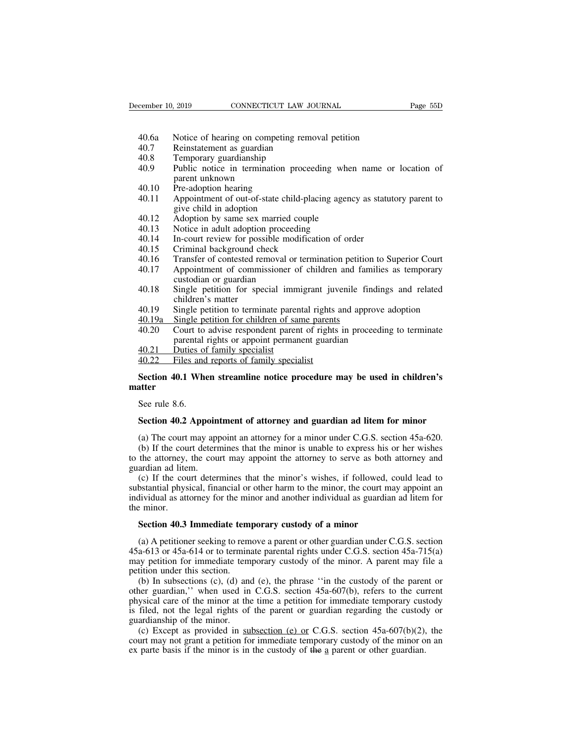- eember 10, 2019 CONNECTICUT LAW JOURNAL<br>40.6a Notice of hearing on competing removal petition<br>40.7 Reinstatement as guardian<br>40.8 Temporary guardianship
- 
- 
- EXECTI CONNECTICUT LAW JO<br>
40.6a Notice of hearing on competing remo<br>
40.7 Reinstatement as guardian<br>
40.8 Temporary guardianship<br>
40.9 Public notice in termination procee EXEMBRE 10, 2019<br>
CONNECTICUT LAW .<br>
40.6 Notice of hearing on competing rer<br>
40.7 Reinstatement as guardian<br>
40.8 Temporary guardianship<br>
40.9 Public notice in termination proce<br>
parent unknown ember 10, 2019 CONNECTICUT LAW JOURNAL Page 55D<br>
40.6a Notice of hearing on competing removal petition<br>
40.7 Reinstatement as guardian<br>
40.8 Temporary guardianship<br>
40.9 Public notice in termination proceeding when name or Notice of hearing on comp<br>Reinstatement as guardian<br>Temporary guardianship<br>Public notice in terminatio<br>parent unknown<br>Pre-adoption hearing<br>Appointment of out-of-state 40.6a Notice of hearing on competing<br>40.7 Reinstatement as guardian<br>40.8 Temporary guardianship<br>40.9 Public notice in termination p<br>parent unknown<br>40.10 Pre-adoption hearing<br>40.11 Appointment of out-of-state chil<br>give chil 40.6a Notice of hearing on competing removal petition<br>
40.7 Reinstatement as guardian<br>
40.8 Temporary guardianship<br>
40.9 Public notice in termination proceeding when name or location of<br>
parent unknown<br>
40.10 Pre-adoption Reinstatement as guardian<br>Reinstatement as guardian<br>Temporary guardianship<br>Public notice in termination pro<br>parent unknown<br>Pre-adoption hearing<br>Appointment of out-of-state child<br>give child in adoption<br>Adoption by same sex 40.8 Temporary guardianship<br>40.9 Public notice in termination proceeding when<br>parent unknown<br>40.10 Pre-adoption hearing<br>40.11 Appointment of out-of-state child-placing agenc<br>give child in adoption<br>40.12 Adoption by same se Figure 1.13 Public notice in termination proceeding whe<br>
parent unknown<br>
40.10 Pre-adoption hearing<br>
40.11 Appointment of out-of-state child-placing agene<br>
give child in adoption<br>
40.12 Adoption by same sex married couple<br>
- 
- Fraction Controllery<br>
10.10 Pre-adoption hearing<br>
10.11 Appointment of out-of-state child-placing agency as statu<br>
give child in adoption<br>
10.12 Adoption by same sex married couple<br>
10.13 Notice in adult adoption proceedin 40.10 Pre-adoption hearing<br>40.11 Appointment of out-of-state child-placi<br>give child in adoption<br>40.12 Adoption by same sex married couple<br>40.13 Notice in adult adoption proceeding<br>40.14 In-court review for possible modific 40.11 Appointment of out-of-state child-placing agency as statutory parent to<br>give child in adoption<br>40.12 Adoption by same sex married couple<br>40.13 Notice in adult adoption proceeding<br>40.14 In-court review for possible mo
- 
- 
- 
- 
- 
- give child in adoption<br>
40.12 Adoption by same sex married couple<br>
40.13 Notice in adult adoption proceeding<br>
40.14 In-court review for possible modification of order<br>
40.15 Criminal background check<br>
40.16 Transfer of con Adoption by same sex married c<br>Adoption by same sex married c<br>Motice in adult adoption proceed<br>In-court review for possible mod<br>Criminal background check<br>Transfer of contested removal or<br>Appointment of commissioner c<br>custo Th-court review for poss.<br>Th-court review for poss.<br>Criminal background cheffers are appointment of commis<br>custodian or guardian<br>Single petition for spec<br>children's matter<br>Single petition to termin<br>Single petition for chil Appointment of commissioner of children and families as temporary<br>custodian or guardian<br>Single petition for special immigrant juvenile findings and related<br>children's matter<br>Single petition to terminate parental rights and
- 40.13 Notice in adult adoption proceeding<br>
40.14 In-court review for possible modification of order<br>
40.15 Criminal background check<br>
40.16 Transfer of contested removal or termination petition to Superior Court<br>
40.17 App 40.15 Criminal background check<br>40.15 Criminal background check<br>40.16 Transfer of contested removal or termination petition to Superior Court<br>40.17 Appointment of commissioner of children and families as temporary<br>custodia 40.16 Transfer of contested removal or termination petition<br>40.17 Appointment of commissioner of children and fam<br>custodian or guardian<br>40.18 Single petition for special immigrant juvenile fin<br>children's matter<br>40.19 Singl 40.17 Appointment of commissioner of children and families as temporary<br>custodian or guardian<br>40.18 Single petition for special immigrant juvenile findings and related<br>children's matter<br>40.19 Single petition to terminate p 40.18 Single petition for special imm<br>
children's matter<br>
40.19 Single petition to terminate pare<br>
40.19 Single petition for children of sa<br>
40.20 Court to advise respondent pare<br>
parental rights or appoint perma<br>
40.21 D
- 
- 
- children's matter<br>children's matter<br>40.19 Single petition to terminate parental rights<br>40.20 Court to advise respondent parent of rights<br>parental rights or appoint permanent guard<br>40.21 Duties of family specialist<br>40.22 Fi
- 
- 

## 40.19 Single petition to terminate parental rights and approve adoption<br>
40.19a Single petition for children of same parents<br>
40.20 Court to advise respondent parent of rights in proceeding to terminate<br>
parental rights or **matter** parental<br>
40.21 Duties of<br>
40.22 Files and<br>
Section 40.1 When<br>
ster rule 8.6.<br>
Section 40.2 App **SECT APPLARE ACT APPLARE ACT APPLARE SECTION 40.2 Appointment of attorney and guardian ad litem for minor**<br>See rule 8.6.<br>**Section 40.2 Appointment of attorney and guardian ad litem for minor**<br>(a) The court may appoint an

Section 40.1 When streamline notice procedure may be used in children's<br>stater<br>See rule 8.6.<br>Section 40.2 Appointment of attorney and guardian ad litem for minor<br>(a) The court may appoint an attorney for a minor under C.G. (b) If the court may appoint the attorney and guardian ad litem for minor<br>(a) The court may appoint an attorney and guardian ad litem for minor<br>(a) The court may appoint an attorney for a minor under C.G.S. section 45a-620 See rule 8.6.<br>
Section 40.2 Appointment of attorney and guardian ad litem for minor<br>
(a) The court may appoint an attorney for a minor under C.G.S. section 45a-620.<br>
(b) If the court determines that the minor is unable to See rule 8.6.<br>Section 40.2 Appoin<br>(a) The court may app<br>(b) If the court deterr<br>to the attorney, the cou<br>guardian ad litem.<br>(c) If the court deter<br>substantial physical, fina

Section 40.2 Appointment of attorney and guardian ad litem for minor<br>
(a) The court may appoint an attorney for a minor under C.G.S. section 45a-620.<br>
(b) If the court determines that the minor is unable to express his or **Section 40.2 Appointment or attorney and guardian ad litem for minor**<br>(a) The court may appoint an attorney for a minor under C.G.S. section 45a-620.<br>(b) If the court determines that the minor is unable to express his or (a) The court may appoint an attorney for a minor under C.G.S. section 45a-620.<br>
(b) If the court determines that the minor is unable to express his or her wishes<br>
to the attorney, the court may appoint the attorney to se (a) The count<br>
(b) If the count<br>
to the attorney,<br>
guardian ad lite<br>
(c) If the cous<br>
substantial phys<br>
individual as att<br>
the minor.<br> **Section 40.3** the attorney, the court may appoint the attorney to serve as both a<br>ardian ad litem.<br>(c) If the court determines that the minor's wishes, if followed, c<br>bstantial physical, financial or other harm to the minor, the court m (c) If the court determines that the minor's wishes, if followed, could lead to bstantial physical, financial or other harm to the minor, the court may appoint an dividual as attorney for the minor and another individual

substantial physical, financial or other harm to the minor, the court may appoint an<br>individual as attorney for the minor and another individual as guardian ad litem for<br>the minor.<br>**Section 40.3 Immediate temporary custody** individual as attorney for the minor and another individual as guardian ad litem for<br>the minor.<br>**Section 40.3 Immediate temporary custody of a minor**<br>(a) A petitioner seeking to remove a parent or other guardian under C.G the minor.<br> **Section 40.3 Immediate tem**<br>
(a) A petitioner seeking to rem<br>  $45a-613$  or  $45a-614$  or to termin<br>
may petition for immediate tem<br>
petition under this section.<br>
(b) In subsections (c), (d) and<br>
other guardian Section 40.3 Immediate temporary custody of a minor<br>
(a) A petitioner seeking to remove a parent or other guardian under C.G.S. section<br>
a-613 or 45a-614 or to terminate parental rights under C.G.S. section 45a-715(a)<br>
ay

Section 40.3 Immediate temporary custody of a minor<br>
(a) A petitioner seeking to remove a parent or other guardian under C.G.S. section<br>  $45a-613$  or  $45a-614$  or to terminate parental rights under C.G.S. section  $45a-715$ (a) A petitioner seeking to remove a parent or other guardian under C.G.S. section  $45a-613$  or  $45a-614$  or to terminate parental rights under C.G.S. section  $45a-715(a)$  may petition for immediate temporary custody of th (a) A pethod is seeking to tenove a parent of other guardian under C.G.S. section 45a-613 or 45a-614 or to terminate parental rights under C.G.S. section 45a-715(a) may petition for immediate temporary custody of the mino  $\frac{4}{3}$  a-013 of  $\frac{4}{3}$  a-014 of to term<br>may petition for immediate tem<br>petition under this section.<br>(b) In subsections (c), (d) and<br>other guardian," when used in<br>physical care of the minor at the<br>is filed, not the l (b) In subsections (c), (d) and (e), the phrase "in the custody of the parent ror er guardian," when used in C.G.S. section 45a-607(b), refers to the current ysical care of the minor at the time a petition for immediate t (b) In subsections (c), (d) and (e), the phrase "in the custody of the parent or other guardian," when used in C.G.S. section 45a-607(b), refers to the current physical care of the minor at the time a petition for immedia (b) In subsections (c), (d) and (e), the phrase "in the custody of the parent or other guardian," when used in C.G.S. section 45a-607(b), refers to the current physical care of the minor at the time a petition for immedia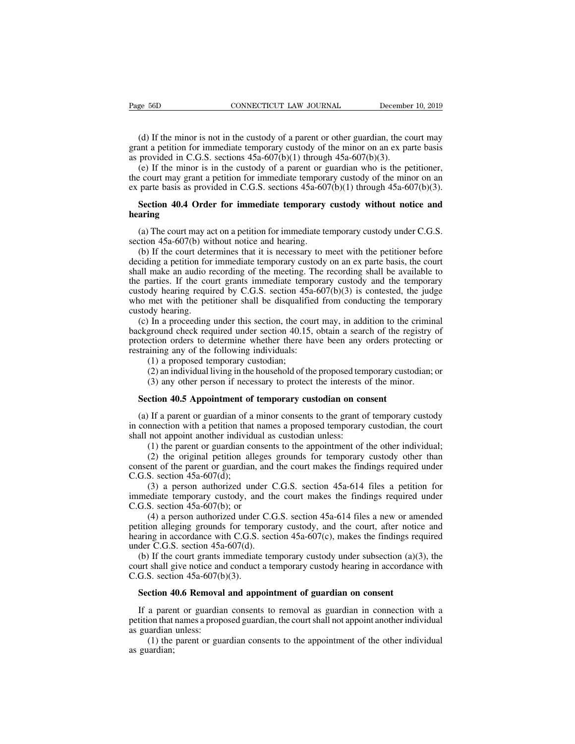e 56D CONNECTICUT LAW JOURNAL December 10, 2019<br>(d) If the minor is not in the custody of a parent or other guardian, the court may<br>ant a petition for immediate temporary custody of the minor on an ex parte basis<br>provided Page 56D CONNECTICUT LAW JOURNAL December 10, 2019<br>
(d) If the minor is not in the custody of a parent or other guardian, the court may<br>
grant a petition for immediate temporary custody of the minor on an ex parte basis<br> Page 56D CONNECTICUT LAW JOURNAL December<br>
(d) If the minor is not in the custody of a parent or other guardian, the correction for immediate temporary custody of the minor on an ex particle in C.G.S. sections 45a-607(b)(1

(d) If the minor is not in the custody of a parent or other guardian, the court may ant a petition for immediate temporary custody of the minor on an ex parte basis provided in C.G.S. sections  $45a-607(b)(1)$  through  $45a-6$ (d) If the minor is not in the custody of a parent or other guardian, the court may grant a petition for immediate temporary custody of the minor on an ex parte basis as provided in C.G.S. sections  $45a-607(b)(1)$  through (d) If the minor is not in the custody of a parent or other guardian, the court may grant a petition for immediate temporary custody of the minor on an ex parte basis as provided in C.G.S. sections 45a-607(b)(1) through 4 (d) If the minor is not in the custody of a parent or other guardian, the court may<br>ant a petition for immediate temporary custody of the minor on an ex parte basis<br>provided in C.G.S. sections  $45a-607(b)(1)$  through  $45a-6$ (e) If the minor is in the custody of a parent or guardian who is the petitioner, e court may grant a petition for immediate temporary custody of the minor on an parte basis as provided in C.G.S. sections  $45a-607(b)(1)$  th the court may grant a petition for immediate temporative and the court basis as provided in C.G.S. sections 45a-607<br> **Section 40.4 Order for immediate temporary**<br> **hearing**<br>
(a) The court may act on a petition for immediat

### **hearing**

parte basis as provided in C.G.S. sections  $45a-607(b)(1)$  through  $45a-607(b)(3)$ .<br>**Section 40.4 Order for immediate temporary custody without notice and aring**<br>(a) The court may act on a petition for immediate temporary cus **Section 40.4 Order for immediate temporary custody without notice and hearing**<br>(a) The court may act on a petition for immediate temporary custody under C.G.S.<br>section 45a-607(b) without notice and hearing.<br>(b) If the co Section 40.4 Order for immediate temporary custody without notice and<br>hearing<br>(a) The court may act on a petition for immediate temporary custody under C.G.S.<br>section 45a-607(b) without notice and hearing.<br>(b) If the cour **the court may** act on a petition for immediate temporary custody under C.G.S. section 45a-607(b) without notice and hearing.<br>
(b) If the court determines that it is necessary to meet with the petitioner before deciding a (a) The court may act on a petition for immediate temporary custody under C.G.S. section 45a-607(b) without notice and hearing.<br>
(b) If the court determines that it is necessary to meet with the petitioner before deciding (a) The coart may act on a petition for immediate temporary elastody under C.O.S.<br>section 45a-607(b) without notice and hearing.<br>(b) If the court determines that it is necessary to meet with the petitioner before<br>deciding (b) If the court dete<br>deciding a petition for<br>shall make an audio r<br>the parties. If the courts<br>custody hearing requi<br>who met with the pet<br>custody hearing.<br>(c) In a proceeding<br>background check req (c) In the coard determines that it is necessary to meet with the pertrioner octore ciding a petition for immediate temporary custody on an ex parte basis, the court all make an audio recording of the meeting. The recordi declaing a pethod for infiniculate tempolary clastody of an ex-parte basis, the contributed shall make an audio recording of the meeting. The recording shall be available to the parties. If the court grants immediate tempo shan make an addo recolong of the incerng. The recolong shan be avalable to<br>the parties. If the court grants immediate temporary custody and the temporary<br>custody hearing required by C.G.S. section 45a-607(b)(3) is contes

in the court grants immediate temporary<br>custody hearing required by C.G.S. section 45a-6<br>who met with the petitioner shall be disqualified<br>custody hearing.<br>(c) In a proceeding under this section, the court<br>background check (a) a proposed temporary custom 45<br>
met with the petitioner shall be disqualifiedy hearing.<br>
In a proceeding under this section, the control of the proposed temporary custodian;<br>
(1) a proposed temporary custodian;<br>
(2) a (d) an individual living in the household of the proposed temporary custodian; the negative of the proposed temporary of the following individuals:<br>(1) a proposed temporary custodian; (2) an individual living in the househ In a proceeding under this section, the court may, in addition to the crimin ground check required under section 40.15, obtain a search of the registry exition orders to determine whether there have been any orders protect External check required under section 40.15, obtain a search of the regorder or determine whether there have been any orders protec straining any of the following individuals:<br>
(1) a proposed temporary custodian;<br>
(2) an i

training any of the following individuals:<br>
(1) a proposed temporary custodian;<br>
(2) an individual living in the household of the proposed temporary custodian; or<br>
(3) any other person if necessary to protect the interests (1) a proposed temporary custodian;<br>
(2) an individual living in the household of the proposed temporary custodian; or<br>
(3) any other person if necessary to protect the interests of the minor.<br> **Section 40.5 Appointment o** (2) an individual living in the household of the proposed tem (3) any other person if necessary to protect the interests of **Section 40.5 Appointment of temporary custodian on co** (a) If a parent or guardian of a minor co (3) any other person if necessary to protect the interests of the minor.<br> **ction 40.5 Appointment of temporary custodian on consent**<br>
If a parent or guardian of a minor consents to the grant of temporary custody<br>
nection **ction 40.5 Appointment of temporary custodian on consent**<br>If a parent or guardian of a minor consents to the grant of temporary custody<br>mection with a petition that names a proposed temporary custodian, the court<br>not app **Section 40.5 Appointment of temporary custodian on consent**<br>(a) If a parent or guardian of a minor consents to the grant of temporary custody<br>in connection with a petition that names a proposed temporary custodian, the c (a) If a parent or guardian of a<br>in connection with a petition that<br>shall not appoint another individual<br>(1) the parent or guardian cc<br>(2) the original petition all<br>consent of the parent or guardian<br>C.G.S. section 45a-607

The mection with a petition that names a proposed temporary custodian, the court<br>not appoint another individual as custodian unless:<br>(1) the parent or guardian consents to the appointment of the other individual;<br>(2) the shall not appoint another individual as custodian unless:<br>
(1) the parent or guardian consents to the appointment of the other individual;<br>
(2) the original petition alleges grounds for temporary custody other than<br>
conse (1) the parent or guardian conservation (1) the parent or guardian conservation (2) the original petition alleges consent of the parent or guardian, and C.G.S. section 45a-607(d); (3) a person authorized under timmediate

(2) the parent of galactian consens to the uppointment of the other intervalsary, (2) the original petition alleges grounds for temporary custody other than ent of the parent or guardian, and the court makes the findings consent of the parent or guardian, and the court makes the findings required under C.G.S. section 45a-607(d);<br>
(3) a person authorized under C.G.S. section 45a-614 files a petition for<br>
immediate temporary custody, and th C.G.S. section 45a-607(d);<br>
(3) a person authorized under C.G.S. section 45a-614 files a petition for<br>
immediate temporary custody, and the court makes the findings required under<br>
C.G.S. section 45a-607(b); or<br>
(4) a per (3) a person authorized under C<br>immediate temporary custody, and th<br>C.G.S. section 45a-607(b); or<br>(4) a person authorized under C.C<br>petition alleging grounds for tempora<br>hearing in accordance with C.G.S. sect<br>under C.G.S. (b) a person admitriced and the court makes the findings required under G.S. section 45a-607(b); or (4) a person authorized under C.G.S. section 45a-614 files a new or amended tition alleging grounds for temporary custody C.G.S. section 45a-607(b); or<br>
(4) a person authorized under C.G.S. section 45a-614 files a new or amended<br>
petition alleging grounds for temporary custody, and the court, after notice and<br>
hearing in accordance with C.G. (4) a person authorized under<br>petition alleging grounds for temp<br>hearing in accordance with C.G.S.<br>under C.G.S. section 45a-607(d).<br>(b) If the court grants immediate<br>court shall give notice and conduct<br>C.G.S. section 45a-

tition alleging grounds for temporary custody, and the court, after notic<br>aring in accordance with C.G.S. section 45a-607(c), makes the findings red<br>der C.G.S. section 45a-607(d).<br>(b) If the court grants immediate temporar der C.G.S. section 45a-607(d).<br>
(b) If the court grants immediate temporary custody under subsection (a)(3), the<br>
urt shall give notice and conduct a temporary custody hearing in accordance with<br>
G.S. section 45a-607(b)(3 (b) If the court grants immediate temporary custody under subsection (a)(3), the court shall give notice and conduct a temporary custody hearing in accordance with C.G.S. section 45a-607(b)(3).<br> **Section 40.6 Removal and** 

court shall give notice and<br>C.G.S. section 45a-607(b<br>**Section 40.6 Removal**<br>If a parent or guardian<br>petition that names a prope<br>as guardian unless:<br>(1) the parent or guas<br>as guardian; S. section 45a-607(b)(3).<br> **ction 40.6 Removal and appointment of guardian on consent**<br>
a parent or guardian consents to removal as guardian in connection with a<br>
on that names a proposed guardian, the court shall not app **Section 4**<br>If a parer<br>petition that<br>as guardian;<br>as guardian;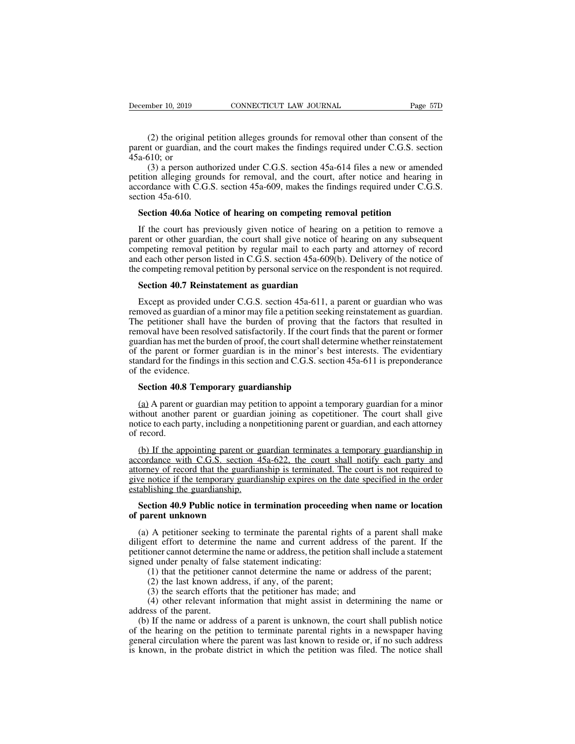(2) the original petition alleges grounds for removal other than consent of the tor guardian, and the court makes the findings required under C.G.S. section (510); or parent or guardian, and the court makes the findings required under C.G.S. section<br>
(2) the original petition alleges grounds for removal other than consent of the<br>
parent or guardian, and the court makes the findings requ December 10, 2019<br>
(2) the origina<br>
parent or guardian,<br>
45a-610; or<br>
(3) a person a<br>
petition alleging gr

mber 10, 2019 CONNECTICUT LAW JOURNAL Page 57D<br>
(2) the original petition alleges grounds for removal other than consent of the<br>
tor guardian, and the court makes the findings required under C.G.S. section<br>
510; or<br>
(3) a (2) the original petition alleges grounds for removal other than consent of the parent or guardian, and the court makes the findings required under C.G.S. section  $45a-610$ ; or (3) a person authorized under C.G.S. section (2) the original petition alleges grounds for removal other than consent of the parent or guardian, and the court makes the findings required under C.G.S. section  $45a-610$ ; or (3) a person authorized under C.G.S. section (2) the original p<br>parent or guardian, an<br> $45a-610$ ; or<br>(3) a person auth<br>petition alleging grou<br>accordance with C.G.'s<br>section  $45a-610$ .<br>**Section 40.6a Notic** rent or guardian, and the court makes the findings required under C.G.S. sectio a-610; or (3) a person authorized under C.G.S. section 45a-614 files a new or amende tition alleging grounds for removal, and the court, after (3) a person authorized under C.G.S. section  $45a-614$  files a new or amended<br>tition alleging grounds for removal, and the court, after notice and hearing in<br>cordance with C.G.S. section  $45a-609$ , makes the findings requ

petition alleging grounds for removal, and the court, after notice and hearing in accordance with C.G.S. section 45a-609, makes the findings required under C.G.S. section 45a-610.<br>Section 45a-610.<br>If the court has previous accordance with C.G.S. section 45a-609, makes the findings required under C.G.S.<br>section 45a-610.<br>**Section 40.6a Notice of hearing on competing removal petition**<br>If the court has previously given notice of hearing on a pe section 45a-610.<br> **Section 40.6a Notice of hearing on competing removal petition**<br>
If the court has previously given notice of hearing on a petition to remove a<br>
parent or other guardian, the court shall give notice of hea Section 40.6a Notice of hearing on competing removal petition<br>If the court has previously given notice of hearing on a petition to remove a<br>parent or other guardian, the court shall give notice of hearing on any subsequent If the court has previously given notice of hearing crent or other guardian, the court shall give notice of h<br>mpeting removal petition by regular mail to each paradeled and deach other person listed in C.G.S. section 45a-6 rent or other guardian, the court shall give notice of hearing on any subsequent<br>mpeting removal petition by regular mail to each party and attorney of record<br>d each other person listed in C.G.S. section 45a-609(b). Delive

competing removal petition by regular mail to each party and attorney of record<br>and each other person listed in C.G.S. section 45a-609(b). Delivery of the notice of<br>the competing removal petition by personal service on the and each other person listed in C.G.S. section 45a-609(b). Delivery of the notice of<br>the competing removal petition by personal service on the respondent is not required.<br>**Section 40.7 Reinstatement as guardian**<br>Except as the competing removal petition by personal service on the respondent is not required.<br> **Section 40.7 Reinstatement as guardian**<br>
Except as provided under C.G.S. section 45a-611, a parent or guardian who was<br>
removed as gua Section 40.7 Reinstatement as guardian<br>Except as provided under C.G.S. section 45a-611, a parent or guardian who was<br>removed as guardian of a minor may file a petition seeking reinstatement as guardian.<br>The petitioner shal **Section 40.7 Reinstatement as guardian**<br>Except as provided under C.G.S. section 45a-611, a parent or guardian who was<br>removed as guardian of a minor may file a petition seeking reinstatement as guardian.<br>The petitioner s Except as provided under C.G.S. section 45a-611, a parent or guardian who was<br>removed as guardian of a minor may file a petition seeking reinstatement as guardian.<br>The petitioner shall have the burden of proving that the f Except as provided<br>removed as guardian c<br>The petitioner shall 1<br>removal have been res<br>guardian has met the b<br>of the parent or form<br>standard for the findin<br>of the evidence.<br>**Section 40.8 Temp** is performance in the burden of proving that<br>moval have been resolved satisfactorily. If the court fin<br>ardian has met the burden of proof, the court shall deter<br>the parent or former guardian is in the minor's bes<br>mdard for ardian has met the burden of proof, the court shall determine whether reinstatement<br>the parent or former guardian is in the minor's best interests. The evidentiary<br>index of the findings in this section and C.G.S. section 4

of the parent or former guardian is in the minor's best interests. The evidentiary<br>standard for the findings in this section and C.G.S. section 45a-611 is preponderance<br>of the evidence.<br>**Section 40.8 Temporary guardianship** standard for the findings in this section and C.G.S. section 45a-611 is preponderance<br>of the evidence.<br>**Section 40.8 Temporary guardianship**<br>(a) A parent or guardian may petition to appoint a temporary guardian for a minor of the evidence<br> **Section 40.8**<br>
(a) A parent without another<br>
motice to each p<br>
of record.<br>
(b) If the approachable arif Section 40.8 Temporary guardianship<br>
(a) A parent or guardian may petition to appoint a temporary guardian for a minor<br>
thout another parent or guardian joining as copetitioner. The court shall give<br>
tice to each party, i

(a) A parent or guardian may petition to appoint a temporary guardian for a minor without another parent or guardian joining as copetitioner. The court shall give notice to each party, including a nonpetitioning parent or (a) A parent or guardian may petition to appoint a temporary guardian for a minor without another parent or guardian joining as copetitioner. The court shall give notice to each party, including a nonpetitioning parent or without another parent or guardian joining as copetitioner. The court shall give<br>notice to each party, including a nonpetitioning parent or guardian, and each attorney<br>of record.<br>(b) If the appointing parent or guardian te notice to each party, including a non<br>of record.<br>(b) If the appointing parent or g<br>accordance with C.G.S. section 4<br>attorney of record that the guardian<br>give notice if the temporary guardia<br>establishing the guardianship.<br> (b) If the appointing parent or guardian terminates a temporary guardianship in cordance with C.G.S. section 45a-622, the court shall notify each party and orney of record that the guardianship is terminated. The court is (b) If the appointing parent or<br>accordance with C.G.S. section<br>attorney of record that the guard<br>give notice if the temporary guar<br>establishing the guardianship.<br>**Section 40.9 Public notice in**<br>of parent unknown<br>(a) A peti orney of record that the guardianship is terminated. The court is not required to<br>ve notice if the temporary guardianship expires on the date specified in the order<br>tablishing the guardianship.<br>**Section 40.9 Public notice** 

give notice if the temporary guardianship expires on the date specified in the order<br>establishing the guardianship.<br>**Section 40.9 Public notice in termination proceeding when name or location**<br>of parent unknown<br>(a) A petit establishing the guardianship.<br>
Section 40.9 Public notice in termination proceeding when name or location<br>
of parent unknown<br>
(a) A petitioner seeking to terminate the parental rights of a parent shall make<br>
diligent effo Section 40.9 Public notice in termination proceeding<br>of parent unknown<br>(a) A petitioner seeking to terminate the parental righ<br>diligent effort to determine the name and current add<br>petitioner cannot determine the name or a (1) that the petitioner cannot determine the parent and the parent shall make<br>that effort to determine the name and current address of the parent. If the<br>oner cannot determine the name and current address of the parent. If (a) A petitioner seeking to terminate the parental rights of a parent shall make<br>diligent effort to determine the name and current address of the parent. If the<br>petitioner cannot determine the name or address, the petitio (3) A petitioner seeking to terminate the parental rights of a parent effort to determine the name and current address of the parent coner cannot determine the name or address, the petition shall include d under penalty of (4) other is example to commate the parent and rights of a parent share matter effort to determine the name and current address of the parent. If the oner cannot determine the name or address, the petition shall include a dependence of the determine<br>petitioner cannot determine<br>signed under penalty of fal<br>(1) that the petitioner<br>(2) the last known add<br>(3) the search efforts t<br>(4) other relevant infor<br>address of the parent.<br>(b) If the name or

(b) If the name or address of a parent is unknown, the court shall publish notice as sacchieved under penalty of false statement indicating:<br>
(1) that the petitioner cannot determine the name or address of the parent;<br>
(3) of the hearing of task statement indicating.<br>
(1) that the petitioner cannot determine the name or address of the parent;<br>
(2) the last known address, if any, of the parent;<br>
(3) the search efforts that the petitioner has (1) that the pethonic calmot determine the hanne or address of the parent,<br>
(2) the last known address, if any, of the parent;<br>
(3) the search efforts that the petitioner has made; and<br>
(4) other relevant information that (2) the last known address, it any, of the patent,<br>
(3) the search efforts that the petitioner has made; and<br>
(4) other relevant information that might assist in determining the name or<br>
address of the parent.<br>
(b) If the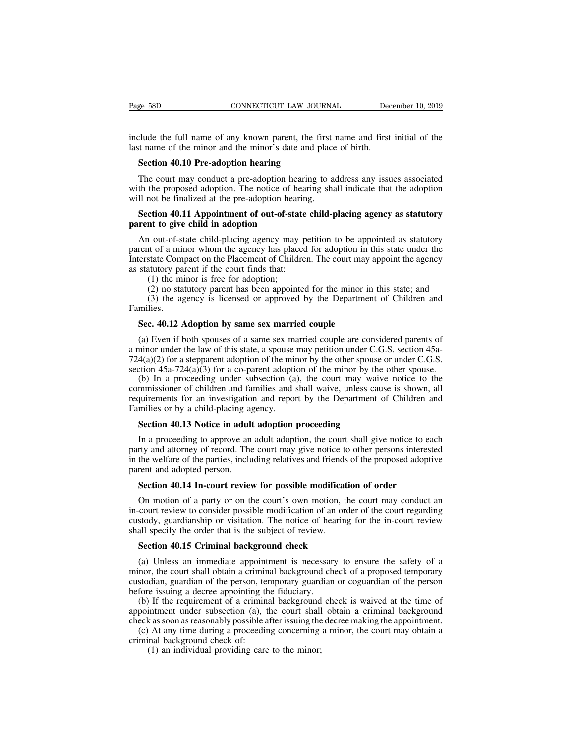Page 58D<br>
CONNECTICUT LAW JOURNAL<br>
include the full name of any known parent, the first name and first initial of the<br>
last name of the minor and the minor's date and place of birth.<br>
Section 40.10 Pre edention beguing Page 58D CONNECTICUT LAW JOURNAL Decinculate the full name of any known parent, the first name and first last name of the minor and the minor's date and place of birth.<br>Section 40.10 Pre-adoption hearing **SED** CONNECTICUT LAW JOUNCHICUT CONNECTICUT CONNECTICUT CONSERVENT UNIT CONNECTICUT CONNECTICUT CONSERVENT OF SECTION 40.10 Pre-adoption hearing The court may conduct a pre-adoption hearing the the numerous defendence The

Example the full name of any known parent, the first name and first initial of the trame of the minor and the minor's date and place of birth.<br> **Section 40.10 Pre-adoption hearing**<br>
The court may conduct a pre-adoption hea include the full name of any known parent, the first name and first initial of the<br>last name of the minor and the minor's date and place of birth.<br>**Section 40.10 Pre-adoption hearing**<br>The court may conduct a pre-adoption h include the full name of any known parent, the first<br>last name of the minor and the minor's date and place<br>**Section 40.10 Pre-adoption hearing**<br>The court may conduct a pre-adoption hearing to a<br>with the proposed adoption. It name of the minor and the minor's date and place of birth.<br> **Section 40.10 Pre-adoption hearing**<br>
The court may conduct a pre-adoption hearing to address any issues associated<br>
th the proposed adoption. The notice of he **Section 40.10 Pre-adoption hearing**<br>The court may conduct a pre-adoption hear<br>with the proposed adoption. The notice of hea<br>will not be finalized at the pre-adoption hearin<br>**Section 40.11 Appointment of out-of-state**<br>pare

The court may conduct a pre-adoption hearing to address any issues associated<br>th the proposed adoption. The notice of hearing shall indicate that the adoption<br>Il not be finalized at the pre-adoption hearing.<br>**Section 40.11** with the proposed adoption. The notice of hearing shall indicate that the adoption<br>will not be finalized at the pre-adoption hearing.<br>**Section 40.11 Appointment of out-of-state child-placing agency as statutory**<br>**parent to** will not be finalized at the pre-adoption hearing shall mated that the deepton<br>will not be finalized at the pre-adoption hearing.<br>**Section 40.11 Appointment of out-of-state child-placing agency as statutory**<br>parent to give Section 40.11 Appointment of out-of-state<br>parent to give child in adoption<br>An out-of-state child-placing agency may pe<br>parent of a minor whom the agency has placed<br>Interstate Compact on the Placement of Childrer<br>as statuto ction 40.11 Appointment of out-of-stat<br>int to give child in adoption<br>in out-of-state child-placing agency may<br>it of a minor whom the agency has place<br>state Compact on the Placement of Childr<br>atutory parent if the court fin no statutory and in adoption<br>
in out-of-state child-placing agency may petition to be appointed as statutory<br>
in to f a minor whom the agency has placed for adoption in this state under the<br>
state Compact on the Placement (3) the agency may petition to be appointed as statutory<br>to the a minor whom the agency has placed for adoption in this state under the<br>state Compact on the Placement of Children. The court may appoint the agency<br>tuttory p Interstate Compact on the Placement of Children. The court may appoint the agency<br>as statutory parent if the court finds that:<br>(1) the minor is free for adoption;<br>(2) no statutory parent has been appointed for the minor in

Families.

(1) the minor is free for adoption;<br>
(2) no statutory parent has been appointed for the minor in this state; and<br>
(3) the agency is licensed or approved by the Department of Children and<br>
milies.<br> **Sec. 40.12 Adoption by** (2) no statutory parent has been appointed for the minor in this state; and<br>
(3) the agency is licensed or approved by the Department of Children and<br>
Families.<br> **Sec. 40.12 Adoption by same sex married couple**<br>
(a) Even (3) the agency is licensed or approved by the Department of Children and Families.<br> **Sec. 40.12 Adoption by same sex married couple**<br>
(a) Even if both spouses of a same sex married couple are considered parents of<br>
a mino Families.<br>Sec. 40.12 Adoption by same sex married couple<br>(a) Even if both spouses of a same sex married couple are considered parents of<br>a minor under the law of this state, a spouse may petition under C.G.S. section 45a-Sec. 40.12 Adoption by same sex married couple<br>(a) Even if both spouses of a same sex married couple are considered parents of<br>ninor under the law of this state, a spouse may petition under C.G.S. section 45a-<br>4(a)(2) for

Sec. 40.12 Adoption by same sex married couple<br>
(a) Even if both spouses of a same sex married couple are considered parents of<br>
a minor under the law of this state, a spouse may petition under C.G.S. section 45a-<br>
724(a) (a) Even if both spouses of a same sex married couple are considered parents of a minor under the law of this state, a spouse may petition under C.G.S. section 45a-724(a)(2) for a stepparent adoption of the minor by the o (a) Even if bour spouses or a same sex mannor under the law of this state, a spouse  $724(a)(2)$  for a stepparent adoption of the min section  $45a-724(a)(3)$  for a co-parent adoption (b) In a proceeding under subsection (a com  $4(a)(2)$  for a stepparent adoption of the minor by the other spouse<br>ction  $45a-724(a)(3)$  for a co-parent adoption of the minor by the<br>(b) In a proceeding under subsection (a), the court may waiv<br>mmissioner of children and f (b) In a proceeding under subsection (a), the court may waive notice to the mmissioner of children and families and shall waive, unless cause is shown, all quirements for an investigation and report by the Department of C

commissioner of children and families and shall waive, unless cause is shown, all<br>requirements for an investigation and report by the Department of Children and<br>Families or by a child-placing agency.<br>**Section 40.13 Notice** in the welfare of the welfare of the partner.<br> **Equirements** for an investigation and report by the Department of Children and<br>
Families or by a child-placing agency.<br> **Section 40.13** Notice in adult adoption proceeding<br>
I Families or by a child-placing age<br>Families or by a child-placing age<br>Section 40.13 Notice in adult<br>In a proceeding to approve an<br>party and attorney of record. The<br>in the welfare of the parties, inclu<br>parent and adopted pe **Section 40.13 Notice in adult adoption proceeding**<br>In a proceeding to approve an adult adoption, the court shall give notice to earty and attorney of record. The court may give notice to other persons interest<br>the welfare In a proceeding to approve an adult adoption, the court shall give notice to each<br>rty and attorney of record. The court may give notice to other persons interested<br>the welfare of the parties, including relatives and friend

party and attorney of record. The court may give notice to other persons interested<br>in the welfare of the parties, including relatives and friends of the proposed adoptive<br>parent and adopted person.<br>**Section 40.14 In-court** Figure 1.14 The welfare of the parties, including relatives and friends of the proposed adoptive<br>parent and adopted person.<br>**Section 40.14 In-court review for possible modification of order**<br>On motion of a party or on the shall specify the order that is the court is the modificat<br>parent and adopted person.<br>On motion of a party or on the court's own motion, t<br>in-court review to consider possible modification of an or<br>custody, guardianship or **Section 40.14 In-court review for possible modificatio**<br>On motion of a party or on the court's own motion, the<br>court review to consider possible modification of an orde<br>stody, guardianship or visitation. The notice of hea (a) Unless an immediate appointment is necessary to ensure the person<br>stody, guardianship or visitation. The notice of hearing for the in-court regarding<br>stody, guardianship or visitation. The notice of hearing for the in-

in-court review to consider possible modification of an order of the court regarding<br>custody, guardianship or visitation. The notice of hearing for the in-court review<br>shall specify the order that is the subject of review. custody, guardianship or visitation. The notice of hearing for the in-court review<br>custody, guardianship or visitation. The notice of hearing for the in-court review<br>shall specify the order that is the subject of review.<br> shall specify the order that is the subject of review.<br>Section 40.15 Criminal background check<br>(a) Unless an immediate appointment is necessar<br>minor, the court shall obtain a criminal background ch<br>custodian, guardian of t Section 40.15 Criminal background check<br>
(a) Unless an immediate appointment is necessary to ensure the safety of a<br>
nor, the court shall obtain a criminal background check of a proposed temporary<br>
stodian, guardian of the **Section 40.15 Criminal background check**<br>(a) Unless an immediate appointment is necessary to ensure the safety of a<br>minor, the court shall obtain a criminal background check of a proposed temporary<br>custodian, guardian of (a) Unless an immediate appointment is necessary to ensure the safety of a minor, the court shall obtain a criminal background check of a proposed temporary custodian, guardian of the person, temporary guardian or coguardi (a) Oness an immediate appointment is inceeding to ensure the safety of a<br>nor, the court shall obtain a criminal background check of a proposed temporary<br>stodian, guardian of the person, temporary guardian or coguardian of

minor, the court shan obtain a crimin<br>custodian, guardian of the person, ter-<br>before issuing a decree appointing the<br>(b) If the requirement of a crimina<br>appointment under subsection (a), t<br>check as soon as reasonably possi (1) an individual providing care to the minor;<br>
If the requirement of a criminal background<br>
intment under subsection (a), the court shall<br>
stas soon as reasonably possible after issuing the<br>
At any time during a proceedin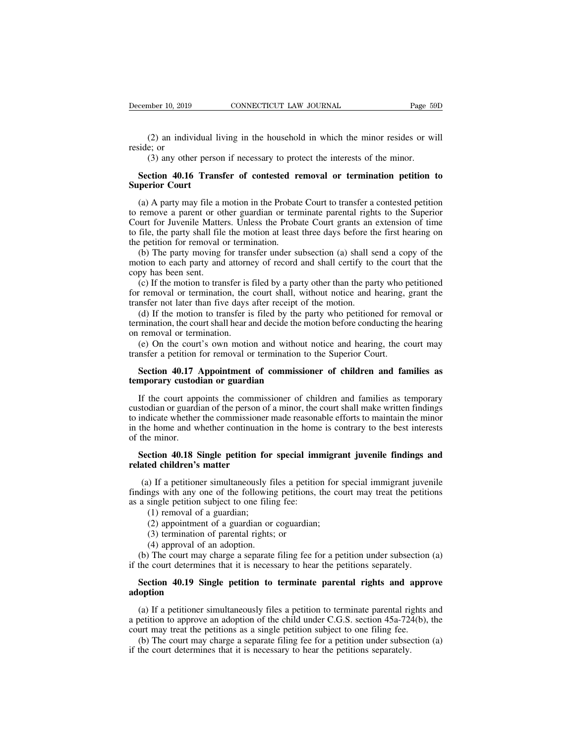## (2) an individual living in the household in which the minor resides or will<br>side; or<br>(3) any other person if necessary to protect the interests of the minor.<br>**Section 40.16 Transfer of contested removal or termination pet** (2) an individual 1<br>reside; or<br>(3) any other perso<br>**Section 40.16 Tran<br>Superior Court**<br>(a) A party may file a

(2) an individual living in the household in which the minor resides or will<br>side; or<br>(3) any other person if necessary to protect the interests of the minor.<br>**Section 40.16 Transfer of contested removal or termination pe** reside; or<br>
(3) any other person if necessary to protect the interests of the minor.<br> **Section 40.16 Transfer of contested removal or termination petition to**<br> **Superior Court**<br>
(a) A party may file a motion in the Probate (3) any other person if necessary to protect the interests of the minor.<br> **Section 40.16 Transfer of contested removal or termination petition to**<br> **Superior Court**<br>
(a) A party may file a motion in the Probate Court to t Section 40.16 Transfer of contested removal or termination petition to<br>Superior Court<br>(a) A party may file a motion in the Probate Court to transfer a contested petition<br>to remove a parent or other guardian or terminate pa Section 40.16 Transfer of contested re<br>Superior Court<br>(a) A party may file a motion in the Probatto<br>to remove a parent or other guardian or term<br>Court for Juvenile Matters. Unless the Probato<br>file, the party shall file the (a) A party may file a motion in the Probate Court to transfer a contested petition remove a parent or other guardian or terminate parental rights to the Superior ourt for Juvenile Matters. Unless the Probate Court grants (a) A party may file a motion in the Probate Court to transfer a contested petition<br>to remove a parent or other guardian or terminate parental rights to the Superior<br>Court for Juvenile Matters. Unless the Probate Court gra (a) A party may the a r<br>to remove a parent or ot<br>Court for Juvenile Matte<br>to file, the party shall file<br>the petition for removal (b) The party moving<br>motion to each party and<br>copy has been sent.<br>(c) If the motion to trar<br>f of the motion of the motion at least three days before the first hearing on<br>the file, the party shall file the motion at least three days before the first hearing on<br>e petition for removal or termination.<br>(b) The party mov

for removal or termination, the court shall, without notice and hearty who performed the pertion for removal or termination.<br>
(b) The party moving for transfer under subsection (a) shall send a copy of the motion to each p the petition for removal or termination.<br>
(b) The party moving for transfer under subsection (a) shall so<br>
motion to each party and attorney of record and shall certify to<br>
copy has been sent.<br>
(c) If the motion to transfe (b) The party moving for transfer under subsection (a) shall send a copy of the otion to each party and attorney of record and shall certify to the court that the py has been sent.<br>(c) If the motion to transfer is filed by motion to each party and attorney of record and shall certify to the court that the copy has been sent.<br>
(c) If the motion to transfer is filed by a party other than the party who petitioned<br>
for removal or termination, t copy has been sent.<br>
(c) If the motion to transfer is<br>
for removal or termination, the<br>
transfer not later than five days<br>
(d) If the motion to transfer is<br>
termination, the court shall hear a<br>
on removal or termination.<br> (c) If the motion to transfer is filed by a party other than the party who petitioned r removal or termination, the court shall, without notice and hearing, grant the nsfer not later than five days after receipt of the mo

for removal or termination, the court shall, without notice and hearing,<br>transfer not later than five days after receipt of the motion.<br>(d) If the motion to transfer is filed by the party who petitioned for re<br>termination, Inster not later than live days after recept of the motion.<br>
(d) If the motion to transfer is filed by the party who petitioned for removal or<br>
mination, the court shall hear and decide the motion before conducting the hea (d) If the motion to transfer is filed by the partermination, the court shall hear and decide the m<br>on removal or termination.<br>(e) On the court's own motion and without<br>transfer a petition for removal or termination to<br>**Se** 

removal or termination.<br>
(e) On the court's own motion and without notice and hearing, the court may<br>
nsfer a petition for removal or termination to the Superior Court.<br> **Section 40.17 Appointment of commissioner of childr** (e) On the court's own motion and without notice and hearing, the court may<br>transfer a petition for removal or termination to the Superior Court.<br>**Section 40.17 Appointment of commissioner of children and families as<br>tempo** transfer a petition for removal or termination to the Superior Court.<br> **Section 40.17 Appointment of commissioner of children and families as<br>
temporary custodian or guardian<br>
If the court appoints the commissioner of chil** Section 40.17 Appointment of commissioner of children and families as<br>temporary custodian or guardian<br>If the court appoints the commissioner of children and families as temporary<br>custodian or guardian of the person of a m Section 40.17 *A*<br>temporary custod<br>If the court app<br>custodian or guardito<br>indicate whether<br>in the home and w<br>Section 40.18 Section 40.18 If the court appoints the commissioner of children and families as temporary stodian or guardian of the person of a minor, the court shall make written findings indicate whether the commissioner made reasonable efforts to If the court appoints the commis<br>custodian or guardian of the person of<br>to indicate whether the commissioner<br>in the home and whether continuation<br>of the minor.<br>**Section 40.18 Single petition for<br>related children's matter**<br>

maticate whether the commissioner made reasonable efforts to maintain the minor<br>the home and whether continuation in the home is contrary to the best interests<br>the minor.<br>Section 40.18 Single petition for special immigrant in the home and whether continuation in the home is contrary to the best interests<br>of the minor.<br>Section 40.18 Single petition for special immigrant juvenile findings and<br>related children's matter<br>(a) If a petitioner simul of the minor.<br> **Section 40.18 Single petition for special imm**<br> **related children's matter**<br>
(a) If a petitioner simultaneously files a petition<br>
findings with any one of the following petitions, t<br>
as a single petition su **ction 40.18 Single petition for**<br>**ed children's matter**<br>(1) If a petitioner simultaneously t<br>ngs with any one of the followir<br>single petition subject to one fili<br>(1) removal of a guardian;<br>(2) appointment of a guardian or (2) approval of a guardian or special immigrated children's matter<br>(2) If a petitioner simultaneously files a petition for sags with any one of the following petitions, the cosingle petition subject to one filing fee:<br>(1) (3) If a petitioner simultaneously files a petitings with any one of the following petitions<br>single petition subject to one filing fee:<br>(1) removal of a guardian;<br>(2) appointment of a guardian or coguardian<br>(3) termination (a) If a petitioner simultaneously films with any one of the following<br>single petition subject to one filin<br>(1) removal of a guardian;<br>(2) appointment of a guardian or<br>(3) termination of parental rights;<br>(4) approval of a dings with any one of the following petitions, the court may treat the petitions<br>a single petition subject to one filing fee:<br>(1) removal of a guardian;<br>(2) appointment of a guardian or coguardian;<br>(3) termination of paren

- 
- 
- 
- 

if a single petition subject to one filing fee:<br>
(1) removal of a guardian;<br>
(2) appointment of a guardian or coguardian;<br>
(3) termination of parental rights; or<br>
(4) approval of an adoption.<br>
(b) The court may charge a se (1) Ichioval of a guardian,<br>
(2) appointment of a guardian or coguardian;<br>
(3) termination of parental rights; or<br>
(4) approval of an adoption.<br>
(b) The court may charge a separate filing fee for a petition under subsectio

### **adoption**

(4) approval of an adoption.<br>
(b) The court may charge a separate filing fee for a petition under subsection (a)<br>
the court determines that it is necessary to hear the petitions separately.<br> **Section 40.19 Single petition** (b) The court may charge a separate filing fee for a petition under subsection (a) if the court determines that it is necessary to hear the petitions separately.<br> **Section 40.19 Single petition to terminate parental right** if the court determines that it is necessary to hear the petitions separately.<br> **Section 40.19 Single petition to terminate parental rights and appr**<br> **a a simple in terminate parental rights**<br>
(a) If a petitioner simultan Section 40.19 Single petition to terminate parental rights and approve<br>option<br>(a) If a petitioner simultaneously files a petition to terminate parental rights and<br>betition to approve an adoption of the child under C.G.S. **Section 40.19 Single petition to terminate parental rights and approve adoption**<br>(a) If a petitioner simultaneously files a petition to terminate parental rights and a petition to approve an adoption of the child under C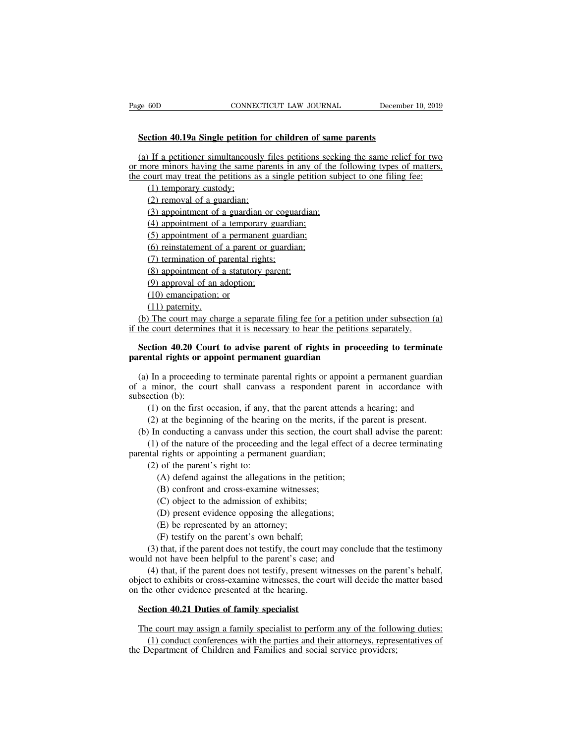**Section 40.19a Single petition for children of same parents** (a) If a petitioner simultaneously files petitions seeking the same relief for two<br>
(a) If a petitioner simultaneously files petitions seeking the same relief for two<br>
more minors having the same parents in any of the foll Page 60D CONNECTICUT LAW JOURNAL December 10, 2019<br> **Section 40.19a Single petition for children of same parents**<br>
(a) If a petitioner simultaneously files petitions seeking the same relief for two<br>
or more minors having t Section 40.19a Single petition for children of same parents<br>
(a) If a petitioner simultaneously files petitions seeking the same relief for two<br>
or more minors having the same parents in any of the following types of matte **Crion 40.19a Single petition**<br>
If a petitioner simultaneous<br>
ore minors having the same<br>
pourt may treat the petitions a<br>
(1) temporary custody;<br>
(2) removal of a guardian;<br>
(3) appointment of a guardian **ction 40.19a Single petition for**<br>
If a petitioner simultaneously for<br>
ore minors having the same pare<br>
ourt may treat the petitions as a<br>
(1) temporary custody;<br>
(2) removal of a guardian;<br>
(3) appointment of a guardian If a petitioner simultaneously files petitions seekincore minors having the same parents in any of the fourt may treat the petitions as a single petition subjection subjection subjection of a guardian;<br>(2) removal of a gua (4) If a petitioner simultaneously files petitions se<br>ore minors having the same parents in any of th<br>ourt may treat the petitions as a single petition<br>(1) temporary custody;<br>(2) removal of a guardian;<br>(3) appointment of a (1) denotes may be a said partitle in any of the point may treat the petitions as a single petition of (1) temporary custody;<br>(2) removal of a guardian;<br>(3) appointment of a guardian or coguardian;<br>(4) appointment of a tem

(1) temporary custody;<br>(2) removal of a guardian;<br>(3) appointment of a guardian or coguardian;<br>(4) appointment of a temporary guardian;<br>(5) appointment of a parent or guardian;<br>(7) termination of parental rights;<br>(8) appoi (2) removal of a guardian;<br>
(3) appointment of a guardian or cogua<br>
(4) appointment of a temporary guardia<br>
(5) appointment of a permanent guardia<br>
(6) reinstatement of a parent or guardia<br>
(7) termination of parental rig (3) appointment of a guardian or coguardian<br>(4) appointment of a temporary guardian;<br>(5) appointment of a permanent guardian;<br>(6) reinstatement of a parent or guardian;<br>(7) termination of parental rights;<br>(8) appointment o

(4) appointment of a temporary guardian;<br>(5) appointment of a permanent guardian;<br>(6) reinstatement of a parent or guardian;<br>(7) termination of parental rights;<br>(8) appointment of a statutory parent;<br>(9) approval of an ad

(5) appointment of a permane<br>
(6) einstatement of a parent<br>
(7) termination of parental ri<br>
(8) appointment of a statutor<br>
(9) approval of an adoption;<br>
(10) emancipation; or<br>
(11) paternity.

(6) reinstatement of<br>(6) reinstatement of<br>(7) termination of p<br>(8) appointment of an a<br>(10) emancipation;<br>(11) paternity.<br>The court may change of court determines the court determines (7) termination of parental rights;<br>
(8) appointment of a statutory parent;<br>
(9) approval of an adoption;<br>
(10) emancipation; or<br>
(11) paternity.<br>
(b) The court may charge a separate filing fee for a petition under subsec (8) appointment of a statutory parent;<br>
(9) approval of an adoption;<br>
(10) emancipation; or<br>
(11) paternity.<br>
(b) The court may charge a separate filing fee for a petition under subsection if the court determines that it (10) emancipation; or (11) paternity.<br>
(b) The court may charge a separate filing fee for a petition of the court determines that it is necessary to hear the petitions<br> **Section 40.20 Court to advise parent of rights in pr** 

# **Solution 40.20** Court in adoption;<br> **Section 40.20** Court may charge a separate filing fee for a petition under subsection (a) the court may charge a separate filing fee for a petition under subsection (a) the court deter

(b) The court may charge a separate filing fee for a petition under subsection (a) the court determines that it is necessary to hear the petitions separately.<br>Section 40.20 Court to advise parent of rights in proceeding t (b) The court may charge a separate film is even of a perform under subsection (a) if the court determines that it is necessary to hear the petitions separately.<br> **Section 40.20 Court to advise parent of rights in proceed Section 40.20 Co**<br> **Section 40.20 Co**<br> **parental rights or a**<br>
(a) In a proceeding<br>
of a minor, the co<br>
subsection (b):<br>
(1) on the first (2) at the heging (1) on the first occasion, if any, that the parent space and parameters of the parent attends a hearing in a proceeding to terminate parental rights or appoint a permanent guardian minor, the court shall canvass a respond (1) at the beginning of the parent attends a hearing; and (2) at the beginning of the hearing on the merits, if the parent is present.<br>
(1) on the first occasion, if any, that the parent attends a hearing; and (2) at the b (a) In a proceeding to terminate parental rights or appoint a permanent guardian a minor, the court shall canvass a respondent parent in accordance with bsection (b):<br>
(1) on the first occasion, if any, that the parent at (1) of the nature of the proceeding and the legal effect of a decree terminating incordance with eition (b):<br>
(1) on the first occasion, if any, that the parent attends a hearing; and<br>
(2) at the beginning of the hearing

or a minor, the court shall canvass a respondent pare<br>subsection (b):<br>(1) on the first occasion, if any, that the parent atten<br>(2) at the beginning of the hearing on the merits, if (b) In conducting a canvass under this s (1) on the first occasion, if any, t<br>
(2) at the beginning of the hearin<br>
(2) at the beginning of the hearin<br>
(1) of the nature of the proceeding<br>
(1) of the nature of the proceeding<br>
(a) of the parent's right to:<br>
(A) de (A) defend against the allegations in the petition;<br>(A) defend a canvass under this section, the court shall of the nature of the proceeding and the legal effect of a<br>l rights or appointing a permanent guardian;<br>(A) defen (C) object to the admission of example and the legal efficient and conducting a canvass under this section, the conference of the proceeding and the legal efficient is right to:<br>(A) defend against the allegations in the pe (C) object to the admission of the proceeding and the legal<br>
1 rights or appointing a permanent guardian;<br>
(C) of the parent's right to:<br>
(A) defend against the allegations in the petit<br>
(B) confront and cross-examine witn (D) of the haddre of the proceculing and the legative characteristic rights or appointing a permanent guardian;<br>(A) defend against the allegations in the petition;<br>(B) confront and cross-examine witnesses;<br>(C) object to t parental rights or appointing a permanent guardian;<br>
(2) of the parent's right to:<br>
(A) defend against the allegations in the petition;<br>
(B) confront and cross-examine witnesses;<br>
(C) object to the admission of exhibits;<br>

(A) defend against the allegations in the peti(B) confront and cross-examine witnesses;<br>(C) object to the admission of exhibits;<br>(D) present evidence opposing the allegation<br>(E) be represented by an attorney;<br>(F) testify (B) confront and cross-examine witnesses;<br>
(C) object to the admission of exhibits;<br>
(D) present evidence opposing the allegations;<br>
(E) be represented by an attorney;<br>
(F) testify on the parent's own behalf;<br>
(3) that, i (C) object to the admission of exhibits;<br>
(C) object to the admission of exhibits;<br>
(D) present evidence opposing the allegations;<br>
(E) be represented by an attorney;<br>
(F) testify on the parent's own behalf;<br>
(3) that, if

(5) object to the attentions,<br>
(b) present evidence opposing the allegations;<br>
(E) be represented by an attorney;<br>
(F) testify on the parent's own behalf;<br>
(3) that, if the parent does not testify, the court may conclude t (D) present evidence opposing the allegations;<br>
(E) be represented by an attorney;<br>
(F) testify on the parent's own behalf;<br>
(3) that, if the parent does not testify, the court may conclude that the testimony<br>
would not ha would not have been helpful to the parent's case; and<br>
(4) that, if the parent does not testify, present witnesses on the parent's behalf,<br>
object to exhibits or cross-examine witnesses, the court will decide the matter ba (3) that, if the parent does not testify, the court m<br>uuld not have been helpful to the parent's case; an<br>(4) that, if the parent does not testify, present w<br>ject to exhibits or cross-examine witnesses, the court<br>the other (4) that, if the parent does not testify, present witnesses on the parent's behalf,<br>ject to exhibits or cross-examine witnesses, the court will decide the matter based<br>the other evidence presented at the hearing.<br>Section 4 (1) diat, if the parent does not testify, present with the parties of the parties of the parties of the parties and their discrete energy.<br> **Conduct conferences with the parties and their attorneys**, representatives of<br>
(1

The court may assign a family specialist to perform any of the following duties:<br>(1) conduct conferences with the parties and their attorneys, representatives of<br>the Department of Children and Families and social service p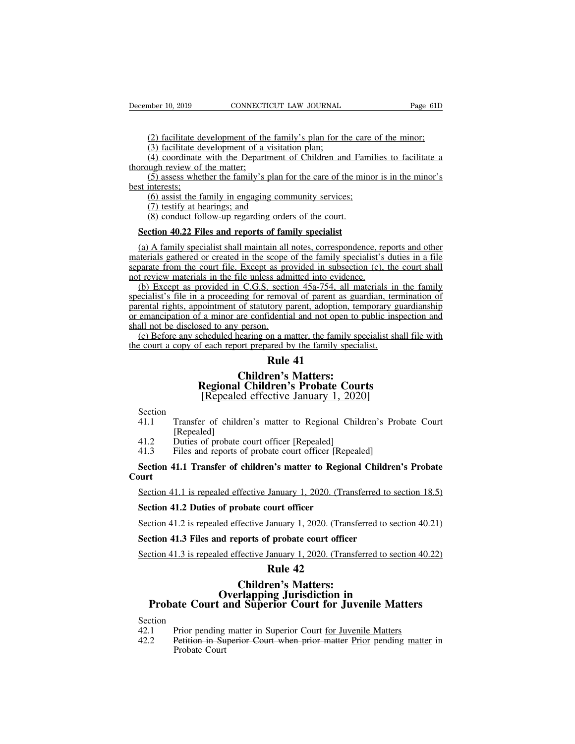(2) facilitate development of the family's plan for the care of the minor;<br>(2) facilitate development of the family's plan for the care of the minor;<br>(3) facilitate development of a visitation plan;<br>(4) coordinate with the mber 10, 2019 CONNECTICUT LAW JOURNAL<br>(2) facilitate development of the family's plan for the<br>(3) facilitate development of a visitation plan;<br>(4) coordinate with the Department of Children an<br>ugh review of the matter; mber 10, 2019 CONNECTICUT LAW JOURNAL Page 61D<br>
(2) facilitate development of the family's plan for the care of the minor;<br>
(3) facilitate development of a visitation plan;<br>
(4) coordinate with the Department of Children a December 10, 2019 CONNECTI<br>
(2) facilitate development of the<br>
(3) facilitate development of a v<br>
(4) coordinate with the Departr<br>
thorough review of the matter;<br>
(5) assess whether the family's p<br>
best interests; (2) facilitate development of the family's plan for the care of the minor;<br>(3) facilitate development of a visitation plan;<br>(4) coordinate with the Department of Children and Families to facilitate a<br>ugh review of the mat (2) facilitate de<br>
(3) facilitate de<br>
(4) coordinate<br>
thorough review of<br>
(5) assess whet<br>
best interests;<br>
(6) assist the fa<br>
(7) testify at he (2) facilitate development of the family's plan for the care (3) facilitate development of a visitation plan;<br>(4) coordinate with the Department of Children and Familugh review of the matter;<br>(5) assess whether the family (2) facilitate development of the family's plan for the care of the minor;<br>
(3) facilitate development of a visitation plan;<br>
(4) coordinate with the Department of Children and Families to facilitate a<br>
thorough review of (3) Tachilac development of a visitation plant,<br>(4) coordinate with the Department of Children and Far<br>ugh review of the matter;<br>(5) assess whether the family's plan for the care of the min<br>interests;<br>(6) assist the famil

**Section** For the matter:<br>
(5) assess whether the family's plan for the care of the min<br>
st interests:<br>
(6) assist the family in engaging community services;<br>
(7) testify at hearings; and<br>
(8) conduct follow-up regarding o

(b) assist the family in engaging community services;<br>
(b) assist the family in engaging community services;<br>
(7) testify at hearings; and<br>
(8) conduct follow-up regarding orders of the court.<br> **Section 40.22 Files and rep** materials gathered or created in the scope of the court.<br>
(6) assist the family in engaging orders of the court.<br> **Section 40.22 Files and reports of family specialist**<br>
(a) A family specialist shall maintain all notes, c (7) testify at hearings; and<br>
(8) conduct follow-up regarding orders of the court.<br> **Section 40.22 Files and reports of family specialist**<br>
(a) A family specialist shall maintain all notes, correspondence, reports and oth (8) conduct follow-up regarding orders of the court.<br> **Section 40.22 Files and reports of family specialist**<br>
(a) A family specialist shall maintain all notes, correspondence, re<br>
materials gathered or created in the scop (a) Except as **and reports of family specialist**<br>(a) A family specialist shall maintain all notes, correspondence, reports and other<br>derials gathered or created in the scope of the family specialist's duties in a file<br>para **Section 40.22 Files and reports of family specialist**<br>
(a) A family specialist shall maintain all notes, correspondence, reports and other materials gathered or created in the scope of the family specialist's duties in a

(a) A family specialist shall maintain all notes, correspondence, reports and other materials gathered or created in the scope of the family specialist's duties in a file separate from the court file. Except as provided i (a) A ranny specialist sinal manufal an hotes, correspondence, reports and other<br>materials gathered or created in the scope of the family specialist's duties in a file<br>separate from the court file. Except as provided in s materials gathered or created in the scope of the family specialist's duties in a file<br>separate from the court file. Except as provided in subsection (c), the court shall<br>not review materials in the file unless admitted in (b) Except any scheduled into evidence.<br>
(b) Except as provided in C.G.S. section 45a-754, all materials in the family<br>
ecialist's file in a proceeding for removal of parent as guardian, termination of<br>
rental rights, app the court a copy of each report prepared by the family specialist.<br>
(b) Except as provided in C.G.S. section 45a-754, all materials in<br>
specialist's file in a proceeding for removal of parent as guardian, ter<br>
parental rig **Example 21**<br>
<u>Rection 45a-754, all internal of parent as g</u><br>
tory parent, adoption, the<br>
dential and not open to<br>
<br>
and by the family spectral of the family<br>
ared by the family spectral<br> **Rule 41**<br> **Condition**<br> **Rule 41** ing for removal of parent as guars<br>of statutory parent, adoption, tem<br>are confidential and not open to pi<br>person.<br>hearing on a matter, the family special:<br>**Rule 41**<br>**Children's Matters:**<br>**Children's Probate Court**<br>ed effec monitment of statutory parent, adoption, temporary guards a minor are confidential and not open to public inspect<br>sed to any person.<br>
Children's matter, the family specialist shall to<br> **Rule 41**<br> **Rule 41**<br> **Children's Mat** 

## a minor are confidential and not open to public inspeed to any person.<br>
Abeduled hearing on a matter, the family specialist shandled hearing on a matter, the family specialist.<br> **Rule 41**<br> **Children's Matters:**<br> **Repealed** Children's Matters:<br>
Regional Children's Probate Court<br>
[Repealed effective January 1, 2020]<br>
Section<br>
41.1 Transfer of children's matter to Regional Child<br>
[Repealed]<br>
41.2 Duties of probate court officer [Repealed]<br>
41.3

- Section<br>41.1 Transfer of children's matter to Regional Children's Probate Court **21.1 Transfer of children's Matters:**<br> **2020]**<br> **2020]**<br> **2020]**<br> **2020]**<br> **2020]**<br> **2020]**<br> **2020]**<br> **2020]**<br> **2020]**<br> **2020]**<br> **2020]**<br> **2020]**<br> **2020]**<br> **2020]**<br> **2020]**<br> **2020]**<br> **2020]**<br> **2020]**<br> **2021]**<br> **2021]**<br> **2** [Repealed]<br>Duties of probate court officer [Repealed] Regional Children's Probate Courts<br>
[Repealed effective January 1, 2020]<br>
Section<br>
41.1 Transfer of children's matter to Regional Children's Pro<br>
[Repealed]<br>
41.2 Duties of probate court officer [Repealed]<br>
5ection 41.1 Tr
- 
- 

### Section<br>
41.1 Transfer of children's matter to Regional Children's Probate Court<br>
[Repealed]<br>
41.2 Duties of probate court officer [Repealed]<br>
41.3 Files and reports of probate court officer [Repealed]<br> **Section 41.1 Trans Court** Repealed]<br>
(Repealed)<br>
41.2 Duties of probate court officer [Repealed]<br>
5 Section 41.1 Transfer of children's matter to Regional Children's Probate<br>
2020. (Transferred to section 18.5)<br>
5 Section 41.2 Duties of probate cou 41.2 Duties of probate court officer [Repealed]<br>41.3 Files and reports of probate court officer [Rep<br>**Section 41.1 Transfer of children's matter to Region<br>Section 41.1 is repealed effective January 1, 2020. (Tran<br><b>Section** Section 41.1 Transfer of children's matter to Regional Children's Probate<br>Section 41.1 is repealed effective January 1, 2020. (Transferred to section 18.5)<br>Section 41.2 Duties of probate court officer<br>Section 41.2 is repea **Section 41.1 is repealed effective January 1, 2020. (Transferred to s**<br>**Section 41.2 Duties of probate court officer**<br>**Section 41.2 is repealed effective January 1, 2020. (Transferred to solution 41.3 Files and reports of**

Section 41.1 is repealed effective January 1, 2020. (Transferred to section 18.5)<br>Section 41.2 Duties of probate court officer<br>Section 41.2 is repealed effective January 1, 2020. (Transferred to section 40.21)<br>Section 41.3

## **January 1, 2020. (Tran<br>
ourt officer<br>
January 1, 2020. (Trans<br>
<b>f** probate court officer<br>
January 1, 2020. (Trans<br> **Rule 42<br>
cen's Matters:<br>
ng Jurisdiction in** Fective January 1, 2020. (Transferm<br>
Fective January 1, 2020. (Transferm<br>
ports of probate court officer<br>
Fective January 1, 2020. (Transferm<br> **Rule 42<br>
Children's Matters:<br>
rlapping Jurisdiction in<br>
<b>Ruperior Court for Ju Coverlapping Jurisdiction 41.3 is repealed effective January 1, 2020. (Transferred to section 40.22)**<br> **Court 41.3 is repealed effective January 1, 2020. (Transferred to section 40.22)**<br> **Rule 42**<br> **Court 41.3 is repealed EXAMPLE 19 AT AN INTERT STATES SET CONTROVEREND PROBATE COURT AT PROBATE SECTION**<br> **Probate Court and Superior Court for Juvenile Matters**<br>
Section<br>
42.1 Prior pending matter in Superior Court <u>for Juvenile Matters</u><br>
42.2 42.2 **Children's Matters:**<br> **Children's Matters:**<br> **Court and Superior Court for Juvenile Matters**<br>
Section<br>
42.1 Prior pending matter in Superior Court <u>for Juvenile Matters</u><br>
42.2 Petition in Superior Court when prior ma **Solution Superior Solution In**<br> **Probate Court and Superior Court for Juvenile Matters**<br>
Court Prior pending matter in Superior Court <u>for Juvenile Matters</u><br>
Court 2.2 Petition in Superior Court when prior matter Prior pe

- Section<br>42.1 Prior pending matter in Superior Court for Juvenile Matters
	-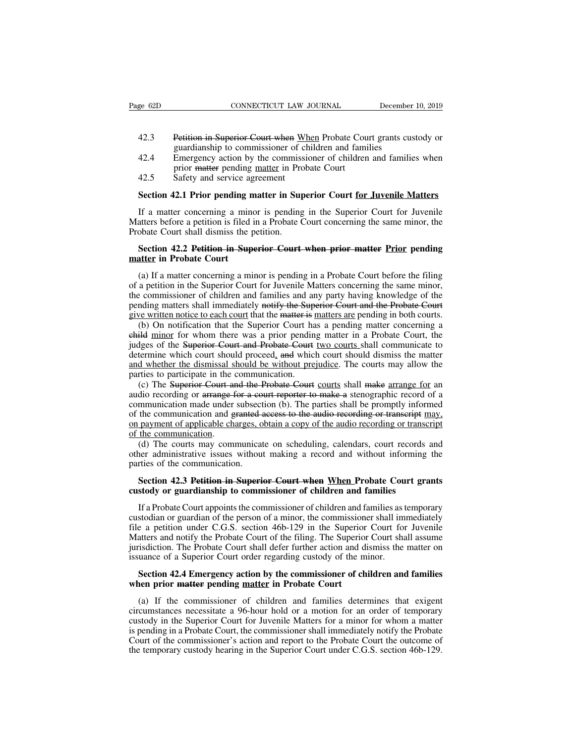- EXEMBLE EXECUTE: THE CONNECTICUT LAW JOURNAL<br>42.3 Petition in Superior Court when When Probate Court grants custody or<br>42.4 Emergency action by the commissioner of children and families when
- CONNECTICUT LAW JOURNAL December<br>Petition in Superior Court when When Probate Court grants cus<br>guardianship to commissioner of children and families<br>Emergency action by the commissioner of children and familie<br>prior <del>matte</del> EXECTIVE SOFTIGHT CONNECTICUT LAW JOURNAL SEVERTHER DECEMBENT 10. 2019<br>
42.3 Petition in Superior Court when When Probate Court grants custody or<br>
42.4 Emergency action by the commissioner of children and families when<br>
pr CONNECTICUT LAW JOURNAL<br>
Petition in Superior Court when When Probate Court<br>
guardianship to commissioner of children and family<br>
Emergency action by the commissioner of children<br>
prior <del>matter</del> pending <u>matter</u> in Probate 42.3 Petition in Superior Court when When and Superior Superior of change and the agreement that the service agreement<br>42.5 Safety and service agreement<br>Section 42.1 Prior pending matter in Supe **SECTE 42.3**<br> **Petition in Superior Court when When Probate Court grants custody or**<br> **Superior pending matter in Probate Court**<br> **Safety and service agreement**<br> **Section 42.1 Prior pending matter in Superior Court for Juv**
- 

guardianship to commissioner of children and families<br>
42.4 Emergency action by the commissioner of children and families when<br>
prior matter pending <u>matter</u> in Probate Court<br>
42.5 Safety and service agreement<br> **Section 42** 42.4 Emergency action by the commissioner of children and families when<br>prior matter pending matter in Probate Court<br>42.5 Safety and service agreement<br>**Section 42.1 Prior pending matter in Superior Court for Juvenile Matt** prior matter pending matter in Pro<br>42.5 Safety and service agreement<br>Section 42.1 Prior pending matter in Sup<br>If a matter concerning a minor is pending<br>Matters before a petition is filed in a Probate (<br>Probate Court shall **Section 42.1 Prior pending matter in Superior Court for Juvenile Matters**<br>If a matter concerning a minor is pending in the Superior Court for Juvenile<br>atters before a petition is filed in a Probate Court concerning the sa **Section 42.1 Prior pending m**<br>If a matter concerning a mino<br>Matters before a petition is filed in<br>Probate Court shall dismiss the p<br>**Section 42.2 Petition in Supe**<br>**matter in Probate Court**<br>(a) If a matter concerning a mi

If a matter concerning a minor is pending in the Superior Court for Juvenile<br>atters before a petition is filed in a Probate Court concerning the same minor, the<br>obate Court shall dismiss the petition.<br>**Section 42.2 Petitio** Matters before a petition is filed in a Probate Court concerning the same minor, the<br>Probate Court shall dismiss the petition.<br>Section 42.2 Petition in Superior Court when prior matter Prior pending<br>matter in Probate Court Probate Court shall dismiss the petition.<br>
Section 42.2 Petition in Superior Court when prior matter Prior pending<br>
matter in Probate Court<br>
(a) If a matter concerning a minor is pending in a Probate Court before the filin **Section 42.2 Petition in Superior Court when prior matter Prior pending matter in Probate Court**<br>
(a) If a matter concerning a minor is pending in a Probate Court before the filing<br>
of a petition in the Superior Court for Section 42.2 Petition in Superior Court when prior matter Prior pending matter in Probate Court<br>
(a) If a matter concerning a minor is pending in a Probate Court before the filing<br>
of a petition in the Superior Court for (a) If a matter concerning a minor is pending in a Probate Court before the filing a petition in the Superior Court for Juvenile Matters concerning the same minor, e commissioner of children and families and any party havi (a) If a matter concerning a minor is pending in a Probate Court before the filing<br>of a petition in the Superior Court for Juvenile Matters concerning the same minor,<br>the commissioner of children and families and any party

(a) It a matter concerning a minor is pentuing in a Trocate Court cerote the ring<br>of a petition in the Superior Court for Juvenile Matters concerning the same minor,<br>the commissioner of children and families and any party or a pethon in the superior Court for suverine matters concerning the same minor, the commissioner of children and families and any party having knowledge of the pending matters shall immediately notify the Superior Court and whether the dismissal should be without prejudice. The courts and when the probate Court<br>give written notice to each court that the matter is matters are pending in both courts.<br>(b) On notification that the Superior Co pending matters shall immediately notify the Superior Court and the Probate Court<br>give written notice to each court that the matter is matters are pending in both courts.<br>(b) On notification that the Superior Court has a p (b) On notification that the Superior Court has a pending matter concerning a idel minor for whom there was a prior pending matter in a Probate Court, the lges of the Superior Court and Probate Court two courts shall commu (b) On homication that the superior Court has a pending matter concerning a<br>ehild minor for whom there was a prior pending matter in a Probate Court, the<br>judges of the Superior Court and Probate Court <u>two</u> courts shall c

emme minds for whom there was a phot pending matter in a Frobate Court, the judges of the Superior Court and Probate Court two courts shall communicate to determine which court should proceed, and which court should dismis diately of the communication and granted access to the audio recording or transcript of the communication.<br>
Communication and whether the dismissal should be without prejudice. The courts may allow the parties to participa and whether the dismissal should be without prejudice. The courts may allow the parties to participate in the communication.<br>
(c) The Superior Court and the Probate Court courts shall make arrange for an audio recording or and whether the distinssal s<br>parties to participate in the (c) The Superior Court and<br>audio recording or arrange 4<br>communication made under<br>of the communication and gon payment of applicable chine<br>of the communication.<br>(d) (c) The Superior Court and the Probate Court courts shall make arrange for an dio recording or arrange for a court reporter to make a stenographic record of a mmunication made under subsection (b). The parties shall be pro (c) The superior Coart and the Froode Coart <u>Coart</u> shall make <u>arrange for</u> an addio recording or arrange for a court reporter to make a stenographic record of a communication made under subsection (b). The parties shall addo recording of antalge for a co<br>communication made under subsect<br>of the communication and granted and<br>payment of applicable charges, of<br>the communication.<br>(d) The courts may communicat<br>other administrative issues withou

the communication and <del>granted access to the audio recording or transcript</del> may, payment of applicable charges, obtain a copy of the audio recording or transcript the communication.<br>
(d) The courts may communicate on sched on payment of applicable charges, obtain a copy of the audio recording or transcof the communication.<br>
(d) The courts may communicate on scheduling, calendars, court records<br>
other administrative issues without making a re

(d) The courts may communicate on scheduling, calendars, court records and<br>ner administrative issues without making a record and without informing the<br>rties of the communication.<br>**Section 42.3 Petition in Superior Court wh** other administrative issues without making a record and without informing the<br>parties of the communication.<br>**Section 42.3 Petition in Superior Court when When Probate Court grants**<br>custody or guardianship to commissioner o parties of the communication.<br> **Section 42.3 Petition in Superior Court when When Probate Court grants**<br> **custody or guardianship to commissioner of children and families**<br>
If a Probate Court appoints the commissioner of c Section 42.3 Petition in Superior Court when When Probate Court grants<br>custody or guardianship to commissioner of children and families<br>If a Probate Court appoints the commissioner of children and families as temporary<br>cus Section 42.3 Petition in Superior Court when When Probate Court grants<br>custody or guardianship to commissioner of children and families<br>If a Probate Court appoints the commissioner of children and families as temporary<br>cu custody or guardianship to commissioner of children and families<br>If a Probate Court appoints the commissioner of children and families as t<br>custodian or guardian of the person of a minor, the commissioner shall im<br>file a p If a Probate Court appoints the commissioner of children and families as temporary stodian or guardian of the person of a minor, the commissioner shall immediately e a petition under C.G.S. section 46b-129 in the Superior custodian or guardian of the person of a minor, the commissione<br>file a petition under C.G.S. section 46b-129 in the Superior<br>Matters and notify the Probate Court of the filing. The Superior<br>jurisdiction. The Probate Court

atters and notify the Probate Court of the filing. The Superior Court shall assume is<br>diction. The Probate Court shall defer further action and dismiss the matter on<br>uance of a Superior Court order regarding custody of the jurisdiction. The Probate Court shall defer further action and dismiss the matter on<br>issuance of a Superior Court order regarding custody of the minor.<br>**Section 42.4 Emergency action by the commissioner of children and fam** issuance of a Superior Court order regarding custody of the minor.<br> **Section 42.4 Emergency action by the commissioner of children and families**<br>
when prior matter pending <u>matter</u> in Probate Court<br>
(a) If the commissioner Section 42.4 Emergency action by the commissioner of children and families<br>when prior matter pending matter in Probate Court<br>(a) If the commissioner of children and families determines that exigent<br>circumstances necessitat Section 42.4 Emergency action by the commissioner of children and families<br>when prior matter pending <u>matter</u> in Probate Court<br>(a) If the commissioner of children and families determines that exigent<br>circumstances necessi when prior matter pending matter in Probate Court<br>
(a) If the commissioner of children and families determines that exigent<br>
circumstances necessitate a 96-hour hold or a motion for an order of temporary<br>
custody in the Su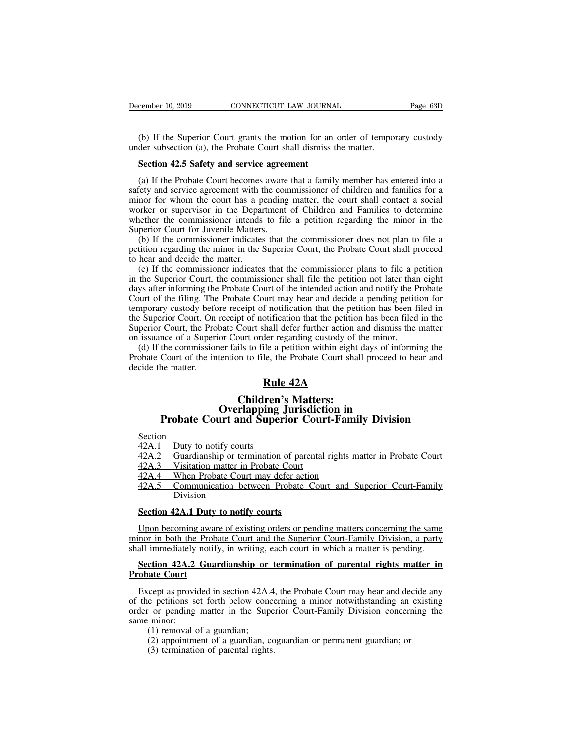(b) If the Superior Court grants the motion for an order of temporary custody<br>
(b) If the Superior Court grants the motion for an order of temporary custody<br>
der subsection (a), the Probate Court shall dismiss the matter. December 10, 2019 CONNECTICUT LAW JOURNAL<br>
(b) If the Superior Court grants the motion for an order of tempo<br>
under subsection (a), the Probate Court shall dismiss the matter.<br> **Section 42.5 Safety and service agreement SECTE CONNECTICUT LAW JOURNA**<br>
(b) If the Superior Court grants the motion for an<br>
der subsection (a), the Probate Court shall dismiss t<br> **Section 42.5 Safety and service agreement**<br>
(a) If the Probate Court becomes aware

(b) If the Superior Court grants the motion for an order of temporary custody<br>der subsection (a), the Probate Court shall dismiss the matter.<br>**Section 42.5 Safety and service agreement**<br>(a) If the Probate Court becomes awa (b) If the Superior Court grants the motion for an order of temporary custody under subsection (a), the Probate Court shall dismiss the matter.<br> **Section 42.5 Safety and service agreement**<br>
(a) If the Probate Court becomes (b) If the Superior Court grants the motion for an order of temporary custody<br>under subsection (a), the Probate Court shall dismiss the matter.<br>Section 42.5 Safety and service agreement<br>(a) If the Probate Court becomes awa under subsection (a), the Probate Court shall dismiss the matter.<br> **Section 42.5 Safety and service agreement**<br>
(a) If the Probate Court becomes aware that a family member has entered into a<br>
safety and service agreement w Section 42.5 Safety and service agreement<br>
(a) If the Probate Court becomes aware that a family member has entered into a<br>
safety and service agreement with the commissioner of children and families for a<br>
minor for whom t Section 42.5 Safety and service agree<br>(a) If the Probate Court becomes aware<br>safety and service agreement with the con<br>minor for whom the court has a pending<br>worker or supervisor in the Department<br>whether the commissioner (a) If the Probate Court becomes aware that a family member has entered into a<br>fety and service agreement with the commissioner of children and families for a<br>nor for whom the court has a pending matter, the court shall co (a) If the Frobate Court becomes aware that a family inember has entered into a<br>safety and service agreement with the commissioner of children and families for a<br>minor for whom the court has a pending matter, the court sha sarely and service agreement whin t<br>minor for whom the court has a p<br>worker or supervisor in the Depar<br>whether the commissioner intends<br>Superior Court for Juvenile Matters<br>(b) If the commissioner indicates<br>petition regardi (a) The commissioner intends to file a petition and Families to determine ether the commissioner intends to file a petition regarding the minor in the perior Court for Juvenile Matters.<br>
(b) If the commissioner indicates t

worker of supervisor in the Expansion of Cinduci and Tamines to determine<br>whether the commissioner intends to file a petition regarding the minor in the<br>Superior Court for Juvenile Matters.<br>(b) If the commissioner indicate Superior Court for Juvenile Matters.<br>
(b) If the commissioner indicates that the commissioner does not plan to file a<br>
petition regarding the minor in the Superior Court, the Probate Court shall proceed<br>
to hear and decide Superior Court for Javeline Matters.<br>
(b) If the commissioner indicates that the commissioner does not plan to file a<br>
petition regarding the minor in the Superior Court, the Probate Court shall proceed<br>
to hear and decide (b) If the commissioner mateates that the commissioner does not plan to the a<br>petition regarding the minor in the Superior Court, the Probate Court shall proceed<br>to hear and decide the matter.<br>(c) If the commissioner indic from the Superior Court. The Superior Court, the Frobate Court shan proceed<br>to hear and decide the matter.<br>(c) If the commissioner indicates that the commissioner plans to file a petition<br>in the Superior Court, the commiss (c) If the commissioner indicates that the commissioner plans to file a petition<br>in the Superior Court, the commissioner shall file the petition not later than eight<br>days after informing the Probate Court of the intended a (c) If the Commissioner interacts that the commissioner plans to fite a p<br>in the Superior Court, the commissioner shall file the petition not later than<br>days after informing the Probate Court of the intended action and not the superior Court, the commissioner shart the the petition not fater than eight<br>ys after informing the Probate Court of the intended action and notify the Probate<br>ourt of the filing. The Probate Court may hear and decide days after morning the Frobate Court of the intention data non and nonly the Frobate<br>Court of the filing. The Probate Court may hear and decide a pending petition for<br>temporary custody before receipt of notification that t Court of the Hing. The<br>temporary custody before<br>the Superior Court, the Pro<br>Superior Court, the Pro<br>on issuance of a Superi<br>(d) If the commissior<br>Probate Court of the in<br>decide the matter. Fund that the petition has interested a performation that the petition has inhall defer further action and dister regarding custody of the mile a petition within eight days of the mile a petition within eight days of the P

pt or notification that the petition is<br>Court shall defer further action and<br>ourt order regarding custody of the<br>ils to file a petition within eight day<br>on to file, the Probate Court shall<br>**Rule 42A**<br>**Children's Matters:**<br> **Court, the Probate Court shall deter further action and dismiss the matter**<br>nce of a Superior Court order regarding custody of the minor.<br>the commissioner fails to file a petition within eight days of informing the<br>Court

## **Example 18 Alliers**<br> **Children's**<br> **Children's**<br> **Coverlapping 1<br>
<u>Section</u><br>
<u>42A.1 Duty to notify courts</u><br>
<u>42A.2 Guardianship or termination of</u><br>
<u>42A.3 Visitation matter in Probate C</u> 424.1 Conserved Court and Superior Court-Family Division**<br>Section<br>42A.1 Duty to notify courts<br>42A.2 Guardianship or termination of parental rights matter in Probate Court<br>42A.3 Visitation matter in Probate Court<br>42A.4 Whe **Children's Matter:**<br> **Coverlapping Jurisdicti**<br> **Probate Court and Superior Cours**<br>
<u>42A.1</u> Duty to notify courts<br>
42A.2 Guardianship or termination of parental<br>
42A.3 Visitation matter in Probate Court<br>
42A.4 When Probat

Section

**Probate Court and Superior Court-Famil**<br>Section<br>42A.1 Duty to notify courts<br>42A.2 Guardianship or termination of parental rights may<br>42A.3 Visitation matter in Probate Court<br>42A.4 When Probate Court may defer action<br>42A.5 **Probate Court and Superior Court-Family Division**<br>Section<br>42A.1 Duty to notify courts<br>42A.2 Guardianship or termination of parental rights matter in Probate Court<br>42A.3 Visitation matter in Probate Court<br>42A.4 When Probat Division **ARTICALLA SECTION 42A.1 Duty to notify courts**<br> **ARTICALLA SECTION 42A.3** Visitation matter in Probate Court<br> **AZA.4** When Probate Court may defer action<br> **AZA.5** Communication between Probate C<br>
Division<br> **Section 42A.1** 

124.3 Visitation matter in Probate Court<br>
124.4 When Probate Court may defer action<br>
124.5 Communication between Probate Court and Superior Court-Family<br>
Division<br>
124.1 Duty to notify courts<br>
124.1 Duty to notify courts<br> 42A.4 When Probate Court may defer action<br>42A.5 Communication between Probate Court and Superior Court-Family<br>Division<br>Section 42A.1 Duty to notify courts<br>Upon becoming aware of existing orders or pending matters concernin **EXECUTE:** 12A.5 Communication between Probate Court and Superior Court-Family<br>Division<br>Section 42A.1 Duty to notify courts<br>Upon becoming aware of existing orders or pending matters concerning the same<br>minor in both the Pr **Section 42A.1 Duty to notify courts**<br>
Upon becoming aware of existing orders or pending matters concerning the same<br>
nor in both the Probate Court and the Superior Court-Family Division, a party<br>
all immediately notify, i **Probation 42A.1 Duty**<br>
Upon becoming awa<br>
minor in both the Probatelli<br> **Probate Court**<br>
Probate Court<br>
Except as provided in

Upon becoming aware of existing orders or pending matters concerning the same<br>nor in both the Probate Court and the Superior Court-Family Division, a party<br>all immediately notify, in writing, each court in which a matter i minor in both the Probate Court and the Superior Court-Family Division, a party shall immediately notify, in writing, each court in which a matter is pending.<br> **Section 42A.2 Guardianship or termination of parental rights** shall immediately notify, in writing, each court in which a matter is pending.<br> **Section 42A.2 Guardianship or termination of parental rights matter in**<br> **Probate Court**<br>
Except as provided in section 42A.4, the Probate Co Section 42A.2<br>Probate Court<br>Except as provid<br>of the petitions se<br>order or pending<br>same minor:<br>(1) removal o<br>(2) appointme **Constitution 42A.2 Guardianship or**<br> **Court**<br>
cept as provided in section 42A.4<br>
e petitions set forth below concerns<br>
or pending matter in the Superninor:<br>
(1) removal of a guardian;<br>
(2) appointment of a guardian, c<br>
( ate Court<br>
cept as provided in section 42A.4, the Probate Court may hear and decide any<br>
e petitions set forth below concerning a minor notwithstanding an existing<br>
or pending matter in the Superior Court-Family Division c (3) the petitions set forth below conce<br>  $\frac{1}{2}$  or pending matter in the Supe<br>  $\frac{1}{2}$  or pending matter in the Supe<br>  $\frac{1}{2}$  removal of a guardian;<br>
(2) appointment of a guardian, co<br>
(3) termination of parental ri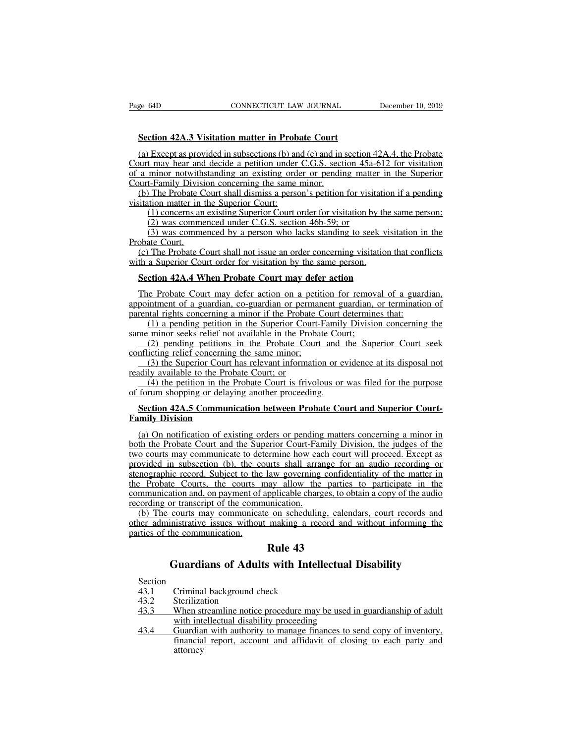**Section 42A.3 Visitation matter in Probate Court**<br> **Section 42A.3 Visitation matter in Probate Court**<br> **Section 42A.3 Visitation matter in Probate Court**<br> **Section** (a) Except as provided in subsections (b) and (c) and in Section 42A.3 Visitation matter in Probate Court<br>(a) Except as provided in subsections (b) and (c) and in section 42A.4, the Probate<br>(a) Except as provided in subsections (b) and (c) and in section 42A.4, the Probate<br>(b) a Page 64D CONNECTICUT LAW JOURNAL December 10, 2019<br> **Section 42A.3 Visitation matter in Probate Court**<br>
(a) Except as provided in subsections (b) and (c) and in section 42A.4, the Probate<br>
Court may hear and decide a petit Fage 64D<br>
Section 42A.3 Visitation matter in Probate Court<br>
(a) Except as provided in subsections (b) and (c) and in section 42A.4, the Probate<br>
Court may hear and decide a petition under C.G.S. section 45a-612 for visitat Section 42A.3 Visitation matter in Probate Court<br>(a) Except as provided in subsections (b) and (c) and in<br>Court may hear and decide a petition under C.G.S. sect<br>of a minor notwithstanding an existing order or pendir<br>Court-Section 42A.3 Visitation matter in Probate Court<br>
(a) Except as provided in subsections (b) and (c) and in section 42A.4, the Probate<br>
uurt may hear and decide a petition under C.G.S. section 45a-612 for visitation<br>
a min Section 42A.3 Visitation matter in Proba<br>
(a) Except as provided in subsections (b) and<br>
Court may hear and decide a petition under<br>
of a minor notwithstanding an existing orde<br>
Court-Family Division concerning the same<br>
( Except as provided in subsections (b) and (c) and in section 42A.4, the Probate<br>t may hear and decide a petition under C.G.S. section 45a-612 for visitation<br>minor notwithstanding an existing order or pending matter in the Transportant in subsections (b) and (c) and in section 4<br>
t may hear and decide a petition under C.G.S. section 45a-<br>
minor notwithstanding an existing order or pending matter<br>
t-Family Division concerning the same minor.<br> The may hear and decide a perform under C.O.S. section 45a-012 for visitation<br>minor notwithstanding an existing order or pending matter in the Superior<br>t-Family Division concerning the same minor.<br>The Probate Court shall d

or a minor notwins<br>Court-Family Divisi<br>(b) The Probate C<br>visitation matter in<br>(1) concerns an<br>(2) was comme<br>(3) was comme<br>Probate Court.<br>(c) The Probate C<br>with a Superior Cou (b) The Probate Court shall dismiss a person's petition for visitation if a pending<br>itation matter in the Superior Court:<br>(1) concerns an existing Superior Court order for visitation by the same person;<br>(2) was commenced wisitation matter in the Superior Court:<br>
(1) concerns an existing Superior Court order for visitation by th<br>
(2) was commenced under C.G.S. section 46b-59; or<br>
(3) was commenced by a person who lacks standing to seek v<br>
P (1) concerns an existing Superior Court order for visitation by the sa<br>
(2) was commenced under C.G.S. section 46b-59; or<br>
(3) was commenced by a person who lacks standing to seek visita<br>
obate Court.<br>
(c) The Probate Cour

(3) was commenced by a person who lacks standing to seek visitation in the obate Court.<br>
(c) The Probate Court shall not issue an order concerning visitation that conflicts th a Superior Court order for visitation by the Frobate Court.<br>
(c) The Probate Court shall not issue an order concerning visitation that conflicts<br>
with a Superior Court order for visitation by the same person.<br> **Section 42A.4 When Probate Court may defer action**<br>
The (c) The Probate Court shall not issue an order concerning visitation that conf<br>with a Superior Court order for visitation by the same person.<br>**Section 42A.4 When Probate Court may defer action**<br>The Probate Court may defer (1) a perior Court order for visitation by the same person.<br> **Court 42A.4 When Probate Court may defer action**<br>
(1) a pending co-guardian or permanent guardian, or termination of<br>
that rights concerning a minor if the Prob Section 42A.4 When Probate Court may defer action<br>The Probate Court may defer action on a petition for removary<br>appointment of a guardian, co-guardian or permanent guardian, or<br>parental rights concerning a minor if the Pro (2) consider the Probate Court may defer action<br>
intment of a guardian, co-guardian or permanent guardian, or termination of<br>
intment of a guardian, co-guardian or permanent guardian, or termination of<br>
intal rights concer The Probate Court may defer action on a petitial<br>appointment of a guardian, co-guardian or permane<br>parental rights concerning a minor if the Probate C<br>(1) a pending petition in the Superior Court-F<br>same minor seeks relief (3) the Superior Court may deter action on a petition for felloval of a guardian, in<br>timent of a guardian, co-guardian or permanent guardian, or termination of<br>tal rights concerning a minor if the Probate Court determines

readily available to the Probate<br>
marental rights concerning a minor if the Probate<br>
(1) a pending petition in the Superior Court<br>
same minor seeks relief not available in the Prob<br>
(2) pending petitions in the Probate Cou (1) a pending petition in the Probate Court determines that.<br>
(1) a pending petition in the Superior Court-Family Division concerning the<br>
minor seeks relief not available in the Probate Court;<br>
(2) pending relief concerni

same minor seeks relief not available in the Probate Countarianty<br>
same minor seeks relief not available in the Probate Count<br>
(2) pending petitions in the Probate Court and<br>
conflicting relief concerning the same minor;<br> (2) pending petitions in the Probate Court and the Superior Court seek inflicting relief concerning the same minor;<br>
(3) the Superior Court has relevant information or evidence at its disposal not<br>
ddily available to the P

# conflicting relief concerning<br>
(3) the Superior Court h<br>
readily available to the Proba<br>
(4) the petition in the Proba<br>
of forum shopping or delayir<br> **Section 42A.5 Communic<br>
Family Division**<br>
(a) On notification of exis

(4) the petition in the Probate Court; or<br>
(4) the petition in the Probate Court is frivolous or was filed for the purpose<br>
forum shopping or delaying another proceeding.<br>
Section 42A.5 Communication between Probate Court (4) the petition in the Probate Court is frivolous or was filed for the purpose<br>of forum shopping or delaying another proceeding.<br>**Section 42A.5 Communication between Probate Court and Superior Court-**<br>**Family Division**<br>(a of forum shopping or delaying another proceeding.<br> **Section 42A.5 Communication between Probate Court and Superior Court-**<br> **Family Division**<br>
(a) On notification of existing orders or pending matters concerning a minor in **Section 42A.5 Communication between Probate Court and Superior Court-**<br>Family Division<br>(a) On notification of existing orders or pending matters concerning a minor in<br>both the Probate Court and the Superior Court-Family D Section 42A.5 Communication between Probate Court and Superior Court-<br>Family Division<br>(a) On notification of existing orders or pending matters concerning a minor in<br>both the Probate Court and the Superior Court-Family Div Family Division<br>(a) On notification of existing orders or pending matters concerning a minor in<br>both the Probate Court and the Superior Court-Family Division, the judges of the<br>two courts may communicate to determine how e (a) On notification of existing orders or pending matters concerning a minor in<br>both the Probate Court and the Superior Court-Family Division, the judges of the<br>two courts may communicate to determine how each court will p (a) On nonneation of existing orders of pentuing<br>both the Probate Court and the Superior Court-Fan<br>two courts may communicate to determine how eac<br>provided in subsection (b), the courts shall arrar<br>stenographic record. Sub (b) The courts may communicate to determine how each court will proceed. Except as<br>ovided in subsection (b), the courts shall arrange for an audio recording or<br>mographic record. Subject to the law governing confidentiality Frow Courts may communicate to determine now each court win proceed. Except as<br>provided in subsection (b), the courts shall arrange for an audio recording or<br>stenographic record. Subject to the law governing confidentialit provided in subsection (b), the contrast<br>stenographic record. Subject to the<br>the Probate Courts, the courts r<br>communication and, on payment of i<br>recording or transcript of the communicat<br>other administrative issues withour How governing online<br>
law governing confider<br>
ay allow the parties<br>
pplicable charges, to ob<br>
inication.<br>
2 on scheduling, calend<br>
making a record and<br> **Rule 43**<br>
8 with Intellectual Eve Courts, the courts may allow the parties to participate in the attion and, on payment of applicable charges, to obtain a copy of the audio or transcript of the communication.<br>
courts may communicate on scheduling, cale

Fraministance issues whilout making a recepties of the communication.<br> **Rule 43**<br> **Guardians of Adults with Intel**<br>
Section<br>
43.1 Criminal background check<br>
43.2 Sterilization<br>
43.3 When streamline notice procedure may

## **Guardians of Adults with Intellectual Disability**<br>Criminal background check<br>Sterilization

|                                                         | пись от ию сопшиницион.                                               |  |
|---------------------------------------------------------|-----------------------------------------------------------------------|--|
|                                                         | Rule 43                                                               |  |
| <b>Guardians of Adults with Intellectual Disability</b> |                                                                       |  |
| Section                                                 |                                                                       |  |
| 43.1                                                    | Criminal background check                                             |  |
| 43.2                                                    | <b>Sterilization</b>                                                  |  |
| 43.3                                                    | When streamline notice procedure may be used in guardianship of adult |  |
|                                                         | with intellectual disability proceeding                               |  |
| 43.4                                                    | Guardian with authority to manage finances to send copy of inventory, |  |

|         | <b>Guardians of Adults with Intellectual Disability</b>               |
|---------|-----------------------------------------------------------------------|
| Section |                                                                       |
| 43.1    | Criminal background check                                             |
| 43.2    | Sterilization                                                         |
| 43.3    | When streamline notice procedure may be used in guardianship of adult |
|         | with intellectual disability proceeding                               |
| 43.4    | Guardian with authority to manage finances to send copy of inventory, |
|         | financial report, account and affidavit of closing to each party and  |
|         | attorney                                                              |
|         |                                                                       |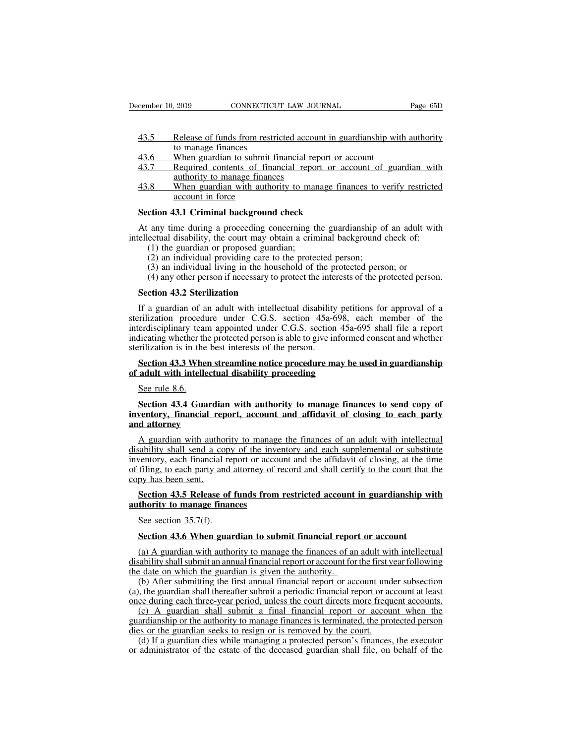- eember 10, 2019 CONNECTICUT LAW JOURNAL<br>
43.5 Release of funds from restricted account in guardianship with authority<br>
43.6 When guardian to submit financial report or account 2019 CONNECTICU<br>
Release of funds from restrict<br>
to manage finances<br>
When guardian to submit finances<br>
Required contents of finances eember 10, 2019 CONNECTICUT LAW JOURNAL<br>
43.5 Release of funds from restricted account in guardianship with<br>
43.6 When guardian to submit financial report or account<br>
43.7 Required contents of financial report or account o ember 10, 2019 CONNECTICUT LAW JOURNAL Page 65D<br>
43.5 Release of funds from restricted account in guardianship with authority<br>
to manage finances<br>
43.6 When guardian to submit financial report or account<br>
43.7 Required con Release of funds from restricted accourtion<br>to manage finances<br>When guardian to submit financial repo<br>Required contents of financial repo<br>authority to manage finances<br>When guardian with authority to manaccount in force Release of funds from restricted account in guardianship with authority<br>to manage finances<br>43.6 When guardian to submit financial report or account<br>43.7 Required contents of financial report or account of guardian with<br>aut Release of funds from rest<br>to manage finances<br>When guardian to submit<br>Required contents of fin<br>authority to manage finan<br>When guardian with author<br>account in force<br>13.1 Criminal backgroun
- 
- 
- 13.6 When guardian to submit financial report or a<br>
143.7 Required contents of financial report or acceptancy<br>
143.8 When guardian with authority to manage finances<br>
143.8 When guardian with authority to manage finances<br>
1

At any time during a proceeding concerning the guardian sites.<br>At a when guardian with authority to manage finances to verify restricted<br>account in force<br>Section 43.1 Criminal background check<br>At any time during a proceedi intellectual disability, the court may obtain a criminal background check<br>Section 43.1 Criminal background check<br>At any time during a proceeding concerning the guardianship of an adult with<br>intellectual disability, the cou (1) When guardian with authority to manase or proposed in force<br>
(1) the guardian with authority to manase account in force<br>
(1) the during a proceeding concerning the ectual disability, the court may obtain a crim<br>
(1) th (2) an individual background check<br>(2) and 43.1 Criminal background check<br>any time during a proceeding concerning the guardianship of<br>ectual disability, the court may obtain a criminal background<br>(1) the guardian or propos (3) an individual background check<br>
any time during a proceeding concerning the guardianship of an adult wi<br>
ectual disability, the court may obtain a criminal background check of:<br>
(1) the guardian or proposed guardian;<br> (4) any time during a proceeding concerning the guardianship of an adult with ectual disability, the court may obtain a criminal background check of:<br>(1) the guardian or proposed guardian;<br>(2) an individual providing care At any time during a proceeding concellectual disability, the court may obta (1) the guardian or proposed guardia (2) an individual providing care to t (3) an individual living in the house (4) any other person if necessar

- 
- 
- 
- 

(1) the guardian or proposed guardian;<br>
(2) an individual providing care to the protected person;<br>
(3) an individual living in the household of the protected person; or<br>
(4) any other person if necessary to protect the in (2) an individual providing care to the protected person;<br>
(3) an individual living in the household of the protected person; or<br>
(4) any other person if necessary to protect the interests of the protected person.<br> **Secti** (3) an individual living in the household of the protected person; or<br>
(4) any other person if necessary to protect the interests of the protected person.<br> **Section 43.2 Sterilization**<br>
If a guardian of an adult with inte (4) any other person if necessary to protect the interests of the protected person.<br> **Section 43.2 Sterilization**<br>
If a guardian of an adult with intellectual disability petitions for approval of a<br>
sterilization procedur Section 43.2 Sterilization<br>
If a guardian of an adult with intellectual disability<br>
sterilization procedure under C.G.S. section 45a-6<br>
interdisciplinary team appointed under C.G.S. section<br>
indicating whether the protect If a guardian of an adult with intellectual disability petitions for approval of a crilization procedure under C.G.S. section 45a-698, each member of the erdisciplinary team appointed under C.G.S. section 45a-695 shall fil If a guardian of an adult with intellectual disability petit<br>sterilization procedure under C.G.S. section 45a-698, enterdisciplinary team appointed under C.G.S. section 45a-<br>indicating whether the protected person is able France erdisciplinary team<br>erdisciplinary team<br>dicating whether the<br>section 43.3 Whe<br>adult with intelle<br>See rule 8.6.<br>Section 43.4 Gua

## dicating whether the protected person is able to give informed consent and whether<br>rilization is in the best interests of the person.<br>**Section 43.3 When streamline notice procedure may be used in guardianship<br>adult with in increase is a set interest in the best interests of the person.**<br> **Section 43.3 When streamline notice procedure may be used in guardianship**<br>
of adult with intellectual disability proceeding<br>
See rule 8.6.<br> **Section 43.4 Section 43.3 When strain<br>of adult with intellectual<br>Section 43.4 Guardia<br>inventory, financial regnal attorney<br>A guardian with authority<br>direction bell condenses**

See rule 8.6.<br>Section 43.4 Guardian with authority to manage finances to send copy of<br>ventory, financial report, account and affidavit of closing to each party<br>d attorney<br>A guardian with authority to manage the finances of See rule 8.6.<br>Section 43.4 Guardian with authority to manage finances to send copy of<br>inventory, financial report, account and affidavit of closing to each party<br>and attorney<br>A guardian with authority to manage the finance **Section 43.4 Guardian with authority to manage finances to send copy of inventory, financial report, account and affidavit of closing to each party and attorney**<br>A guardian with authority to manage the finances of an adul Section 43.4 Guardian with authority to manage finances to send copy of<br>inventory, financial report, account and affidavit of closing to each party<br>and attorney<br>A guardian with authority to manage the finances of an adult inventory, financial rep<br>and attorney<br>A guardian with author<br>disability shall send a co<br>inventory, each financial<br>of filing, to each party an<br>copy has been sent.<br>Section 43.5 Release **Section 43.5 Release of funds from restricted account in guardianship with sability shall send a copy of the inventory and each supplemental or substitute ventory, each financial report or account and the affidavit of clo** A guardian with authority to manage<br>disability shall send a copy of the inve-<br>inventory, each financial report or accord filing, to each party and attorney of r<br>copy has been sent.<br>**Section 43.5 Release of funds from**<br>**aut** inventory, each financial report or account and the affidavit of closing, at the time<br>of filing, to each party and attorney of record and shall certify to the court that the<br>copy has been sent.<br>Section 43.5 Release of fund

filing, to each party and attorney of record and shall certify to the court that the py has been sent.<br> **Section 43.5 Release of funds from restricted account in guardianship withority to manage finances**<br>
See section 35.7

Section 43.5 Release of funds from restricted account in guardianship with<br>thority to manage finances<br>See section 35.7(f).<br>Section 43.6 When guardian to submit financial report or account<br>(a) A guardian with authority to Section 43.5 Release of funds from restricted account in guardianship with<br>authority to manage finances<br>See section 35.7(f).<br>Section 43.6 When guardian to submit financial report or account<br>(a) A guardian with authority t See section 35.7(f).<br>See section 35.7(f).<br>Section 43.6 When guardian to submit financial report<br>(a) A guardian with authority to manage the finances of an<br>disability shall submit an annual financial report or account for<br> See section 35.7(f).<br>
Section 43.6 When guardian to submit financial report or account<br>
(a) A guardian with authority to manage the finances of an adult with intellectual<br>
sability shall submit an annual financial report o Section 43.6 When guardian to submit financial report or account<br>
(a) A guardian with authority to manage the finances of an adult with intellectual<br>
disability shall submit an annual financial report or account for the f Section 43.6 When guardian to submit financial report or account<br>
(a) A guardian with authority to manage the finances of an adult with intellectual<br>
disability shall submit an annual financial report or account for the fi

(a) A guardian with authority to manage the finances of an adult with intellectual<br>sability shall submit an annual financial report or account for the first year following<br>e date on which the guardian is given the authori (a) A guardian with authority to manage the miances of an addit with increasing disability shall submit an annual financial report or account for the first year following the date on which the guardian is given the author dies or the guardian seeks to resign or is removed by the count of the first y the date on which the guardian is given the authority.<br>
(b) After submitting the first annual financial report or account und (a), the guardian (b) After submitting the first annual financial report or account under subsection<br>t, the guardian shall thereafter submit a periodic financial report or account at least<br>ce during each three-year period, unless the court (a) Anci submining the rist annual mancial report of account under subsection<br>(a), the guardian shall thereafter submit a periodic financial report or account at least<br>once during each three-year period, unless the court d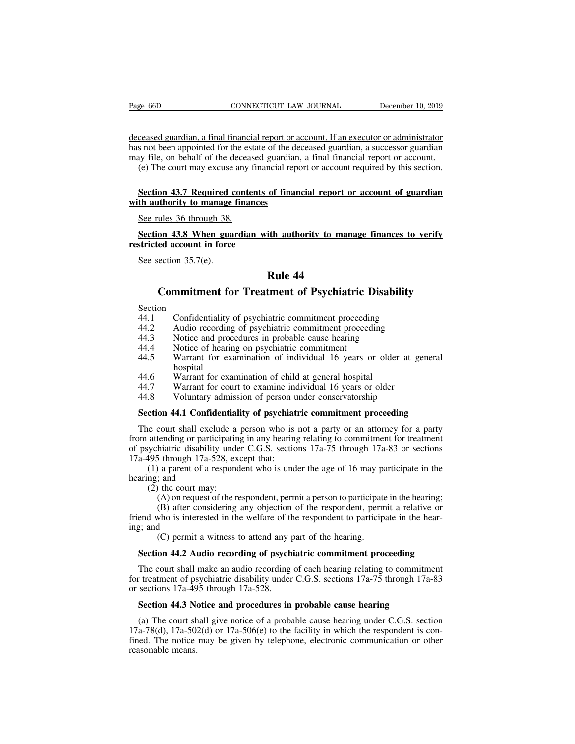Page 66D<br>
CONNECTICUT LAW JOURNAL<br>
deceased guardian, a final financial report or account. If an executor or administrator<br>
has not been appointed for the estate of the deceased guardian, a successor guardian<br>
may file, on Page 66D CONNECTICUT LAW JOURNAL December 10, 2019<br>deceased guardian, a final financial report or account. If an executor or administrator<br>has not been appointed for the estate of the deceased guardian, a successor guardia Page 66D CONNECTICUT LAW JOURNAL December 10, 2019<br>deceased guardian, a final financial report or account. If an executor or administrator<br>has not been appointed for the estate of the deceased guardian, a successor guardia (e) The court may excuse any financial report or account. If an executor or administrator<br>consected guardian, a final financial report or account. If an executor or administrator<br>s not been appointed for the estate of the reased guardian, a final financial report or account. If an executor or administrator<br>s not been appointed for the estate of the deceased guardian, a successor guardian<br>ay file, on behalf of the deceased guardian, a final deceased guardian, a final financial report or a<br>has not been appointed for the estate of the de<br>may file, on behalf of the deceased guardian.<br>(e) The court may excuse any financial repo<br>**Section 43.7 Required contents of** 

## See rules 36 through 38.<br>Section 43.7 Required contraction 43.7 Required contract through 38.<br>See rules 36 through 38.<br>Section 43.8 When guardian (e) The court may excuse any financial report or account required by this section.<br> **Section 43.7 Required contents of financial report or account of guardian**<br>
th authority to manage finances<br>
See rules 36 through 38.<br> **S Section 43.7 Required contents o**<br>with authority to manage finances<br>See rules 36 through 38.<br>Section 43.8 When guardian wit<br>restricted account in force<br>See section 35.7(e).

## Section 45.7 Required C<br>th authority to manage<br>See rules 36 through 38.<br>Section 43.8 When gua<br>stricted account in force<br>See section 35.7(e). **Example 12**<br>
ith authority to mana<br>
Rule 44<br>
tment of Psychiatr The 36 through 38.<br> **Commitment for Commitment for Treatment of Psychiatric Disability**<br>
Commitment for Treatment of Psychiatric Disability<br>
Confidentiality of psychiatric commitment proceeding

## See section 35.7(e).<br> **Rule 44**<br> **Commitment for Treatment of Psychiatric Disability**<br>
Section<br>
44.1 Confidentiality of psychiatric commitment proceeding<br>
44.2 Audio recording of psychiatric commitment proceeding<br>
44.3 Not **EXECUTE:**<br> **Rule 44**<br> **Commitment for Treatment of Psychiatric Disability**<br>
Section<br>
44.1 Confidentiality of psychiatric commitment proceeding<br>
44.2 Audio recording of psychiatric commitment proceeding<br>
44.3 Notice and pr

- Section<br>44.1 Confidentiality of psychiatric commitment proceeding
- 
- 
- 
- **EXECUTE:**<br> **Rule 44**<br> **Commitment for Treatment of Psychiatric Disabil**<br>
Section<br>
44.1 Confidentiality of psychiatric commitment proceeding<br>
44.2 Audio recording of psychiatric commitment proceeding<br>
44.4 Notice of hearin **Commitment for Treatment of Psychiatric 1**<br>Section<br>44.1 Confidentiality of psychiatric commitment proceedi<br>44.2 Audio recording of psychiatric commitment proceed<br>44.3 Notice and procedures in probable cause hearing<br>44.4 N **Commitment for Treatment of Psychiatric Disability**<br>Section<br>44.1 Confidentiality of psychiatric commitment proceeding<br>44.2 Audio recording of psychiatric commitment proceeding<br>44.3 Notice and procedures in probable cause hospital 44.1 Confidentiality of psychiatric commitment proceeding<br>44.2 Audio recording of psychiatric commitment proceeding<br>44.3 Notice and procedures in probable cause hearing<br>44.4 Notice of hearing on psychiatric commitment<br>44.5 44.2 Audio recording of psychiatric communicant proceding<br>44.2 Audio recording of psychiatric commitment proceeding<br>44.4 Notice of hearing on psychiatric commitment<br>44.5 Warrant for examination of individual 16 years or ol 44.2 Addio recolong of psychiaaric commitment proceeding<br>44.3 Notice and procedures in probable cause hearing<br>44.4 Notice of hearing on psychiatric commitment<br>44.5 Warrant for examination of individual 16 years or older at A<br> **Section** 44.5 Warrant for examination of individual 16 years or older at general<br>
hospital<br> **Section** 44.7 Warrant for court to examine individual 16 years or older<br> **Section 44.1 Confidentiality of psychiatric commitm**
- 
- 
- 

The court shall exclude a person who is not a party or an attorney for a party<br>The court shall exclude a person under conservatorship<br>Section 44.1 Confidentiality of psychiatric commitment proceeding<br>The court shall exclud 44.6 Warrant for examination of child at general hospital<br>44.7 Warrant for court to examine individual 16 years or older<br>44.8 Voluntary admission of person under conservatorship<br>**Section 44.1 Confidentiality of psychiatric** 44.7 Warrant for court to examine individual 16 years or older<br>44.8 Voluntary admission of person under conservatorship<br>**Section 44.1 Confidentiality of psychiatric commitment proceeding**<br>The court shall exclude a person w 44.8 Voluntary admission of person u<br> **Section 44.1 Confidentiality of psychiat**<br>
The court shall exclude a person who is<br>
from attending or participating in any hearing<br>
of psychiatric disability under C.G.S. sectio<br>
17ae court shall exclude a person who is not a party or an attorney for a party<br>attending or participating in any hearing relating to commitment for treatment<br>sychiatric disability under C.G.S. sections 17a-75 through 17a-83 **Section 44.1 Confide**<br>The court shall exclus<br>from attending or partic<br>of psychiatric disability<br>17a-495 through 17a-52<br>(1) a parent of a re<br>hearing; and<br>(2) the court may:<br>(A) on request of e court shall exclude a<br>attending or participatin<br>ychiatric disability unde<br>495 through 17a-528, ex<br>(1) a parent of a respond<br>ng; and<br>(2) the court may:<br>(A) on request of the re<br>(B) after considering (A) on request of the respondent, permit a person to participating to commitment for treatment hiatric disability under C.G.S. sections 17a-75 through 17a-83 or sections 5 through 17a-528, except that:<br>
a parent of a respo

(B) after considering any included any objections 17a-75 through 17a-83 or sections 5 through 17a-528, except that:<br>
a parent of a respondent who is under the age of 16 may participate in the respondent who is under the ag friend who is interested in the welfare of the respondent to participate in the hearing; and (2) the court may:<br>
(A) on request of the respondent, permit a person to participate in the hearing; (B) after considering any o  $\begin{array}{c}\n(1) \text{ a parent of} \\
(2) \text{ the court n} \\
(3) \text{ after } 3 \text{ or } 4 \text{ or } 5 \text{ or } 6 \text{ or } 6 \text{ or } 6 \text{ or } 6 \text{ or } 6 \text{ or } 6 \text{ or } 6 \text{ or } 6 \text{ or } 6 \text{ or } 6 \text{ or } 6 \text{ or } 6 \text{ or } 6 \text{ or } 6 \text{ or } 6 \text{ or } 6 \text{ or } 6 \text{ or } 6 \text{ or } 6 \text{ or } 6 \text{ or } 6 \text{ or } 6 \text{ or } 6 \text{ or }$ (A) a patent of a respondent who is under the age of 10 may part and the court may:<br>
(A) on request of the respondent, permit a person to participate<br>
(B) after considering any objection of the respondent, perm<br>
who is int (2) the court may:<br>
(A) on request of the respondent, permit a person to participate in the hearing;<br>
(B) after considering any objection of the respondent, permit a relative or<br>
end who is interested in the welfare of th

(B) after considering any objection of the respondent, permit a relative or end who is interested in the welfare of the respondent to participate in the hear-<br>g; and (C) permit a witness to attend any part of the hearing. friend who is interested in the welfare of the respondent to participate in the hear-<br>ing; and<br>(C) permit a witness to attend any part of the hearing.<br>**Section 44.2 Audio recording of psychiatric commitment proceeding**<br>Th ing; and<br>
(C) permit a witness to attend any p<br> **Section 44.2 Audio recording of psych**<br>
The court shall make an audio recording<br>
for treatment of psychiatric disability under<br>
or sections 17a-495 through 17a-528.<br> **Sectio Section 44.2 Audio recording of psychiatric commitment proceeding**<br>
The court shall make an audio recording of each hearing relating to commitment<br>
retatment of psychiatric disability under C.G.S. sections 17a-75 through

Section 44.2 Audio recording of psychiatric commitment proceeding<br>The court shall make an audio recording of each hearing relating to commitment<br>t treatment of psychiatric disability under C.G.S. sections 17a-75 through 1 The court shall make an audio recording of each hearing relating to commitment<br>for treatment of psychiatric disability under C.G.S. sections 17a-75 through 17a-83<br>or sections 17a-495 through 17a-528.<br>**Section 44.3 Notice a** for treatment of psychiatric disability under C.G.S. sections 17a-75 through 17a-83<br>or sections 17a-495 through 17a-528.<br>**Section 44.3 Notice and procedures in probable cause hearing**<br>(a) The court shall give notice of a p for treatment of psychiatric disability under C.G.S. sections 17a-75 through 17a-83<br>or sections 17a-495 through 17a-528.<br>**Section 44.3 Notice and procedures in probable cause hearing**<br>(a) The court shall give notice of a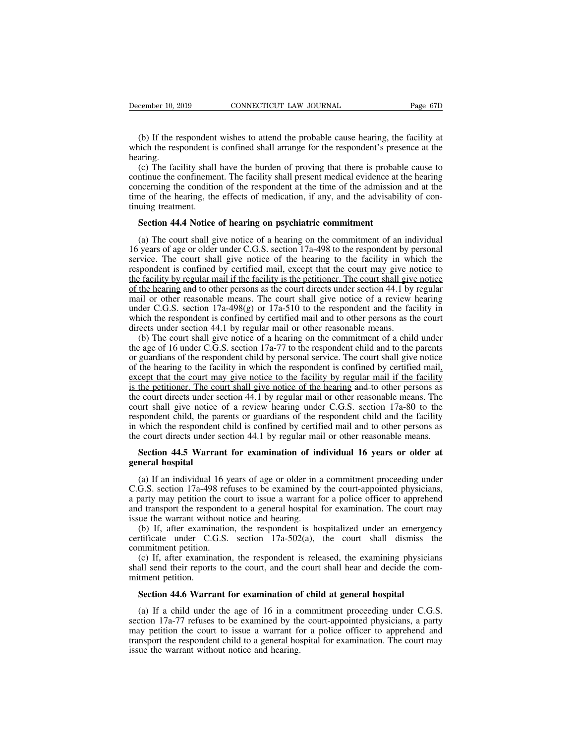(b) If the respondent wishes to attend the probable cause hearing, the facility at inch the respondent is confined shall arrange for the respondent's presence at the aring. December 10, 2019 CONNECTICUT LAW JOURNAL Page 67D<br>
(b) If the respondent wishes to attend the probable cause hearing, the facility at<br>
which the respondent is confined shall arrange for the respondent's presence at the<br>
h hearing.

(b) If the respondent wishes to attend the probable cause hearing, the facility at (b) If the respondent wishes to attend the probable cause hearing, the facility at inch the respondent is confined shall arrange for the re (b) If the respondent wishes to attend the probable cause hearing, the facility at which the respondent is confined shall arrange for the respondent's presence at the hearing.<br>
(c) The facility shall have the burden of pro (b) If the respondent wishes to attend the probable cause hearing, the facility at which the respondent is confined shall arrange for the respondent's presence at the hearing.<br>
(c) The facility shall have the burden of pro (b) If the respondent wishes to attend the probable cause hearing, the facility at which the respondent is confined shall arrange for the respondent's presence at the hearing.<br>
(c) The facility shall have the burden of pr (b) If the respondent is<br>which the respondent is<br>hearing.<br>(c) The facility shall<br>continue the confineme<br>concerning the condition<br>time of the hearing, the<br>tinuing treatment.<br>**Section 44.4 Notice** aring.<br>
(c) The facility shall have the burden of proving that there is probab<br>
Intinue the confinement. The facility shall present medical evidence at<br>
incerning the condition of the respondent at the time of the admissio ntinue the confinement. The facility shall present medical evidence at the hearing<br>necerning the condition of the respondent at the time of the admission and at the<br>ne of the hearing, the effects of medication, if any, and

concerning the condition of the respondent at the time of the admission and at the<br>time of the hearing, the effects of medication, if any, and the advisability of con-<br>tinuing treatment.<br>**Section 44.4 Notice of hearing on** time of the hearing, the effects of medication, if any, and the advisability of continuing treatment.<br> **Section 44.4 Notice of hearing on psychiatric commitment**<br>
(a) The court shall give notice of a hearing on the commitm **Section 44.4 Notice of hearing on psychiatric commitment**<br>
(a) The court shall give notice of a hearing on the commitment of an individual<br>
16 years of age or older under C.G.S. section 17a-498 to the respondent by person **Section 44.4 Notice of hearing on psychiatric commitment**<br>(a) The court shall give notice of a hearing on the commitment of an individual<br>16 years of age or older under C.G.S. section  $17a-498$  to the respondent by perso Section 44.4 Notice of hearing on psychiatric commitment<br>
(a) The court shall give notice of a hearing on the commitment of an individual<br>
16 years of age or older under C.G.S. section 17a-498 to the respondent by persona (a) The court shall give notice of a hearing on the commitment of an individual 16 years of age or older under C.G.S. section 17a-498 to the respondent by personal service. The court shall give notice of the hearing to th (a) The court shall give holde of a healing on the communient of all hid intervidual<br>16 years of age or older under C.G.S. section 17a-498 to the respondent by personal<br>service. The court shall give notice of the hearing Fo years of age of order under C.O.S. section 17a-498 to the respondent by personal service. The court shall give notice of the hearing to the facility in which the respondent is confined by certified mail, except that th service. The court shall give houce of the heating to the factify in which<br>respondent is confined by certified mail, except that the court may give no<br>the facility by regular mail if the facility is the petitioner. The cou Example of a hearting mail if the facility is the petitioner. The court had give notice the hearing and to other persons as the court directs under section 44.1 by regular and to other reasonable means. The court shall gi the hearing by regular man in the racinty is the perturbate. The court shall give hotce of the hearing and to other persons as the court shall give notice of a review hearing under C.G.S. section 17a-498(g) or 17a-510 to

or the respondent child give notices under section 44.1 by regular mail or other reasonable means. The court shall give notice of a review hearing under C.G.S. section 17a-498(g) or 17a-510 to the respondent and the facil man of outer reasonable means. The court shall give holied of a fevrew meaning under C.G.S. section 17a-498(g) or 17a-510 to the respondent and the facility in which the respondent is confined by certified mail and to othe under C.O.S. section 17a-496(g) of 17a-510 to the respondent and the facility in<br>which the respondent is confined by certified mail and to other persons as the court<br>directs under section 44.1 by regular mail or other rea which the respondent is commed by critica man and to other persons as the court<br>directs under section 44.1 by regular mail or other reasonable means.<br>(b) The court shall give notice of a hearing on the commitment of a chi (b) The court shall give notice of a hearing on the commitment of a child under<br>the age of 16 under C.G.S. section 17a-77 to the respondent child and to the parents<br>or guardians of the respondent child by personal service. (b) The court shall give notice of a realing on the commitment of a clind under<br>the age of 16 under C.G.S. section 17a-77 to the respondent child and to the parents<br>or guardians of the respondent child by personal service the age of 10 under C.O.S. section 17a-77 to the respondent child and to the parents or guardians of the respondent child by personal service. The court shall give notice of the hearing to the facility in which the respond or guardians of the respondent child by personal service. The court shall give notice<br>of the hearing to the facility in which the respondent is confined by certified mail,<br>except that the court may give notice to the facil or the hearing to the ractiny in which the respondent is comined by ecritica man,<br>except that the court may give notice to the facility by regular mail if the facility<br>is the petitioner. The court shall give notice of the the petitioner. The court shall give notice of the hearing and to other persons as<br>e court directs under section 44.1 by regular mail or other reasonable means. The<br>urt shall give notice of a review hearing under C.G.S. se the court directs under<br>court shall give notice<br>respondent child, the p<br>in which the responden<br>the court directs under<br>**Section 44.5 Warra**<br>**general hospital**<br>(a) If an individual 1 spondent child, the parents or guardians of the respondent child and the facility<br>which the respondent child is confined by certified mail and to other persons as<br>e court directs under section 44.1 by regular mail or other

in which the respondent child is confined by certified mail and to other persons as<br>the court directs under section 44.1 by regular mail or other reasonable means.<br>**Section 44.5 Warrant for examination of individual 16 yea** the court directs under section 44.1 by regular mail or other reasonable means.<br> **Section 44.5 Warrant for examination of individual 16 years or older at**<br> **general hospital**<br>
(a) If an individual 16 years of age or older **Section 44.5 Warrant for examination of individual 16 years or older at general hospital**<br>(a) If an individual 16 years of age or older in a commitment proceeding under<br>C.G.S. section 17a-498 refuses to be examined by the **Section 44.5 Warrant for examination of independent dependent of the general hospital**<br>(a) If an individual 16 years of age or older in a<br>C.G.S. section 17a-498 refuses to be examined by<br>a party may petition the court to **neral hospital**<br>(a) If an individual 16 years of age or older in a commitment proceeding under<br>G.S. section 17a-498 refuses to be examined by the court-appointed physicians,<br>party may petition the court to issue a warran (a) If an individual 16 years of age or older in a commitment proceeding under C.G.S. section 17a-498 refuses to be examined by the court-appointed physicians, a party may petition the court to issue a warrant for a polic (a) If an individual To y<br>C.G.S. section 17a-498 ref<br>a party may petition the co<br>and transport the responder<br>issue the warrant without r<br>(b) If, after examination<br>certificate under C.G.S.<br>commitment petition.<br>(c) If, afte (c).5. section 17a-426 relates to be examined by the court-appointed physicians, barty may petition the court to issue a warrant for a police officer to apprehend d transport the respondent to a general hospital for exami

a party may pention the court to issue a warrant for a police officer to appreciant<br>and transport the respondent to a general hospital for examination. The court may<br>issue the warrant without notice and hearing.<br>(b) If, a and transport the responsion<br>issue the warrant with<br>(b) If, after examin<br>certificate under C.C<br>commitment petition.<br>(c) If, after examina<br>shall send their reports<br>mitment petition.<br>**Section 44.6 Warra** 

(b) If, after examination, the respondent is hospitalized under an emerge trificate under C.G.S. section 17a-502(a), the court shall dismiss mmitment petition.<br>
(c) If, after examination, the respondent is released, the ex

mmitment petition.<br>
(c) If, after examination, the respondent is released, the examining physicians<br>
all send their reports to the court, and the court shall hear and decide the com-<br>
tment petition.<br> **Section 44.6 Warrant** (c) If, after examination, the respondent is released, the examining physicians shall send their reports to the court, and the court shall hear and decide the commitment petition.<br>Section 44.6 Warrant for examination of c shall send their reports to the court, and the court shall hear and decide the com-<br>mitment petition.<br>Section 44.6 Warrant for examination of child at general hospital<br>(a) If a child under the age of 16 in a commitment pro mitment petition.<br> **Section 44.6 Warrant for examination of child at general hospital**<br>
(a) If a child under the age of 16 in a commitment proceeding under C.G.S.<br>
section 17a-77 refuses to be examined by the court-appoint **Section 44.6 Warrant for examination of** (a) If a child under the age of 16 in a cosection  $17a-77$  refuses to be examined by the may petition the court to issue a warrant for transport the respondent child to a general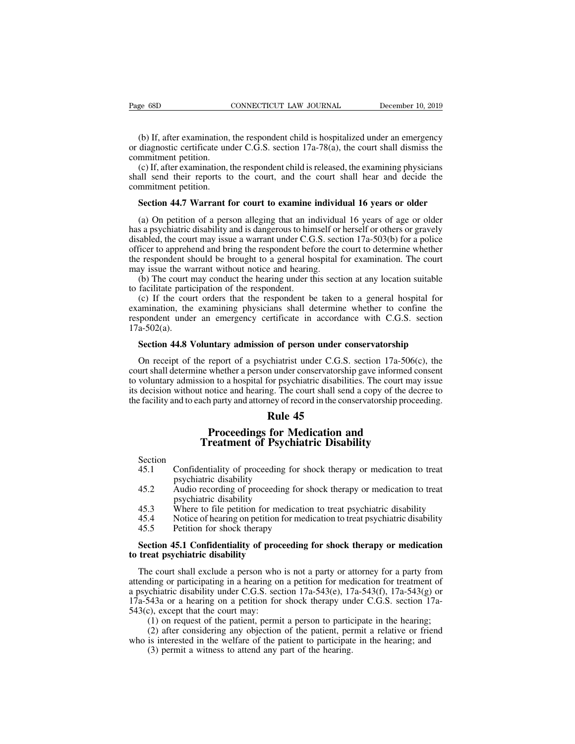e 68D CONNECTICUT LAW JOURNAL December 10, 2019<br>
(b) If, after examination, the respondent child is hospitalized under an emergency<br>
diagnostic certificate under C.G.S. section 17a-78(a), the court shall dismiss the<br>
mmitm Page 68D CONNECTICUT LAW JOURNAL December 10, 2019<br>
(b) If, after examination, the respondent child is hospitalized under an emergency<br>
or diagnostic certificate under C.G.S. section 17a-78(a), the court shall dismiss the<br> Page 68D<br>
(b) If, after examination,<br>
or diagnostic certificate une<br>
commitment petition.<br>
(c) If, after examination, thall send their reports to (b) If, after examination,<br>or diagnostic certificate une<br>commitment petition.<br>(c) If, after examination,<br>shall send their reports to<br>commitment petition.<br>**Section 44.7 Warrant f** 

(b) If, after examination, the respondent child is hospitalized under an emergency diagnostic certificate under C.G.S. section 17a-78(a), the court shall dismiss the mmitment petition.<br>(c) If, after examination, the respon (b) If, after examination, the respondent child is hospitalized under an emergency<br>or diagnostic certificate under C.G.S. section 17a-78(a), the court shall dismiss the<br>commitment petition.<br>(c) If, after examination, the (b) If, after examination, the respondent child is hospitalized under an emergency diagnostic certificate under C.G.S. section 17a-78(a), the court shall dismiss the mmitment petition.<br>
(c) If, after examination, the respo

mmitment petition.<br>(c) If, after examination, the respondent child is released, the examining physicians<br>all send their reports to the court, and the court shall hear and decide the<br>mmitment petition.<br>**Section 44.7 Warrant** (c) If, after examination, the respondent child is released, the examining physicians shall send their reports to the court, and the court shall hear and decide the commitment petition.<br> **Section 44.7 Warrant for court to** shall send their reports to the court, and the court shall hear and decide the commitment petition.<br> **Section 44.7 Warrant for court to examine individual 16 years or older**<br>
(a) On petition of a person alleging that an in commitment petition.<br>
Section 44.7 Warrant for court to examine individual 16 years or older<br>
(a) On petition of a person alleging that an individual 16 years of age or older<br>
has a psychiatric disability and is dangerous **Section 44.7 Warrant for court to examine individual 16 years or older**<br>(a) On petition of a person alleging that an individual 16 years of age or older<br>has a psychiatric disability and is dangerous to himself or herself **Section 44.7 Warrant for court to examine individually** (a) On petition of a person alleging that an individual has a psychiatric disability and is dangerous to himself or disabled, the court may issue a warrant under C. (a) On petition of a person alleging that an individual 16 years of age or older s a psychiatric disability and is dangerous to himself or herself or others or gravely ashed, the court may issue a warrant under C.G.S. sec (a) On pethom of a person angging that all his<br>has a psychiatric disability and is dangerous to hin<br>disabled, the court may issue a warrant under C.G<br>officer to apprehend and bring the respondent befor<br>the respondent shoul abled, the court may issue a warrant under C.G.S. section 17a-503(b) for a police<br>ficer to apprehend and bring the respondent before the court to determine whether<br>respondent should be brought to a general hospital for exa

disabled, the court may issue a warrant under C.O.3. section 17a-505(b) for a ponce<br>officer to apprehend and bring the respondent before the court to determine whether<br>the respondent should be brought to a general hospita officer to applement and offing the respondent offorce the court to determine whether<br>the respondent should be brought to a general hospital for examination. The court<br>may issue the warrant without notice and hearing.<br>(b) 17a-502(a). (b) The court may conduct the hearing under this section at any location suitable facilitate participation of the respondent.<br>
(c) If the court orders that the respondent be taken to a general hospital for amination, the (c) If the court orders that the respondent be taken to a general hospital for amination, the examining physicians shall determine whether to confine the spondent under an emergency certificate in accordance with C.G.S. s

examination, the examining physicians shall determine whether to confine the<br>respondent under an emergency certificate in accordance with C.G.S. section<br>17a-502(a).<br>**Section 44.8 Voluntary admission of person under conserv** respondent under an emergency certificate in accordance with C.G.S. section 17a-502(a).<br> **Section 44.8 Voluntary admission of person under conservatorship**<br>
On receipt of the report of a psychiatrist under C.G.S. section 1 17a-502(a).<br> **Section 44.8 Voluntary admission of person under conservatorship**<br>
On receipt of the report of a psychiatrist under C.G.S. section 17a-506(c), the<br>
court shall determine whether a person under conservatorshi **Section 44.8 Voluntary admission of person under conservatorship**<br>On receipt of the report of a psychiatrist under C.G.S. section  $17a-506(c)$ , the<br>court shall determine whether a person under conservatorship gave informe **n of person under co**<br>chiatrist under C.G.S.<br>in under conservatorship<br>for psychiatric disabiliti<br>ig. The court shall send<br>ney of record in the cons<br>**Rule 45**<br>**for Medication ar**<br>**Psychiatric Disabi** required a paychiatrist under C.G.S. section 17a-506(c<br> **Proceeding for American** and the paychiatric disabilities. The court may<br>
t notice and hearing. The court shall send a copy of the dec<br>
ach party and attorney of rec

- Section<br>45.1 Confidentiality of proceeding for shock therapy or medication to treat Fractiny and to each party and attoricy of record in the conservatorship proceeding.<br> **Rule 45**<br> **Proceedings for Medication and<br>
Treatment of Psychiatric Disability**<br>
As.1 Confidentiality of proceeding for shock therapy o **Rule 4<br>
Proceedings for M<br>
Treatment of Psych<br>
Confidentiality of proceeding for<br>
psychiatric disability<br>
Audio recording of proceeding for<br>
psychiatric disability** 45.1 Confidentiality of proceeding for show psychiatric disability<br>45.2 Audio recording of proceeding for show psychiatric disability<br>45.3 Where to file petition for medication<br>45.4 Notice of hearing on petition for media<br>
- **Exercise Section**<br> **Proceedings for Medication and<br>
Treatment of Psychiatric Disability**<br>
45.1 Confidentiality of proceeding for shock therapy or medication to treat<br>
psychiatric disability<br>
45.3 Where to file petition fo **Proceedings for Medication and<br>Treatment of Psychiatric Disability**<br>Confidentiality of proceeding for shock therapy or medication to treat<br>psychiatric disability<br>Audio recording of proceeding for shock therapy or medicati Freatment of Psychiatric Disability<br>
45.1 Confidentiality of proceeding for shock therapy or medication to treat<br>
psychiatric disability<br>
45.2 Audio recording of proceeding for shock therapy or medication to treat<br>
psychia Section<br>
45.1 Confidentiality of proceeding for shock therapy or medication to treat<br>
psychiatric disability<br>
45.2 Audio recording of proceeding for shock therapy or medication to treat<br>
psychiatric disability<br>
45.3 Where psychiatric disability<br>45.2 Audio recording of proceeding for shock therapy or medication to treat<br>psychiatric disability<br>45.3 Where to file petition for medication to treat psychiatric disability<br>45.5 Petition for shock t
- 
- 
- 

# 45.2 Audio recording of proceeding<br>psychiatric disability<br>45.3 Where to file petition for med<br>45.4 Notice of hearing on petition for<br>45.5 Petition for shock therapy<br>**Section 45.1 Confidentiality of proces**<br>**to treat psychi**

45.3 Where to file petition for medication to treat psychiatric disability<br>45.4 Notice of hearing on petition for medication to treat psychiatric disability<br>45.5 Petition for shock therapy<br>**Section 45.1 Confidentiality of** 45.4 Notice of hearing on petition for medication to treat psychiatric disability<br>45.5 Petition for shock therapy<br>**Section 45.1 Confidentiality of proceeding for shock therapy or medication**<br>**to treat psychiatric disabili** 45.5 Petition for shock therapy<br> **Section 45.1 Confidentiality of proceeding for shock therapy or medication**<br> **to treat psychiatric disability**<br>
The court shall exclude a person who is not a party or attorney for a party **17**<br>**17 Confidentiality of proceeding for shock therapy or medication**<br>**to treat psychiatric disability**<br>The court shall exclude a person who is not a party or attorney for a party from<br>attending or participating in a **Section 45.1 Confidentiality of procto treat psychiatric disability**<br>The court shall exclude a person who attending or participating in a hearing or a psychiatric disability under C.G.S. sec  $17a-543a$  or a hearing on a eat psychiatric disability<br>
e court shall exclude a person who is not a party or attorney for a party from<br>
ding or participating in a hearing on a petition for medication for treatment of<br>
chiatric disability under C.G.S e court shall exclude a person who is not a party or attorney for a party from<br>ding or participating in a hearing on a petition for medication for treatment of<br>chiatric disability under C.G.S. section 17a-543(e), 17a-543(f The court shall exclude a person who is not a party of adolney for a party from<br>attending or participating in a hearing on a petition for medication for treatment of<br>a psychiatric disability under C.G.S. section 17a-543(e different and a meaning of a perture of the chiatric disability under C.G.S. section 17a-543(e), 17<br>543a or a hearing on a petition for shock therapy une;<br>c), except that the court may:<br>(1) on request of the patient, permi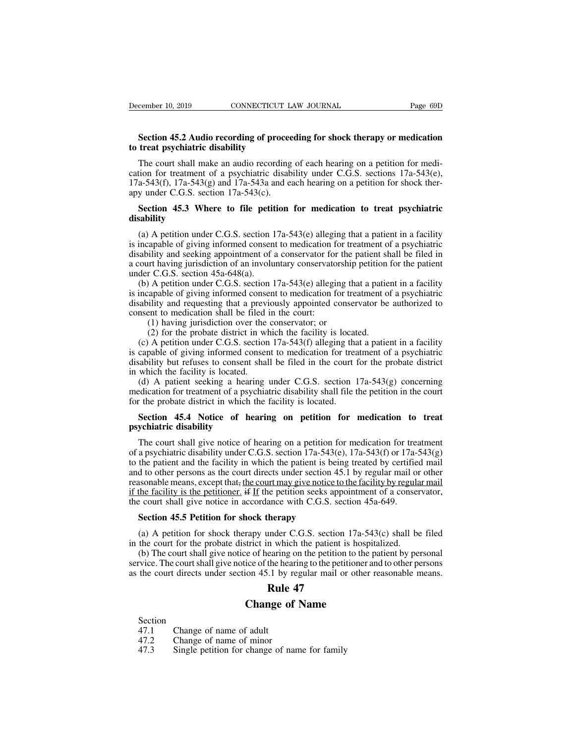## **Section 45.2 Audio recording of proceeding for shock therapy or medication**<br> **Section 45.2 Audio recording of proceeding for shock therapy or medication**<br> **Section 45.2 Audio recording of proceeding for shock therapy or m Example 10, 2019 CONNECTICUT**<br> **Section 45.2 Audio recording of process to treat psychiatric disability**<br>
The court shall make an audio recording

Exercise 10, 2019 CONNECTICUT LAW JOURNAL Page 69D<br> **Section 45.2 Audio recording of proceeding for shock therapy or medication**<br> **treat psychiatric disability**<br>
The court shall make an audio recording of each hearing on a **Example 10, 2019** CONNECTICUT LAW JOURNAL Page 69D<br> **Section 45.2 Audio recording of proceeding for shock therapy or medication**<br> **to treat psychiatric disability**<br>
The court shall make an audio recording of each hearing **Section 45.2 Audio recording of proceeding for shock therapy or medication to treat psychiatric disability**<br>The court shall make an audio recording of each hearing on a petition for medication for treatment of a psychiat **Section 45.2 Audio recording of proces**<br>to treat psychiatric disability<br>The court shall make an audio recording<br>cation for treatment of a psychiatric disab<br>17a-543(f), 17a-543(g) and 17a-543a and e<br>apy under C.G.S. secti **Section 45.3 Where to file petition for medication to treat psychiatric disability**<br>Section for treatment of a psychiatric disability under C.G.S. sections 17a-543(e), a-543(f), 17a-543(g) and 17a-543a and each hearing on (a) A petition under C.G.S. section 17a-543(e) alleging that a patient in a facility inder C.G.S. sections 17a-543(e), a-543(f), 17a-543(g) and 17a-543a and each hearing on a petition for shock ther-<br>y under C.G.S. sectio

### **disability**

17a-543(f), 17a-543(g) and 17a-543a and each hearing on a petition for shock ther-<br>apy under C.G.S. section 17a-543(c).<br>**Section 45.3 Where to file petition for medication to treat psychiatric**<br>disability<br>(a) A petition u apy under C.G.S. section 17a-543(c).<br> **Section 45.3 Where to file petition for medication to treat psychiatric**<br>
disability<br>
(a) A petition under C.G.S. section 17a-543(e) alleging that a patient in a facility<br>
is incapab **Example 18.3** Where to file petition for medication to treat psychiatric disability<br>(a) A petition under C.G.S. section 17a-543(e) alleging that a patient in a facility<br>is incapable of giving informed consent to medicati Section 45.3 Where to file petit<br>disability<br>(a) A petition under C.G.S. section 1<br>is incapable of giving informed consen<br>disability and seeking appointment of a<br>a court having jurisdiction of an involu<br>under C.G.S. section (a) A petition under C.G.S. section 17a-543(e) alleging that a patient in a facility incapable of giving informed consent to medication for treatment of a psychiatric ability and seeking appointment of a conservator for t (a) A petition under C.G.S. section 17a-543(e) alleging that a patient in a facility<br>is incapable of giving informed consent to medication for treatment of a psychiatric<br>disability and seeking appointment of a conservator (a) A petition under C.O.S. section 17a-543(e) alreging that a patient in a racinty<br>is incapable of giving informed consent to medication for treatment of a psychiatric<br>disability and seeking appointment of a conservator

is incapable of giving informed consent to included<br>disability and seeking appointment of a conservator for<br>a court having jurisdiction of an involuntary conservator<br>under C.G.S. section  $45a-648(a)$ .<br>(b) A petition under Inty and seeking appointment of a conservator for the<br>intriving jurisdiction of an involuntary conservatorship<br>r C.G.S. section 45a-648(a).<br>A petition under C.G.S. section 17a-543(e) alleging the<br>apable of giving informed It having jurisdiction of an involuntary conservatorsinp pertition<br>
r C.G.S. section 45a-648(a).<br>
A petition under C.G.S. section 17a-543(e) alleging that a patie<br>
apable of giving informed consent to medication for treatm (b) A petition under C.G.S. section 17a-543(e) alleging that a patient in a facility<br>incapable of giving informed consent to medication for treatment of a psychiatric<br>ability and requesting that a previously appointed con

(b) A petition under C.G.S. section 17a-545(c) anonging that a patient in a raciny<br>is incapable of giving informed consent to medication for treatment of a psychiatric<br>disability and requesting that a previously appointed is incapable of giving informed consent to included in the detailed of a psychiatic disability and requesting that a previously appointed conservator be authorized to consent to medication shall be filed in the court:<br>
(1 disability and reducting that a previous<br>consent to medication shall be filed<br>(1) having jurisdiction over the<br>(2) for the probate district in w<br>(c) A petition under C.G.S. section<br>is capable of giving informed consent<br>dis (1) having jurisdiction over the conservator; or<br>
(2) for the probate district in which the facility is located.<br>
(c) A petition under C.G.S. section 17a-543(f) alleging that a patient in a facility<br>
capable of giving inf (1) having jurisdiction over the conservator, or<br>
(2) for the probate district in which the facility is located.<br>
(c) A petition under C.G.S. section 17a-543(f) alleging that a patient in a facility<br>
is capable of giving (2) for the probate district in which the facility is locate<br>(c) A petition under C.G.S. section 17a-543(f) alleging that<br>is capable of giving informed consent to medication for tread<br>disability but refuses to consent sha capable of giving informed consent to medication for treatment of a psychiatric sability but refuses to consent shall be filed in the court for the probate district which the facility is located.<br>
(d) A patient seeking a h

disability but refuses to consent<br>in which the facility is located.<br>(d) A patient seeking a heari<br>medication for treatment of a psycharch<br>for the probate district in which is<br>**Section 45.4 Notice of her psychiatric disabil** 

(d) A patient seeking a hearing under C.G.S. section  $17a-543(g)$  concerning edication for treatment of a psychiatric disability shall file the petition in the court the probate district in which the facility is located.<br> medication for treatment of a psychiatric disability shall file the petition in the court<br>for the probate district in which the facility is located.<br>**Section 45.4 Notice of hearing on petition for medication to treat**<br>**psy** for the probate district in which the facility is located.<br> **Section 45.4 Notice of hearing on petition for medication to treat**<br> **psychiatric disability**<br>
The court shall give notice of hearing on a petition for medicati **Example 14.4** Notice of hearing on petition for medication to treat psychiatric disability<br>The court shall give notice of hearing on a petition for medication for treatment<br>of a psychiatric disability under C.G.S. sectio **Section 45.4 Notice of hearing on petition for medication to treat psychiatric disability**<br>The court shall give notice of hearing on a petition for medication for treatment<br>of a psychiatric disability under C.G.S. sectio **psychiatric disability**<br>The court shall give notice of hearing on a petition for medication for treatment<br>of a psychiatric disability under C.G.S. section 17a-543(e), 17a-543(f) or 17a-543(g)<br>to the patient and the facil The court shall give notice of hearing on a petition for medication for tres<br>of a psychiatric disability under C.G.S. section 17a-543(e), 17a-543(f) or 17a-<br>to the patient and the facility in which the patient is being tre a psychiatric disability under C.G.S. section 17a-543(<br>the patient and the facility in which the patient is bed<br>d to other persons as the court directs under section 4<br>asonable means, except that, <u>the court may give notic</u> d to other persons as the court directs under section 45.1 by regular mail or other<br>assonable means, except that, <u>the court may give notice to the facility by regular mail<br>the facility is the petitioner. if If the petiti</u> reasonable means, except that, the court may give notice to the facility by regula<br>if the facility is the petitioner. if If the petition seeks appointment of a conser<br>the court shall give notice in accordance with C.G.S. s

(a) A petition for shock therapy under C.G.S. section 45a-649.<br>Section 45.5 Petition for shock therapy<br>(a) A petition for shock therapy under C.G.S. section  $17a-543(c)$  shall be filed<br>the court for the probate district in Section 45.5 Petition for shock therapy<br>
(a) A petition for shock therapy<br>
(a) A petition for shock therapy under C.G.S. section 17a-543(c) shall be filed<br>
in the court for the probate district in which the patient is hos **Example 19 and the court directs under the court of the court of shock therapy**<br>
(a) A petition for shock therapy under C.G.S. section 17a-543(c) shall be filed<br>
in the court for the probate district in which the patient **Example 4**<br> **Runder C.G.S.** section 17<br> **Rule 7**<br> **Rule 47**<br> **Rule 47**<br> **Rule 47**<br> **Rule 47 Change 12**<br> **Change of Name 12**<br> **Change of hearing on the patient is hospice of hearing on the petition to the ice of the hearing to the petitioner at<br>
<b>Change 47**<br> **Change of Name**<br> **Change of Name** Figure 1.1 The court shall give notice of the head<br>the court directs under section 45.1 by i<br>**Rule**<br>Change of<br>Section<br>47.1 Change of name of adult<br>47.2 Change of name of minor<br>47.3 Single petition for change of na

Section<br>47.1 Change of name of adult

The court directs under section 45.1 by regard and the court directs under section 47.1<br> **Change of 1**<br>
Section 47.1 Change of name of adult<br>
47.2 Change of name of minor 47.3 Single petition for change of name **211 Startup Perrol. Rule 47**<br>**21.1 Shange of name of adult**<br>47.2 Change of name of minor<br>47.3 Single petition for change of name for family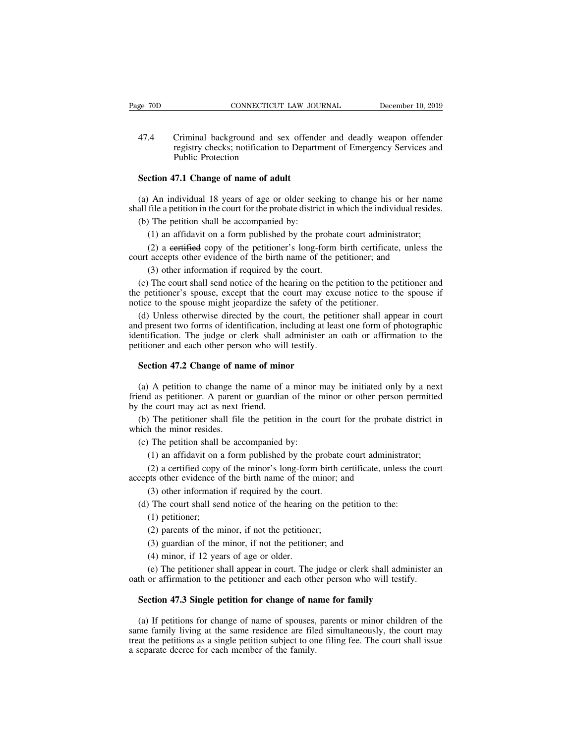EXECT CONSECTICUT LAW JOURNAL December 10, 2019<br>
47.4 Criminal background and sex offender and deadly weapon offender<br>
registry checks; notification to Department of Emergency Services and<br>
Public Protection CONNECTICUT LAW JOURNAL December 10, 2019<br>Criminal background and sex offender and deadly weapon offender<br>registry checks; notification to Department of Emergency Services and<br>Public Protection CONNECTICUT<br>
Criminal background and s<br>
registry checks; notification<br>
Public Protection<br>
17.1 Change of name of adu 47.4 Criminal background and sex offend<br>registry checks; notification to Depart<br>Public Protection<br>**Section 47.1 Change of name of adult**<br>(a) An individual 18 years of age or older see (47.4 Criminal background and sex offender and deadly weapon offender<br>registry checks; notification to Department of Emergency Services and<br>Public Protection<br>Section 47.1 Change of name of adult<br>(a) An individual 18 years shall file a petition in the court of the probate district in which the individual resident and public Protection<br>Section 47.1 Change of name of adult<br>(a) An individual 18 years of age or older seeking to change his or her

Public Protection<br>
Section 47.1 Change of name of adult<br>
(a) An individual 18 years of age or older seek<br>
all file a petition in the court for the probate distric<br>
(b) The petition shall be accompanied by:<br>
(1) an affidav (1) an affidavit on a form published by the probate court administrator;<br>
(1) an affidavit on a form published by the probate court administrator;<br>
(2) a eertified copy of the petitioner's long-form birth certificate, unle (2) An individual 18 years of age or older seeking to change his or her name file a petition in the court for the probate district in which the individual resides.<br>The petition shall be accompanied by:<br>(1) an affidavit on (a) An individual 18 years of age or older seeking to change his or her na shall file a petition in the court for the probate district in which the individual resid (b) The petition shall be accompanied by:<br>
(1) an affida

file a petition in the court for the probate district in w<br>
1) The petition shall be accompanied by:<br>
(1) an affidavit on a form published by the probate<br>
(2) a eertified copy of the petitioner's long-form b<br>
accepts other

(b) The petition shall be accompanied by:<br>
(1) an affidavit on a form published by the probate court administrator;<br>
(2) a eertified copy of the petitioner's long-form birth certificate, unless the<br>
urt accepts other evid (1) an affidavit on a form published by the probate court administrator;<br>
(2) a eertified copy of the petitioner's long-form birth certificate, unless the<br>
court accepts other evidence of the birth name of the petitioner; (1) an antidavit on a form published by the probate court administ<br>
(2) a certified copy of the petitioner's long-form birth certificate.<br>
court accepts other evidence of the birth name of the petitioner; and<br>
(3) other in

( $\angle$ ) a certified copy of the petitioner's long-form britt certificate, thress the urt accepts other evidence of the birth name of the petitioner; and (3) other information if required by the court.<br>
(c) The court shall count accepts other evidence of the britin halle of the petritoner, and<br>
(3) other information if required by the court.<br>
(c) The court shall send notice of the hearing on the petition to the petitioner and<br>
the petitioner (3) other information if required by the court.<br>
(c) The court shall send notice of the hearing on the petition to the petitioner and<br>
the petitioner's spouse, except that the court may excuse notice to the spouse if<br>
not (c) The court shall send notice of the hearing on the p<br>the petitioner's spouse, except that the court may exe<br>notice to the spouse might jeopardize the safety of the<br>(d) Unless otherwise directed by the court, the petit<br> tice to the spouse might jeopardize the safety of the (d) Unless otherwise directed by the court, the ped present two forms of identification, including at lentification. The judge or clerk shall administer a titioner and (a) A persent two forms of identification, including at least one form of photographic entification. The judge or clerk shall administer an oath or affirmation to the titioner and each other person who will testify.<br>Sectio

friend as petitioner. A parent or guardian of the minor or affirmation to the petitioner and each other person who will testify.<br> **Section 47.2 Change of name of minor**<br>
(a) A petition to change the name of a minor may be identification. The judge or clerk shall administer an oath or affirmation to the petitioner and each other person who will testify.<br> **Section 47.2 Change of name of minor**<br>
(a) A petition to change the name of a minor may Section 47.2 Change of name of minor<br>
(a) A petition to change the name of a minor may be initiated only by a next<br>
end as petitioner. A parent or guardian of the minor or other person permitted<br>
the court may act as next **Section 47.2 Change of na**<br>(a) A petition to change the<br>friend as petitioner. A parent<br>by the court may act as next f<br>(b) The petitioner shall file<br>which the minor resides.<br>(c) The petition shall be acc<br>(b) on offiderit (a) A petition to change the name of a minor in end as petitioner. A parent or guardian of the r the court may act as next friend.<br>
(b) The petitioner shall file the petition in the inch the minor resides.<br>
(c) The petiti The petition of change the name of a fill into thay be initiated only by a flext<br>d as petitioner. A parent or guardian of the minor or other person permitted<br>is court may act as next friend.<br>The petitioner shall file the p

(2) a certified copy of the minor's long-form birth certified court administrator;<br>
(1) an affidavit on a form published by the probate court administrator;<br>
(2) a certified copy of the minor's long-form birth certificate, (b) The petitioner shall file the petition in the court for the probat<br>which the minor resides.<br>(c) The petition shall be accompanied by:<br>(1) an affidavit on a form published by the probate court adminis<br>(2) a eertified c

The petition shall be accompanied by:<br>
(1) an affidavit on a form published by the probate<br>
(2) a eertified copy of the minor's long-form birth costs other evidence of the birth name of the minor; a<br>
(3) other information (c) The petition shall be accompanied by:<br>
(1) an affidavit on a form published by the probate court administrator;<br>
(2) a certified copy of the minor's long-form birth certificate, unless the<br>
cepts other evidence of the (1) an affidavit on a<br>
(2) a eertified copy<br>
(3) other evidence of<br>
(3) other informatio<br>
(1) petitioner;<br>
(2) parents of the m<br>
(3) weading of the m (2) a eertified copy of the minor's long-form birth costs other evidence of the birth name of the minor; a<br>
(3) other information if required by the court.<br>
(1) petitioner;<br>
(2) parents of the minor, if not the petitioner

the other evidence of the birth name of the minor; and<br>
(3) other information if required by the court.<br>
(1) petitioner;<br>
(2) parents of the minor, if not the petitioner;<br>
(3) guardian of the minor, if not the petitioner;

(3) other information if required by the court Shall send notice of the hearing (1) petitioner;<br>
(2) parents of the minor, if not the petitione<br>
(3) guardian of the minor, if not the petition<br>
(4) minor, if 12 years of ag (1) petitioner;<br>
(2) parents of the minor, if not the petitioner;<br>
(3) guardian of the minor, if not the petitioner;<br>
(3) guardian of the minor, if not the petitioner; and<br>
(4) minor, if 12 years of age or older.<br>
(e) The (1) petitioner;<br>
(2) parents of the minor, if not the petitioner;<br>
(3) guardian of the minor, if not the petitioner; and<br>
(4) minor, if 12 years of age or older.<br>
(e) The petitioner shall appear in court. The judge or cle (2) patchs of the minor, if not the petitioner;<br>
(3) guardian of the minor, if not the petitioner; and<br>
(4) minor, if 12 years of age or older.<br>
(e) The petitioner shall appear in court. The judge or clerk shall admin<br>
th

(4) minor, if 12 years of age or older.<br>
(e) The petitioner shall appear in court. The judge or clerk shall administer an<br>
th or affirmation to the petitioner and each other person who will testify.<br> **Section 47.3 Single** (e) The petitioner shall appear in court. The judge or clerk shall administer an oath or affirmation to the petitioner and each other person who will testify.<br>Section 47.3 Single petition for change of name for family<br>(a) oath or affirmation to the petitioner and each other person who will testify.<br> **Section 47.3 Single petition for change of name for family**<br>
(a) If petitions for change of name of spouses, parents or minor children of the<br> Section 47.3 Single petition for change of na<br>(a) If petitions for change of name of spouses,<br>same family living at the same residence are file<br>treat the petitions as a single petition subject to or<br>a separate decree for e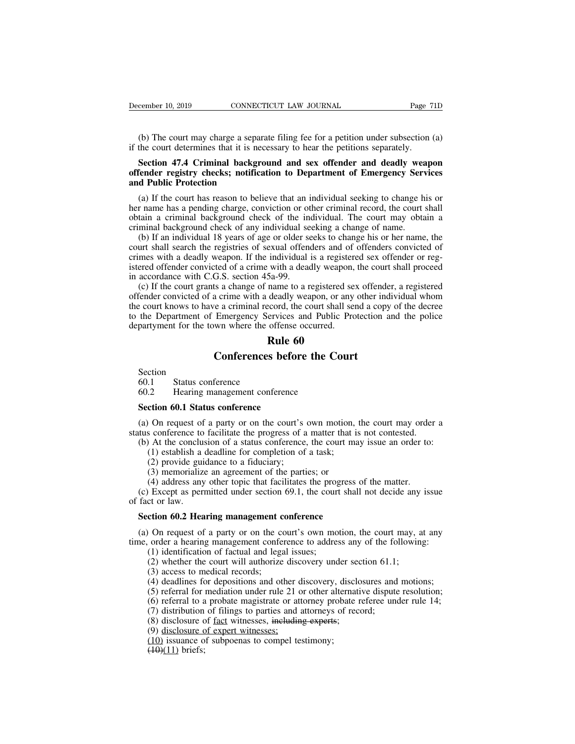(b) The court may charge a separate filing fee for a petition under subsection (a)<br>
(b) The court may charge a separate filing fee for a petition under subsection (a)<br>
the court determines that it is necessary to hear the December 10, 2019 CONNECTICUT LAW JOURNAL Page 7<br>
(b) The court may charge a separate filing fee for a petition under subsection<br>
if the court determines that it is necessary to hear the petitions separately.<br> **Section 47.** 

## **SECTE CONNECTICUT LAW JOURNAL** Page 71D<br>
(b) The court may charge a separate filing fee for a petition under subsection (a)<br>
the court determines that it is necessary to hear the petitions separately.<br> **Section 47.4 Crimi December 10, 2019 CONNECTICUT LAW JOURNAL** Page 71D<br>
(b) The court may charge a separate filing fee for a petition under subsection (a)<br>
if the court determines that it is necessary to hear the petitions separately.<br> **S** (b) The court may charge a separe<br>if the court determines that it is new<br>**Section 47.4 Criminal backgroffender registry checks; notifica<br>and Public Protection**<br>(a) If the court has reason to beli

(b) The court may charge a separate filing fee for a petition under subsection (a) the court determines that it is necessary to hear the petitions separately.<br>Section 47.4 Criminal background and sex offender and deadly we if the court determines that it is necessary to hear the petitions separately.<br> **Section 47.4 Criminal background and sex offender and deadly weapon**<br> **offender registry checks; notification to Department of Emergency Serv** obtained a criminal background and sex offender and deadly weapon<br>offender registry checks; notification to Department of Emergency Services<br>and Public Protection<br>(a) If the court has reason to believe that an individual s Section 47.4 Criminal background and sex offender and deadly wea<br>offender registry checks; notification to Department of Emergency Serv<br>and Public Protection<br>(a) If the court has reason to believe that an individual seekin fender registry checks; notification to Department of Emergency Services<br>d Public Protection<br>(a) If the court has reason to believe that an individual seeking to change his or<br>r name has a pending charge, conviction or oth

and Public Protection<br>
(a) If the court has reason to believe that an individual seeking to change his or<br>
her name has a pending charge, conviction or other criminal record, the court shall<br>
obtain a criminal background c (a) If the court has reason to believe that an individual seeking to change his or<br>her name has a pending charge, conviction or other criminal record, the court shall<br>obtain a criminal background check of the individual. T (a) If the court has reason to beneve that an intuvidual seeking to change ins of<br>her name has a pending charge, conviction or other criminal record, the court shall<br>obtain a criminal background check of the individual. T in a criminal background check of the incriminal background check of the incriminal background check of any individual se (b) If an individual 18 years of age or older secourt shall search the registries of sexual offener dant a chinnial background check of the marviolal. The court may obtain a<br>minal background check of any individual seeking a change of name.<br>(b) If an individual 18 years of age or older seeks to change his or her name, th criminal background click of any marvidual secking a change of name.<br>
(b) If an individual 18 years of age or older seeks to change his or her name, the<br>
court shall search the registries of sexual offenders and of offende

(b) If all individual 16 years of age of offer secks to enalge ins of increasing, the court shall search the registries of sexual offenders and of offenders convicted of crimes with a deadly weapon. If the individual is a to the Beat of the Department of Emergency Services and Public Protection and the convicted of<br>times with a deadly weapon. If the individual is a registered sex offender or reg-<br>istered offender convicted of a crime with department for the town where the offense occurred.<br>
The material of a crime with a deadly weapon,<br>
in accordance with C.G.S. section 45a-99.<br>
(c) If the court grants a change of name to a registered set<br>
offender convicte Individual is a register<br>
vith a deadly weapon,<br>
5a-99.<br>
name to a registered se<br>
deadly weapon, or any<br>
lecord, the court shall se<br>
ervices and Public Pro<br>
offense occurred.<br> **Rule 60**<br> **s before the Cour** G.S. section 45a-99.<br>
ts a change of name to a registered sex offende<br>
a crime with a deadly weapon, or any other ind<br>
re a criminal record, the court shall send a copy<br>
Emergency Services and Public Protection as<br>
wun whe the Department of Emergency Server<br>partyment for the town where the of<br>**R1**<br>**Conferences**<br>Section<br>60.1 Status conference<br>60.2 Hearing management confe partyment for the town where the offense occurred.<br> **Rule 60**<br> **Conferences before the C**<br>
Section<br>
60.1 Status conference<br>
60.2 Hearing management conference<br>
Section 60.1 Status conference

Section<br>60.1 Status conference

**Section**<br>
Section<br>
60.1 Status conference<br>
60.2 Hearing management conference<br>
Section 60.1 Status conference<br>
(a) On request of a party or on the court<br>
the conference of fosilitate the approace of **Conferences before the Court**<br>
Section<br>
60.1 Status conference<br>
Section 60.1 Status conference<br>
(a) On request of a party or on the court's own motion, the court may order a<br>
tus conference to facilitate the progress of a Section<br>
60.1 Status conference<br>
60.2 Hearing management conference<br> **Section 60.1 Status conference**<br>
(a) On request of a party or on the court's own motion, the court may order<br>
status conference to facilitate the progr **60.1** Status conference<br> **Section 60.1** Status conference<br> **Section 60.1** Status conference<br>
(a) On request of a party or on the court's own motion, the court may order a<br>
tus conference to facilitate the progress of a m (2) Hearing management conference<br>
(1) establish a deadline for complement of a party or on the court's own motion,<br>
s conference to facilitate the progress of a matter that is<br>
(1) establish a deadline for completion of a 60.2 Hearing management conference<br> **Section 60.1 Status conference**<br>
(a) On request of a party or on the court's own motion, the court may order a<br>
status conference to facilitate the progress of a matter that is not con **common 60.1 Status conference**<br>(3) On request of a party or on the court's own motion,<br>s conference to facilitate the progress of a matter that if<br>(4) At the conclusion of a status conference, the court ma<br>(1) establish (4) address any of the court's own motion, the court may orde s conference to facilitate the progress of a matter that is not contested. (4) At the conclusion of a status conference, the court may issue an order to (1) est

(a) On request of a party of on the court s own motion, the court may ofter a<br>tus conference to facilitate the progress of a matter that is not contested.<br>(b) At the conclusion of a status conference, the court may issue datas coincrence to<br>
(b) At the conclu-<br>
(1) establish a<br>
(2) provide gui<br>
(3) memorializ<br>
(4) address any<br>
(c) Except as period fact or law.<br> **Section 60.2 Hea** (1) establish a deadline for completion of a task;<br>
(2) provide guidance to a fiduciary;<br>
(3) memorialize an agreement of the parties; or<br>
(4) address any other topic that facilitates the progress (c) Except as permitted

(3) memorialize an agreement of the parties; or<br>
(4) address any other topic that facilitates the progress of the matter.<br>
(c) Except as permitted under section 69.1, the court shall not decide any issue<br>
fact or law.<br> **S** (4) address any other topic that facilitates the progress of the matter.<br>
(c) Except as permitted under section 69.1, the court shall not decide any issue<br>
of fact or law.<br> **Section 60.2 Hearing management conference**<br>
(a (1) dentited under section 69.1, the court<br>of facept as permitted under section 69.1, the court<br>of or law.<br>**Constant is an analytication of factual and legal issues**;<br>(2) whether the court will authorize discovery und<br>(3) (2) controllar and the court will authorize discovery in the court may, and order a hearing management conference<br>
(2) On request of a party or on the court's own motion, the court may, a<br>
order a hearing management confer (3) access to maximum content of a party or on the conder a hearing management conferent (1) identification of factual and legal (2) whether the court will authorize (3) access to medical records;<br>(4) deadlines for deposi (4) deadlines for depositions and other discovery, the court may, at any order a hearing management conference to address any of the following:<br>
(1) identification of factual and legal issues;<br>
(2) whether the court will a On request of a party or on the court's own motion, the court may, at any<br>order a hearing management conference to address any of the following:<br>(1) identification of factual and legal issues;<br>(2) whether the court will a (6) referral to a party of order to a dividend to a party of order a hearing management conference to address any of the following:<br>
(1) identification of factual and legal issues;<br>
(2) whether the court will authorize di

(1) identification of factual and legal issues;<br>(2) whether the court will authorize discovery under section 61.1;<br>(3) access to medical records;<br>(4) deadlines for depositions and other discovery, disclosures and<br>(5) refe

(2) whether the court will authorize discovery under section 61.1;<br>
(3) access to medical records;<br>
(4) deadlines for depositions and other discovery, disclosures and motions;<br>
(5) referral for mediation under rule 21 or

(1) disclosure of actual and legal issues,<br>
(2) whether the court will authorize discovery under sec<br>
(3) access to medical records;<br>
(4) deadlines for depositions and other discovery, discloses<br>
(5) referral to a probate (4) deadlines for depositions and other discovery, discl<br>
(5) referral for mediation under rule 21 or other alternat<br>
(6) referral to a probate magistrate or attorney probate<br>
(7) distribution of filings to parties and at

(9) disclosure of expert witnesses;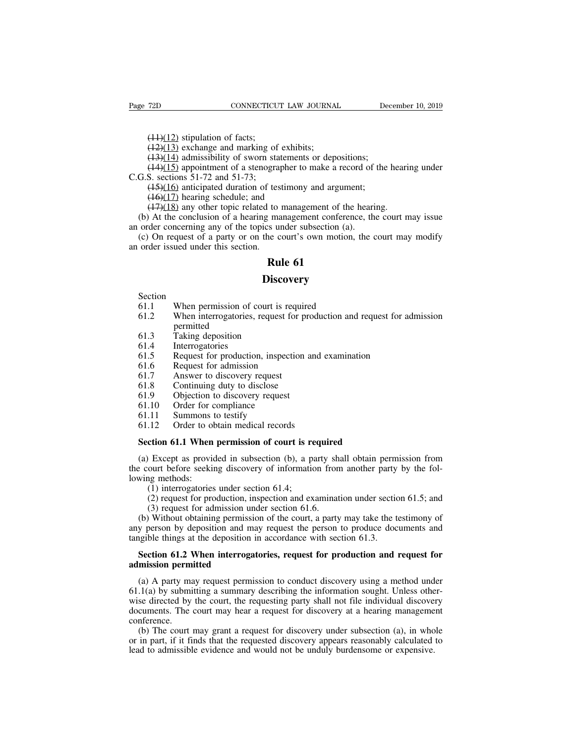(11)(12) stipulation of facts;<br>(11)(12) stipulation of facts;<br>(12)(13) exchange and marking of<br>(13)(14) admissibility of sworn sta

(14)(12) stipulation of facts;<br>(42)(13) exchange and marking of exhibits;<br>(43)(14) admissibility of sworn statements or dep<br>(44)(15) appointment of a stenographer to make a (14)(12) stipulation of facts;<br>(14)(12) stipulation of facts;<br>(14)(13) exchange and marking of exhibits;<br>(13)(14) admissibility of sworn statements or depositions;<br>(14)(15) appointment of a stenographer to make a record o (14)(12) stipulation of facts;<br>(14)(12) stipulation of facts;<br>(12)(13) exchange and marking of exhibits;<br>(13)(14) admissibility of sworn statements or depositions;<br>(14)(15) appointment of a stenographer to make a record o ( $\frac{(11)(12)}{(12)(13)}$  stipulation of facts;<br>( $\frac{(12)(13)}{(13)(14)}$  achieved and marking of<br>( $\frac{(13)(14)}{(15)}$  appointment of a stenogra<br>C.G.S. sections 51-72 and 51-73;<br>( $\frac{(15)(16)}{(17)}$  hearing schedule; and (14)(12) stipulation of facts;<br>(12)(13) exchange and marking of exhibits;<br>(13)(14) admissibility of sworn statements or depositions;<br>(14)(15) appointment of a stenographer to make a record of the<br>S. sections 51-72 and 51-(14)(12) stipulation of facts;<br>(12)(13) exchange and marking of exhibit<br>(13)(14) admissibility of sworn statements<br>(14)(15) appointment of a stenographer to<br>S. sections 51-72 and 51-73;<br>(15)(16) anticipated duration of te

(17)(12) exchange and marking of exhibits;<br>(12)(13) exchange and marking of exhibits;<br>(14)(15) appointment of a stenographer to make a record of the hearing.<br>S. sections 51-72 and 51-73;<br>(15)(16) anticipated duration of t (12)(13) exchange and marking of existions,<br>
(43)(14) admissibility of sworn statements or depositions;<br>
(44)(15) appointment of a stenographer to make a record of the hearing under<br>
G.S. sections 51-72 and 51-73;<br>
(45)(1 (19)(14) annissionly of sworn statements of depositions,<br>  $(14)(15)$  appointment of a stenographer to make a record of<br>
C.G.S. sections 51-72 and 51-73;<br>  $(15)(16)$  anticipated duration of testimony and argument;<br>  $(16)(17)$ (1-9)(1-9) appointment of a secographer to make a record of the hearing under<br>
G.S. sections 51-72 and 51-73;<br>
(1-9)(17) hearing schedule; and<br>
(1-9)(17) hearing schedule; and<br>
(1-9)(18) any other topic related to managem **and SET 1997** and S1-72,  $(15)$ ,  $(15)(16)$  anticipated duration of tes  $(16)(17)$  hearing schedule; and  $(17)(18)$  any other topic related to (b) At the conclusion of a hearing man order concerning any of the topics u (c) Example 1 as a set in the set in the set in the set in the set in the set of the set of the set of the set of the set of the set of the set of the set of the set of the set of the set of the set of the set of the set of th

(e) on request of a party of on the coart is own motion,<br>order issued under this section.<br>**Rule 61**<br>Section<br>61.1 When permission of court is required<br>61.2 When interrogatories, request for production and<br>permitted

### **Discovery**

Section<br>61.1

- 
- **EXECUTE:**<br> **EXECUTE:**<br> **EXECUTE:**<br> **EXECUTE:**<br> **EXECUTE:**<br> **EXECUTE:**<br> **EXECUTE:**<br> **EXECUTE:**<br> **EXECUTE:**<br> **EXECUTE:**<br> **EXECUTE:**<br> **EXECUTE:**<br> **EXECUTE:**<br> **EXECUTE:**<br> **EXECUTE:**<br> **EXECUTE:**<br> **EXECUTE:**<br> **EXECUTE:**<br> **EXECU Disc**<br> **Section**<br>
61.1 When permission of court is<br>
61.2 When interrogatories, request<br>
permitted<br>
61.3 Taking deposition<br>
61.4 Interrogatories<br>
61.5 Request for production, inspe Section<br>61.1 When permission of cc<br>61.2 When interrogatories, r<br>permitted<br>61.3 Taking deposition<br>61.4 Interrogatories<br>61.5 Request for production<br>61.6 Request for admission 61.1 When permission of court is request<br>61.2 When interrogatories, request for<br>61.3 Taking deposition<br>61.4 Interrogatories<br>61.5 Request for production, inspectio<br>61.6 Request for admission<br>61.7 Answer to discovery request 61.2 When interrogatories, request for p<br>formal of the interrogatories, request for p<br>formal discovery request<br>formal discovery request<br>formal discovery request<br>formal discovery request<br>formal discovery request<br>formal disc Figure 1.2<br>
Formative during deposition<br>
61.3 Taking deposition<br>
61.5 Request for production, inspection an<br>
61.6 Request for admission<br>
61.7 Answer to discovery request<br>
61.8 Continuing duty to disclose<br>
61.9 Objection to
- permitted<br>Taking deposition
- 
- Section<br>61.1 When permission of court is required<br>61.2 When interrogatories, request for production and request for ad<br>61.3 Taking deposition<br>61.4 Interrogatories<br>61.5 Request for production, inspection and examination<br>61. 61.3 Taking deposition<br>61.4 Interrogatories<br>61.5 Request for production, inspection an<br>61.6 Request for admission<br>61.7 Answer to discovery request<br>61.8 Continuing duty to disclose<br>61.9 Objection to discovery request<br>61.10 61.3 Taking deposition<br>61.4 Interrogatories<br>61.5 Request for production, inspect<br>61.6 Request for admission<br>61.7 Answer to discovery request<br>61.8 Continuing duty to discovery request<br>61.10 Order for compliance<br>61.11 Summon 61.5 Request for production, inspected and the Request of Request for admission<br>61.7 Answer to discovery request<br>61.8 Continuing duty to disclose<br>61.9 Objection to discovery request<br>61.10 Order for compliance<br>61.11 Summons
- 
- 
- 
- 
- 
- 
- 

# 61.5 Request for production, inspection and e<br>61.6 Request for admission<br>61.7 Answer to discovery request<br>61.8 Continuing duty to disclose<br>61.9 Objection to discovery request<br>61.10 Order for compliance<br>61.11 Summons to tes

61.7 Answer to discovery request<br>
61.8 Continuing duty to disclose<br>
61.9 Objection to discovery request<br>
61.10 Order for compliance<br>
61.11 Summons to testify<br>
61.12 Order to obtain medical records<br> **Section 61.1 When permi** (b) 61.9 Objection to discovery request<br>
(b) 61.10 Order for compliance<br>
(a) 1.12 Order to obtain medical records<br>
(a) Except as provided in subsection (b), a party shall obtain permission from<br>
(a) Except as provided in s 1.10 Order for compliance<br>
61.11 Summons to testify<br>
61.12 Order to obtain medical records<br> **Section 61.1 When permission of court is required**<br>
(a) Except as provided in subsection (b), a party shall obtain permission fr 61.11 Summons t<br>61.12 Order to ob<br>**Section 61.1 When**<br>(a) Except as provide<br>the court before seekin<br>lowing methods:<br>(1) interrogatories<br>(2) request for pro (12) Order to obtain medical records<br> **ction 61.1 When permission of court is re**<br>
Except as provided in subsection (b), a pa<br>
ourt before seeking discovery of informatic<br>
(1) interrogatories under section 61.4;<br>
(2) requ (2) required<br>
(2) Except as provided in subsection (b), a party shall obtain permission from<br>
ourt before seeking discovery of information from another party by the fol-<br>
(1) interrogatories under section 61.4;<br>
(2) reque (3) required in subsection of court is required<br>(4) Except as provided in subsection (b), a party sh<br>ourt before seeking discovery of information from<br>g methods:<br>(1) interrogatories under section 61.4;<br>(2) request for pro

(a) Except as provided in subsection (b), a party shall obtain permission from<br>e court before seeking discovery of information from another party by the fol-<br>wing methods:<br>(1) interrogatories under section 61.4;<br>(2) reque (a) Except as provided in stosection (b), a party share botain permission rion<br>the court before seeking discovery of information from another party by the fol-<br>lowing methods:<br>(1) interrogatories under section 61.4;<br>(2) r the coal behove seeking discovery of information from another party<br>lowing methods:<br>(1) interrogatories under section 61.4;<br>(2) request for production, inspection and examination under sectio<br>(3) request for admission unde (1) interrogatories under section 61.4;<br>
(2) request for production, inspection and examination under section 61.5; and<br>
(3) request for admission under section 61.6.<br>
(b) Without obtaining permission of the court, a part (2) request for production, ins<br>
(3) request for admission uno<br>
(b) Without obtaining permissic<br>
any person by deposition and ma<br>
tangible things at the deposition in<br> **Section 61.2 When interrogat<br>
admission permitted**<br>
(

(b) Without obtaining permission of the court, a party may take the testimony of y person by deposition and may request the person to produce documents and ngible things at the deposition in accordance with section 61.3. any person by deposition and may request the person to produce documents and<br>tangible things at the deposition in accordance with section 61.3.<br>**Section 61.2 When interrogatories, request for production and request for<br>adm** tangible things at the deposition in accordance with section 61.3.<br> **Section 61.2 When interrogatories, request for production and request for**<br> **admission permitted**<br>
(a) A party may request permission to conduct discove Section 61.2 When interrogatories, request for production and request for admission permitted<br>
(a) A party may request permission to conduct discovery using a method under<br>
61.1(a) by submitting a summary describing the in conference.<br>(b) The court may grant a request for discovery under subsection (a), in whole mission permitted<br>
(a) A party may request permission to conduct discovery using a method under<br>  $.1(a)$  by submitting a summary describing the information sought. Unless other-<br>
se directed by the court, the requesting pa (a) A party may request permission to conduct discovery using a method under  $61.1(a)$  by submitting a summary describing the information sought. Unless otherwise directed by the court, the requesting party shall not file (a) A party may request permission to conduct discovery using a method dind 61.1(a) by submitting a summary describing the information sought. Unless othe wise directed by the court, the requesting party shall not file in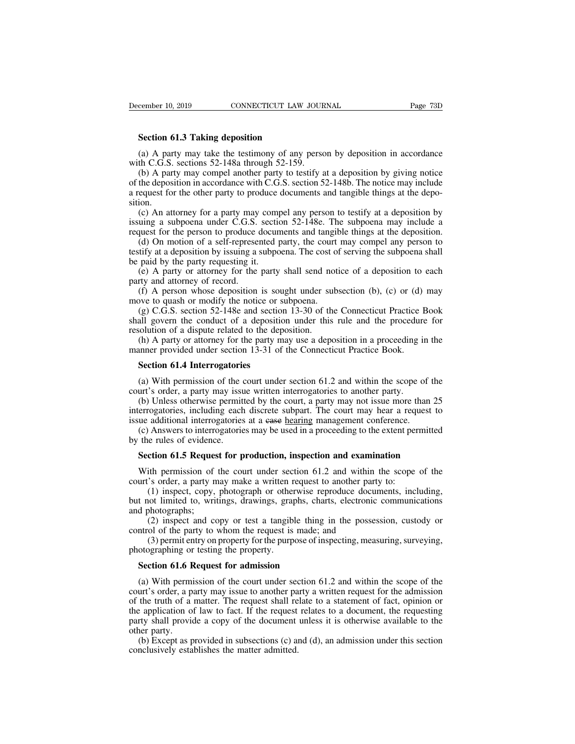**Section 61.3 Taking deposition**<br> **Section 61.3 Taking deposition**<br>
(a) A party may take the testimony of any phonon for a state of  $\frac{120}{150}$ (a) A party may take the testimony of any person by deposition in accordance<br>
(a) A party may take the testimony of any person by deposition in accordance<br>
(b) A party may compel another party to testify at a deposition by

December 10, 2019 CONNECTICUT LAW JOUR<br>
Section 61.3 Taking deposition<br>
(a) A party may take the testimony of any perso<br>
with C.G.S. sections 52-148a through 52-159.<br>
(b) A party may compel another party to testify a<br>
of t (a) A party may take the testimony of any person by deposition in accordance<br>
(a) A party may take the testimony of any person by deposition in accordance<br>
th C.G.S. sections 52-148a through 52-159.<br>
(b) A party may compe Section 61.3 Taking deposition<br>
(a) A party may take the testimony of any person by deposition in accordance<br>
with C.G.S. sections 52-148a through 52-159.<br>
(b) A party may compel another party to testify at a deposition by **Section 61.3 Taking deposition**<br>
(a) A party may take the testimony of any person by deposition in accordance<br>
with C.G.S. sections 52-148a through 52-159.<br>
(b) A party may compel another party to testify at a deposition sition. (a) A party may take the testimony of any person by deposition in accordance th C.G.S. sections 52-148a through 52-159.<br>
(b) A party may compel another party to testify at a deposition by giving notice the deposition in a (a) A party may take the testhology of any person by deposition in accordance with C.G.S. sections 52-148a through 52-159.<br>
(b) A party may compel another party to testify at a deposition by giving notice of the depositio whit C.O.S. sections 32-148a differently to testify at a deposition by giving notice<br>of the deposition in accordance with C.G.S. section 52-148b. The notice may include<br>a request for the other party to produce documents a (b) A party may comper another party to testify at a deposition by giving notice the deposition in accordance with C.G.S. section 52-148b. The notice may include equest for the other party to produce documents and tangibl

of the deposition in accordance with C.O.S. section 52-1460. The hottee may include<br>a request for the other party to produce documents and tangible things at the depo-<br>sition.<br>(c) An attorney for a party may compel any per a request for the other party to produce<br>sition.<br>(c) An attorney for a party may comp<br>issuing a subpoena under C.G.S. section<br>request for the person to produce docure<br>(d) On motion of a self-represented p<br>testify at a depo (c) An attorney for a party may compel any person to testify at a deposition by uing a subpoena under C.G.S. section 52-148e. The subpoena may include a quest for the person to produce documents and tangible things at the (c) An attorney for a party may<br>issuing a subpoena under C.G.S.<br>request for the person to produce (d) On motion of a self-represe<br>testify at a deposition by issuing a be<br>paid by the party requesting it.<br>(e) A party or att (d) A person to produce documents and tangible things at the deposition.<br>
(d) On motion of a self-represented party, the court may compel any person to tify at a deposition by issuing a subpoena. The cost of serving the s request for the person to produce documents and tanget<br>
(d) On motion of a self-represented party, the court<br>
testify at a deposition by issuing a subpoena. The cost of<br>
be paid by the party requesting it.<br>
(e) A party or

(g) On motion of a scri-represented party, the court may comper any person to trify at a deposition by issuing a subpoena. The cost of serving the subpoena shall paid by the party requesting it.<br>(e) A party or attorney fo bestiny at a deposition by issuing a subpoent. The cost of serving the subpoenta shall<br>be paid by the party requesting it.<br>(e) A party or attorney for the party shall send notice of a deposition to each<br>party and attorney be paid by the party requesting it.<br>
(e) A party or attorney for the party shall send no<br>
party and attorney of record.<br>
(f) A person whose deposition is sought under su<br>
move to quash or modify the notice or subpoena.<br>
(g (e) A party or attorney for the party shall send holtee or a deposition to each<br>rty and attorney of record.<br>(f) A person whose deposition is sought under subsection (b), (c) or (d) may<br>we to quash or modify the notice or s (f) A person whose deposition is sought under subsection (b), (c) or (d) move to quash or modify the notice or subpoena.<br>
(g) C.G.S. section 52-148e and section 13-30 of the Connecticut Practice I shall govern the conduct by to quash or modify the notice or s<br>(g) C.G.S. section 52-148e and section<br>all govern the conduct of a deposition<br>solution of a dispute related to the dep<br>(h) A party or attorney for the party m<br>numer provided under sect (a) With permission of the court under section 61.2 and within the scope of the conduct of a dispute related to the deposition.<br>(h) A party or attorney for the party may use a deposition in a proceeding in the same provide

resolution of a dispute related to the deposition.<br>
(h) A party or attorney for the party may use a deposition in a proceeding is<br>
manner provided under section 13-31 of the Connecticut Practice Book.<br> **Section 61.4 Interr** (h) A party or attorney for the party may use a deposition in a proceeding in the nnner provided under section 13-31 of the Connecticut Practice Book.<br> **Section 61.4 Interrogatories**<br>
(a) With permission of the court unde manner provided under section 13-31 of the Connecticut Practice Book.<br> **Section 61.4 Interrogatories**<br>
(a) With permission of the court under section 61.2 and within the scope of the<br>
court's order, a party may issue writ **Section 61.4 Interrogatories**<br>(a) With permission of the court under section 61.2 and within the scope of<br>court's order, a party may issue written interrogatories to another party.<br>(b) Unless otherwise permitted by the co **Section 61.4 Interrogatories**<br>(a) With permission of the court under section 61.2 and within the scope of the<br>urt's order, a party may issue written interrogatories to another party.<br>(b) Unless otherwise permitted by the (a) With permission of the court under section  $61.2$  and within the scope of the court's order, a party may issue written interrogatories to another party.<br>
(b) Unless otherwise permitted by the court, a party may not is urt's order, a party may issue written interrogatories to another party.<br>
(b) Unless otherwise permitted by the court, a party may not issue more than 25 errogatories, including each discrete subpart. The court may hear a errogatories, including each discrete subpart. The court may hear a request to the additional interrogatories at a ease <u>hearing</u> management conference.<br>(c) Answers to interrogatories may be used in a proceeding to the ext

designed and interrogatories at a ease hearing management conference.<br>
(c) Answers to interrogatories any be used in a proceeding to the extent per<br>
by the rules of evidence.<br> **Section 61.5 Request for production, inspecti** (Answers to interrogatories may be used in a proceeding to the extent permitted<br>e rules of evidence.<br>**ction 61.5 Request for production, inspection and examination**<br>ith permission of the court under section 61.2 and within by the rules of evidence.<br> **Section 61.5 Request for production, inspection and examination**<br>
With permission of the court under section 61.2 and within the scope of the<br>
court's order, a party may make a written request t **Section 61.5 Reques**<br>With permission of<br>court's order, a party m<br>(1) inspect, copy,<br>but not limited to, writ<br>and photographs;<br>(2) inspect and cc<br>control of the party to (2) inspection of the court under section of 1.2 and within the scope of the correlation of the court under section 61.2 and within the scope of the correlation of the court are a written request to another party to:<br>
(1) With permission of the court under section 61.2 and within court's order, a party may make a written request to another part (1) inspect, copy, photograph or otherwise reproduce documbut not limited to, writings, drawings, (3) permission of the contributer section 01.2 and within the scope of the<br>
dependence of the party may make a written request to another party to:<br>
(1) inspect, copy, photograph or otherwise reproduce documents, including Figure 3 of the party may make a written is<br>
(1) inspect, copy, photograph or other<br>
but not limited to, writings, drawings, grap<br>
and photographs;<br>
(2) inspect and copy or test a tangib.<br>
control of the party to whom the t not limited to, writings, drawings, graphs, chard photographs;<br>
(2) inspect and copy or test a tangible thing<br>
ntrol of the party to whom the request is made; a<br>
(3) permit entry on property for the purpose of ins<br>
otogr

(2) inspect and copy or test a tangible thing in the possession, custody or through of the party to whom the request is made; and (3) permit entry on property for the purpose of inspecting, measuring, surveying, otographi control of the party to whom the request is made; and<br>
(3) permit entry on property for the purpose of inspecting, measuring, surveying,<br>
photographing or testing the property.<br> **Section 61.6 Request for admission**<br>
(a) W (3) permit entry on property for the purpose of inspecting, measuring, surveying,<br>photographing or testing the property.<br>**Section 61.6 Request for admission**<br>(a) With permission of the court under section 61.2 and within photographing or testing the property.<br> **Section 61.6 Request for admission**<br>
(a) With permission of the court under section 61.2 and within the scope of the<br>
court's order, a party may issue to another party a written req **Section 61.6 Request for admission**<br>(a) With permission of the court under section 61.2 and within the scope of the<br>court's order, a party may issue to another party a written request for the admission<br>of the truth of a **Section 61.6 F**<br>(a) With permi<br>court's order, a p<br>of the truth of a<br>the application of<br>party shall provid<br>other party.<br>(b) Except as p<br>conclusively esta (a) With permission of the court under section 61.2 and within the scope of the urt's order, a party may issue to another party a written request for the admission the truth of a matter. The request shall relate to a stat (a) With permission of the contributed secount's order, a party may issue to another pa<br>of the truth of a matter. The request shall re<br>the application of law to fact. If the request<br>party shall provide a copy of the docume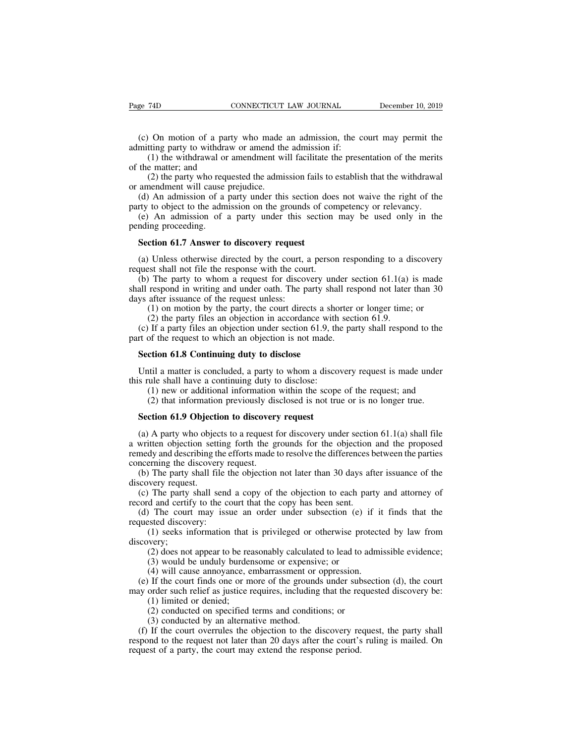(c) On motion of a party who made an admission, the court may permit the mitting party to withdraw or amend the admission if:<br>
(d) the withdrawal or amendment will facilitate the presentation of the merits

Page 74D CONNECTICUT LAW JOURNAL<br>
(c) On motion of a party who made an admission, the condmitting party to withdraw or amend the admission if:<br>
(1) the withdrawal or amendment will facilitate the prese<br>
of the matter; and (1) the withdrawal or amendment will facilitate the presentation of the merits of the withdrawal or amendment will facilitate the presentation of the merits (1) the withdrawal or amendment will facilitate the presentation Page 74D CC<br>
(c) On motion of a party<br>
admitting party to withdraw<br>
(1) the withdrawal or an<br>
of the matter; and<br>
(2) the party who reques<br>
or amendment will cause pre (2) On motion of a party who made an admission, the court may permit the titing party to withdraw or amend the admission if:<br>
(1) the withdrawal or amendment will facilitate the presentation of the merits e matter; and<br>
(2 (c) On motion of a party who made<br>admitting party to withdraw or amend the<br>(1) the withdrawal or amendment wi<br>of the matter; and<br>(2) the party who requested the admi<br>or amendment will cause prejudice.<br>(d) An admission of a (c) On motion of a party who made an admission, the court may permit the mitting party to withdraw or amend the admission if:<br>
(1) the withdrawal or amendment will facilitate the presentation of the merits the matter; and

(c) On motion of a party who made an admission, the court may permit the admitting party to withdraw or amendment will facilitate the presentation of the merits of the matter; and (2) the party who requested the admission (1) the withdrawal or amendment will facilitate the presentation of the merits<br>the matter; and<br>(2) the party who requested the admission fails to establish that the withdrawal<br>amendment will cause prejudice.<br>(d) An admiss of the matter; and<br>
(2) the party who req<br>
or amendment will cause<br>
(d) An admission of a<br>
party to object to the adm<br>
(e) An admission of<br>
pending proceeding.<br> **Section 61.7 Answer t** (2) the party who requested the admission fails to amendment will cause prejudice.<br>
(d) An admission of a party under this section do<br>
(e) An admission of a party under this section<br>
(e) An admission of a party under this

(d) An admission of a party under this section does not waive the right of the<br>rty to object to the admission on the grounds of competency or relevancy.<br>(e) An admission of a party under this section may be used only in t

party to object to the admission on the grounds of con<br>
(e) An admission of a party under this section<br>
pending proceeding.<br> **Section 61.7 Answer to discovery request**<br>
(a) Unless otherwise directed by the court, a persor<br> (e) An admission of a party under this section may be used only in the mding proceeding.<br> **Section 61.7 Answer to discovery request**<br>
(a) Unless otherwise directed by the court, a person responding to a discovery quest sh shall respond in writing and under oath. The party shall responding to a discovery<br>tequest shall not file the response with the court.<br>(b) The party to whom a request for discovery under section 61.1(a) is made<br>shall resp **Section 61.7 Answer to discovery request**<br>(a) Unless otherwise directed by the court, a<br>request shall not file the response with the cour<br>(b) The party to whom a request for discov<br>shall respond in writing and under oath (1) on motion by the court, a person responding to a discovery of Unless otherwise directed by the court, a person responding to a discovery st shall not file the response with the court.<br>The party to whom a request for d Unless otherwise directed by the court, a person responding to a dest shall not file the response with the court.<br>
The party to whom a request for discovery under section 61.1(a) respond in writing and under oath. The part (a) Omess onlet wise unected by the court, a person responding to a discovery quest shall not file the response with the court.<br>
(b) The party to whom a request for discovery under section 61.1(a) is made<br>
all respond in request shall not the the response with the coalt.<br>
(b) The party to whom a request for discovery under shall respond in writing and under oath. The party shall res<br>
days after issuance of the request unless:<br>
(1) on moti all respond in writing and under oath. The party shapport and the request unless:<br>
(1) on motion by the party, the court directs a shapport (2) the party files an objection in accordance with<br>
(c) If a party files an objec

(2) the party files an objection in accordance with<br>
(c) If a party files an objection under section 61.9, the<br>
part of the request to which an objection is not made.<br> **Section 61.8 Continuing duty to disclose**<br>
Until a m

(1) on motion by the party, the court directs a shorter or longer time; or<br>
(2) the party files an objection in accordance with section 61.9.<br>
(c) If a party files an objection under section 61.9, the party shall respond If a party files an objection under section 61.9, the party shall respond to the of the request to which an objection is not made.<br> **ction 61.8 Continuing duty to disclose**<br>
til a matter is concluded, a party to whom a di (2) of the request to which an objection is not made.<br>
(2) that in 61.8 Continuing duty to disclose<br>
til a matter is concluded, a party to whom a discovery request is made under<br>
ule shall have a continuing duty to disclos **Section 61.8 Continuing duty to disclose**<br>
Until a matter is concluded, a party to whom a discovers rule shall have a continuing duty to disclose:<br>
(1) new or additional information within the scope<br>
(2) that information

Until a matter is concluded, a party to whom a discovery request is made under<br>s rule shall have a continuing duty to disclose:<br>(1) new or additional information within the scope of the request; and<br>(2) that information p this rule shall have a continuing duty to disclose:<br>
(1) new or additional information within the scope of the request; and<br>
(2) that information previously disclosed is not true or is no longer true.<br> **Section 61.9 Objec** (1) new or additional information within the scope of the request; and<br>
(2) that information previously disclosed is not true or is no longer true.<br> **Section 61.9 Objection to discovery request**<br>
(a) A party who objects t (2) that information previously dis<br>**Section 61.9 Objection to discover**<br>(a) A party who objects to a request f<br>a written objection setting forth the g<br>remedy and describing the efforts made to<br>concerning the discovery re Section 61.9 Objection to discovery request<br>
(a) A party who objects to a request for discovery under section 61.1(a) shall file<br>
written objection setting forth the grounds for the objection and the proposed<br>
medy and des Section 61.9 Objecti<br>(a) A party who object<br>a written objection sett<br>remedy and describing the<br>concerning the discover<br>(b) The party shall fi<br>discovery request.<br>(c) The party shall section and certify to the (a) A party who objects to a request for discovery under section 61.1(a) shall file written objection setting forth the grounds for the objection and the proposed medy and describing the efforts made to resolve the differ (a) A party who objects to a request for discovery under section<br>a written objection setting forth the grounds for the objection<br>remedy and describing the efforts made to resolve the differences b<br>concerning the discovery (d) The party shall send a copy of the objection and the proposed medy and describing the efforts made to resolve the differences between the parties norering the discovery request.<br>
(b) The party shall file the objection

Thing the discovery request.<br>
The party shall file the objection not later than 30 days after issuance of the<br>
very request.<br>
The party shall send a copy of the objection to each party and attorney of<br>
d and certify to the

The party shan scholar dopy of the objection to each part of and certify to the court that the copy has been sent.<br>
(1) The court may issue an order under subsection (e) steed discovery:<br>
(1) seeks information that is pri

reflued and describing the concerning the discovery r<br>
(b) The party shall file t<br>
discovery request.<br>
(c) The party shall send<br>
record and certify to the co<br>
(d) The court may issued discovery:<br>
(1) seeks information<br>
dis discovery;<br>(2) does not appear to be reasonably calculated to lead to admissible evidence; (2) does not appear to be reasonably calculated to lead to admissible evidence;<br>
(3) does not appear to be reasonably calculated to lead to admissible evidence;<br>
(3) does not appear to be reasonably calculated to lead to a

(4) will cause an order that the copy has been sent.<br>
(1) The court may issue an order under subsection (e) if it<br>
steed discovery:<br>
(1) seeks information that is privileged or otherwise protect<br>
(2) does not appear to be (a) The court finds issue an order under subsection (e) It it finds that the quested discovery:<br>
(1) seeks information that is privileged or otherwise protected by law from<br>
scovery;<br>
(2) does not appear to be reasonably requested uscovery.<br>
(1) seeks information that is privileged or otherwise protected by law from<br>
discovery;<br>
(2) does not appear to be reasonably calculated to lead to admissible evidence;<br>
(3) would be unduly burdensome (1) seeks mormation that<br>
very;<br>
(2) does not appear to be rea<br>
(3) would be unduly burder<br>
(4) will cause annoyance, e<br>
(1) limited or denied;<br>
(2) conducted on specified<br>
(3) conducted by an alterna (2) does not appear to be reasonably calculated to lead to ad (3) would be unduly burdensome or expensive; or (4) will cause annoyance, embarrassment or oppression. If the court finds one or more of the grounds under subs (3) would be unduly burdensome or expensiv<br>(3) would be unduly burdensome or expensiv<br>(4) will cause annoyance, embarrassment or of<br>If the court finds one or more of the grounds<br>order such relief as justice requires, incl

(4) would be undury buttertsome of expensive, or<br>
(4) will cause annoyance, embarrassment or oppression.<br>
(e) If the court finds one or more of the grounds under subsection (d), the court<br>
xy order such relief as justice (\*) with class almoyance, embalassment of oppression.<br>
(e) If the court finds one or more of the grounds under subsection (d), the court<br>
may order such relief as justice requires, including that the requested discovery be (c) If the court finds one of more of the grounds under such may order such relief as justice requires, including that the respond (1) limited or denied;<br>(2) conducted on specified terms and conditions; or<br>(3) conducted by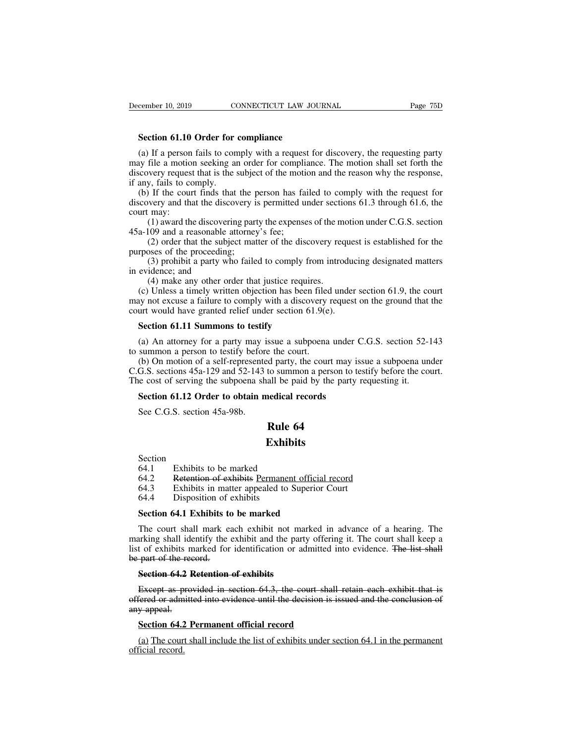**Section 61.10 Order for compliance**<br> **Section 61.10 Order for compliance**<br> **Section 61.10 Order for comply with a request for Section Section and the compliance** (a) If a person fails to complique the metal of the metal of the requesting party<br>
(a) If a person fails to comply with a request for discovery, the requesting party<br>
(a) If a person fails to comply with a request for disc may file a motion seeking an order for compliance of a motion seeking party and if a person fails to comply with a request for discovery, the requesting party may file a motion seeking an order for compliance. The motion s discovery request that is the subject of the motion and the requesting party<br>discovery field a person fails to comply with a request for discovery, the requesting party<br>may file a motion seeking an order for compliance. Th **Section 61.10 Order for**<br>(a) If a person fails to con<br>may file a motion seeking an<br>discovery request that is the :<br>if any, fails to comply.<br>(b) If the court finds that<br>discovery and that the discov Section 61.10 Order for compliance<br>(a) If a person fails to comply with a request for discovery, the requesting party<br>ay file a motion seeking an order for compliance. The motion shall set forth the<br>scovery request that is **Section 61.10 Order for compliance**<br>(a) If a person fails to comply with a request for discovery, the requesting party<br>may file a motion seeking an order for compliance. The motion shall set forth the<br>discovery request t (a) If a person<br>may file a motion<br>discovery request<br>if any, fails to cc<br>(b) If the cour<br>discovery and tha<br>court may:<br>(1) award the<br>45a-109 and a re In a person rans to comply with a request for discovery, the requesting party<br>file a motion seeking an order for compliance. The motion shall set forth the<br>wery request that is the subject of the motion and the reason why

may the a motion seeking an order to compinate discovery request that is the subject of the motiin any, fails to comply.<br>
(b) If the court finds that the person has fadiscovery and that the discovery is permitted u<br>
court (2) order that the subject of the motion and the reason wiry the response, by, fails to comply.<br>
If the court finds that the person has failed to comply with the request for<br>
very and that the discovery is permitted under many, rans to compty.<br>
(b) If the court finds that the p<br>
discovery and that the discovery is<br>
court may:<br>
(1) award the discovering part<br>
45a-109 and a reasonable attorney<br>
(2) order that the subject mat<br>
purposes of the (1) a multimum introducing mass and the comply what the request for wery and that the discovery is permitted under sections 61.3 through 61.6, the may:<br>
(1) award the discovering party the expenses of the motion under C.G

discovery and that the discover<br>court may:<br>(1) award the discoveriand<br>45a-109 and a reasonable a<br>(2) order that the subje<br>purposes of the proceeding;<br>(3) prohibit a party wh<br>in evidence; and<br>(4) make any other ord (c) Unle

(1) award the discovering party the expenses of the m (09 and a reasonable attorney's fee;<br>
(2) order that the subject matter of the discovery rec<br>
(2) order that the subject matter of the discovery rec<br>
sees of the proce (1) award the discovering party the expenses of the inotion under C.O.S. section a-109 and a reasonable attorney's fee;<br>
(2) order that the subject matter of the discovery request is established for the rposes of the proc 45a-109 and a reasonable attorney s ree,<br>
(2) order that the subject matter of the discovery request is established for the<br>
purposes of the proceeding;<br>
(3) prohibit a party who failed to comply from introducing designat (2) offer that the stopect matter of the discovery reques<br>purposes of the proceeding;<br>(3) prohibit a party who failed to comply from introduc<br>in evidence; and<br>(4) make any other order that justice requires.<br>(c) Unless a t (3) prohibit a party who failed to comply fre evidence; and<br>
(4) make any other order that justice require<br>
(c) Unless a timely written objection has been<br>
ay not excuse a failure to comply with a discover<br>
urt would have (4) make any other order that justice requires.<br>
(c) Unless a timely written objection has been filed under section 61.9, the court<br>
vary not excuse a failure to comply with a discovery request on the ground that the<br>
urt (c) Unless a timely written objection has been filed<br>may not excuse a failure to comply with a discovery<br>court would have granted relief under section 61.9(e<br>**Section 61.11 Summons to testify**<br>(a) An attorney for a party

(b) on excuse a failure to comply with a discovery request on the ground that the urt would have granted relief under section 61.9(e).<br> **Section 61.11 Summons to testify**<br>
(a) An attorney for a party may issue a subpoena C.G.S. section 61.11 Summons to testify<br>
(a) An attorney for a party may issue a subpoena under C.G.S. section 52-143<br>
to summon a person to testify before the court.<br>
(b) On motion of a self-represented party, the court **Section 61.11 Summons to testify**<br>
(a) An attorney for a party may issue a subpoena under C.G.S. section 52-<br>
to summon a person to testify before the court.<br>
(b) On motion of a self-represented party, the court may issu (a) An attorney for a party may issue a subpoena under (summon a person to testify before the court.<br>
(b) On motion of a self-represented party, the court may is G.S. sections 45a-129 and 52-143 to summon a person to to th Summon a person to testify before<br>summon a person to testify before<br>(b) On motion of a self-represente<br>G.S. sections  $45a-129$  and  $52-143$ <br>ae cost of serving the subpoena sh<br>**Section 61.12 Order to obtain n**<br>See C.G.S. s Example the court.<br>
Rule of party, the court may<br>
to summon a person to<br>
all be paid by the party<br> **Rule 64**<br> **Rule 64**<br> **Rule 64** 

## **Exhibits**

Section

See C.G.S. section 45a-98b.<br> **Rule 6**<br> **Exhibit**<br>
Section<br>
64.1 Exhibits to be marked<br>
64.2 Retention of exhibits Permanent 64.3 Exhibits in matter appealed to Su See C.G.S. section 45a-98b.<br> **Rule 64**<br> **Exhibits**<br>
Section<br>
64.1 Exhibits to be marked<br>
64.2 Retention of exhibits Permanent official record<br>
64.3 Exhibits in matter appealed to Superior Court<br>
64.4 Disposition of exhibit **Exhibits**<br>
Section<br>
64.1 Exhibits to be marked<br>
64.2 Retention of exhibits Permanent official record<br>
64.3 Exhibits in matter appealed to Superior Court<br>
64.4 Disposition of exhibits<br>
Section 64.1 Exhibits to be marked Exhib<br>
Section<br>
64.1 Exhibits to be marked<br>
64.2 Retention of exhibits Permanen<br>
64.3 Exhibits in matter appealed to 3<br>
64.4 Disposition of exhibits<br>
Section 64.1 Exhibits to be marked

**Section**<br>
64.1 Exhibits to be marked<br>
64.2 Retention of exhibits Permanent official<br>
64.3 Exhibits in matter appealed to Superior<br>
64.4 Disposition of exhibits<br> **Section 64.1 Exhibits to be marked**<br>
The court shall mark e Exhibits to be marked<br>
64.1 Exhibits in matter appealed to Superior Court<br>
64.3 Exhibits in matter appealed to Superior Court<br>
64.4 Disposition of exhibits<br> **Section 64.1 Exhibits to be marked**<br>
The court shall mark each e Exhibits in matter appealed to Superior Court<br>64.2 Retention of exhibits permanent official record<br>64.4 Disposition of exhibits<br>**Section 64.1 Exhibits to be marked**<br>The court shall mark each exhibit not marked in advance o list of exhibits in matter appealed to Superior Court<br>64.3 Exhibits in matter appealed to Superior Court<br>64.4 Disposition of exhibits<br>Section 64.1 Exhibits to be marked<br>The court shall mark each exhibit not marked in advan 64.4 Disposition of the Section 64.1 Exhibits to<br>The court shall mark est<br>marking shall identify the list of exhibits marked for<br>be part of the record.<br>Section 64.2 Retention **Section 64.1 Exhibits to be marked**<br>The court shall mark each exhibit not man<br>arking shall identify the exhibit and the part<br>t of exhibits marked for identification or ad<br>part of the record.<br>**Section 64.2 Retention of exh** The court shall mark each exhibit not marked in advance of a hearing. The arking shall identify the exhibit and the party offering it. The court shall keep a t of exhibits marked for identification or admitted into evidenc marking shall identify the exhibit and the party offering it. The court shall keep a<br>list of exhibits marked for identification or admitted into evidence. The list shall<br>be part of the record.<br>**Section 64.2 Retention of ex** 

maring share<br>list of exhibits m<br>be part of the rec<br>**Section 64.2 I**<br>Except as pro-<br>offered or admitt<br>any appeal.<br>**Section 64.2 I Fraction 64.2 Retention of exhibits<br>
Section 64.2 Retention of exhibits**<br>
Except as provided in section 64.3, the court shall-<br>
fered or admitted into evidence until the decision is is<br> **Section 64.2 Permanent official re** Section 64.2 Retention of exhibits<br>Except as provided in section 64.3, the court shall retain each exhibit that is<br>fered or admitted into evidence until the decision is issued and the conclusion of<br>y appeal.<br>Section 64.2 P Except as p<br>offered or adm<br>any appeal.<br>Section 64.2<br>(a) The cour<br>official record.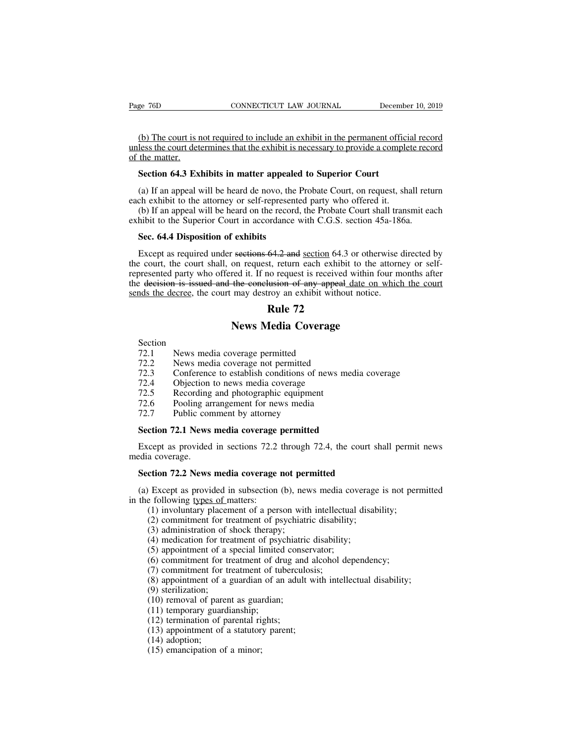EXECTIVE TRANSPORTED THE CONNECTICUT CONNECTICUT LAW JOURNAL December 10, 2019<br>(b) The court is not required to include an exhibit in the permanent official record<br>less the court determines that the exhibit is necessary to Page 76D CONNECTICUT LAW JOURNAL December 10, 2019<br>
(b) The court is not required to include an exhibit in the permanent official record<br>
unless the court determines that the exhibit is necessary to provide a complete reco Page 76D<br>(b) The court is n<br>unless the court deter.<br>Section 64.3 Ex **Section 64.3 Exhibits in matter appealed to Superior Court**<br> **Section 64.3 Exhibits in matter appealed to Superior Court**<br> **Section 64.3 Exhibits in matter appealed to Superior Court**<br> **(a)** If an appeal will be heard de (b) The court is not required to include an exhibit in the permanent official record<br>less the court determines that the exhibit is necessary to provide a complete record<br>the matter.<br>**Section 64.3 Exhibits in matter appeale** (b) The court is not required to include an exhibit in the permanent officiunless the court determines that the exhibit is necessary to provide a comple of the matter.<br> **Section 64.3 Exhibits in matter appealed to Superior** less the court determines that the exhibit is necessary to provide a complete record<br>the matter.<br>Section 64.3 Exhibits in matter appealed to Superior Court<br>(a) If an appeal will be heard de novo, the Probate Court, on requ

Section 64.3 Exhibits in matter appealed to Superior Court<br>
(a) If an appeal will be heard de novo, the Probate Court, on request, shall reture<br>
each exhibit to the attorney or self-represented party who offered it.<br>
(b) I **Section 64.3 Exhibits in matter appeale**<br>(a) If an appeal will be heard de novo, the<br>ch exhibit to the attorney or self-represent<br>(b) If an appeal will be heard on the record<br>hibit to the Superior Court in accordance<br>Sec.

(a) If an appeal will be heard de novo, the Probate Court, on request, shall return<br>ch exhibit to the attorney or self-represented party who offered it.<br>(b) If an appeal will be heard on the record, the Probate Court shall each exhibit to the attorney or self-represented party who offered it.<br>
(b) If an appeal will be heard on the record, the Probate Court shall transmit each<br>
exhibit to the Superior Court in accordance with C.G.S. section 4 (b) If an appeal will be heard on the record, the Probate Court shall transmit each exhibit to the Superior Court in accordance with C.G.S. section  $45a-186a$ .<br>Sec. 64.4 Disposition of exhibits<br>Except as required under se exhibit to the Superior Court in accordance with C.G.S. section 45a-186a.<br> **Sec. 64.4 Disposition of exhibits**<br>
Except as required under sections 64.2 and <u>section</u> 64.3 or otherwise directed by<br>
the court, the court shal **Sec. 64.4 Disposition of exhibits**<br>Except as required under sections  $64.2$  and section  $64.3$  or otherwise of<br>the court, the court shall, on request, return each exhibit to the attorn<br>represented party who offered it. I 64.2 and <u>section</u> 64.3 of<br>t, return each exhibit to<br>request is received with<br>the return of any appeal dividend<br>**Rule 72**<br>**Tedia Coverage** Subsections 64.2 and <u>section</u> 64.3 or otherw<br>
Subsections 64.2 and <u>section</u> 64.3 or otherw<br>
Subsection request is received within for<br>
the conclusion of any appeal date on y<br>
may destroy an exhibit without notice.<br> **Rule 12.1 Section**<br>**72.1 News media coverage permitted<br><b>72.1** News media coverage permitted<br>72.2 News media coverage permitted<br>72.2 News media coverage not permitted<br>72.3 Conference to establish conditions of news

# Section<br>72.1

- 
- 
- **12.2 News Media Coverage**<br>**Rule 72**<br>**Rule 72**<br>**News media coverage permitted**<br>72.2 News media coverage not permitted<br>72.3 Conference to establish conditions of news media 27.4 Objection to news media coverage **12.3 Conference Text**<br> **72.1 Conference to establish conditions of news media coverage<br>
72.2 News media coverage not permitted<br>
72.3 Conference to establish conditions of news media coverage<br>
72.4 Objection to news media News Media Coverage**<br>
Section<br>
72.1 News media coverage permitted<br>
72.2 News media coverage not permitted<br>
72.3 Conference to establish conditions of news r<br>
72.4 Objection to news media coverage<br>
72.5 Recording and photo **The Section**<br>
72.1 News media coverage permitted<br>
72.2 News media coverage not permitted<br>
72.3 Conference to establish conditions of news m<br>
72.4 Objection to news media coverage<br>
72.5 Recording and photographic equipment Section<br>
72.1 News media coverage permitted<br>
72.2 News media coverage not permitted<br>
72.3 Conference to establish conditions of news me<br>
72.4 Objection to news media coverage<br>
72.5 Recording and photographic equipment<br>
72.
- 
- F2.1 News media coverage permitted<br>
72.1 News media coverage not permitted<br>
72.3 Conference to establish conditions of n<br>
72.4 Objection to news media coverage<br>
72.5 Recording and photographic equipment<br>
72.6 Pooling arran
- 
- 

T2.2 News media coverage not permitted<br>
T2.3 Conference to establish conditions of news media<br>
T2.4 Objection to news media coverage<br>
T2.5 Recording and photographic equipment<br>
T2.6 Pooling arrangement for news media<br>
T2.7 T2.4 Objection to news media coverage<br>
T2.5 Recording and photographic equipment<br>
T2.6 Pooling arrangement for news media<br>
T2.7 Public comment by attorney<br> **Section 72.1 News media coverage permitted**<br>
Except as provided i 72.5 Recording<br>72.6 Pooling ar<br>72.7 Public cor<br>**Section 72.1 News**<br>Except as provided<br>media coverage.<br>**Section 72.2 News** Fraction 72.1 News media coverage permitted<br>Except as provided in sections 72.2 through 72.4, the court shedia coverage.<br>**Section 72.2 News media coverage not permitted**<br>(a) Except as provided in subsection (b), news media Section 72.1 News media coverage permitted<br>Except as provided in sections 72.2 through 72.4, the court shall permit news<br>edia coverage.<br>Section 72.2 News media coverage not permitted<br>(a) Except as provided in subsection (b Except as provided in sections 72.2<br>media coverage.<br>**Section 72.2 News media coverage**<br>(a) Except as provided in subsection<br>in the following <u>types of matters:</u><br>(1) involuntary placement of a pers.<br>(2) commitment for trea (1) comparison of a person must be court shall permit a coverage.<br> **ction 72.2 News media coverage not permitted**<br>
(1) Except as provided in subsection (b), news media coverage is not per<br>
e following types of matters:<br>
(1

(2) a coverage.<br> **(2) committed**<br>
(2) Except as provided in subsection (b), news media coverage<br>
following types of matters:<br>
(1) involuntary placement of a person with intellectual disability;<br>
(2) commitment for treatmen **ction 72.2 News media coverage not per**<br>Except as provided in subsection (b), nevertilly<br>following types of matters:<br>(1) involuntary placement of a person with<br>(2) commitment for treatment of psychiatric<br>(3) administratio (4) mediators of the treatment of permitted<br>(4) Except as provided in subsection (b), news media coverage<br>following types of matters:<br>(1) involuntary placement of a person with intellectual disa<br>(2) commitment for treatmen Except as provided in subsection (b), news media cover following types of matters:<br>
(1) involuntary placement of a person with intellectual<br>
(2) commitment for treatment of psychiatric disability;<br>
(3) administration of sh Except as provided in stassection (o), hews included to vertige is not poor for the following types of matters:<br>(1) involuntary placement of a person with intellectual disability;<br>(2) commitment for treatment of psychiatr

- (1) involuntary placement of a person with intellect<br>(2) commitment for treatment of psychiatric disabili<br>(3) administration of shock therapy;<br>(4) medication for treatment of psychiatric disability<br>(5) appointment of a sp
- 
- 

(3) administration of s<br>(3) administration of s<br>(4) medication for trea<br>(5) appointment of a s<br>(6) commitment for tr<br>(7) commitment of a g<br>(9) sterilization;<br>(10) removal of paren<br>(11) temporary guardi (4) medication of shock diety),<br>(4) medication for treatment of psychiatric<br>(5) appointment of a special limited conse<br>(6) commitment for treatment of drug and<br>(7) commitment for treatment of tubercule<br>(8) appointment of (1) importance of a special limited<br>(6) appointment of a special limited<br>(6) commitment for treatment of dr<br>(7) commitment for treatment of tu<br>(8) appointment of a guardian of area<br>(9) sterilization;<br>(10) removal of paren

(2) an intertually protection of a performant of psychiatric disability;<br>
(3) administration of shock therapy;<br>
(4) medication for treatment of psychiatric disability;<br>
(5) appointment of a special limited conservator;<br>
( (6) appointment of a special initial condensity (6) commitment for treatment of drug an (7) commitment for treatment of tubercu (8) appointment of a guardian of an adul (9) sterilization;<br>(10) removal of parent as guardia (7) commitment for treatment of angle and<br>
(7) commitment for treatment of tuberculosis<br>
(8) appointment of a guardian of an adult wi<br>
(9) sterilization;<br>
(10) removal of parent as guardian;<br>
(11) temporary guardianship;<br>

- 
- (8) appointment for<br>(8) appointment of a<br>(9) sterilization;<br>(10) removal of pare<br>(11) temporary guare<br>(12) termination of  $(13)$  appointment of<br>(14) adoption;<br>(15) emancipation of (9) sterilization;<br>(9) sterilization;<br>(10) removal of parent as gua:<br>(11) temporary guardianship;<br>(12) termination of parental ri<br>(13) appointment of a statutor<br>(14) adoption;<br>(15) emancipation of a minor;
- 
- 
- 
- 
-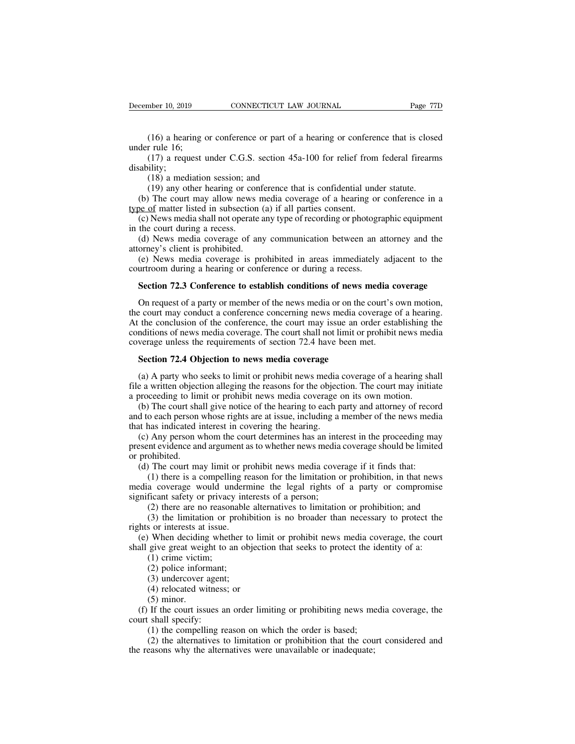(16) a hearing or conference or part of a hearing or conference that is closed<br>(16) a hearing or conference or part of a hearing or conference that is closed<br>(17) a request under C.G.S. section 45a-100 for relief from fede December 10, 2019<br>
(16) a hearing of<br>
under rule 16;<br>
(17) a request of<br>
disability; mber 10, 2019 CONNECTICUT LAW JOURNAL Page 77D<br>
(16) a hearing or conference or part of a hearing or conference that is closed<br>
r rule 16;<br>
(17) a request under C.G.S. section 45a-100 for relief from federal firearms<br>
ilit (16) a hearing or conference or part of a<br>
r rule 16;<br>
(17) a request under C.G.S. section 45a<br>
ility;<br>
(18) a mediation session; and<br>
(19) any other hearing or conference tha<br>
(19) any other hearing or conference tha<br>
(1 (16) a hearing or conference or part of a hearing or conference that is close<br>r rule 16;<br>(17) a request under C.G.S. section 45a-100 for relief from federal firearm<br>ility;<br>(18) a mediation session; and<br>(19) any other hear (16) a hearing or conference or part of a hearing or conference that is closed<br>der rule 16;<br>(17) a request under C.G.S. section 45a-100 for relief from federal firearms<br>ability;<br>(18) a mediation session; and<br>(19) any othe

disability;

in the matter we can be the matter of the matter sudder rule 16;<br>
(17) a request under C.G.S. section 45a-100 for relief from<br>
disability;<br>
(18) a mediation session; and<br>
(19) any other hearing or conference that is confid (17) a request under C.G.S. section 45a-100 for relief from federal firearms<br>sability;<br>(18) a mediation session; and<br>(19) any other hearing or conference that is confidential under statute.<br>(b) The court may allow news me disability;<br>(18) a mediation session; and<br>(19) any other hearing or court<br>(b) The court may allow news<br>type of matter listed in subsection<br>(c) News media shall not operate<br>in the court during a recess.<br>(d) News media cover (18) a mediation session; and<br>
(19) any other hearing or conference that is confidential under statute.<br>
(b) The court may allow news media coverage of a hearing or conference in a<br>
<u>se of</u> matter listed in subsection (a) (18) a mediation session; and<br>
(19) any other hearing or conference that is confidential under statute.<br>
(b) The court may allow news media coverage of a hearing or conference in a<br>
<u>type of</u> matter listed in subsection ( (b) The court may allow news media coverage of a hearing or conference in a<br><u>be of</u> matter listed in subsection (a) if all parties consent.<br>(c) News media shall not operate any type of recording or photographic equipment<br> type of matter listed in subsection (a) if all parties consent.<br>
(c) News media shall not operate any type of recording or photogram<br>
in the court during a recess.<br>
(d) News media coverage of any communication between an a

(c) News media shall not operate any type of recording or photographic equipment<br>the court during a recess.<br>(d) News media coverage of any communication between an attorney and the<br>orney's client is prohibited.<br>(e) News me

(d) News media coverage of any communication between an attorney and the orney's client is prohibited.<br>(e) News media coverage is prohibited in areas immediately adjacent to the urtroom during a hearing or conference or du attorney's client is prohibited.<br>
(e) News media coverage is prohibited in areas immediately adjacent to the<br>
courtroom during a hearing or conference or during a recess.<br> **Section 72.3 Conference to establish conditions o** (e) News media coverage is prohibited in areas immediately adjacent to the courtroom during a hearing or conference or during a recess.<br> **Section 72.3 Conference to establish conditions of news media coverage**<br>
On request courtroom during a hearing or conference or during a recess.<br> **Section 72.3 Conference to establish conditions of news media coverage**<br>
On request of a party or member of the news media or on the court's own motion,<br>
the c **Section 72.3 Conference to establish conditions of news media c** On request of a party or member of the news media or on the court's of the court may conduct a conference concerning news media coverage (At the conclusion On request of a party or member of the news media or on the e court may conduct a conference concerning news media co<br>the conclusion of the conference, the court may issue an on<br>miditions of news media coverage. The court Exercise court may conduct a conference concerning news media coverage of a hearing.<br>
the conclusion of the conference, the court may issue an order establishing the<br>
nditions of news media coverage. The court shall not li At the conclusion of the conference, the court may issue an order establishing the<br>conditions of news media coverage. The court shall not limit or prohibit news media<br>coverage unless the requirements of section 72.4 have b

conditions of news media coverage. The court shall not limit or prohibit news med<br>coverage unless the requirements of section 72.4 have been met.<br>**Section 72.4 Objection to news media coverage**<br>(a) A party who seeks to lim

verage unless the requirements of section 72.4 have been met.<br> **Section 72.4 Objection to news media coverage**<br>
(a) A party who seeks to limit or prohibit news media coverage of a hearing shall<br>
e a written objection alleg **Section 72.4 Objection to news media coverage**<br>
(a) A party who seeks to limit or prohibit news media coverage of a hearing shall<br>
file a written objection alleging the reasons for the objection. The court may initiate<br>
a **Section 72.4 Objection to news media coverage**<br>(a) A party who seeks to limit or prohibit news media<br>file a written objection alleging the reasons for the object<br>a proceeding to limit or prohibit news media coverage<br>(b) (a) A party who seeks to limit or prohibit news media coverage of a hearing shall e a written objection alleging the reasons for the objection. The court may initiate proceeding to limit or prohibit news media coverage on (a) T party who seeks to mind of promote news media coverage of a hearing sharf if le a written objection alleging the reasons for the objection. The court may initiate a proceeding to limit or prohibit news media coverage a proceeding to lim<br>
(b) The court sha<br>
and to each person<br>
that has indicated i<br>
(c) Any person w<br>
present evidence an<br>
or prohibited.<br>
(d) The court ma<br>
(1) there is a c The court shall give notice of the hearing to each party and attorney of record to each person whose rights are at issue, including a member of the news media thas indicated interest in covering the hearing.<br>(c) Any person

(c) Any person whom the court determines has an interpresent evidence and argument as to whether news media or prohibited.<br>
(d) The court may limit or prohibit news media cover (1) there is a compelling reason for the limi

(1) there is a compelling reason for the limitation or problem and indicated interest in covering the hearing.<br>
Any person whom the court determines has an interest in the proceeding may the evidence and argument as to whe media coverage would undermine the legal rights of a party or compromise<br>(2) there are no results of a particular proceeding may<br>present evidence and argument as to whether news media coverage should be limited<br>or prohibit The vidence and argument as to whether news media coverage should be limited ohibited.<br>The court may limit or prohibit news media coverage if it finds that:<br>(1) there is a compelling reason for the limitation or prohibitio (1) the court may limit or prohibit news media coverage if it finds that:<br>
(1) there is a compelling reason for the limitation or prohibition, in that news<br>
a coverage would undermine the legal rights of a party or comprom (d) The court may limit or pr<br>
(1) there is a compelling re<br>
media coverage would undern<br>
significant safety or privacy interests<br>
(2) there are no reasonable<br>
(3) the limitation or prohil<br>
rights or interests at issue.<br>
( (1) there is a compelling reason for the limitation or prohibition, in that news edia coverage, would undermine the legal rights of a party or compromise inficant safety or privacy interests of a person;<br>(2) there are no media coverage would undermine the legal rights of a party or compromise<br>significant safety or privacy interests of a person;<br>(2) there are no reasonable alternatives to limitation or prohibition; and<br>(3) the limitation or

Fricant safety or privacy<br>(2) there are no reasona<br>(3) the limitation or pr<br>or interests at issue.<br>When deciding wheth<br>give great weight to an<br>(1) crime victim;<br>(2) police informant;<br>(3) undercover agent; (2) there are no reasonable<br>(3) the limitation or prohil<br>s or interests at issue.<br>When deciding whether to<br>give great weight to an ob<br>(1) crime victim;<br>(2) police informant;<br>(3) undercover agent;<br>(4) relocated witness; or (3) the limitation or prohibs or interests at issue.<br>
When deciding whether to<br>
give great weight to an obj<br>
(1) crime victim;<br>
(2) police informant;<br>
(3) undercover agent;<br>
(4) relocated witness; or<br>
(5) minor.

(4) relationships are in such that issue.<br>
(4) When deciding whether to lim<br>
give great weight to an objection<br>
(1) crime victim;<br>
(2) police informant;<br>
(3) undercover agent;<br>
(4) relocated witness; or<br>
(5) minor.<br>
If the rights or interests at issue.<br>
(e) When deciding whether to limit or prohibit news media coverage, the court<br>
shall give great weight to an objection that seeks to protect the identity of a:<br>
(1) crime victim;<br>
(2) police

(f) If the court issues an order limiting or prohibiting news media coverage, the court shall specify:<br>
(d) If the court issues an order limiting or prohibiting news media coverage, the court shall specify:<br>
(f) If the cou (1) crime victim;<br>
(2) police informant<br>
(3) undercover agen<br>
(4) relocated witness<br>
(5) minor.<br>
(f) If the court issues a<br>
court shall specify:<br>
(1) the compelling r<br>
(2) the alternatives if (2) police informant;<br>
(3) undercover agent;<br>
(4) relocated witness; or<br>
(5) minor.<br>
If the court issues an order limiting or prohibiting news medicall specify:<br>
(1) the compelling reason on which the order is based;<br>
(2) (3) undercover agent;<br>
(4) relocated witness; or<br>
(5) minor.<br>
If the court issues an order limiting or prohibiting news media coverage, the<br>
shall specify:<br>
(1) the compelling reason on which the order is based;<br>
(2) the (4) relocated witness; or<br>
(5) minor.<br>
(f) If the court issues an order limiting or prohibiting news me<br>
court shall specify:<br>
(1) the compelling reason on which the order is based;<br>
(2) the alternatives to limitation or p